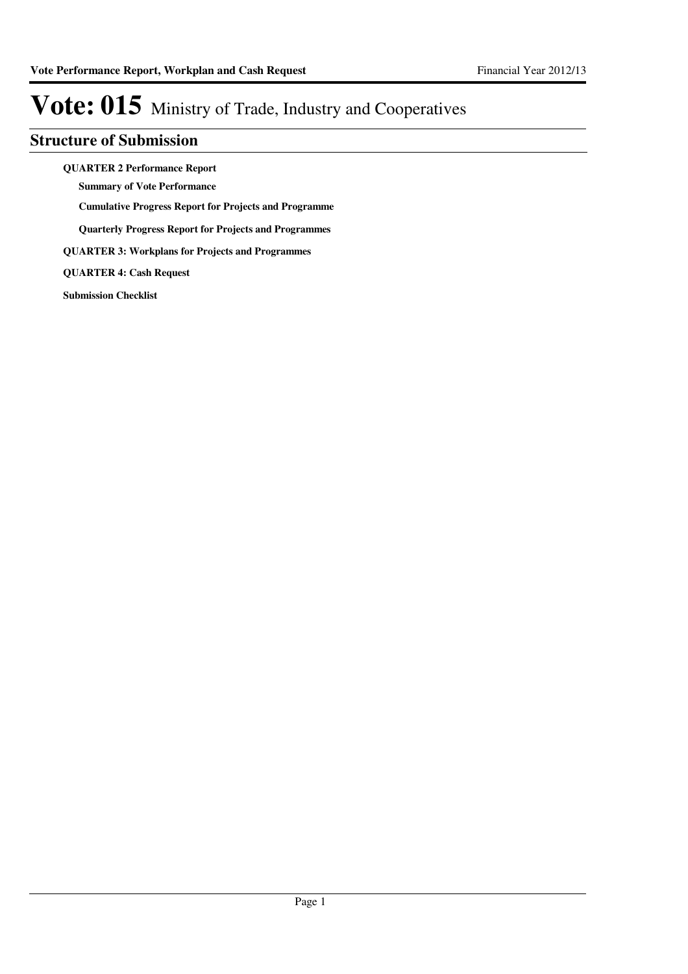### **Structure of Submission**

**QUARTER 2 Performance Report**

**Summary of Vote Performance**

**Cumulative Progress Report for Projects and Programme**

**Quarterly Progress Report for Projects and Programmes**

**QUARTER 3: Workplans for Projects and Programmes**

**QUARTER 4: Cash Request**

**Submission Checklist**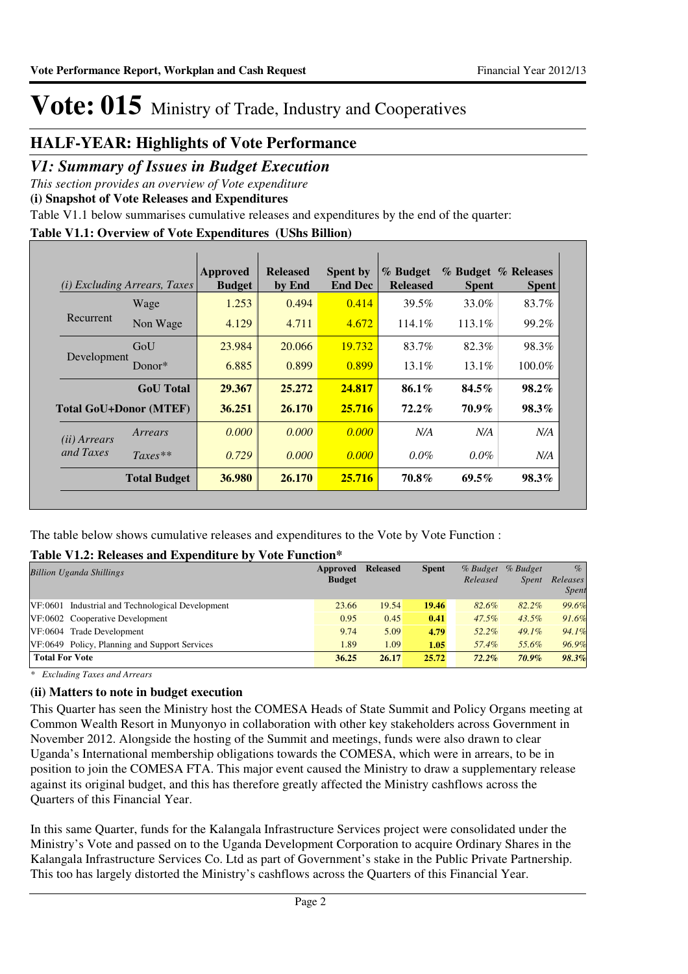### **HALF-YEAR: Highlights of Vote Performance**

### *V1: Summary of Issues in Budget Execution*

*This section provides an overview of Vote expenditure* 

**(i) Snapshot of Vote Releases and Expenditures**

Table V1.1 below summarises cumulative releases and expenditures by the end of the quarter:

#### **Table V1.1: Overview of Vote Expenditures (UShs Billion)**

| (i)                   | <i>Excluding Arrears, Taxes</i> | Approved<br><b>Budget</b> | <b>Released</b><br>by End | <b>Spent by</b><br><b>End Dec</b> | % Budget<br><b>Released</b> | <b>Spent</b> | % Budget % Releases<br><b>Spent</b> |
|-----------------------|---------------------------------|---------------------------|---------------------------|-----------------------------------|-----------------------------|--------------|-------------------------------------|
|                       | Wage                            | 1.253                     | 0.494                     | 0.414                             | 39.5%                       | 33.0%        | 83.7%                               |
| Recurrent             | Non Wage                        | 4.129                     | 4.711                     | 4.672                             | 114.1\%                     | $113.1\%$    | 99.2%                               |
|                       | GoU                             | 23.984                    | 20.066                    | 19.732                            | 83.7%                       | 82.3%        | 98.3%                               |
| Development           | Donor $*$                       | 6.885                     | 0.899                     | 0.899                             | $13.1\%$                    | $13.1\%$     | $100.0\%$                           |
|                       | <b>GoU</b> Total                | 29.367                    | 25,272                    | 24.817                            | $86.1\%$                    | $84.5\%$     | $98.2\%$                            |
|                       | <b>Total GoU+Donor (MTEF)</b>   | 36.251                    | 26.170                    | 25.716                            | $72.2\%$                    | 70.9%        | $98.3\%$                            |
| ( <i>ii</i> ) Arrears | Arrears                         | 0.000                     | 0.000                     | 0.000                             | N/A                         | N/A          | N/A                                 |
| and Taxes             | $Taxes**$                       | 0.729                     | 0.000                     | 0.000                             | $0.0\%$                     | $0.0\%$      | N/A                                 |
|                       | <b>Total Budget</b>             | 36.980                    | 26.170                    | 25.716                            | 70.8%                       | $69.5\%$     | 98.3%                               |

The table below shows cumulative releases and expenditures to the Vote by Vote Function :

### **Table V1.2: Releases and Expenditure by Vote Function\***

| <b>Billion Uganda Shillings</b>                  | Approved<br><b>Budget</b> | <b>Released</b> | <b>Spent</b> | % Budget<br>Released | % Budget<br><i>Spent</i> | $\%$<br>Releases<br>Spent |
|--------------------------------------------------|---------------------------|-----------------|--------------|----------------------|--------------------------|---------------------------|
| VF:0601 Industrial and Technological Development | 23.66                     | 19.54           | 19.46        | 82.6%                | 82.2%                    | 99.6%                     |
| VF:0602 Cooperative Development                  | 0.95                      | 0.45            | 0.41         | $47.5\%$             | $43.5\%$                 | 91.6%                     |
| VF:0604 Trade Development                        | 9.74                      | 5.09            | 4.79         | 52.2%                | $49.1\%$                 | 94.1%                     |
| VF:0649 Policy, Planning and Support Services    | 1.89                      | 1.09            | 1.05         | 57.4%                | 55.6%                    | 96.9%                     |
| <b>Total For Vote</b>                            | 36.25                     | 26.17           | 25.72        | $72.2\%$             | $70.9\%$                 | 98.3%                     |

*\* Excluding Taxes and Arrears*

### **(ii) Matters to note in budget execution**

This Quarter has seen the Ministry host the COMESA Heads of State Summit and Policy Organs meeting at Common Wealth Resort in Munyonyo in collaboration with other key stakeholders across Government in November 2012. Alongside the hosting of the Summit and meetings, funds were also drawn to clear Uganda's International membership obligations towards the COMESA, which were in arrears, to be in position to join the COMESA FTA. This major event caused the Ministry to draw a supplementary release against its original budget, and this has therefore greatly affected the Ministry cashflows across the Quarters of this Financial Year.

In this same Quarter, funds for the Kalangala Infrastructure Services project were consolidated under the Ministry's Vote and passed on to the Uganda Development Corporation to acquire Ordinary Shares in the Kalangala Infrastructure Services Co. Ltd as part of Government's stake in the Public Private Partnership. This too has largely distorted the Ministry's cashflows across the Quarters of this Financial Year.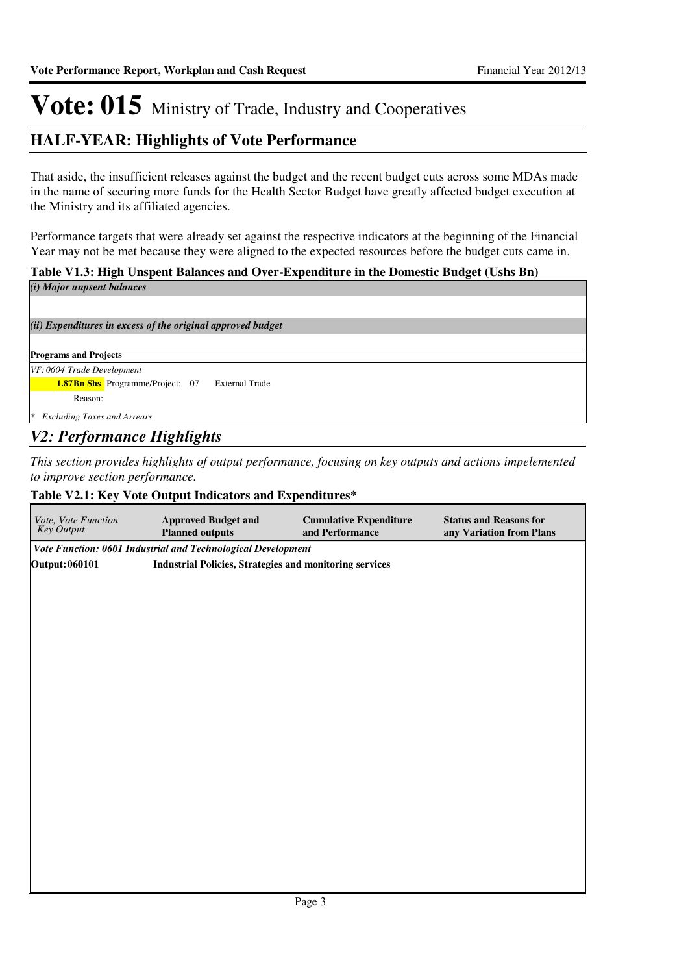### **HALF-YEAR: Highlights of Vote Performance**

That aside, the insufficient releases against the budget and the recent budget cuts across some MDAs made in the name of securing more funds for the Health Sector Budget have greatly affected budget execution at the Ministry and its affiliated agencies.

Performance targets that were already set against the respective indicators at the beginning of the Financial Year may not be met because they were aligned to the expected resources before the budget cuts came in.

#### **Table V1.3: High Unspent Balances and Over-Expenditure in the Domestic Budget (Ushs Bn)**

| (i) Major unpsent balances                                       |
|------------------------------------------------------------------|
|                                                                  |
| (ii) Expenditures in excess of the original approved budget      |
|                                                                  |
| <b>Programs and Projects</b>                                     |
| $VF:0604$ Trade Development                                      |
| <b>1.87Bn Shs</b> Programme/Project: 07<br><b>External Trade</b> |
| Reason:                                                          |
| <b>Excluding Taxes and Arrears</b><br>∣∗                         |
| <b>V2: Performance Highlights</b>                                |

*This section provides highlights of output performance, focusing on key outputs and actions impelemented to improve section performance.*

#### **Table V2.1: Key Vote Output Indicators and Expenditures\***

| Vote, Vote Function<br>Key Output | <b>Approved Budget and</b><br><b>Planned outputs</b>           | <b>Cumulative Expenditure</b><br>and Performance | <b>Status and Reasons for</b><br>any Variation from Plans |  |  |  |  |  |
|-----------------------------------|----------------------------------------------------------------|--------------------------------------------------|-----------------------------------------------------------|--|--|--|--|--|
|                                   | Vote Function: 0601 Industrial and Technological Development   |                                                  |                                                           |  |  |  |  |  |
| <b>Output: 060101</b>             | <b>Industrial Policies, Strategies and monitoring services</b> |                                                  |                                                           |  |  |  |  |  |
|                                   |                                                                |                                                  |                                                           |  |  |  |  |  |
|                                   |                                                                |                                                  |                                                           |  |  |  |  |  |
|                                   |                                                                |                                                  |                                                           |  |  |  |  |  |
|                                   |                                                                |                                                  |                                                           |  |  |  |  |  |
|                                   |                                                                |                                                  |                                                           |  |  |  |  |  |
|                                   |                                                                |                                                  |                                                           |  |  |  |  |  |
|                                   |                                                                |                                                  |                                                           |  |  |  |  |  |
|                                   |                                                                |                                                  |                                                           |  |  |  |  |  |
|                                   |                                                                |                                                  |                                                           |  |  |  |  |  |
|                                   |                                                                |                                                  |                                                           |  |  |  |  |  |
|                                   |                                                                |                                                  |                                                           |  |  |  |  |  |
|                                   |                                                                |                                                  |                                                           |  |  |  |  |  |
|                                   |                                                                |                                                  |                                                           |  |  |  |  |  |
|                                   |                                                                |                                                  |                                                           |  |  |  |  |  |
|                                   |                                                                |                                                  |                                                           |  |  |  |  |  |
|                                   |                                                                |                                                  |                                                           |  |  |  |  |  |
|                                   |                                                                |                                                  |                                                           |  |  |  |  |  |
|                                   |                                                                |                                                  |                                                           |  |  |  |  |  |
|                                   |                                                                |                                                  |                                                           |  |  |  |  |  |
|                                   |                                                                |                                                  |                                                           |  |  |  |  |  |
|                                   |                                                                |                                                  |                                                           |  |  |  |  |  |
|                                   |                                                                |                                                  |                                                           |  |  |  |  |  |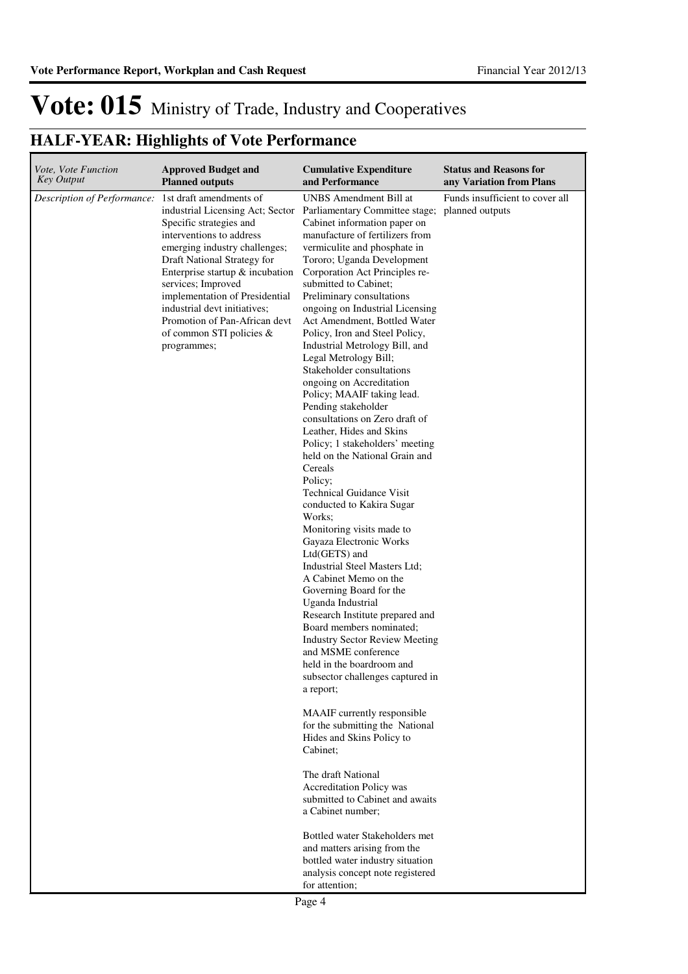$\overline{\mathbf{r}}$ 

# Vote: 015 Ministry of Trade, Industry and Cooperatives

| Vote, Vote Function         | <b>Approved Budget and</b>                                                                                                                                                                                                                                                                                                                                                                  | <b>Cumulative Expenditure</b>                                                                                                                                                                                                                                                                                                                                                                                                                                                                                                                                                                                                                                                                                                                                                                                                                                                                                                                                                                                                                                                                                                                                                                                                                                                                                                                                                                                                                                                                                                                                                                     | <b>Status and Reasons for</b>                      |
|-----------------------------|---------------------------------------------------------------------------------------------------------------------------------------------------------------------------------------------------------------------------------------------------------------------------------------------------------------------------------------------------------------------------------------------|---------------------------------------------------------------------------------------------------------------------------------------------------------------------------------------------------------------------------------------------------------------------------------------------------------------------------------------------------------------------------------------------------------------------------------------------------------------------------------------------------------------------------------------------------------------------------------------------------------------------------------------------------------------------------------------------------------------------------------------------------------------------------------------------------------------------------------------------------------------------------------------------------------------------------------------------------------------------------------------------------------------------------------------------------------------------------------------------------------------------------------------------------------------------------------------------------------------------------------------------------------------------------------------------------------------------------------------------------------------------------------------------------------------------------------------------------------------------------------------------------------------------------------------------------------------------------------------------------|----------------------------------------------------|
| <b>Key Output</b>           | <b>Planned outputs</b>                                                                                                                                                                                                                                                                                                                                                                      | and Performance                                                                                                                                                                                                                                                                                                                                                                                                                                                                                                                                                                                                                                                                                                                                                                                                                                                                                                                                                                                                                                                                                                                                                                                                                                                                                                                                                                                                                                                                                                                                                                                   | any Variation from Plans                           |
| Description of Performance: | 1st draft amendments of<br>industrial Licensing Act; Sector<br>Specific strategies and<br>interventions to address<br>emerging industry challenges;<br>Draft National Strategy for<br>Enterprise startup & incubation<br>services; Improved<br>implementation of Presidential<br>industrial devt initiatives;<br>Promotion of Pan-African devt<br>of common STI policies $&$<br>programmes; | <b>UNBS</b> Amendment Bill at<br>Parliamentary Committee stage;<br>Cabinet information paper on<br>manufacture of fertilizers from<br>vermiculite and phosphate in<br>Tororo; Uganda Development<br>Corporation Act Principles re-<br>submitted to Cabinet;<br>Preliminary consultations<br>ongoing on Industrial Licensing<br>Act Amendment, Bottled Water<br>Policy, Iron and Steel Policy,<br>Industrial Metrology Bill, and<br>Legal Metrology Bill;<br>Stakeholder consultations<br>ongoing on Accreditation<br>Policy; MAAIF taking lead.<br>Pending stakeholder<br>consultations on Zero draft of<br>Leather, Hides and Skins<br>Policy; 1 stakeholders' meeting<br>held on the National Grain and<br>Cereals<br>Policy;<br><b>Technical Guidance Visit</b><br>conducted to Kakira Sugar<br>Works;<br>Monitoring visits made to<br>Gayaza Electronic Works<br>Ltd(GETS) and<br>Industrial Steel Masters Ltd;<br>A Cabinet Memo on the<br>Governing Board for the<br>Uganda Industrial<br>Research Institute prepared and<br>Board members nominated;<br><b>Industry Sector Review Meeting</b><br>and MSME conference<br>held in the boardroom and<br>subsector challenges captured in<br>a report;<br>MAAIF currently responsible<br>for the submitting the National<br>Hides and Skins Policy to<br>Cabinet;<br>The draft National<br><b>Accreditation Policy was</b><br>submitted to Cabinet and awaits<br>a Cabinet number;<br>Bottled water Stakeholders met<br>and matters arising from the<br>bottled water industry situation<br>analysis concept note registered<br>for attention; | Funds insufficient to cover all<br>planned outputs |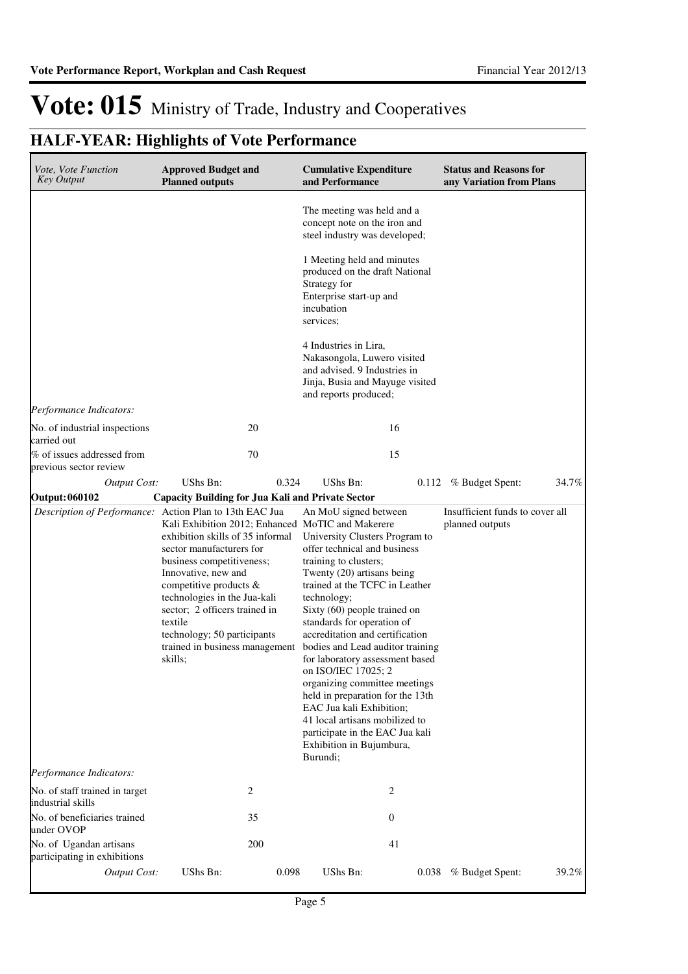| Vote, Vote Function<br><b>Key Output</b>                | <b>Approved Budget and</b><br><b>Planned outputs</b>                                                                                                                                                                                                                                               |       | <b>Cumulative Expenditure</b><br>and Performance                                                                                                                                                                                                                                                                                                                                                                                                                                                                                                                                                                                                                  |       | <b>Status and Reasons for</b><br>any Variation from Plans |       |
|---------------------------------------------------------|----------------------------------------------------------------------------------------------------------------------------------------------------------------------------------------------------------------------------------------------------------------------------------------------------|-------|-------------------------------------------------------------------------------------------------------------------------------------------------------------------------------------------------------------------------------------------------------------------------------------------------------------------------------------------------------------------------------------------------------------------------------------------------------------------------------------------------------------------------------------------------------------------------------------------------------------------------------------------------------------------|-------|-----------------------------------------------------------|-------|
|                                                         |                                                                                                                                                                                                                                                                                                    |       | The meeting was held and a<br>concept note on the iron and<br>steel industry was developed;                                                                                                                                                                                                                                                                                                                                                                                                                                                                                                                                                                       |       |                                                           |       |
|                                                         |                                                                                                                                                                                                                                                                                                    |       | 1 Meeting held and minutes<br>produced on the draft National<br>Strategy for<br>Enterprise start-up and<br>incubation<br>services;                                                                                                                                                                                                                                                                                                                                                                                                                                                                                                                                |       |                                                           |       |
|                                                         |                                                                                                                                                                                                                                                                                                    |       | 4 Industries in Lira,<br>Nakasongola, Luwero visited<br>and advised. 9 Industries in<br>Jinja, Busia and Mayuge visited<br>and reports produced;                                                                                                                                                                                                                                                                                                                                                                                                                                                                                                                  |       |                                                           |       |
| Performance Indicators:                                 |                                                                                                                                                                                                                                                                                                    |       |                                                                                                                                                                                                                                                                                                                                                                                                                                                                                                                                                                                                                                                                   |       |                                                           |       |
| No. of industrial inspections<br>carried out            |                                                                                                                                                                                                                                                                                                    | 20    | 16                                                                                                                                                                                                                                                                                                                                                                                                                                                                                                                                                                                                                                                                |       |                                                           |       |
| % of issues addressed from<br>previous sector review    |                                                                                                                                                                                                                                                                                                    | 70    | 15                                                                                                                                                                                                                                                                                                                                                                                                                                                                                                                                                                                                                                                                |       |                                                           |       |
| <b>Output Cost:</b>                                     | UShs Bn:                                                                                                                                                                                                                                                                                           | 0.324 | UShs Bn:                                                                                                                                                                                                                                                                                                                                                                                                                                                                                                                                                                                                                                                          | 0.112 | % Budget Spent:                                           | 34.7% |
| <b>Output: 060102</b>                                   | <b>Capacity Building for Jua Kali and Private Sector</b>                                                                                                                                                                                                                                           |       |                                                                                                                                                                                                                                                                                                                                                                                                                                                                                                                                                                                                                                                                   |       |                                                           |       |
| Description of Performance: Action Plan to 13th EAC Jua | exhibition skills of 35 informal<br>sector manufacturers for<br>business competitiveness;<br>Innovative, new and<br>competitive products &<br>technologies in the Jua-kali<br>sector; 2 officers trained in<br>textile<br>technology; 50 participants<br>trained in business management<br>skills; |       | An MoU signed between<br>Kali Exhibition 2012; Enhanced MoTIC and Makerere<br>University Clusters Program to<br>offer technical and business<br>training to clusters;<br>Twenty (20) artisans being<br>trained at the TCFC in Leather<br>technology;<br>Sixty (60) people trained on<br>standards for operation of<br>accreditation and certification<br>bodies and Lead auditor training<br>for laboratory assessment based<br>on ISO/IEC 17025; 2<br>organizing committee meetings<br>held in preparation for the 13th<br>EAC Jua kali Exhibition;<br>41 local artisans mobilized to<br>participate in the EAC Jua kali<br>Exhibition in Bujumbura,<br>Burundi; |       | Insufficient funds to cover all<br>planned outputs        |       |
| Performance Indicators:                                 |                                                                                                                                                                                                                                                                                                    |       |                                                                                                                                                                                                                                                                                                                                                                                                                                                                                                                                                                                                                                                                   |       |                                                           |       |
| No. of staff trained in target<br>industrial skills     |                                                                                                                                                                                                                                                                                                    | 2     | 2                                                                                                                                                                                                                                                                                                                                                                                                                                                                                                                                                                                                                                                                 |       |                                                           |       |
| No. of beneficiaries trained<br>under OVOP              |                                                                                                                                                                                                                                                                                                    | 35    | $\mathbf{0}$                                                                                                                                                                                                                                                                                                                                                                                                                                                                                                                                                                                                                                                      |       |                                                           |       |
| No. of Ugandan artisans<br>participating in exhibitions |                                                                                                                                                                                                                                                                                                    | 200   | 41                                                                                                                                                                                                                                                                                                                                                                                                                                                                                                                                                                                                                                                                |       |                                                           |       |
| Output Cost:                                            | UShs Bn:                                                                                                                                                                                                                                                                                           | 0.098 | UShs Bn:                                                                                                                                                                                                                                                                                                                                                                                                                                                                                                                                                                                                                                                          | 0.038 | % Budget Spent:                                           | 39.2% |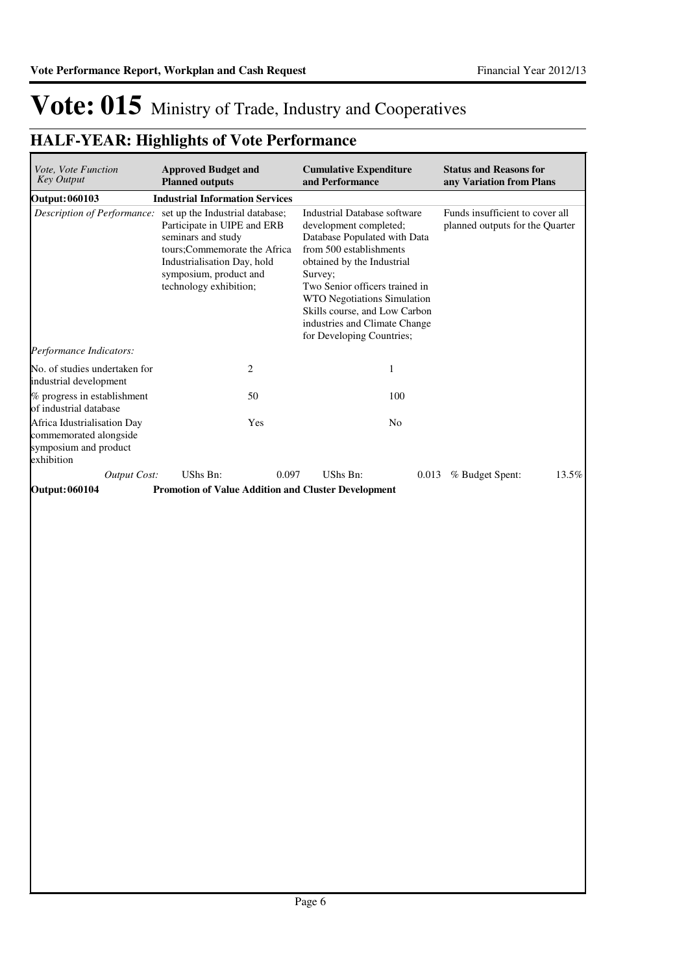| Vote, Vote Function<br>Key Output                                                            | <b>Approved Budget and</b><br><b>Planned outputs</b>                                                                                                                                                                                | <b>Cumulative Expenditure</b><br>and Performance                                                                                                                                                                                                                                                                                  | <b>Status and Reasons for</b><br>any Variation from Plans          |
|----------------------------------------------------------------------------------------------|-------------------------------------------------------------------------------------------------------------------------------------------------------------------------------------------------------------------------------------|-----------------------------------------------------------------------------------------------------------------------------------------------------------------------------------------------------------------------------------------------------------------------------------------------------------------------------------|--------------------------------------------------------------------|
| <b>Output: 060103</b>                                                                        | <b>Industrial Information Services</b>                                                                                                                                                                                              |                                                                                                                                                                                                                                                                                                                                   |                                                                    |
|                                                                                              | Description of Performance: set up the Industrial database;<br>Participate in UIPE and ERB<br>seminars and study<br>tours;Commemorate the Africa<br>Industrialisation Day, hold<br>symposium, product and<br>technology exhibition; | <b>Industrial Database software</b><br>development completed;<br>Database Populated with Data<br>from 500 establishments<br>obtained by the Industrial<br>Survey;<br>Two Senior officers trained in<br>WTO Negotiations Simulation<br>Skills course, and Low Carbon<br>industries and Climate Change<br>for Developing Countries; | Funds insufficient to cover all<br>planned outputs for the Quarter |
| Performance Indicators:                                                                      |                                                                                                                                                                                                                                     |                                                                                                                                                                                                                                                                                                                                   |                                                                    |
| No. of studies undertaken for<br>industrial development                                      | 2                                                                                                                                                                                                                                   | $\mathbf{1}$                                                                                                                                                                                                                                                                                                                      |                                                                    |
| % progress in establishment<br>of industrial database                                        | 50                                                                                                                                                                                                                                  | 100                                                                                                                                                                                                                                                                                                                               |                                                                    |
| Africa Idustrialisation Day<br>commemorated alongside<br>symposium and product<br>exhibition | Yes                                                                                                                                                                                                                                 | N <sub>o</sub>                                                                                                                                                                                                                                                                                                                    |                                                                    |
| <b>Output Cost:</b>                                                                          | UShs Bn:                                                                                                                                                                                                                            | 0.097<br>UShs Bn:<br>0.013                                                                                                                                                                                                                                                                                                        | % Budget Spent:<br>13.5%                                           |
| <b>Output: 060104</b>                                                                        | Promotion of Value Addition and Cluster Development                                                                                                                                                                                 |                                                                                                                                                                                                                                                                                                                                   |                                                                    |
|                                                                                              |                                                                                                                                                                                                                                     |                                                                                                                                                                                                                                                                                                                                   |                                                                    |
|                                                                                              |                                                                                                                                                                                                                                     |                                                                                                                                                                                                                                                                                                                                   |                                                                    |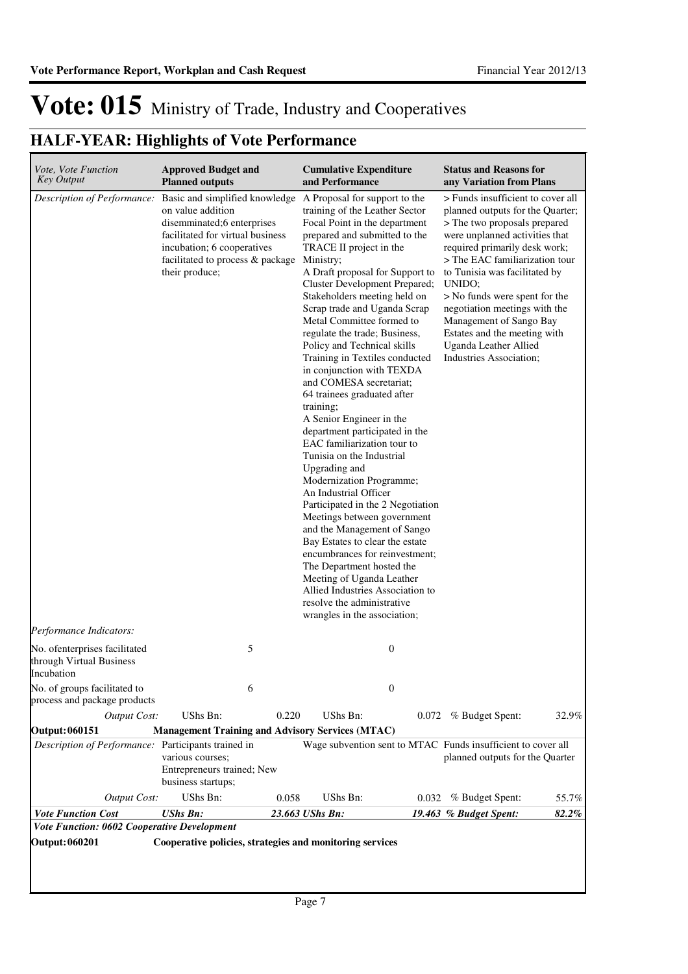| Vote, Vote Function<br><b>Key Output</b>                                | <b>Approved Budget and</b><br><b>Planned outputs</b>                                                                                                                                                      |       | <b>Cumulative Expenditure</b><br>and Performance                                                                                                                                                                                                                                                                                                                                                                                                                                                                                                                                                                                                                                                                                                                                                                                                                                                                                                                                                                                                                                     |                  | <b>Status and Reasons for</b><br>any Variation from Plans                                                                                                                                                                                                                                                                                                                                                                              |       |
|-------------------------------------------------------------------------|-----------------------------------------------------------------------------------------------------------------------------------------------------------------------------------------------------------|-------|--------------------------------------------------------------------------------------------------------------------------------------------------------------------------------------------------------------------------------------------------------------------------------------------------------------------------------------------------------------------------------------------------------------------------------------------------------------------------------------------------------------------------------------------------------------------------------------------------------------------------------------------------------------------------------------------------------------------------------------------------------------------------------------------------------------------------------------------------------------------------------------------------------------------------------------------------------------------------------------------------------------------------------------------------------------------------------------|------------------|----------------------------------------------------------------------------------------------------------------------------------------------------------------------------------------------------------------------------------------------------------------------------------------------------------------------------------------------------------------------------------------------------------------------------------------|-------|
| Description of Performance:                                             | Basic and simplified knowledge<br>on value addition<br>disemminated;6 enterprises<br>facilitated for virtual business<br>incubation; 6 cooperatives<br>facilitated to process & package<br>their produce; |       | A Proposal for support to the<br>training of the Leather Sector<br>Focal Point in the department<br>prepared and submitted to the<br>TRACE II project in the<br>Ministry;<br>A Draft proposal for Support to<br>Cluster Development Prepared;<br>Stakeholders meeting held on<br>Scrap trade and Uganda Scrap<br>Metal Committee formed to<br>regulate the trade; Business,<br>Policy and Technical skills<br>Training in Textiles conducted<br>in conjunction with TEXDA<br>and COMESA secretariat;<br>64 trainees graduated after<br>training;<br>A Senior Engineer in the<br>department participated in the<br>EAC familiarization tour to<br>Tunisia on the Industrial<br>Upgrading and<br>Modernization Programme;<br>An Industrial Officer<br>Participated in the 2 Negotiation<br>Meetings between government<br>and the Management of Sango<br>Bay Estates to clear the estate<br>encumbrances for reinvestment;<br>The Department hosted the<br>Meeting of Uganda Leather<br>Allied Industries Association to<br>resolve the administrative<br>wrangles in the association; |                  | > Funds insufficient to cover all<br>planned outputs for the Quarter;<br>> The two proposals prepared<br>were unplanned activities that<br>required primarily desk work;<br>> The EAC familiarization tour<br>to Tunisia was facilitated by<br>UNIDO;<br>> No funds were spent for the<br>negotiation meetings with the<br>Management of Sango Bay<br>Estates and the meeting with<br>Uganda Leather Allied<br>Industries Association; |       |
| Performance Indicators:                                                 |                                                                                                                                                                                                           |       |                                                                                                                                                                                                                                                                                                                                                                                                                                                                                                                                                                                                                                                                                                                                                                                                                                                                                                                                                                                                                                                                                      |                  |                                                                                                                                                                                                                                                                                                                                                                                                                                        |       |
| No. ofenterprises facilitated<br>through Virtual Business<br>Incubation | 5                                                                                                                                                                                                         |       |                                                                                                                                                                                                                                                                                                                                                                                                                                                                                                                                                                                                                                                                                                                                                                                                                                                                                                                                                                                                                                                                                      | $\boldsymbol{0}$ |                                                                                                                                                                                                                                                                                                                                                                                                                                        |       |
| No. of groups facilitated to<br>process and package products            | 6                                                                                                                                                                                                         |       |                                                                                                                                                                                                                                                                                                                                                                                                                                                                                                                                                                                                                                                                                                                                                                                                                                                                                                                                                                                                                                                                                      | $\boldsymbol{0}$ |                                                                                                                                                                                                                                                                                                                                                                                                                                        |       |
| <b>Output Cost:</b>                                                     | UShs Bn:                                                                                                                                                                                                  | 0.220 | UShs Bn:                                                                                                                                                                                                                                                                                                                                                                                                                                                                                                                                                                                                                                                                                                                                                                                                                                                                                                                                                                                                                                                                             |                  | 0.072 % Budget Spent:                                                                                                                                                                                                                                                                                                                                                                                                                  | 32.9% |
| <b>Output: 060151</b>                                                   | <b>Management Training and Advisory Services (MTAC)</b>                                                                                                                                                   |       |                                                                                                                                                                                                                                                                                                                                                                                                                                                                                                                                                                                                                                                                                                                                                                                                                                                                                                                                                                                                                                                                                      |                  |                                                                                                                                                                                                                                                                                                                                                                                                                                        |       |
| Description of Performance: Participants trained in                     | various courses;<br>Entrepreneurs trained; New<br>business startups;                                                                                                                                      |       |                                                                                                                                                                                                                                                                                                                                                                                                                                                                                                                                                                                                                                                                                                                                                                                                                                                                                                                                                                                                                                                                                      |                  | Wage subvention sent to MTAC Funds insufficient to cover all<br>planned outputs for the Quarter                                                                                                                                                                                                                                                                                                                                        |       |
| <b>Output Cost:</b>                                                     | UShs Bn:                                                                                                                                                                                                  | 0.058 | UShs Bn:                                                                                                                                                                                                                                                                                                                                                                                                                                                                                                                                                                                                                                                                                                                                                                                                                                                                                                                                                                                                                                                                             | 0.032            | % Budget Spent:                                                                                                                                                                                                                                                                                                                                                                                                                        | 55.7% |
| <b>Vote Function Cost</b>                                               | <b>UShs Bn:</b>                                                                                                                                                                                           |       | 23.663 UShs Bn:                                                                                                                                                                                                                                                                                                                                                                                                                                                                                                                                                                                                                                                                                                                                                                                                                                                                                                                                                                                                                                                                      |                  | 19.463 % Budget Spent:                                                                                                                                                                                                                                                                                                                                                                                                                 | 82.2% |
| Vote Function: 0602 Cooperative Development                             |                                                                                                                                                                                                           |       |                                                                                                                                                                                                                                                                                                                                                                                                                                                                                                                                                                                                                                                                                                                                                                                                                                                                                                                                                                                                                                                                                      |                  |                                                                                                                                                                                                                                                                                                                                                                                                                                        |       |
| <b>Output: 060201</b>                                                   | Cooperative policies, strategies and monitoring services                                                                                                                                                  |       |                                                                                                                                                                                                                                                                                                                                                                                                                                                                                                                                                                                                                                                                                                                                                                                                                                                                                                                                                                                                                                                                                      |                  |                                                                                                                                                                                                                                                                                                                                                                                                                                        |       |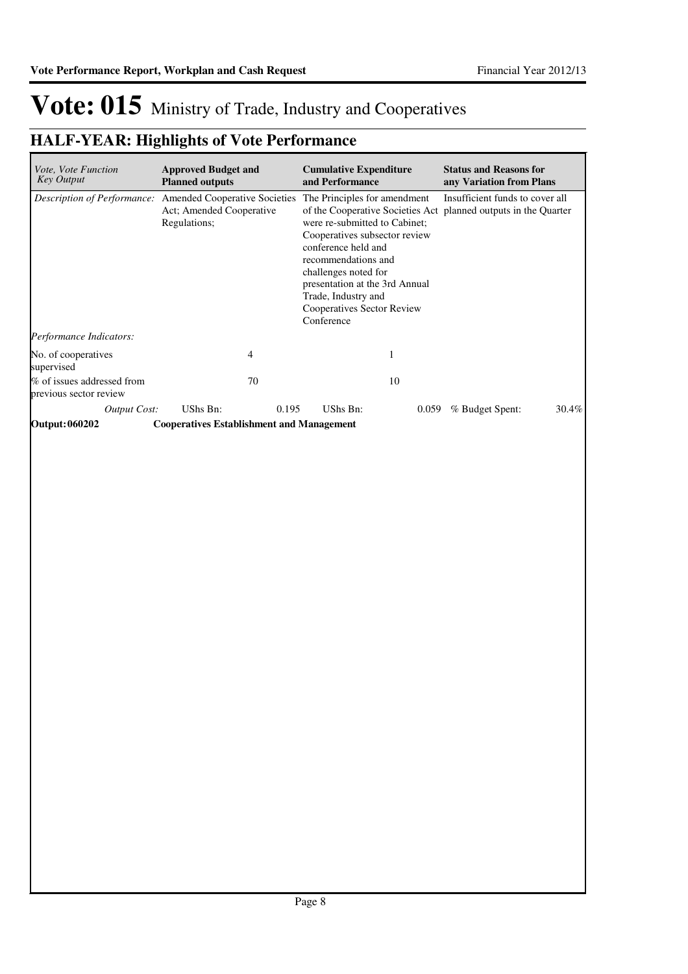| <i>Vote, Vote Function</i><br><b>Key Output</b>      | <b>Approved Budget and</b><br><b>Planned outputs</b>                             | <b>Cumulative Expenditure</b><br>and Performance                                                                                                                                                                                                                                                                                             | <b>Status and Reasons for</b><br>any Variation from Plans |
|------------------------------------------------------|----------------------------------------------------------------------------------|----------------------------------------------------------------------------------------------------------------------------------------------------------------------------------------------------------------------------------------------------------------------------------------------------------------------------------------------|-----------------------------------------------------------|
| Description of Performance:                          | <b>Amended Cooperative Societies</b><br>Act; Amended Cooperative<br>Regulations; | The Principles for amendment<br>of the Cooperative Societies Act planned outputs in the Quarter<br>were re-submitted to Cabinet;<br>Cooperatives subsector review<br>conference held and<br>recommendations and<br>challenges noted for<br>presentation at the 3rd Annual<br>Trade, Industry and<br>Cooperatives Sector Review<br>Conference | Insufficient funds to cover all                           |
| Performance Indicators:                              |                                                                                  |                                                                                                                                                                                                                                                                                                                                              |                                                           |
| No. of cooperatives<br>supervised                    | 4                                                                                |                                                                                                                                                                                                                                                                                                                                              |                                                           |
| % of issues addressed from<br>previous sector review | 70                                                                               | 10                                                                                                                                                                                                                                                                                                                                           |                                                           |
| <b>Output Cost:</b>                                  | UShs Bn:<br>0.195                                                                | UShs Bn:<br>0.059                                                                                                                                                                                                                                                                                                                            | 30.4%<br>% Budget Spent:                                  |
| <b>Output: 060202</b>                                | <b>Cooperatives Establishment and Management</b>                                 |                                                                                                                                                                                                                                                                                                                                              |                                                           |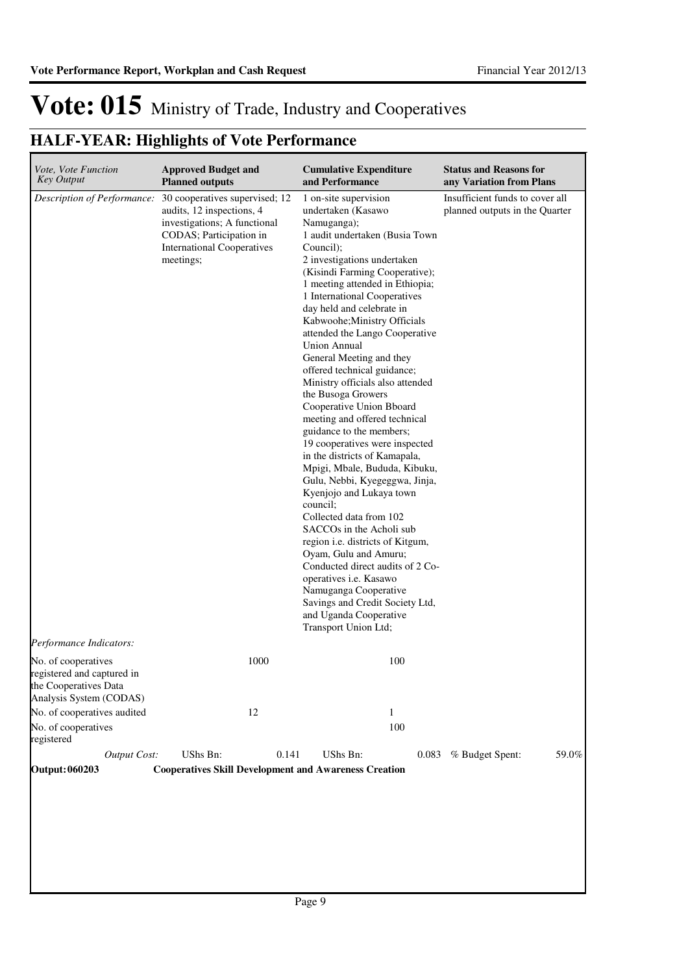| Description of Performance:<br>meetings;          | 30 cooperatives supervised; 12<br>audits, 12 inspections, 4<br>investigations; A functional<br>CODAS; Participation in<br><b>International Cooperatives</b> | 1 on-site supervision<br>undertaken (Kasawo<br>Namuganga);<br>1 audit undertaken (Busia Town<br>Council);<br>2 investigations undertaken<br>(Kisindi Farming Cooperative);<br>1 meeting attended in Ethiopia;<br>1 International Cooperatives<br>day held and celebrate in<br>Kabwoohe; Ministry Officials<br>attended the Lango Cooperative<br><b>Union Annual</b><br>General Meeting and they<br>offered technical guidance;<br>Ministry officials also attended<br>the Busoga Growers<br>Cooperative Union Bboard<br>meeting and offered technical<br>guidance to the members;<br>19 cooperatives were inspected<br>in the districts of Kamapala,<br>Mpigi, Mbale, Bududa, Kibuku,<br>Gulu, Nebbi, Kyegeggwa, Jinja,<br>Kyenjojo and Lukaya town<br>council;<br>Collected data from 102<br>SACCO <sub>s</sub> in the Acholi sub<br>region i.e. districts of Kitgum,<br>Oyam, Gulu and Amuru;<br>Conducted direct audits of 2 Co-<br>operatives i.e. Kasawo | Insufficient funds to cover all<br>planned outputs in the Quarter |       |
|---------------------------------------------------|-------------------------------------------------------------------------------------------------------------------------------------------------------------|---------------------------------------------------------------------------------------------------------------------------------------------------------------------------------------------------------------------------------------------------------------------------------------------------------------------------------------------------------------------------------------------------------------------------------------------------------------------------------------------------------------------------------------------------------------------------------------------------------------------------------------------------------------------------------------------------------------------------------------------------------------------------------------------------------------------------------------------------------------------------------------------------------------------------------------------------------------|-------------------------------------------------------------------|-------|
| Performance Indicators:                           |                                                                                                                                                             | Namuganga Cooperative<br>Savings and Credit Society Ltd,<br>and Uganda Cooperative<br>Transport Union Ltd;                                                                                                                                                                                                                                                                                                                                                                                                                                                                                                                                                                                                                                                                                                                                                                                                                                                    |                                                                   |       |
| No. of cooperatives<br>registered and captured in | 1000                                                                                                                                                        | 100                                                                                                                                                                                                                                                                                                                                                                                                                                                                                                                                                                                                                                                                                                                                                                                                                                                                                                                                                           |                                                                   |       |
| the Cooperatives Data<br>Analysis System (CODAS)  |                                                                                                                                                             |                                                                                                                                                                                                                                                                                                                                                                                                                                                                                                                                                                                                                                                                                                                                                                                                                                                                                                                                                               |                                                                   |       |
| No. of cooperatives audited                       | 12                                                                                                                                                          | $\mathbf{1}$                                                                                                                                                                                                                                                                                                                                                                                                                                                                                                                                                                                                                                                                                                                                                                                                                                                                                                                                                  |                                                                   |       |
| No. of cooperatives<br>registered                 |                                                                                                                                                             | 100                                                                                                                                                                                                                                                                                                                                                                                                                                                                                                                                                                                                                                                                                                                                                                                                                                                                                                                                                           |                                                                   |       |
| Output Cost:                                      | UShs Bn:<br>0.141                                                                                                                                           | UShs Bn:<br>0.083                                                                                                                                                                                                                                                                                                                                                                                                                                                                                                                                                                                                                                                                                                                                                                                                                                                                                                                                             | % Budget Spent:                                                   | 59.0% |
| <b>Output: 060203</b>                             |                                                                                                                                                             | <b>Cooperatives Skill Development and Awareness Creation</b>                                                                                                                                                                                                                                                                                                                                                                                                                                                                                                                                                                                                                                                                                                                                                                                                                                                                                                  |                                                                   |       |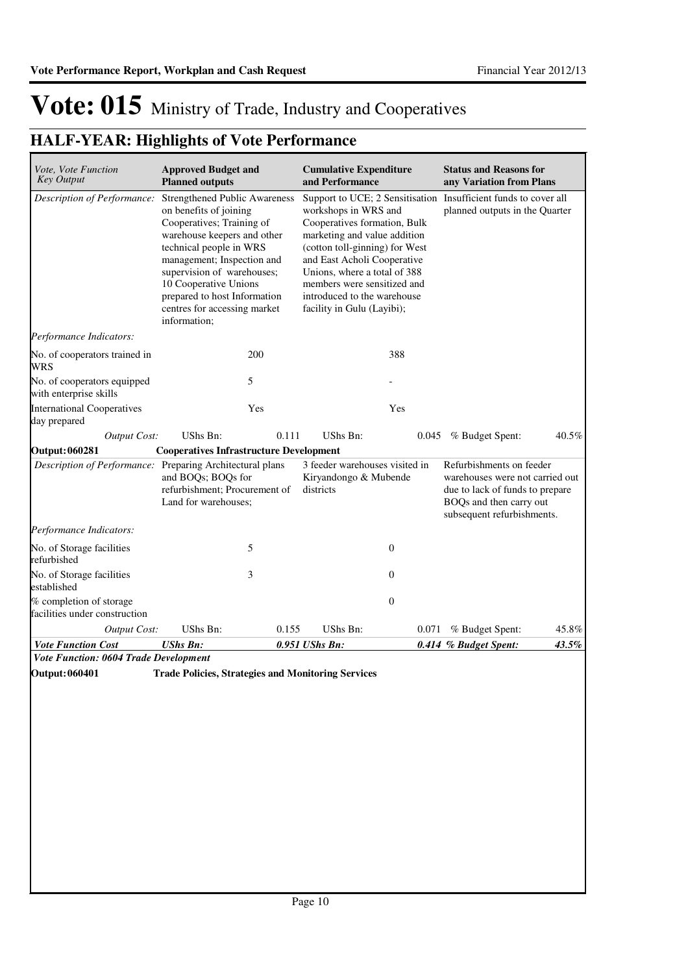### **HALF-YEAR: Highlights of Vote Performance**

| Vote, Vote Function<br><b>Key Output</b>                  | <b>Approved Budget and</b><br><b>Planned outputs</b>                                                                                                                                                                                                                                                                       |       | <b>Cumulative Expenditure</b><br>and Performance                                                                                                                                                                                                                                  |                | <b>Status and Reasons for</b><br>any Variation from Plans                                                                                               |       |
|-----------------------------------------------------------|----------------------------------------------------------------------------------------------------------------------------------------------------------------------------------------------------------------------------------------------------------------------------------------------------------------------------|-------|-----------------------------------------------------------------------------------------------------------------------------------------------------------------------------------------------------------------------------------------------------------------------------------|----------------|---------------------------------------------------------------------------------------------------------------------------------------------------------|-------|
| Description of Performance:                               | <b>Strengthened Public Awareness</b><br>on benefits of joining<br>Cooperatives; Training of<br>warehouse keepers and other<br>technical people in WRS<br>management; Inspection and<br>supervision of warehouses;<br>10 Cooperative Unions<br>prepared to host Information<br>centres for accessing market<br>information; |       | workshops in WRS and<br>Cooperatives formation, Bulk<br>marketing and value addition<br>(cotton toll-ginning) for West<br>and East Acholi Cooperative<br>Unions, where a total of 388<br>members were sensitized and<br>introduced to the warehouse<br>facility in Gulu (Layibi); |                | Support to UCE; 2 Sensitisation Insufficient funds to cover all<br>planned outputs in the Quarter                                                       |       |
| Performance Indicators:                                   |                                                                                                                                                                                                                                                                                                                            |       |                                                                                                                                                                                                                                                                                   |                |                                                                                                                                                         |       |
| No. of cooperators trained in<br>WRS                      |                                                                                                                                                                                                                                                                                                                            | 200   |                                                                                                                                                                                                                                                                                   | 388            |                                                                                                                                                         |       |
| No. of cooperators equipped<br>with enterprise skills     |                                                                                                                                                                                                                                                                                                                            | 5     |                                                                                                                                                                                                                                                                                   |                |                                                                                                                                                         |       |
| <b>International Cooperatives</b><br>day prepared         |                                                                                                                                                                                                                                                                                                                            | Yes   |                                                                                                                                                                                                                                                                                   | Yes            |                                                                                                                                                         |       |
| <b>Output Cost:</b>                                       | UShs Bn:                                                                                                                                                                                                                                                                                                                   | 0.111 | <b>UShs Bn:</b>                                                                                                                                                                                                                                                                   | 0.045          | % Budget Spent:                                                                                                                                         | 40.5% |
| <b>Output: 060281</b>                                     | <b>Cooperatives Infrastructure Development</b>                                                                                                                                                                                                                                                                             |       |                                                                                                                                                                                                                                                                                   |                |                                                                                                                                                         |       |
| Description of Performance: Preparing Architectural plans | and BOQs; BOQs for<br>refurbishment; Procurement of<br>Land for warehouses;                                                                                                                                                                                                                                                |       | 3 feeder warehouses visited in<br>Kiryandongo & Mubende<br>districts                                                                                                                                                                                                              |                | Refurbishments on feeder<br>warehouses were not carried out<br>due to lack of funds to prepare<br>BOQs and then carry out<br>subsequent refurbishments. |       |
| Performance Indicators:                                   |                                                                                                                                                                                                                                                                                                                            |       |                                                                                                                                                                                                                                                                                   |                |                                                                                                                                                         |       |
| No. of Storage facilities<br>refurbished                  |                                                                                                                                                                                                                                                                                                                            | 5     |                                                                                                                                                                                                                                                                                   | $\mathbf{0}$   |                                                                                                                                                         |       |
| No. of Storage facilities<br>established                  |                                                                                                                                                                                                                                                                                                                            | 3     |                                                                                                                                                                                                                                                                                   | $\overline{0}$ |                                                                                                                                                         |       |
| % completion of storage<br>facilities under construction  |                                                                                                                                                                                                                                                                                                                            |       |                                                                                                                                                                                                                                                                                   | $\overline{0}$ |                                                                                                                                                         |       |
| <b>Output Cost:</b>                                       | UShs Bn:                                                                                                                                                                                                                                                                                                                   | 0.155 | <b>UShs Bn:</b>                                                                                                                                                                                                                                                                   | 0.071          | % Budget Spent:                                                                                                                                         | 45.8% |
| <b>Vote Function Cost</b>                                 | <b>UShs Bn:</b>                                                                                                                                                                                                                                                                                                            |       | 0.951 UShs Bn:                                                                                                                                                                                                                                                                    |                | 0.414 % Budget Spent:                                                                                                                                   | 43.5% |
| <b>Vote Function: 0604 Trade Development</b>              |                                                                                                                                                                                                                                                                                                                            |       |                                                                                                                                                                                                                                                                                   |                |                                                                                                                                                         |       |

**Output: 060401 Trade Policies, Strategies and Monitoring Services**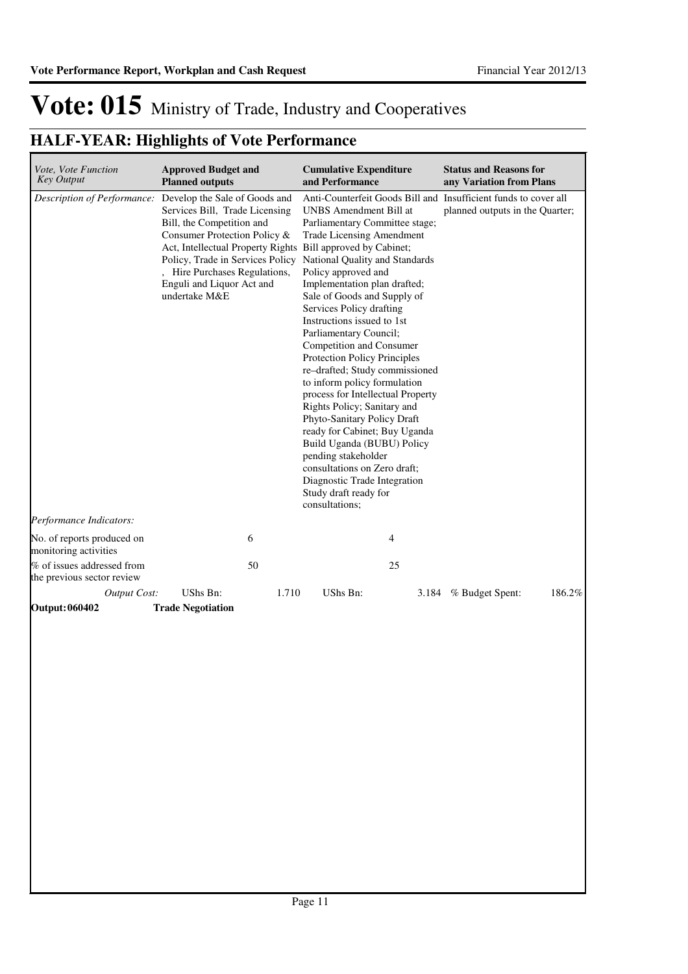| <b>Planned outputs</b> |                                                 |                                                                                                                                                                                                                                                                                                                                    |       | <b>Status and Reasons for</b><br>any Variation from Plans                                                                                                                                                                                                                                                                                                                                                                                                                                                                                                                                                                                                                                                                                                                                                      |                                                                                          |
|------------------------|-------------------------------------------------|------------------------------------------------------------------------------------------------------------------------------------------------------------------------------------------------------------------------------------------------------------------------------------------------------------------------------------|-------|----------------------------------------------------------------------------------------------------------------------------------------------------------------------------------------------------------------------------------------------------------------------------------------------------------------------------------------------------------------------------------------------------------------------------------------------------------------------------------------------------------------------------------------------------------------------------------------------------------------------------------------------------------------------------------------------------------------------------------------------------------------------------------------------------------------|------------------------------------------------------------------------------------------|
| undertake M&E          |                                                 | consultations;                                                                                                                                                                                                                                                                                                                     |       | planned outputs in the Quarter;                                                                                                                                                                                                                                                                                                                                                                                                                                                                                                                                                                                                                                                                                                                                                                                |                                                                                          |
|                        |                                                 |                                                                                                                                                                                                                                                                                                                                    |       |                                                                                                                                                                                                                                                                                                                                                                                                                                                                                                                                                                                                                                                                                                                                                                                                                |                                                                                          |
|                        |                                                 |                                                                                                                                                                                                                                                                                                                                    |       |                                                                                                                                                                                                                                                                                                                                                                                                                                                                                                                                                                                                                                                                                                                                                                                                                |                                                                                          |
|                        | 50                                              |                                                                                                                                                                                                                                                                                                                                    | 25    |                                                                                                                                                                                                                                                                                                                                                                                                                                                                                                                                                                                                                                                                                                                                                                                                                |                                                                                          |
| UShs Bn:               |                                                 | UShs Bn:                                                                                                                                                                                                                                                                                                                           |       |                                                                                                                                                                                                                                                                                                                                                                                                                                                                                                                                                                                                                                                                                                                                                                                                                | 186.2%                                                                                   |
|                        | <b>Output Cost:</b><br><b>Trade Negotiation</b> | <b>Approved Budget and</b><br>Description of Performance: Develop the Sale of Goods and<br>Services Bill, Trade Licensing<br>Bill, the Competition and<br>Consumer Protection Policy &<br>Act, Intellectual Property Rights<br>Policy, Trade in Services Policy<br>, Hire Purchases Regulations,<br>Enguli and Liquor Act and<br>6 | 1.710 | <b>Cumulative Expenditure</b><br>and Performance<br>UNBS Amendment Bill at<br>Parliamentary Committee stage;<br><b>Trade Licensing Amendment</b><br>Bill approved by Cabinet;<br>National Quality and Standards<br>Policy approved and<br>Implementation plan drafted;<br>Sale of Goods and Supply of<br>Services Policy drafting<br>Instructions issued to 1st<br>Parliamentary Council;<br>Competition and Consumer<br>Protection Policy Principles<br>re-drafted; Study commissioned<br>to inform policy formulation<br>process for Intellectual Property<br>Rights Policy; Sanitary and<br>Phyto-Sanitary Policy Draft<br>ready for Cabinet; Buy Uganda<br>Build Uganda (BUBU) Policy<br>pending stakeholder<br>consultations on Zero draft;<br>Diagnostic Trade Integration<br>Study draft ready for<br>4 | Anti-Counterfeit Goods Bill and Insufficient funds to cover all<br>3.184 % Budget Spent: |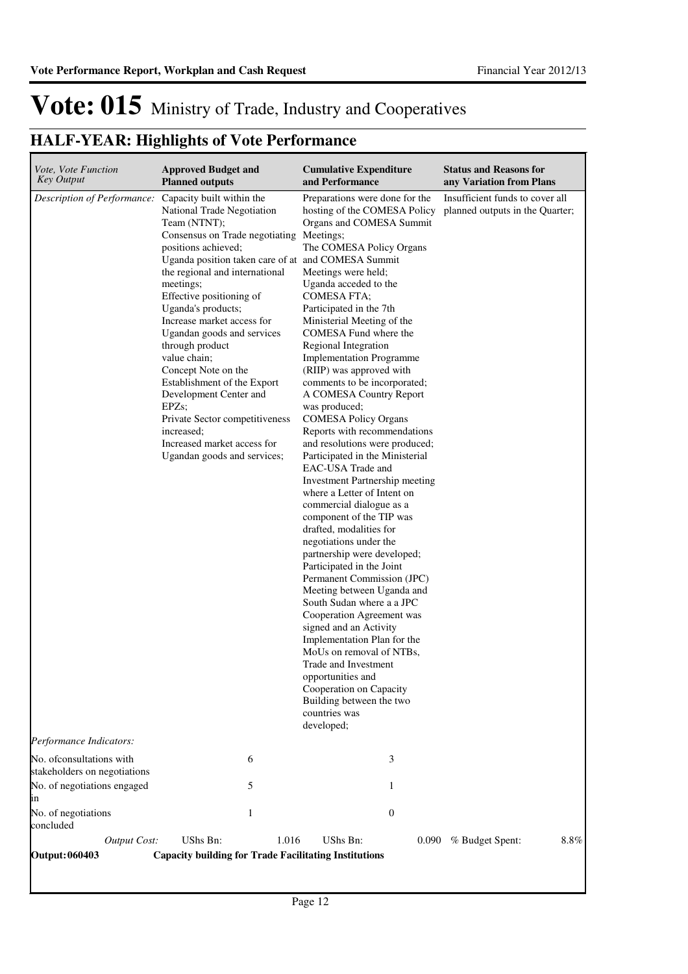| <i>Vote, Vote Function</i><br>Key Output                  | <b>Approved Budget and</b><br><b>Planned outputs</b>                                                                                                                                                                                                                                                                                                                                                                                                                                                                                                             | <b>Cumulative Expenditure</b><br>and Performance                                                                                                                                                                                                                                                                                                                                                                                                                                                                                                                                                                                                                                                                                                                                                                                                                                                                                                                                                                                                                                                                                                                                                         | <b>Status and Reasons for</b><br>any Variation from Plans          |
|-----------------------------------------------------------|------------------------------------------------------------------------------------------------------------------------------------------------------------------------------------------------------------------------------------------------------------------------------------------------------------------------------------------------------------------------------------------------------------------------------------------------------------------------------------------------------------------------------------------------------------------|----------------------------------------------------------------------------------------------------------------------------------------------------------------------------------------------------------------------------------------------------------------------------------------------------------------------------------------------------------------------------------------------------------------------------------------------------------------------------------------------------------------------------------------------------------------------------------------------------------------------------------------------------------------------------------------------------------------------------------------------------------------------------------------------------------------------------------------------------------------------------------------------------------------------------------------------------------------------------------------------------------------------------------------------------------------------------------------------------------------------------------------------------------------------------------------------------------|--------------------------------------------------------------------|
| Description of Performance: Capacity built within the     | National Trade Negotiation<br>Team (NTNT);<br>Consensus on Trade negotiating<br>positions achieved;<br>Uganda position taken care of at and COMESA Summit<br>the regional and international<br>meetings;<br>Effective positioning of<br>Uganda's products;<br>Increase market access for<br>Ugandan goods and services<br>through product<br>value chain;<br>Concept Note on the<br>Establishment of the Export<br>Development Center and<br>EPZs;<br>Private Sector competitiveness<br>increased;<br>Increased market access for<br>Ugandan goods and services; | Preparations were done for the<br>hosting of the COMESA Policy<br>Organs and COMESA Summit<br>Meetings;<br>The COMESA Policy Organs<br>Meetings were held;<br>Uganda acceded to the<br>COMESA FTA;<br>Participated in the 7th<br>Ministerial Meeting of the<br>COMESA Fund where the<br>Regional Integration<br><b>Implementation Programme</b><br>(RIIP) was approved with<br>comments to be incorporated;<br>A COMESA Country Report<br>was produced;<br><b>COMESA Policy Organs</b><br>Reports with recommendations<br>and resolutions were produced;<br>Participated in the Ministerial<br>EAC-USA Trade and<br>Investment Partnership meeting<br>where a Letter of Intent on<br>commercial dialogue as a<br>component of the TIP was<br>drafted, modalities for<br>negotiations under the<br>partnership were developed;<br>Participated in the Joint<br>Permanent Commission (JPC)<br>Meeting between Uganda and<br>South Sudan where a a JPC<br>Cooperation Agreement was<br>signed and an Activity<br>Implementation Plan for the<br>MoUs on removal of NTBs,<br>Trade and Investment<br>opportunities and<br>Cooperation on Capacity<br>Building between the two<br>countries was<br>developed; | Insufficient funds to cover all<br>planned outputs in the Quarter; |
| Performance Indicators:                                   |                                                                                                                                                                                                                                                                                                                                                                                                                                                                                                                                                                  |                                                                                                                                                                                                                                                                                                                                                                                                                                                                                                                                                                                                                                                                                                                                                                                                                                                                                                                                                                                                                                                                                                                                                                                                          |                                                                    |
| No. of consultations with<br>stakeholders on negotiations | 6                                                                                                                                                                                                                                                                                                                                                                                                                                                                                                                                                                | 3                                                                                                                                                                                                                                                                                                                                                                                                                                                                                                                                                                                                                                                                                                                                                                                                                                                                                                                                                                                                                                                                                                                                                                                                        |                                                                    |
| No. of negotiations engaged<br>ın                         | 5                                                                                                                                                                                                                                                                                                                                                                                                                                                                                                                                                                | 1                                                                                                                                                                                                                                                                                                                                                                                                                                                                                                                                                                                                                                                                                                                                                                                                                                                                                                                                                                                                                                                                                                                                                                                                        |                                                                    |
| No. of negotiations<br>concluded                          | 1                                                                                                                                                                                                                                                                                                                                                                                                                                                                                                                                                                | $\boldsymbol{0}$                                                                                                                                                                                                                                                                                                                                                                                                                                                                                                                                                                                                                                                                                                                                                                                                                                                                                                                                                                                                                                                                                                                                                                                         |                                                                    |
| <b>Output Cost:</b>                                       | UShs Bn:<br>1.016                                                                                                                                                                                                                                                                                                                                                                                                                                                                                                                                                | UShs Bn:                                                                                                                                                                                                                                                                                                                                                                                                                                                                                                                                                                                                                                                                                                                                                                                                                                                                                                                                                                                                                                                                                                                                                                                                 | 8.8%<br>0.090 % Budget Spent:                                      |
| <b>Output: 060403</b>                                     | <b>Capacity building for Trade Facilitating Institutions</b>                                                                                                                                                                                                                                                                                                                                                                                                                                                                                                     |                                                                                                                                                                                                                                                                                                                                                                                                                                                                                                                                                                                                                                                                                                                                                                                                                                                                                                                                                                                                                                                                                                                                                                                                          |                                                                    |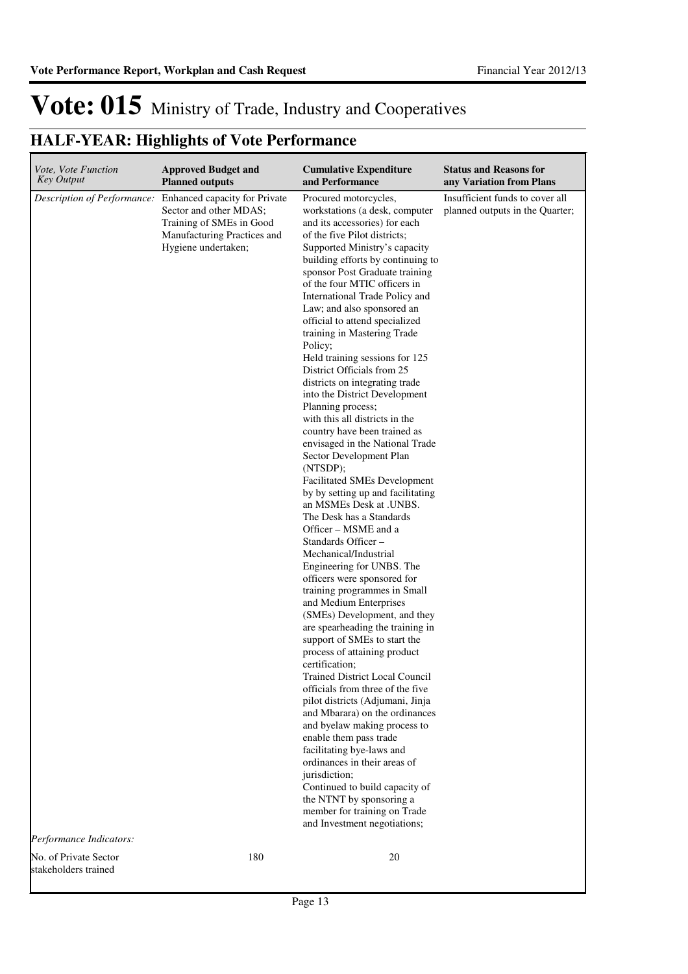### **HALF-YEAR: Highlights of Vote Performance**

| Vote, Vote Function<br><b>Key Output</b>      | <b>Approved Budget and</b><br><b>Planned outputs</b>                                                                                                                  | <b>Cumulative Expenditure</b><br>and Performance                                                                                                                                                                                                                                                                                                                                                                                                                                                                                                                                                                                                                                                                                                                                                                                                                                                                                                                                                                                                                                                                                                                                                                                                                                                                                                                                                                                                                                                                                                                                                                                 | <b>Status and Reasons for</b><br>any Variation from Plans          |
|-----------------------------------------------|-----------------------------------------------------------------------------------------------------------------------------------------------------------------------|----------------------------------------------------------------------------------------------------------------------------------------------------------------------------------------------------------------------------------------------------------------------------------------------------------------------------------------------------------------------------------------------------------------------------------------------------------------------------------------------------------------------------------------------------------------------------------------------------------------------------------------------------------------------------------------------------------------------------------------------------------------------------------------------------------------------------------------------------------------------------------------------------------------------------------------------------------------------------------------------------------------------------------------------------------------------------------------------------------------------------------------------------------------------------------------------------------------------------------------------------------------------------------------------------------------------------------------------------------------------------------------------------------------------------------------------------------------------------------------------------------------------------------------------------------------------------------------------------------------------------------|--------------------------------------------------------------------|
| Performance Indicators:                       | Description of Performance: Enhanced capacity for Private<br>Sector and other MDAS;<br>Training of SMEs in Good<br>Manufacturing Practices and<br>Hygiene undertaken; | Procured motorcycles,<br>workstations (a desk, computer<br>and its accessories) for each<br>of the five Pilot districts;<br>Supported Ministry's capacity<br>building efforts by continuing to<br>sponsor Post Graduate training<br>of the four MTIC officers in<br>International Trade Policy and<br>Law; and also sponsored an<br>official to attend specialized<br>training in Mastering Trade<br>Policy;<br>Held training sessions for 125<br>District Officials from 25<br>districts on integrating trade<br>into the District Development<br>Planning process;<br>with this all districts in the<br>country have been trained as<br>envisaged in the National Trade<br>Sector Development Plan<br>(NTSDP);<br><b>Facilitated SMEs Development</b><br>by by setting up and facilitating<br>an MSMEs Desk at .UNBS.<br>The Desk has a Standards<br>Officer - MSME and a<br>Standards Officer –<br>Mechanical/Industrial<br>Engineering for UNBS. The<br>officers were sponsored for<br>training programmes in Small<br>and Medium Enterprises<br>(SMEs) Development, and they<br>are spearheading the training in<br>support of SMEs to start the<br>process of attaining product<br>certification;<br><b>Trained District Local Council</b><br>officials from three of the five<br>pilot districts (Adjumani, Jinja<br>and Mbarara) on the ordinances<br>and byelaw making process to<br>enable them pass trade<br>facilitating bye-laws and<br>ordinances in their areas of<br>jurisdiction;<br>Continued to build capacity of<br>the NTNT by sponsoring a<br>member for training on Trade<br>and Investment negotiations; | Insufficient funds to cover all<br>planned outputs in the Quarter; |
| No. of Private Sector<br>stakeholders trained | 180                                                                                                                                                                   | 20                                                                                                                                                                                                                                                                                                                                                                                                                                                                                                                                                                                                                                                                                                                                                                                                                                                                                                                                                                                                                                                                                                                                                                                                                                                                                                                                                                                                                                                                                                                                                                                                                               |                                                                    |

Page 13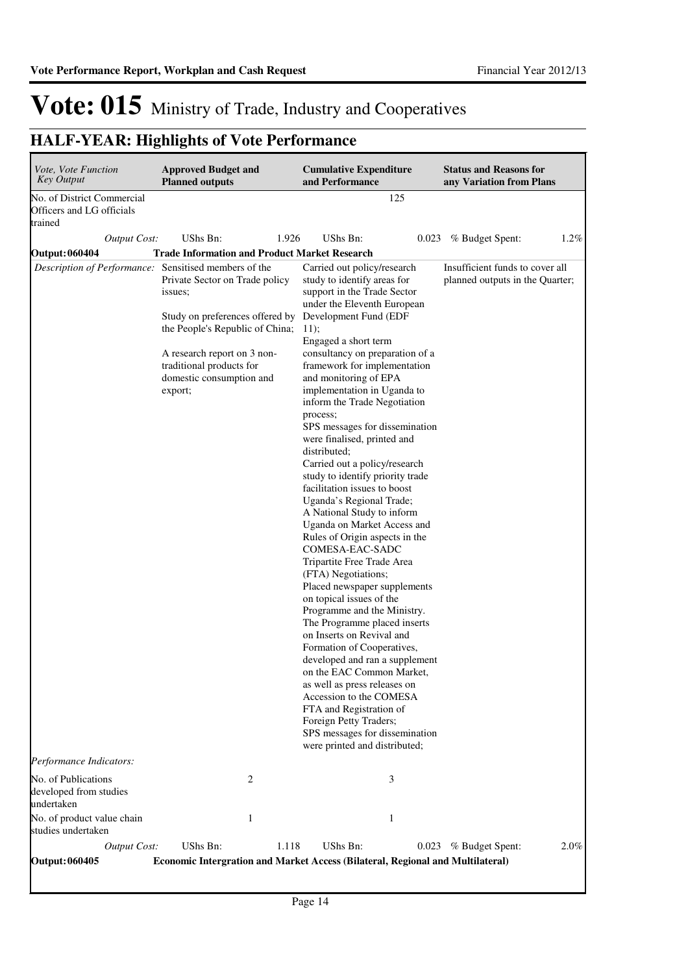| Vote, Vote Function<br><b>Key Output</b>                           | <b>Approved Budget and</b><br><b>Planned outputs</b>                                                                                                                                                              |              | <b>Cumulative Expenditure</b><br>and Performance                                                                                                                                                                                                                                                                                                                                                                                                                                                                                                                                                                                                                                                                                                                                                                                                                                                                                                                                                                                                                                                                                                                                          |       | <b>Status and Reasons for</b><br>any Variation from Plans          |         |
|--------------------------------------------------------------------|-------------------------------------------------------------------------------------------------------------------------------------------------------------------------------------------------------------------|--------------|-------------------------------------------------------------------------------------------------------------------------------------------------------------------------------------------------------------------------------------------------------------------------------------------------------------------------------------------------------------------------------------------------------------------------------------------------------------------------------------------------------------------------------------------------------------------------------------------------------------------------------------------------------------------------------------------------------------------------------------------------------------------------------------------------------------------------------------------------------------------------------------------------------------------------------------------------------------------------------------------------------------------------------------------------------------------------------------------------------------------------------------------------------------------------------------------|-------|--------------------------------------------------------------------|---------|
| No. of District Commercial<br>Officers and LG officials<br>trained |                                                                                                                                                                                                                   |              |                                                                                                                                                                                                                                                                                                                                                                                                                                                                                                                                                                                                                                                                                                                                                                                                                                                                                                                                                                                                                                                                                                                                                                                           | 125   |                                                                    |         |
| <b>Output Cost:</b>                                                | UShs Bn:                                                                                                                                                                                                          | 1.926        | <b>UShs Bn:</b>                                                                                                                                                                                                                                                                                                                                                                                                                                                                                                                                                                                                                                                                                                                                                                                                                                                                                                                                                                                                                                                                                                                                                                           | 0.023 | % Budget Spent:                                                    | $1.2\%$ |
| <b>Output: 060404</b>                                              | <b>Trade Information and Product Market Research</b>                                                                                                                                                              |              |                                                                                                                                                                                                                                                                                                                                                                                                                                                                                                                                                                                                                                                                                                                                                                                                                                                                                                                                                                                                                                                                                                                                                                                           |       |                                                                    |         |
| Description of Performance: Sensitised members of the              | Private Sector on Trade policy<br>issues;<br>Study on preferences offered by<br>the People's Republic of China;<br>A research report on 3 non-<br>traditional products for<br>domestic consumption and<br>export; |              | Carried out policy/research<br>study to identify areas for<br>support in the Trade Sector<br>under the Eleventh European<br>Development Fund (EDF<br>11);<br>Engaged a short term<br>consultancy on preparation of a<br>framework for implementation<br>and monitoring of EPA<br>implementation in Uganda to<br>inform the Trade Negotiation<br>process;<br>SPS messages for dissemination<br>were finalised, printed and<br>distributed;<br>Carried out a policy/research<br>study to identify priority trade<br>facilitation issues to boost<br>Uganda's Regional Trade;<br>A National Study to inform<br>Uganda on Market Access and<br>Rules of Origin aspects in the<br>COMESA-EAC-SADC<br>Tripartite Free Trade Area<br>(FTA) Negotiations;<br>Placed newspaper supplements<br>on topical issues of the<br>Programme and the Ministry.<br>The Programme placed inserts<br>on Inserts on Revival and<br>Formation of Cooperatives,<br>developed and ran a supplement<br>on the EAC Common Market,<br>as well as press releases on<br>Accession to the COMESA<br>FTA and Registration of<br>Foreign Petty Traders;<br>SPS messages for dissemination<br>were printed and distributed; |       | Insufficient funds to cover all<br>planned outputs in the Quarter; |         |
| Performance Indicators:                                            |                                                                                                                                                                                                                   |              |                                                                                                                                                                                                                                                                                                                                                                                                                                                                                                                                                                                                                                                                                                                                                                                                                                                                                                                                                                                                                                                                                                                                                                                           |       |                                                                    |         |
| No. of Publications<br>developed from studies<br>undertaken        |                                                                                                                                                                                                                   | 2            |                                                                                                                                                                                                                                                                                                                                                                                                                                                                                                                                                                                                                                                                                                                                                                                                                                                                                                                                                                                                                                                                                                                                                                                           | 3     |                                                                    |         |
| No. of product value chain<br>studies undertaken                   |                                                                                                                                                                                                                   | $\mathbf{1}$ | 1                                                                                                                                                                                                                                                                                                                                                                                                                                                                                                                                                                                                                                                                                                                                                                                                                                                                                                                                                                                                                                                                                                                                                                                         |       |                                                                    |         |
| Output Cost:                                                       | UShs Bn:                                                                                                                                                                                                          | 1.118        | UShs Bn:                                                                                                                                                                                                                                                                                                                                                                                                                                                                                                                                                                                                                                                                                                                                                                                                                                                                                                                                                                                                                                                                                                                                                                                  | 0.023 | % Budget Spent:                                                    | 2.0%    |
| Output: 060405                                                     |                                                                                                                                                                                                                   |              | Economic Intergration and Market Access (Bilateral, Regional and Multilateral)                                                                                                                                                                                                                                                                                                                                                                                                                                                                                                                                                                                                                                                                                                                                                                                                                                                                                                                                                                                                                                                                                                            |       |                                                                    |         |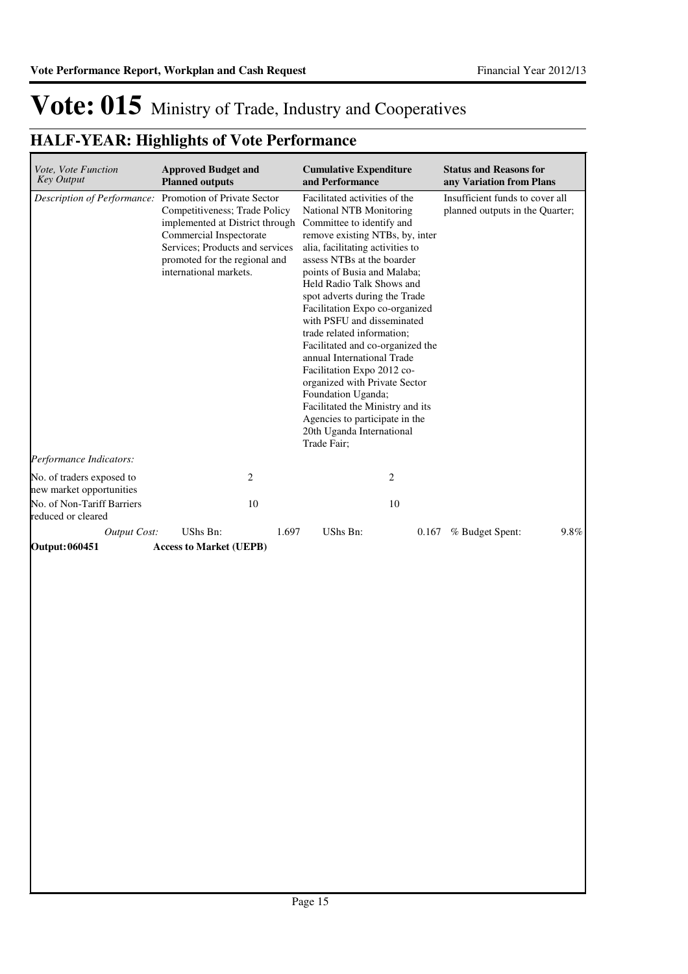| <i>Vote, Vote Function</i><br><b>Key Output</b>         | <b>Approved Budget and</b><br><b>Planned outputs</b>                                                                                                                                      | <b>Cumulative Expenditure</b><br>and Performance                                                                                                                                                                                                                                                                                                                                                                                                                                                                                                                                                                                                                      | <b>Status and Reasons for</b><br>any Variation from Plans          |  |  |
|---------------------------------------------------------|-------------------------------------------------------------------------------------------------------------------------------------------------------------------------------------------|-----------------------------------------------------------------------------------------------------------------------------------------------------------------------------------------------------------------------------------------------------------------------------------------------------------------------------------------------------------------------------------------------------------------------------------------------------------------------------------------------------------------------------------------------------------------------------------------------------------------------------------------------------------------------|--------------------------------------------------------------------|--|--|
| Description of Performance: Promotion of Private Sector | Competitiveness; Trade Policy<br>implemented at District through<br>Commercial Inspectorate<br>Services; Products and services<br>promoted for the regional and<br>international markets. | Facilitated activities of the<br><b>National NTB Monitoring</b><br>Committee to identify and<br>remove existing NTBs, by, inter<br>alia, facilitating activities to<br>assess NTBs at the boarder<br>points of Busia and Malaba;<br>Held Radio Talk Shows and<br>spot adverts during the Trade<br>Facilitation Expo co-organized<br>with PSFU and disseminated<br>trade related information;<br>Facilitated and co-organized the<br>annual International Trade<br>Facilitation Expo 2012 co-<br>organized with Private Sector<br>Foundation Uganda;<br>Facilitated the Ministry and its<br>Agencies to participate in the<br>20th Uganda International<br>Trade Fair; | Insufficient funds to cover all<br>planned outputs in the Quarter; |  |  |
| Performance Indicators:                                 |                                                                                                                                                                                           |                                                                                                                                                                                                                                                                                                                                                                                                                                                                                                                                                                                                                                                                       |                                                                    |  |  |
| No. of traders exposed to<br>new market opportunities   | $\mathbf{2}$                                                                                                                                                                              | 2                                                                                                                                                                                                                                                                                                                                                                                                                                                                                                                                                                                                                                                                     |                                                                    |  |  |
| No. of Non-Tariff Barriers<br>reduced or cleared        | $10\,$                                                                                                                                                                                    | 10                                                                                                                                                                                                                                                                                                                                                                                                                                                                                                                                                                                                                                                                    |                                                                    |  |  |
| Output Cost:                                            | UShs Bn:<br>1.697                                                                                                                                                                         | UShs Bn:<br>0.167                                                                                                                                                                                                                                                                                                                                                                                                                                                                                                                                                                                                                                                     | 9.8%<br>% Budget Spent:                                            |  |  |
| Output: 060451                                          | <b>Access to Market (UEPB)</b>                                                                                                                                                            |                                                                                                                                                                                                                                                                                                                                                                                                                                                                                                                                                                                                                                                                       |                                                                    |  |  |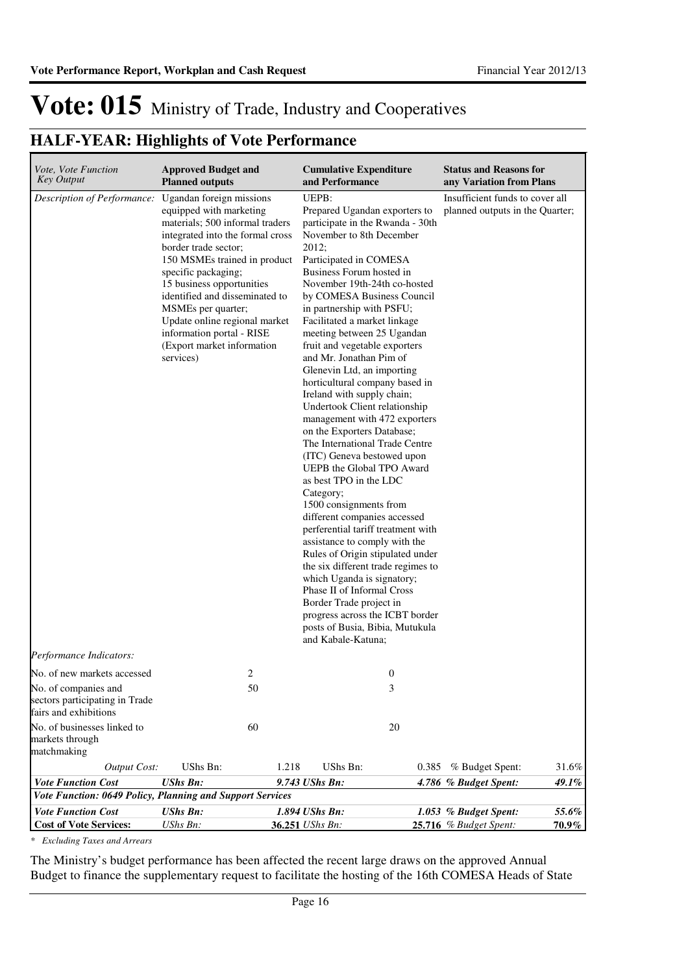### **HALF-YEAR: Highlights of Vote Performance**

| Vote, Vote Function<br>Key Output                                                                              | <b>Approved Budget and</b><br><b>Planned outputs</b>                                                                                                                                                                                                                                                                                                                                                    | <b>Cumulative Expenditure</b><br>and Performance                                                                                                                                                                                                                                                                                                                                                                                                                                                                                                                                                                                                                                                                                                                                                                                                                                                                                                                                                                                                                                                                           | <b>Status and Reasons for</b><br>any Variation from Plans            |
|----------------------------------------------------------------------------------------------------------------|---------------------------------------------------------------------------------------------------------------------------------------------------------------------------------------------------------------------------------------------------------------------------------------------------------------------------------------------------------------------------------------------------------|----------------------------------------------------------------------------------------------------------------------------------------------------------------------------------------------------------------------------------------------------------------------------------------------------------------------------------------------------------------------------------------------------------------------------------------------------------------------------------------------------------------------------------------------------------------------------------------------------------------------------------------------------------------------------------------------------------------------------------------------------------------------------------------------------------------------------------------------------------------------------------------------------------------------------------------------------------------------------------------------------------------------------------------------------------------------------------------------------------------------------|----------------------------------------------------------------------|
| Description of Performance:                                                                                    | Ugandan foreign missions<br>equipped with marketing<br>materials; 500 informal traders<br>integrated into the formal cross<br>border trade sector;<br>150 MSMEs trained in product<br>specific packaging;<br>15 business opportunities<br>identified and disseminated to<br>MSMEs per quarter;<br>Update online regional market<br>information portal - RISE<br>(Export market information<br>services) | UEPB:<br>Prepared Ugandan exporters to<br>participate in the Rwanda - 30th<br>November to 8th December<br>2012;<br>Participated in COMESA<br>Business Forum hosted in<br>November 19th-24th co-hosted<br>by COMESA Business Council<br>in partnership with PSFU;<br>Facilitated a market linkage<br>meeting between 25 Ugandan<br>fruit and vegetable exporters<br>and Mr. Jonathan Pim of<br>Glenevin Ltd, an importing<br>horticultural company based in<br>Ireland with supply chain;<br>Undertook Client relationship<br>management with 472 exporters<br>on the Exporters Database;<br>The International Trade Centre<br>(ITC) Geneva bestowed upon<br>UEPB the Global TPO Award<br>as best TPO in the LDC<br>Category;<br>1500 consignments from<br>different companies accessed<br>perferential tariff treatment with<br>assistance to comply with the<br>Rules of Origin stipulated under<br>the six different trade regimes to<br>which Uganda is signatory;<br>Phase II of Informal Cross<br>Border Trade project in<br>progress across the ICBT border<br>posts of Busia, Bibia, Mutukula<br>and Kabale-Katuna; | Insufficient funds to cover all<br>planned outputs in the Quarter;   |
| Performance Indicators:                                                                                        |                                                                                                                                                                                                                                                                                                                                                                                                         |                                                                                                                                                                                                                                                                                                                                                                                                                                                                                                                                                                                                                                                                                                                                                                                                                                                                                                                                                                                                                                                                                                                            |                                                                      |
| No. of new markets accessed<br>No. of companies and<br>sectors participating in Trade<br>fairs and exhibitions | 2<br>50                                                                                                                                                                                                                                                                                                                                                                                                 | $\boldsymbol{0}$<br>3                                                                                                                                                                                                                                                                                                                                                                                                                                                                                                                                                                                                                                                                                                                                                                                                                                                                                                                                                                                                                                                                                                      |                                                                      |
| No. of businesses linked to<br>markets through<br>matchmaking                                                  | 60                                                                                                                                                                                                                                                                                                                                                                                                      | 20                                                                                                                                                                                                                                                                                                                                                                                                                                                                                                                                                                                                                                                                                                                                                                                                                                                                                                                                                                                                                                                                                                                         |                                                                      |
| <b>Output Cost:</b>                                                                                            | <b>UShs Bn:</b><br>1.218                                                                                                                                                                                                                                                                                                                                                                                | UShs Bn:<br>0.385                                                                                                                                                                                                                                                                                                                                                                                                                                                                                                                                                                                                                                                                                                                                                                                                                                                                                                                                                                                                                                                                                                          | 31.6%<br>% Budget Spent:                                             |
| <b>Vote Function Cost</b>                                                                                      | <b>UShs Bn:</b>                                                                                                                                                                                                                                                                                                                                                                                         | 9.743 UShs Bn:                                                                                                                                                                                                                                                                                                                                                                                                                                                                                                                                                                                                                                                                                                                                                                                                                                                                                                                                                                                                                                                                                                             | 49.1%<br>4.786 % Budget Spent:                                       |
|                                                                                                                | Vote Function: 0649 Policy, Planning and Support Services                                                                                                                                                                                                                                                                                                                                               |                                                                                                                                                                                                                                                                                                                                                                                                                                                                                                                                                                                                                                                                                                                                                                                                                                                                                                                                                                                                                                                                                                                            |                                                                      |
| <b>Vote Function Cost</b><br><b>Cost of Vote Services:</b>                                                     | <b>UShs Bn:</b><br>UShs Bn:                                                                                                                                                                                                                                                                                                                                                                             | 1.894 UShs Bn:<br>36.251 UShs Bn:                                                                                                                                                                                                                                                                                                                                                                                                                                                                                                                                                                                                                                                                                                                                                                                                                                                                                                                                                                                                                                                                                          | 55.6%<br>1.053 % Budget Spent:<br>$70.9\%$<br>25.716 % Budget Spent: |

*\* Excluding Taxes and Arrears*

The Ministry's budget performance has been affected the recent large draws on the approved Annual Budget to finance the supplementary request to facilitate the hosting of the 16th COMESA Heads of State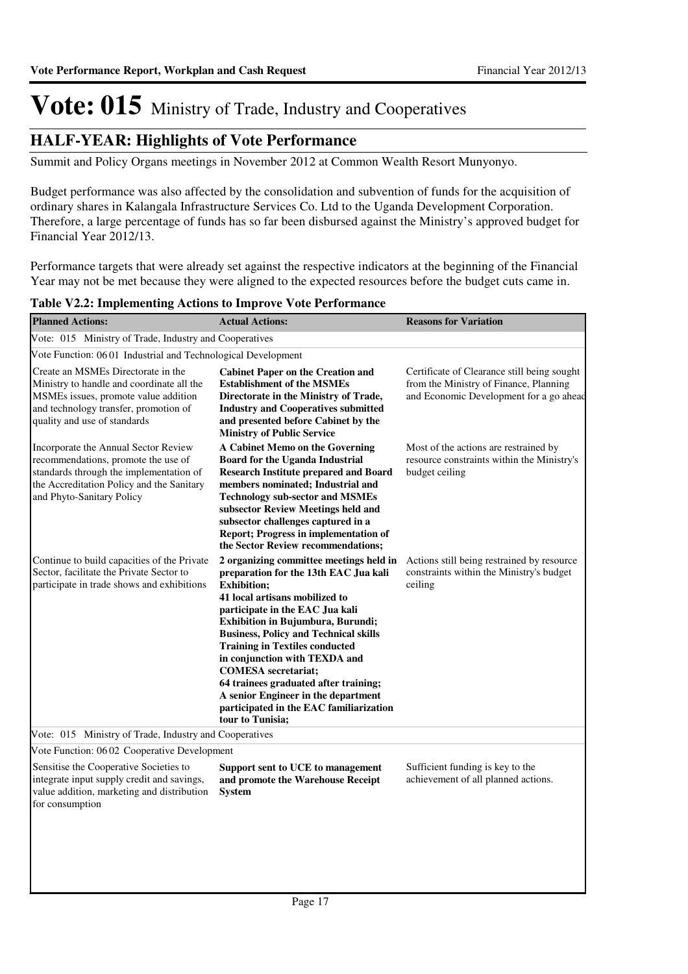### **HALF-YEAR: Highlights of Vote Performance**

Summit and Policy Organs meetings in November 2012 at Common Wealth Resort Munyonyo.

Budget performance was also affected by the consolidation and subvention of funds for the acquisition of ordinary shares in Kalangala Infrastructure Services Co. Ltd to the Uganda Development Corporation. Therefore, a large percentage of funds has so far been disbursed against the Ministry's approved budget for Financial Year 2012/13.

Performance targets that were already set against the respective indicators at the beginning of the Financial Year may not be met because they were aligned to the expected resources before the budget cuts came in.

#### **Table V2.2: Implementing Actions to Improve Vote Performance**

integrate input supply credit and savings, value addition, marketing and distribution

for consumption

| <b>Planned Actions:</b>                                                                                                                                                                          | <b>Actual Actions:</b>                                                                                                                                                                                                                                                                                                                                                                                                                                                                                                  | <b>Reasons for Variation</b>                                                                                                     |
|--------------------------------------------------------------------------------------------------------------------------------------------------------------------------------------------------|-------------------------------------------------------------------------------------------------------------------------------------------------------------------------------------------------------------------------------------------------------------------------------------------------------------------------------------------------------------------------------------------------------------------------------------------------------------------------------------------------------------------------|----------------------------------------------------------------------------------------------------------------------------------|
| Vote: 015 Ministry of Trade, Industry and Cooperatives                                                                                                                                           |                                                                                                                                                                                                                                                                                                                                                                                                                                                                                                                         |                                                                                                                                  |
| Vote Function: 06 01 Industrial and Technological Development                                                                                                                                    |                                                                                                                                                                                                                                                                                                                                                                                                                                                                                                                         |                                                                                                                                  |
| Create an MSMEs Directorate in the<br>Ministry to handle and coordinate all the<br>MSMEs issues, promote value addition<br>and technology transfer, promotion of<br>quality and use of standards | <b>Cabinet Paper on the Creation and</b><br><b>Establishment of the MSMEs</b><br>Directorate in the Ministry of Trade,<br><b>Industry and Cooperatives submitted</b><br>and presented before Cabinet by the<br><b>Ministry of Public Service</b>                                                                                                                                                                                                                                                                        | Certificate of Clearance still being sought<br>from the Ministry of Finance, Planning<br>and Economic Development for a go ahead |
| Incorporate the Annual Sector Review<br>recommendations, promote the use of<br>standards through the implementation of<br>the Accreditation Policy and the Sanitary<br>and Phyto-Sanitary Policy | A Cabinet Memo on the Governing<br><b>Board for the Uganda Industrial</b><br><b>Research Institute prepared and Board</b><br>members nominated; Industrial and<br><b>Technology sub-sector and MSMEs</b><br>subsector Review Meetings held and<br>subsector challenges captured in a<br>Report; Progress in implementation of<br>the Sector Review recommendations;                                                                                                                                                     | Most of the actions are restrained by<br>resource constraints within the Ministry's<br>budget ceiling                            |
| Continue to build capacities of the Private<br>Sector, facilitate the Private Sector to<br>participate in trade shows and exhibitions                                                            | 2 organizing committee meetings held in<br>preparation for the 13th EAC Jua kali<br><b>Exhibition;</b><br>41 local artisans mobilized to<br>participate in the EAC Jua kali<br>Exhibition in Bujumbura, Burundi;<br><b>Business, Policy and Technical skills</b><br><b>Training in Textiles conducted</b><br>in conjunction with TEXDA and<br><b>COMESA</b> secretariat;<br>64 trainees graduated after training;<br>A senior Engineer in the department<br>participated in the EAC familiarization<br>tour to Tunisia; | Actions still being restrained by resource<br>constraints within the Ministry's budget<br>ceiling                                |
| Vote: 015 Ministry of Trade, Industry and Cooperatives                                                                                                                                           |                                                                                                                                                                                                                                                                                                                                                                                                                                                                                                                         |                                                                                                                                  |
| Vote Function: 06 02 Cooperative Development                                                                                                                                                     |                                                                                                                                                                                                                                                                                                                                                                                                                                                                                                                         |                                                                                                                                  |
| Sensitise the Cooperative Societies to                                                                                                                                                           | Support sent to UCE to management                                                                                                                                                                                                                                                                                                                                                                                                                                                                                       | Sufficient funding is key to the                                                                                                 |

**and promote the Warehouse Receipt** 

**System**

achievement of all planned actions.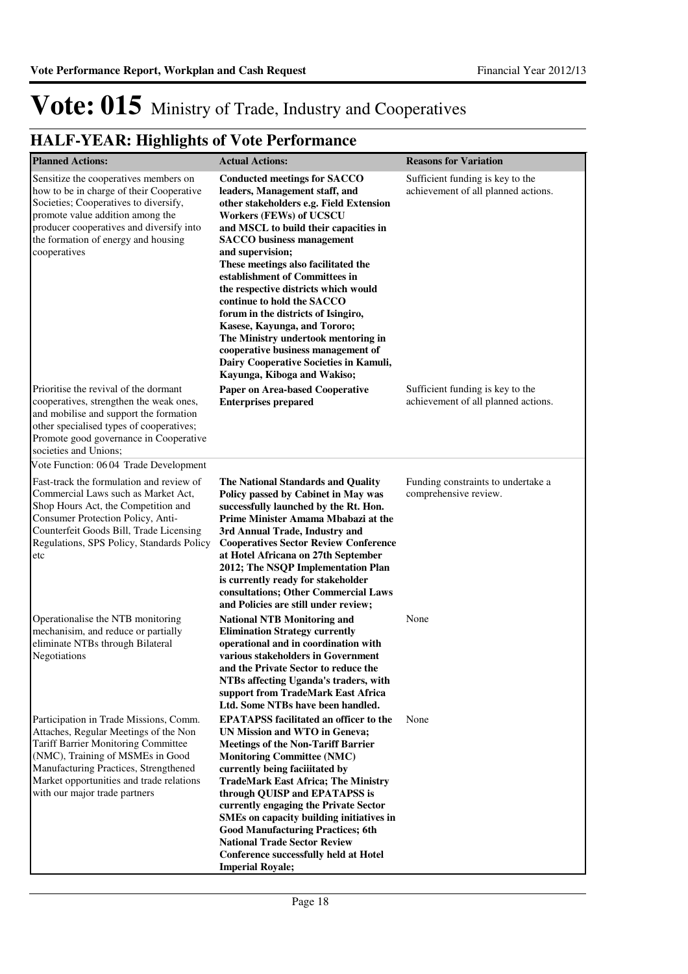| <b>Planned Actions:</b>                                                                                                                                                                                                                                                                 | <b>Actual Actions:</b>                                                                                                                                                                                                                                                                                                                                                                                                                                                                                                                                                                                                          | <b>Reasons for Variation</b>                                            |
|-----------------------------------------------------------------------------------------------------------------------------------------------------------------------------------------------------------------------------------------------------------------------------------------|---------------------------------------------------------------------------------------------------------------------------------------------------------------------------------------------------------------------------------------------------------------------------------------------------------------------------------------------------------------------------------------------------------------------------------------------------------------------------------------------------------------------------------------------------------------------------------------------------------------------------------|-------------------------------------------------------------------------|
| Sensitize the cooperatives members on<br>how to be in charge of their Cooperative<br>Societies; Cooperatives to diversify,<br>promote value addition among the<br>producer cooperatives and diversify into<br>the formation of energy and housing<br>cooperatives                       | <b>Conducted meetings for SACCO</b><br>leaders, Management staff, and<br>other stakeholders e.g. Field Extension<br><b>Workers (FEWs) of UCSCU</b><br>and MSCL to build their capacities in<br><b>SACCO</b> business management<br>and supervision;<br>These meetings also facilitated the<br>establishment of Committees in<br>the respective districts which would<br>continue to hold the SACCO<br>forum in the districts of Isingiro,<br>Kasese, Kayunga, and Tororo;<br>The Ministry undertook mentoring in<br>cooperative business management of<br>Dairy Cooperative Societies in Kamuli,<br>Kayunga, Kiboga and Wakiso; | Sufficient funding is key to the<br>achievement of all planned actions. |
| Prioritise the revival of the dormant<br>cooperatives, strengthen the weak ones,<br>and mobilise and support the formation<br>other specialised types of cooperatives;<br>Promote good governance in Cooperative<br>societies and Unions;                                               | Paper on Area-based Cooperative<br><b>Enterprises prepared</b>                                                                                                                                                                                                                                                                                                                                                                                                                                                                                                                                                                  | Sufficient funding is key to the<br>achievement of all planned actions. |
| Vote Function: 06 04 Trade Development                                                                                                                                                                                                                                                  |                                                                                                                                                                                                                                                                                                                                                                                                                                                                                                                                                                                                                                 |                                                                         |
| Fast-track the formulation and review of<br>Commercial Laws such as Market Act,<br>Shop Hours Act, the Competition and<br>Consumer Protection Policy, Anti-<br>Counterfeit Goods Bill, Trade Licensing<br>Regulations, SPS Policy, Standards Policy<br>etc                              | The National Standards and Quality<br>Policy passed by Cabinet in May was<br>successfully launched by the Rt. Hon.<br>Prime Minister Amama Mbabazi at the<br>3rd Annual Trade, Industry and<br><b>Cooperatives Sector Review Conference</b><br>at Hotel Africana on 27th September<br>2012; The NSQP Implementation Plan<br>is currently ready for stakeholder<br>consultations; Other Commercial Laws<br>and Policies are still under review;                                                                                                                                                                                  | Funding constraints to undertake a<br>comprehensive review.             |
| Operationalise the NTB monitoring<br>mechanisim, and reduce or partially<br>eliminate NTBs through Bilateral<br>Negotiations                                                                                                                                                            | <b>National NTB Monitoring and</b><br><b>Elimination Strategy currently</b><br>operational and in coordination with<br>various stakeholders in Government<br>and the Private Sector to reduce the<br>NTBs affecting Uganda's traders, with<br>support from TradeMark East Africa<br>Ltd. Some NTBs have been handled.                                                                                                                                                                                                                                                                                                           | None                                                                    |
| Participation in Trade Missions, Comm.<br>Attaches, Regular Meetings of the Non<br><b>Tariff Barrier Monitoring Committee</b><br>(NMC), Training of MSMEs in Good<br>Manufacturing Practices, Strengthened<br>Market opportunities and trade relations<br>with our major trade partners | <b>EPATAPSS</b> facilitated an officer to the<br>UN Mission and WTO in Geneva;<br><b>Meetings of the Non-Tariff Barrier</b><br><b>Monitoring Committee (NMC)</b><br>currently being facilitated by<br><b>TradeMark East Africa; The Ministry</b><br>through QUISP and EPATAPSS is<br>currently engaging the Private Sector<br>SMEs on capacity building initiatives in<br><b>Good Manufacturing Practices; 6th</b><br><b>National Trade Sector Review</b><br><b>Conference successfully held at Hotel</b><br><b>Imperial Royale;</b>                                                                                            | None                                                                    |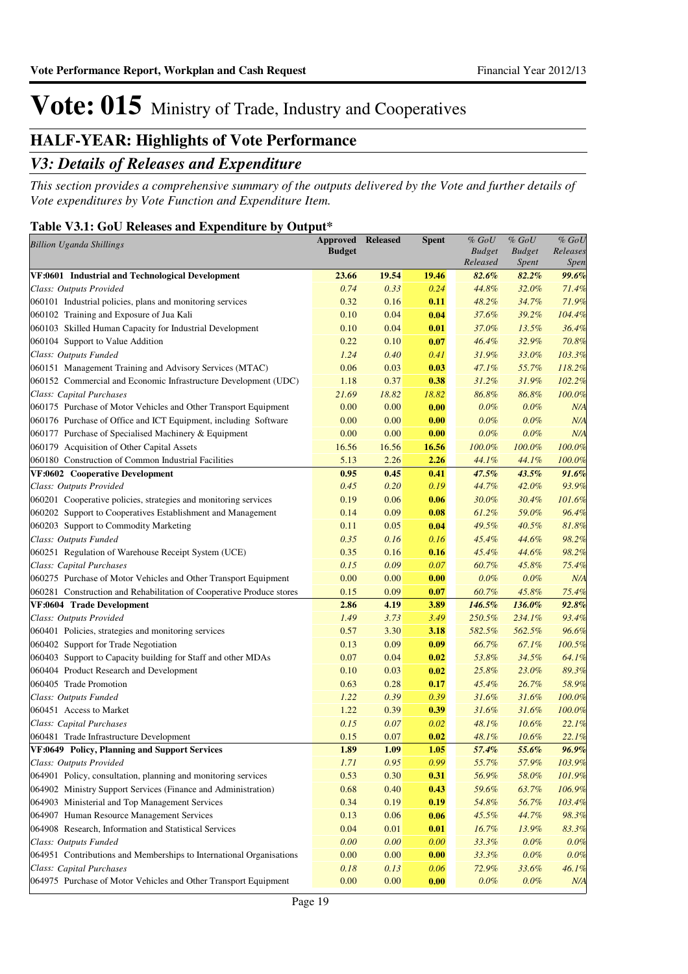### **HALF-YEAR: Highlights of Vote Performance**

### *V3: Details of Releases and Expenditure*

*This section provides a comprehensive summary of the outputs delivered by the Vote and further details of Vote expenditures by Vote Function and Expenditure Item.*

### **Table V3.1: GoU Releases and Expenditure by Output\***

| <b>Billion Uganda Shillings</b>                                      | <b>Approved</b><br><b>Budget</b> | Released | Spent | $%$ $GoU$<br><b>Budget</b><br>Released | $%$ $GoU$<br><b>Budget</b><br><i>Spent</i> | $%$ $GoU$<br>Releases<br>Spen |
|----------------------------------------------------------------------|----------------------------------|----------|-------|----------------------------------------|--------------------------------------------|-------------------------------|
| VF:0601 Industrial and Technological Development                     | 23.66                            | 19.54    | 19.46 | 82.6%                                  | 82.2%                                      | 99.6%                         |
| Class: Outputs Provided                                              | 0.74                             | 0.33     | 0.24  | 44.8%                                  | 32.0%                                      | 71.4%                         |
| 060101 Industrial policies, plans and monitoring services            | 0.32                             | 0.16     | 0.11  | 48.2%                                  | 34.7%                                      | 71.9%                         |
| 060102 Training and Exposure of Jua Kali                             | 0.10                             | 0.04     | 0.04  | 37.6%                                  | 39.2%                                      | 104.4%                        |
| 060103 Skilled Human Capacity for Industrial Development             | 0.10                             | 0.04     | 0.01  | 37.0%                                  | 13.5%                                      | 36.4%                         |
| 060104 Support to Value Addition                                     | 0.22                             | 0.10     | 0.07  | 46.4%                                  | 32.9%                                      | 70.8%                         |
| Class: Outputs Funded                                                | 1.24                             | 0.40     | 0.41  | 31.9%                                  | 33.0%                                      | 103.3%                        |
| 060151 Management Training and Advisory Services (MTAC)              | 0.06                             | 0.03     | 0.03  | 47.1%                                  | 55.7%                                      | 118.2%                        |
| 060152 Commercial and Economic Infrastructure Development (UDC)      | 1.18                             | 0.37     | 0.38  | 31.2%                                  | 31.9%                                      | 102.2%                        |
| Class: Capital Purchases                                             | 21.69                            | 18.82    | 18.82 | 86.8%                                  | 86.8%                                      | 100.0%                        |
| 060175 Purchase of Motor Vehicles and Other Transport Equipment      | 0.00                             | 0.00     | 0.00  | 0.0%                                   | 0.0%                                       | N/A                           |
| 060176 Purchase of Office and ICT Equipment, including Software      | 0.00                             | 0.00     | 0.00  | 0.0%                                   | 0.0%                                       | N/A                           |
| 060177 Purchase of Specialised Machinery & Equipment                 | 0.00                             | 0.00     | 0.00  | 0.0%                                   | 0.0%                                       | N/A                           |
| 060179 Acquisition of Other Capital Assets                           | 16.56                            | 16.56    | 16.56 | 100.0%                                 | 100.0%                                     | 100.0%                        |
| 060180 Construction of Common Industrial Facilities                  | 5.13                             | 2.26     | 2.26  | 44.1%                                  | 44.1%                                      | 100.0%                        |
| VF:0602 Cooperative Development                                      | 0.95                             | 0.45     | 0.41  | 47.5%                                  | 43.5%                                      | $91.6\%$                      |
| Class: Outputs Provided                                              | 0.45                             | 0.20     | 0.19  | 44.7%                                  | 42.0%                                      | 93.9%                         |
| 060201 Cooperative policies, strategies and monitoring services      | 0.19                             | 0.06     | 0.06  | 30.0%                                  | 30.4%                                      | 101.6%                        |
| 060202 Support to Cooperatives Establishment and Management          | 0.14                             | 0.09     | 0.08  | 61.2%                                  | 59.0%                                      | 96.4%                         |
| 060203 Support to Commodity Marketing                                | 0.11                             | 0.05     | 0.04  | 49.5%                                  | 40.5%                                      | 81.8%                         |
| Class: Outputs Funded                                                | 0.35                             | 0.16     | 0.16  | 45.4%                                  | 44.6%                                      | 98.2%                         |
| 060251 Regulation of Warehouse Receipt System (UCE)                  | 0.35                             | 0.16     | 0.16  | 45.4%                                  | 44.6%                                      | 98.2%                         |
| Class: Capital Purchases                                             | 0.15                             | 0.09     | 0.07  | 60.7%                                  | 45.8%                                      | 75.4%                         |
| 060275 Purchase of Motor Vehicles and Other Transport Equipment      | 0.00                             | 0.00     | 0.00  | 0.0%                                   | 0.0%                                       | N/A                           |
| 060281 Construction and Rehabilitation of Cooperative Produce stores | 0.15                             | 0.09     | 0.07  | 60.7%                                  | 45.8%                                      | 75.4%                         |
| VF:0604 Trade Development                                            | 2.86                             | 4.19     | 3.89  | 146.5%                                 | 136.0%                                     | 92.8%                         |
| Class: Outputs Provided                                              | 1.49                             | 3.73     | 3.49  | 250.5%                                 | 234.1%                                     | 93.4%                         |
| 060401 Policies, strategies and monitoring services                  | 0.57                             | 3.30     | 3.18  | 582.5%                                 | 562.5%                                     | 96.6%                         |
| 060402 Support for Trade Negotiation                                 | 0.13                             | 0.09     | 0.09  | 66.7%                                  | 67.1%                                      | 100.5%                        |
| 060403 Support to Capacity building for Staff and other MDAs         | 0.07                             | 0.04     | 0.02  | 53.8%                                  | 34.5%                                      | 64.1%                         |
| 060404 Product Research and Development                              | 0.10                             | 0.03     | 0.02  | 25.8%                                  | 23.0%                                      | 89.3%                         |
| 060405 Trade Promotion                                               | 0.63                             | 0.28     | 0.17  | 45.4%                                  | 26.7%                                      | 58.9%                         |
| Class: Outputs Funded                                                | 1.22                             | 0.39     | 0.39  | 31.6%                                  | 31.6%                                      | 100.0%                        |
| 060451 Access to Market                                              | 1.22                             | 0.39     | 0.39  | 31.6%                                  | 31.6%                                      | 100.0%                        |
| Class: Capital Purchases                                             | 0.15                             | 0.07     | 0.02  | 48.1%                                  | 10.6%                                      | 22.1%                         |
| 060481 Trade Infrastructure Development                              | 0.15                             | 0.07     | 0.02  | 48.1%                                  | 10.6%                                      | 22.1%                         |
| VF:0649 Policy, Planning and Support Services                        | 1.89                             | 1.09     | 1.05  | 57.4%                                  | 55.6%                                      | 96.9%                         |
| Class: Outputs Provided                                              | 1.71                             | 0.95     | 0.99  | 55.7%                                  | 57.9%                                      | 103.9%                        |
| 064901 Policy, consultation, planning and monitoring services        | 0.53                             | 0.30     | 0.31  | 56.9%                                  | 58.0%                                      | 101.9%                        |
| 064902 Ministry Support Services (Finance and Administration)        | 0.68                             | 0.40     | 0.43  | 59.6%                                  | 63.7%                                      | 106.9%                        |
| 064903 Ministerial and Top Management Services                       | 0.34                             | 0.19     | 0.19  | 54.8%                                  | 56.7%                                      | 103.4%                        |
| 064907 Human Resource Management Services                            | 0.13                             | 0.06     | 0.06  | 45.5%                                  | 44.7%                                      | 98.3%                         |
| 064908 Research, Information and Statistical Services                | 0.04                             | 0.01     | 0.01  | 16.7%                                  | 13.9%                                      | 83.3%                         |
| Class: Outputs Funded                                                | 0.00                             | 0.00     | 0.00  | 33.3%                                  | 0.0%                                       | 0.0%                          |
| 064951 Contributions and Memberships to International Organisations  | 0.00                             | 0.00     | 0.00  | 33.3%                                  | $0.0\%$                                    | 0.0%                          |
| Class: Capital Purchases                                             | 0.18                             | 0.13     | 0.06  | 72.9%                                  | 33.6%                                      | 46.1%                         |
| 064975 Purchase of Motor Vehicles and Other Transport Equipment      | $0.00\,$                         | 0.00     | 0.00  | $0.0\%$                                | $0.0\%$                                    | N/A                           |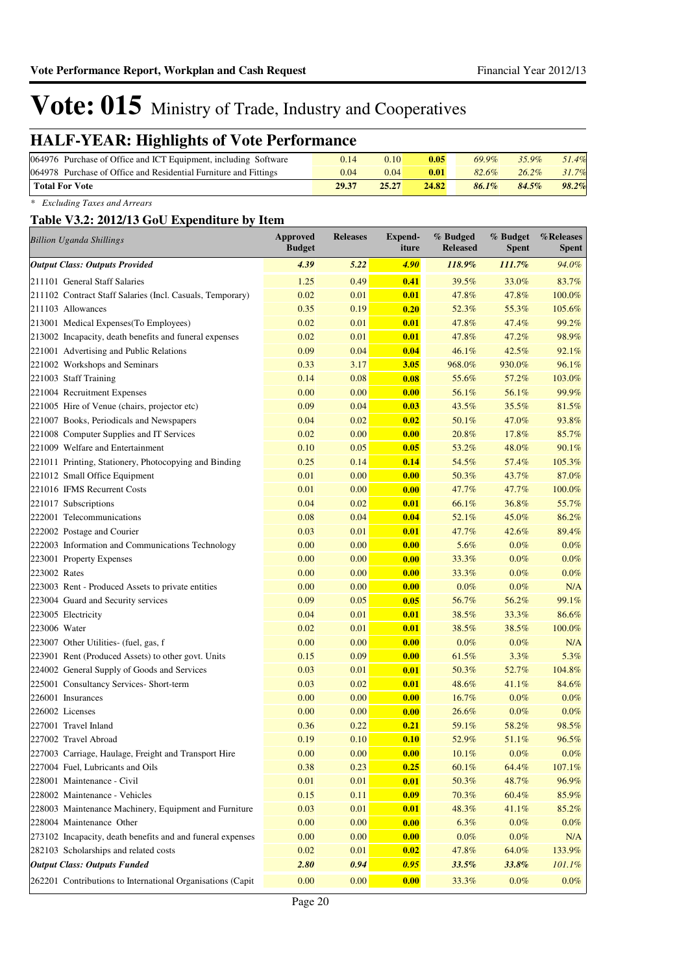### **HALF-YEAR: Highlights of Vote Performance**

| 064976 Purchase of Office and ICT Equipment, including Software  | 0.14  | 0.10  | 0.05  | 69.9% | $35.9\%$ | 51.4% |
|------------------------------------------------------------------|-------|-------|-------|-------|----------|-------|
| 064978 Purchase of Office and Residential Furniture and Fittings | 0.04  | 0.04  | 0.01  | 82.6% | $26.2\%$ | 31.7% |
| <b>Total For Vote</b>                                            | 29.37 | 25.27 | 24.82 | 86.1% | 84.5%    | 98.2% |

*\* Excluding Taxes and Arrears*

#### **Table V3.2: 2012/13 GoU Expenditure by Item**

| <b>Billion Uganda Shillings</b> |                                                            | Approved<br><b>Budget</b> | <b>Releases</b> | <b>Expend-</b><br>iture | % Budged<br><b>Released</b> | % Budget<br><b>Spent</b> | %Releases<br><b>Spent</b> |
|---------------------------------|------------------------------------------------------------|---------------------------|-----------------|-------------------------|-----------------------------|--------------------------|---------------------------|
|                                 | <b>Output Class: Outputs Provided</b>                      | 4.39                      | 5.22            | 4.90                    | 118.9%                      | 111.7%                   | 94.0%                     |
|                                 | 211101 General Staff Salaries                              | 1.25                      | 0.49            | 0.41                    | 39.5%                       | 33.0%                    | 83.7%                     |
|                                 | 211102 Contract Staff Salaries (Incl. Casuals, Temporary)  | 0.02                      | 0.01            | 0.01                    | 47.8%                       | 47.8%                    | 100.0%                    |
| 211103 Allowances               |                                                            | 0.35                      | 0.19            | 0.20                    | 52.3%                       | 55.3%                    | 105.6%                    |
|                                 | 213001 Medical Expenses(To Employees)                      | 0.02                      | 0.01            | 0.01                    | 47.8%                       | 47.4%                    | 99.2%                     |
|                                 | 213002 Incapacity, death benefits and funeral expenses     | 0.02                      | 0.01            | 0.01                    | 47.8%                       | 47.2%                    | 98.9%                     |
|                                 | 221001 Advertising and Public Relations                    | 0.09                      | 0.04            | 0.04                    | 46.1%                       | 42.5%                    | 92.1%                     |
|                                 | 221002 Workshops and Seminars                              | 0.33                      | 3.17            | 3.05                    | 968.0%                      | 930.0%                   | 96.1%                     |
| 221003 Staff Training           |                                                            | 0.14                      | 0.08            | 0.08                    | 55.6%                       | 57.2%                    | 103.0%                    |
|                                 | 221004 Recruitment Expenses                                | 0.00                      | 0.00            | 0.00                    | 56.1%                       | 56.1%                    | 99.9%                     |
|                                 | 221005 Hire of Venue (chairs, projector etc)               | 0.09                      | 0.04            | 0.03                    | 43.5%                       | 35.5%                    | 81.5%                     |
|                                 | 221007 Books, Periodicals and Newspapers                   | 0.04                      | 0.02            | 0.02                    | 50.1%                       | 47.0%                    | 93.8%                     |
|                                 | 221008 Computer Supplies and IT Services                   | 0.02                      | 0.00            | 0.00                    | 20.8%                       | 17.8%                    | 85.7%                     |
|                                 | 221009 Welfare and Entertainment                           | 0.10                      | 0.05            | 0.05                    | 53.2%                       | 48.0%                    | 90.1%                     |
|                                 | 221011 Printing, Stationery, Photocopying and Binding      | 0.25                      | 0.14            | 0.14                    | 54.5%                       | 57.4%                    | 105.3%                    |
|                                 | 221012 Small Office Equipment                              | 0.01                      | 0.00            | 0.00                    | 50.3%                       | 43.7%                    | 87.0%                     |
|                                 | 221016 IFMS Recurrent Costs                                | 0.01                      | 0.00            | 0.00                    | 47.7%                       | 47.7%                    | 100.0%                    |
| 221017 Subscriptions            |                                                            | 0.04                      | 0.02            | 0.01                    | 66.1%                       | 36.8%                    | 55.7%                     |
|                                 | 222001 Telecommunications                                  | 0.08                      | 0.04            | 0.04                    | 52.1%                       | 45.0%                    | 86.2%                     |
|                                 | 222002 Postage and Courier                                 | 0.03                      | 0.01            | 0.01                    | 47.7%                       | 42.6%                    | 89.4%                     |
|                                 | 222003 Information and Communications Technology           | 0.00                      | 0.00            | 0.00                    | 5.6%                        | $0.0\%$                  | $0.0\%$                   |
|                                 | 223001 Property Expenses                                   | 0.00                      | 0.00            | 0.00                    | 33.3%                       | $0.0\%$                  | 0.0%                      |
| 223002 Rates                    |                                                            | 0.00                      | 0.00            | 0.00                    | 33.3%                       | $0.0\%$                  | $0.0\%$                   |
|                                 | 223003 Rent - Produced Assets to private entities          | 0.00                      | 0.00            | 0.00                    | $0.0\%$                     | $0.0\%$                  | N/A                       |
|                                 | 223004 Guard and Security services                         | 0.09                      | 0.05            | 0.05                    | 56.7%                       | 56.2%                    | 99.1%                     |
| 223005 Electricity              |                                                            | 0.04                      | 0.01            | 0.01                    | 38.5%                       | 33.3%                    | 86.6%                     |
| 223006 Water                    |                                                            | 0.02                      | 0.01            | 0.01                    | 38.5%                       | 38.5%                    | 100.0%                    |
|                                 | 223007 Other Utilities- (fuel, gas, f                      | 0.00                      | 0.00            | 0.00                    | $0.0\%$                     | $0.0\%$                  | N/A                       |
|                                 | 223901 Rent (Produced Assets) to other govt. Units         | 0.15                      | 0.09            | 0.00                    | 61.5%                       | 3.3%                     | 5.3%                      |
|                                 | 224002 General Supply of Goods and Services                | 0.03                      | 0.01            | 0.01                    | 50.3%                       | 52.7%                    | 104.8%                    |
|                                 | 225001 Consultancy Services- Short-term                    | 0.03                      | 0.02            | 0.01                    | 48.6%                       | 41.1%                    | 84.6%                     |
| 226001 Insurances               |                                                            | 0.00                      | 0.00            | 0.00                    | 16.7%                       | $0.0\%$                  | 0.0%                      |
| 226002 Licenses                 |                                                            | 0.00                      | 0.00            | 0.00                    | 26.6%                       | $0.0\%$                  | 0.0%                      |
| 227001 Travel Inland            |                                                            | 0.36                      | 0.22            | 0.21                    | 59.1%                       | 58.2%                    | 98.5%                     |
| 227002 Travel Abroad            |                                                            | 0.19                      | 0.10            | 0.10                    | 52.9%                       | 51.1%                    | 96.5%                     |
|                                 | 227003 Carriage, Haulage, Freight and Transport Hire       | 0.00                      | 0.00            | 0.00                    | 10.1%                       | $0.0\%$                  | $0.0\%$                   |
|                                 | 227004 Fuel, Lubricants and Oils                           | 0.38                      | 0.23            | 0.25                    | 60.1%                       | 64.4%                    | 107.1%                    |
|                                 | 228001 Maintenance - Civil                                 | 0.01                      | 0.01            | 0.01                    | 50.3%                       | 48.7%                    | 96.9%                     |
|                                 | 228002 Maintenance - Vehicles                              | 0.15                      | 0.11            | 0.09                    | 70.3%                       | 60.4%                    | 85.9%                     |
|                                 | 228003 Maintenance Machinery, Equipment and Furniture      | 0.03                      | 0.01            | 0.01                    | 48.3%                       | 41.1%                    | 85.2%                     |
|                                 | 228004 Maintenance Other                                   | 0.00                      | 0.00            | 0.00                    | 6.3%                        | $0.0\%$                  | $0.0\%$                   |
|                                 | 273102 Incapacity, death benefits and and funeral expenses | 0.00                      | 0.00            | 0.00                    | $0.0\%$                     | $0.0\%$                  | N/A                       |
|                                 | 282103 Scholarships and related costs                      | 0.02                      | 0.01            | 0.02                    | 47.8%                       | 64.0%                    | 133.9%                    |
|                                 | <b>Output Class: Outputs Funded</b>                        | 2.80                      | 0.94            | 0.95                    | 33.5%                       | 33.8%                    | 101.1%                    |
|                                 | 262201 Contributions to International Organisations (Capit | 0.00                      | 0.00            | 0.00                    | 33.3%                       | $0.0\%$                  | $0.0\%$                   |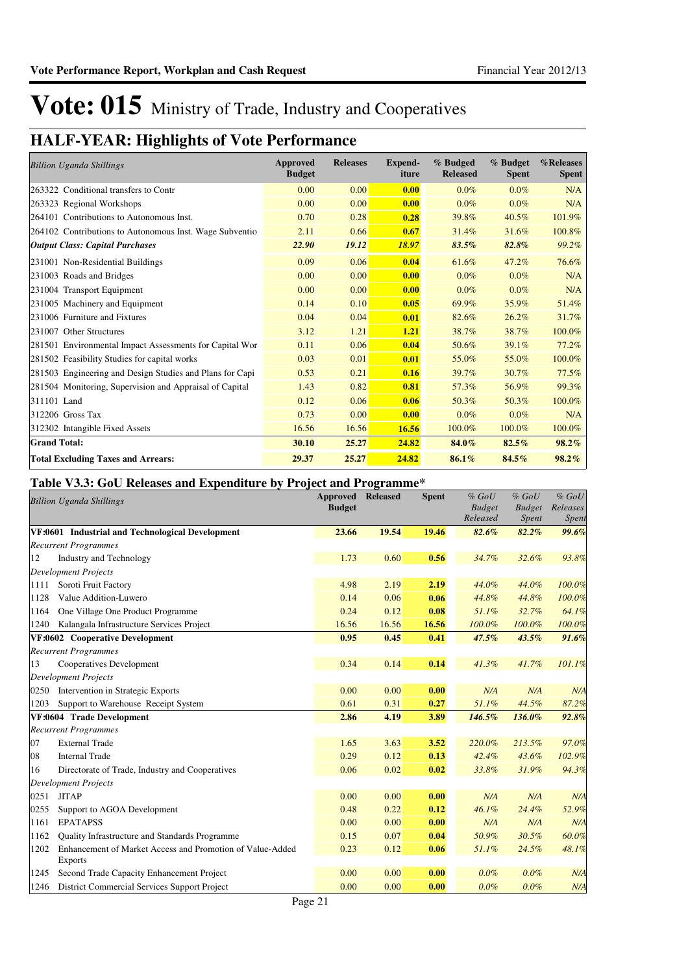### **HALF-YEAR: Highlights of Vote Performance**

| <b>Billion Uganda Shillings</b>                          | Approved<br><b>Budget</b> | <b>Releases</b> | <b>Expend-</b><br>iture | % Budged<br><b>Released</b> | % Budget<br><b>Spent</b> | %Releases<br><b>Spent</b> |
|----------------------------------------------------------|---------------------------|-----------------|-------------------------|-----------------------------|--------------------------|---------------------------|
| 263322 Conditional transfers to Contr                    | 0.00                      | 0.00            | 0.00                    | $0.0\%$                     | $0.0\%$                  | N/A                       |
| 263323 Regional Workshops                                | 0.00                      | 0.00            | 0.00                    | $0.0\%$                     | $0.0\%$                  | N/A                       |
| 264101 Contributions to Autonomous Inst.                 | 0.70                      | 0.28            | 0.28                    | 39.8%                       | 40.5%                    | 101.9%                    |
| 264102 Contributions to Autonomous Inst. Wage Subventio  | 2.11                      | 0.66            | 0.67                    | 31.4%                       | 31.6%                    | 100.8%                    |
| <b>Output Class: Capital Purchases</b>                   | 22.90                     | 19.12           | 18.97                   | 83.5%                       | 82.8%                    | 99.2%                     |
| 231001 Non-Residential Buildings                         | 0.09                      | 0.06            | 0.04                    | 61.6%                       | 47.2%                    | 76.6%                     |
| 231003 Roads and Bridges                                 | 0.00                      | 0.00            | 0.00                    | $0.0\%$                     | $0.0\%$                  | N/A                       |
| 231004 Transport Equipment                               | 0.00                      | 0.00            | 0.00                    | 0.0%                        | 0.0%                     | N/A                       |
| 231005 Machinery and Equipment                           | 0.14                      | 0.10            | 0.05                    | 69.9%                       | 35.9%                    | 51.4%                     |
| 231006 Furniture and Fixtures                            | 0.04                      | 0.04            | 0.01                    | 82.6%                       | 26.2%                    | 31.7%                     |
| 231007 Other Structures                                  | 3.12                      | 1.21            | 1.21                    | 38.7%                       | 38.7%                    | 100.0%                    |
| 281501 Environmental Impact Assessments for Capital Wor  | 0.11                      | 0.06            | 0.04                    | 50.6%                       | 39.1%                    | 77.2%                     |
| 281502 Feasibility Studies for capital works             | 0.03                      | 0.01            | 0.01                    | 55.0%                       | 55.0%                    | 100.0%                    |
| 281503 Engineering and Design Studies and Plans for Capi | 0.53                      | 0.21            | 0.16                    | 39.7%                       | 30.7%                    | 77.5%                     |
| 281504 Monitoring, Supervision and Appraisal of Capital  | 1.43                      | 0.82            | 0.81                    | 57.3%                       | 56.9%                    | 99.3%                     |
| 311101 Land                                              | 0.12                      | 0.06            | 0.06                    | 50.3%                       | 50.3%                    | 100.0%                    |
| 312206 Gross Tax                                         | 0.73                      | 0.00            | 0.00                    | 0.0%                        | $0.0\%$                  | N/A                       |
| 312302 Intangible Fixed Assets                           | 16.56                     | 16.56           | 16.56                   | 100.0%                      | 100.0%                   | 100.0%                    |
| <b>Grand Total:</b>                                      | 30.10                     | 25,27           | 24.82                   | 84.0%                       | 82.5%                    | 98.2%                     |
| <b>Total Excluding Taxes and Arrears:</b>                | 29.37                     | 25.27           | 24.82                   | 86.1%                       | 84.5%                    | 98.2%                     |

### **Table V3.3: GoU Releases and Expenditure by Project and Programme\***

|      | <b>Billion Uganda Shillings</b>                                             | <b>Approved Released</b><br><b>Budget</b> |       | <b>Spent</b> | $%$ $GoU$<br><b>Budget</b><br>Released | $%$ GoU<br><b>Budget</b><br><i>Spent</i> | $%$ $GoU$<br>Releases<br>Spent |
|------|-----------------------------------------------------------------------------|-------------------------------------------|-------|--------------|----------------------------------------|------------------------------------------|--------------------------------|
|      | VF:0601 Industrial and Technological Development                            | 23.66                                     | 19.54 | 19.46        | 82.6%                                  | 82.2%                                    | 99.6%                          |
|      | <b>Recurrent Programmes</b>                                                 |                                           |       |              |                                        |                                          |                                |
| 12   | <b>Industry and Technology</b>                                              | 1.73                                      | 0.60  | 0.56         | 34.7%                                  | 32.6%                                    | 93.8%                          |
|      | <b>Development Projects</b>                                                 |                                           |       |              |                                        |                                          |                                |
| 1111 | Soroti Fruit Factory                                                        | 4.98                                      | 2.19  | 2.19         | 44.0%                                  | 44.0%                                    | 100.0%                         |
| 1128 | Value Addition-Luwero                                                       | 0.14                                      | 0.06  | 0.06         | 44.8%                                  | 44.8%                                    | 100.0%                         |
| 1164 | One Village One Product Programme                                           | 0.24                                      | 0.12  | 0.08         | 51.1%                                  | 32.7%                                    | 64.1%                          |
| 1240 | Kalangala Infrastructure Services Project                                   | 16.56                                     | 16.56 | 16.56        | 100.0%                                 | 100.0%                                   | 100.0%                         |
|      | VF:0602 Cooperative Development                                             | 0.95                                      | 0.45  | 0.41         | 47.5%                                  | 43.5%                                    | 91.6%                          |
|      | <b>Recurrent Programmes</b>                                                 |                                           |       |              |                                        |                                          |                                |
| 13   | Cooperatives Development                                                    | 0.34                                      | 0.14  | 0.14         | 41.3%                                  | 41.7%                                    | 101.1%                         |
|      | <b>Development Projects</b>                                                 |                                           |       |              |                                        |                                          |                                |
| 0250 | Intervention in Strategic Exports                                           | 0.00                                      | 0.00  | 0.00         | N/A                                    | N/A                                      | N/A                            |
| 1203 | Support to Warehouse Receipt System                                         | 0.61                                      | 0.31  | 0.27         | 51.1%                                  | 44.5%                                    | 87.2%                          |
|      | VF:0604 Trade Development                                                   | 2.86                                      | 4.19  | 3.89         | 146.5%                                 | 136.0%                                   | 92.8%                          |
|      | <b>Recurrent Programmes</b>                                                 |                                           |       |              |                                        |                                          |                                |
| 07   | <b>External Trade</b>                                                       | 1.65                                      | 3.63  | 3.52         | 220.0%                                 | 213.5%                                   | 97.0%                          |
| 08   | <b>Internal Trade</b>                                                       | 0.29                                      | 0.12  | 0.13         | 42.4%                                  | 43.6%                                    | 102.9%                         |
| 16   | Directorate of Trade, Industry and Cooperatives                             | 0.06                                      | 0.02  | 0.02         | 33.8%                                  | 31.9%                                    | 94.3%                          |
|      | Development Projects                                                        |                                           |       |              |                                        |                                          |                                |
| 0251 | <b>JITAP</b>                                                                | 0.00                                      | 0.00  | 0.00         | N/A                                    | N/A                                      | N/A                            |
| 0255 | Support to AGOA Development                                                 | 0.48                                      | 0.22  | 0.12         | 46.1%                                  | 24.4%                                    | 52.9%                          |
| 1161 | <b>EPATAPSS</b>                                                             | 0.00                                      | 0.00  | 0.00         | N/A                                    | N/A                                      | N/A                            |
| 1162 | Quality Infrastructure and Standards Programme                              | 0.15                                      | 0.07  | 0.04         | 50.9%                                  | 30.5%                                    | 60.0%                          |
| 1202 | Enhancement of Market Access and Promotion of Value-Added<br><b>Exports</b> | 0.23                                      | 0.12  | 0.06         | 51.1%                                  | 24.5%                                    | 48.1%                          |
| 1245 | Second Trade Capacity Enhancement Project                                   | 0.00                                      | 0.00  | 0.00         | 0.0%                                   | 0.0%                                     | N/A                            |
| 1246 | District Commercial Services Support Project                                | 0.00                                      | 0.00  | 0.00         | 0.0%                                   | 0.0%                                     | N/A                            |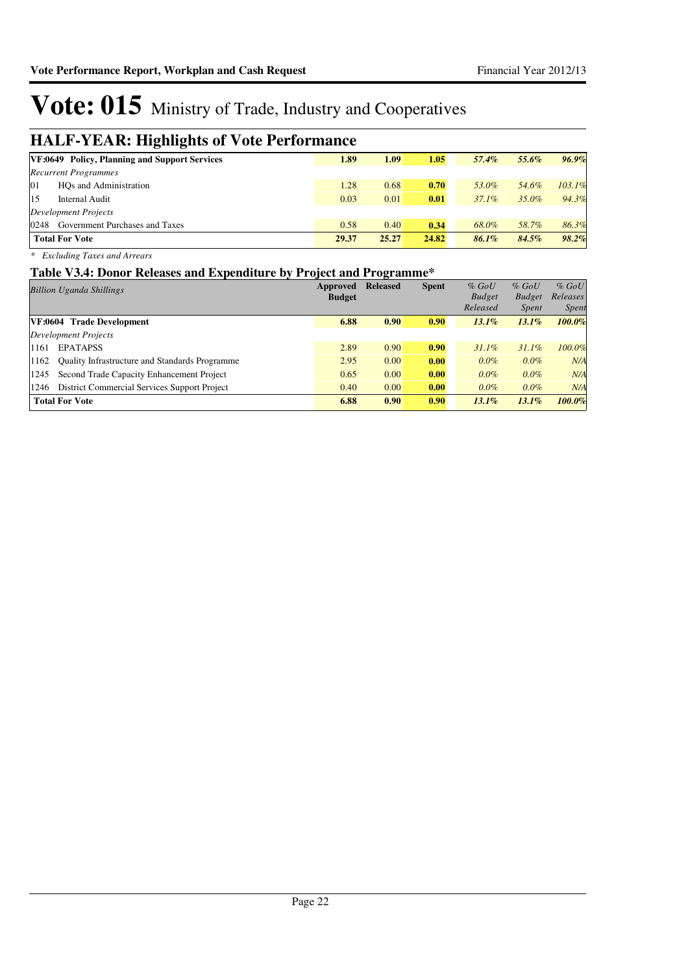### **HALF-YEAR: Highlights of Vote Performance**

| ິ<br>.                                               |       |       |       |          |       |        |
|------------------------------------------------------|-------|-------|-------|----------|-------|--------|
| <b>VF:0649 Policy, Planning and Support Services</b> | 1.89  | 1.09  | 1.05  | 57.4%    | 55.6% | 96.9%  |
| <b>Recurrent Programmes</b>                          |       |       |       |          |       |        |
| 01<br>HOs and Administration                         | 1.28  | 0.68  | 0.70  | 53.0%    | 54.6% | 103.1% |
| 15<br>Internal Audit                                 | 0.03  | 0.01  | 0.01  | $37.1\%$ | 35.0% | 94.3%  |
| Development Projects                                 |       |       |       |          |       |        |
| 0248<br>Government Purchases and Taxes               | 0.58  | 0.40  | 0.34  | 68.0%    | 58.7% | 86.3%  |
| <b>Total For Vote</b>                                | 29.37 | 25.27 | 24.82 | 86.1%    | 84.5% | 98.2%  |
|                                                      |       |       |       |          |       |        |

*\* Excluding Taxes and Arrears*

#### **Table V3.4: Donor Releases and Expenditure by Project and Programme\***

| Billion Uganda Shillings                                      | Approved      | <b>Released</b> | <b>Spent</b> | $%$ GoU       | $%$ GoU       | $%$ GoU      |
|---------------------------------------------------------------|---------------|-----------------|--------------|---------------|---------------|--------------|
|                                                               | <b>Budget</b> |                 |              | <b>Budget</b> | <b>Budget</b> | Releases     |
|                                                               |               |                 |              | Released      | <i>Spent</i>  | <i>Spent</i> |
| VF:0604 Trade Development                                     | 6.88          | 0.90            | 0.90         | $13.1\%$      | $13.1\%$      | $100.0\%$    |
| Development Projects                                          |               |                 |              |               |               |              |
| <b>EPATAPSS</b><br>1161                                       | 2.89          | 0.90            | 0.90         | $31.1\%$      | $31.1\%$      | 100.0%       |
| <b>Ouality Infrastructure and Standards Programme</b><br>1162 | 2.95          | 0.00            | 0.00         | $0.0\%$       | $0.0\%$       | N/A          |
| Second Trade Capacity Enhancement Project<br>1245             | 0.65          | 0.00            | 0.00         | $0.0\%$       | $0.0\%$       | N/A          |
| District Commercial Services Support Project<br>1246          | 0.40          | 0.00            | 0.00         | $0.0\%$       | $0.0\%$       | N/A          |
| <b>Total For Vote</b>                                         | 6.88          | 0.90            | 0.90         | $13.1\%$      | $13.1\%$      | 100.0%       |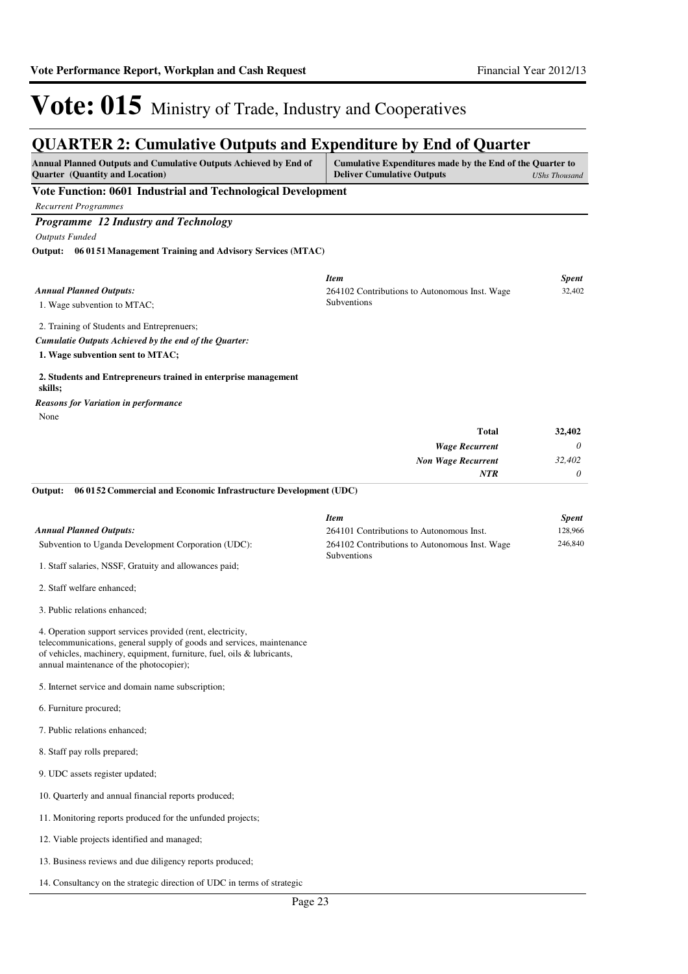### **QUARTER 2: Cumulative Outputs and Expenditure by End of Quarter**

| Annual Planned Outputs and Cumulative Outputs Achieved by End of<br>Quarter (Quantity and Location)                                                                                                                                                      | Cumulative Expenditures made by the End of the Quarter to<br><b>Deliver Cumulative Outputs</b> | <b>UShs Thousand</b> |
|----------------------------------------------------------------------------------------------------------------------------------------------------------------------------------------------------------------------------------------------------------|------------------------------------------------------------------------------------------------|----------------------|
| Vote Function: 0601 Industrial and Technological Development                                                                                                                                                                                             |                                                                                                |                      |
| <b>Recurrent Programmes</b>                                                                                                                                                                                                                              |                                                                                                |                      |
| Programme 12 Industry and Technology<br><b>Outputs Funded</b>                                                                                                                                                                                            |                                                                                                |                      |
| Output:<br>06 01 51 Management Training and Advisory Services (MTAC)                                                                                                                                                                                     |                                                                                                |                      |
|                                                                                                                                                                                                                                                          |                                                                                                |                      |
| <b>Annual Planned Outputs:</b>                                                                                                                                                                                                                           | <b>Item</b><br>264102 Contributions to Autonomous Inst. Wage                                   | Spent<br>32,402      |
| 1. Wage subvention to MTAC;                                                                                                                                                                                                                              | Subventions                                                                                    |                      |
| 2. Training of Students and Entreprenuers;                                                                                                                                                                                                               |                                                                                                |                      |
| Cumulatie Outputs Achieved by the end of the Quarter:                                                                                                                                                                                                    |                                                                                                |                      |
| 1. Wage subvention sent to MTAC;                                                                                                                                                                                                                         |                                                                                                |                      |
| 2. Students and Entrepreneurs trained in enterprise management<br>skills;                                                                                                                                                                                |                                                                                                |                      |
| <b>Reasons for Variation in performance</b>                                                                                                                                                                                                              |                                                                                                |                      |
| None                                                                                                                                                                                                                                                     | Total                                                                                          | 32,402               |
|                                                                                                                                                                                                                                                          | <b>Wage Recurrent</b>                                                                          | 0                    |
|                                                                                                                                                                                                                                                          | <b>Non Wage Recurrent</b>                                                                      | 32,402               |
|                                                                                                                                                                                                                                                          | <b>NTR</b>                                                                                     | 0                    |
| 06 01 52 Commercial and Economic Infrastructure Development (UDC)<br>Output:                                                                                                                                                                             |                                                                                                |                      |
|                                                                                                                                                                                                                                                          | <b>Item</b>                                                                                    | <b>Spent</b>         |
| <b>Annual Planned Outputs:</b><br>Subvention to Uganda Development Corporation (UDC):                                                                                                                                                                    | 264101 Contributions to Autonomous Inst.<br>264102 Contributions to Autonomous Inst. Wage      | 128,966<br>246,840   |
| 1. Staff salaries, NSSF, Gratuity and allowances paid;                                                                                                                                                                                                   | Subventions                                                                                    |                      |
| 2. Staff welfare enhanced;                                                                                                                                                                                                                               |                                                                                                |                      |
|                                                                                                                                                                                                                                                          |                                                                                                |                      |
| 3. Public relations enhanced;                                                                                                                                                                                                                            |                                                                                                |                      |
| 4. Operation support services provided (rent, electricity,<br>telecommunications, general supply of goods and services, maintenance<br>of vehicles, machinery, equipment, furniture, fuel, oils & lubricants,<br>annual maintenance of the photocopier); |                                                                                                |                      |
| 5. Internet service and domain name subscription;                                                                                                                                                                                                        |                                                                                                |                      |
| 6. Furniture procured;                                                                                                                                                                                                                                   |                                                                                                |                      |
| 7. Public relations enhanced;                                                                                                                                                                                                                            |                                                                                                |                      |
| 8. Staff pay rolls prepared;                                                                                                                                                                                                                             |                                                                                                |                      |
| 9. UDC assets register updated;                                                                                                                                                                                                                          |                                                                                                |                      |
| 10. Quarterly and annual financial reports produced;                                                                                                                                                                                                     |                                                                                                |                      |
| 11. Monitoring reports produced for the unfunded projects;                                                                                                                                                                                               |                                                                                                |                      |
| 12. Viable projects identified and managed;                                                                                                                                                                                                              |                                                                                                |                      |
| 13. Business reviews and due diligency reports produced;                                                                                                                                                                                                 |                                                                                                |                      |
| 14. Consultancy on the strategic direction of UDC in terms of strategic                                                                                                                                                                                  |                                                                                                |                      |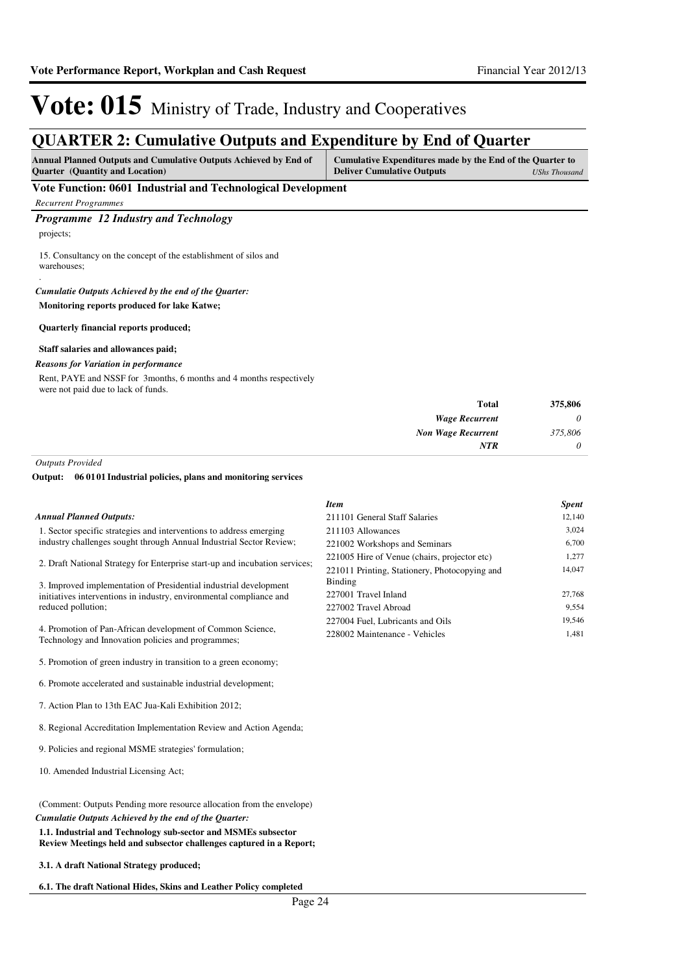### **QUARTER 2: Cumulative Outputs and Expenditure by End of Quarter**

| <b>Annual Planned Outputs and Cumulative Outputs Achieved by End of</b><br><b>Ouarter</b> (Quantity and Location)                                    | Cumulative Expenditures made by the End of the Quarter to<br><b>Deliver Cumulative Outputs</b> | UShs Thousand |
|------------------------------------------------------------------------------------------------------------------------------------------------------|------------------------------------------------------------------------------------------------|---------------|
| Vote Function: 0601 Industrial and Technological Development                                                                                         |                                                                                                |               |
| <b>Recurrent Programmes</b>                                                                                                                          |                                                                                                |               |
| <b>Programme</b> 12 Industry and Technology<br>projects;<br>15. Consultancy on the concept of the establishment of silos and<br>warehouses;          |                                                                                                |               |
| Cumulatie Outputs Achieved by the end of the Ouarter:<br>Monitoring reports produced for lake Katwe;<br><b>Quarterly financial reports produced;</b> |                                                                                                |               |

#### **Staff salaries and allowances paid;**

#### *Reasons for Variation in performance*

Rent, PAYE and NSSF for 3months, 6 months and 4 months respectively were not paid due to lack of funds.

| 375,806<br><b>Total</b> |                           |
|-------------------------|---------------------------|
| 0                       | <b>Wage Recurrent</b>     |
| 375,806                 | <b>Non Wage Recurrent</b> |
| <b>NTR</b><br>0         |                           |

*Outputs Provided*

#### **06 0101 Industrial policies, plans and monitoring services Output:**

|                                                                                                                  | <b>Item</b>                                   | <b>Spent</b> |
|------------------------------------------------------------------------------------------------------------------|-----------------------------------------------|--------------|
| <b>Annual Planned Outputs:</b>                                                                                   | 211101 General Staff Salaries                 | 12,140       |
| 1. Sector specific strategies and interventions to address emerging                                              | 211103 Allowances                             | 3,024        |
| industry challenges sought through Annual Industrial Sector Review;                                              | 221002 Workshops and Seminars                 | 6,700        |
| 2. Draft National Strategy for Enterprise start-up and incubation services;                                      | 221005 Hire of Venue (chairs, projector etc)  | 1,277        |
|                                                                                                                  | 221011 Printing, Stationery, Photocopying and | 14,047       |
| 3. Improved implementation of Presidential industrial development                                                | Binding                                       |              |
| initiatives interventions in industry, environmental compliance and                                              | 227001 Travel Inland                          | 27,768       |
| reduced pollution;                                                                                               | 227002 Travel Abroad                          | 9,554        |
|                                                                                                                  | 227004 Fuel, Lubricants and Oils              | 19,546       |
| 4. Promotion of Pan-African development of Common Science,<br>Technology and Innovation policies and programmes; | 228002 Maintenance - Vehicles                 | 1,481        |
| 5. Promotion of green industry in transition to a green economy;                                                 |                                               |              |
| 6. Promote accelerated and sustainable industrial development;                                                   |                                               |              |
| 7. Action Plan to 13th EAC Jua-Kali Exhibition 2012;                                                             |                                               |              |
| 8. Regional Accreditation Implementation Review and Action Agenda;                                               |                                               |              |
| 9. Policies and regional MSME strategies' formulation;                                                           |                                               |              |
|                                                                                                                  |                                               |              |

(Comment: Outputs Pending more resource allocation from the envelope) *Cumulatie Outputs Achieved by the end of the Quarter:*

**1.1. Industrial and Technology sub-sector and MSMEs subsector Review Meetings held and subsector challenges captured in a Report;**

**3.1. A draft National Strategy produced;**

10. Amended Industrial Licensing Act;

**6.1. The draft National Hides, Skins and Leather Policy completed**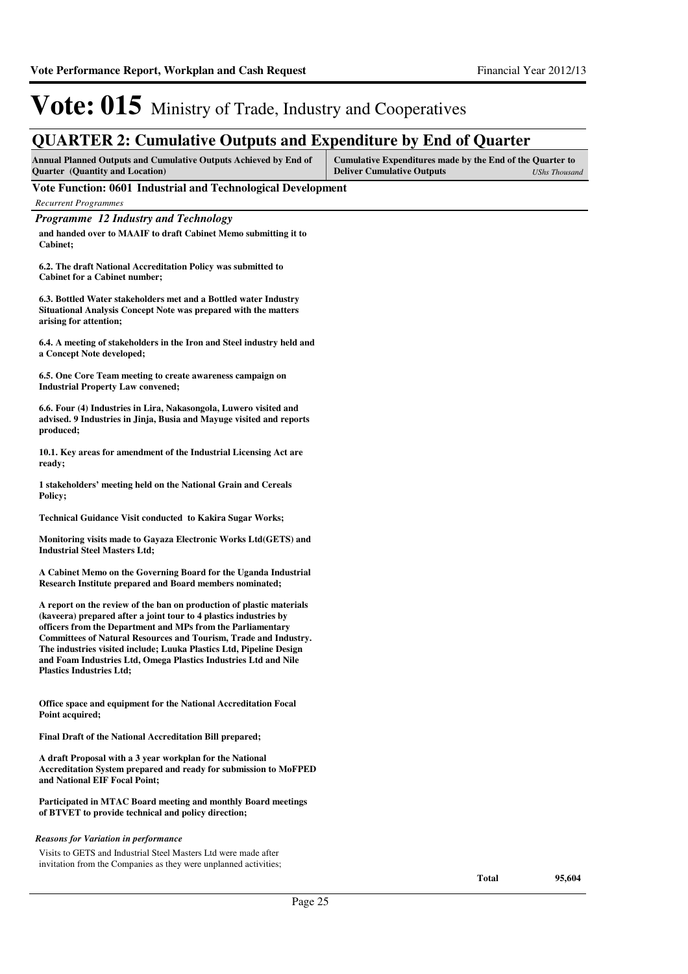| <b>QUARTER 2: Cumulative Outputs and Expenditure by End of Quarter</b>                                                                                                                                                                                                                                                                                                                                                                                           |                                                                                                                        |
|------------------------------------------------------------------------------------------------------------------------------------------------------------------------------------------------------------------------------------------------------------------------------------------------------------------------------------------------------------------------------------------------------------------------------------------------------------------|------------------------------------------------------------------------------------------------------------------------|
| <b>Annual Planned Outputs and Cumulative Outputs Achieved by End of</b><br><b>Quarter</b> (Quantity and Location)                                                                                                                                                                                                                                                                                                                                                | Cumulative Expenditures made by the End of the Quarter to<br><b>Deliver Cumulative Outputs</b><br><b>UShs Thousand</b> |
| Vote Function: 0601 Industrial and Technological Development                                                                                                                                                                                                                                                                                                                                                                                                     |                                                                                                                        |
| <b>Recurrent Programmes</b>                                                                                                                                                                                                                                                                                                                                                                                                                                      |                                                                                                                        |
| <b>Programme 12 Industry and Technology</b>                                                                                                                                                                                                                                                                                                                                                                                                                      |                                                                                                                        |
| and handed over to MAAIF to draft Cabinet Memo submitting it to<br>Cabinet;                                                                                                                                                                                                                                                                                                                                                                                      |                                                                                                                        |
| 6.2. The draft National Accreditation Policy was submitted to<br><b>Cabinet for a Cabinet number;</b>                                                                                                                                                                                                                                                                                                                                                            |                                                                                                                        |
| 6.3. Bottled Water stakeholders met and a Bottled water Industry<br>Situational Analysis Concept Note was prepared with the matters<br>arising for attention;                                                                                                                                                                                                                                                                                                    |                                                                                                                        |
| 6.4. A meeting of stakeholders in the Iron and Steel industry held and<br>a Concept Note developed;                                                                                                                                                                                                                                                                                                                                                              |                                                                                                                        |
| 6.5. One Core Team meeting to create awareness campaign on<br><b>Industrial Property Law convened;</b>                                                                                                                                                                                                                                                                                                                                                           |                                                                                                                        |
| 6.6. Four (4) Industries in Lira, Nakasongola, Luwero visited and<br>advised. 9 Industries in Jinja, Busia and Mayuge visited and reports<br>produced;                                                                                                                                                                                                                                                                                                           |                                                                                                                        |
| 10.1. Key areas for amendment of the Industrial Licensing Act are<br>ready;                                                                                                                                                                                                                                                                                                                                                                                      |                                                                                                                        |
| 1 stakeholders' meeting held on the National Grain and Cereals<br>Policy;                                                                                                                                                                                                                                                                                                                                                                                        |                                                                                                                        |
| Technical Guidance Visit conducted to Kakira Sugar Works;                                                                                                                                                                                                                                                                                                                                                                                                        |                                                                                                                        |
| Monitoring visits made to Gayaza Electronic Works Ltd(GETS) and<br><b>Industrial Steel Masters Ltd;</b>                                                                                                                                                                                                                                                                                                                                                          |                                                                                                                        |
| A Cabinet Memo on the Governing Board for the Uganda Industrial<br>Research Institute prepared and Board members nominated;                                                                                                                                                                                                                                                                                                                                      |                                                                                                                        |
| A report on the review of the ban on production of plastic materials<br>(kaveera) prepared after a joint tour to 4 plastics industries by<br>officers from the Department and MPs from the Parliamentary<br><b>Committees of Natural Resources and Tourism, Trade and Industry.</b><br>The industries visited include; Luuka Plastics Ltd, Pipeline Design<br>and Foam Industries Ltd, Omega Plastics Industries Ltd and Nile<br><b>Plastics Industries Ltd;</b> |                                                                                                                        |
| Office space and equipment for the National Accreditation Focal<br>Point acquired;                                                                                                                                                                                                                                                                                                                                                                               |                                                                                                                        |
| Final Draft of the National Accreditation Bill prepared;                                                                                                                                                                                                                                                                                                                                                                                                         |                                                                                                                        |
| A draft Proposal with a 3 year workplan for the National<br>Accreditation System prepared and ready for submission to MoFPED<br>and National EIF Focal Point;                                                                                                                                                                                                                                                                                                    |                                                                                                                        |
| Participated in MTAC Board meeting and monthly Board meetings<br>of BTVET to provide technical and policy direction;                                                                                                                                                                                                                                                                                                                                             |                                                                                                                        |
| <b>Reasons for Variation in performance</b>                                                                                                                                                                                                                                                                                                                                                                                                                      |                                                                                                                        |
| Visits to GETS and Industrial Steel Masters Ltd were made after                                                                                                                                                                                                                                                                                                                                                                                                  |                                                                                                                        |
| invitation from the Companies as they were unplanned activities;                                                                                                                                                                                                                                                                                                                                                                                                 | <b>Total</b><br>95,604                                                                                                 |
| Page 25                                                                                                                                                                                                                                                                                                                                                                                                                                                          |                                                                                                                        |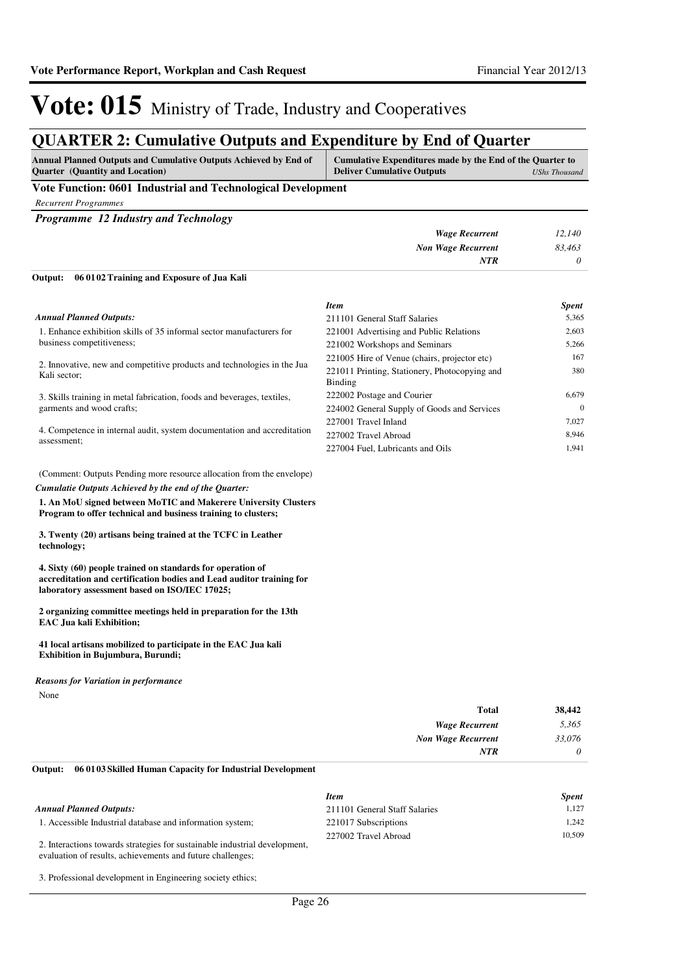380

*Item Spent* 211101 General Staff Salaries 5,365 221001 Advertising and Public Relations 2,603 221002 Workshops and Seminars 5,266 221005 Hire of Venue (chairs, projector etc) 167

222002 Postage and Courier 6,679 224002 General Supply of Goods and Services 0 227001 Travel Inland 7,027 227002 Travel Abroad 8,946 227004 Fuel, Lubricants and Oils 1,941

221011 Printing, Stationery, Photocopying and

# Vote: 015 Ministry of Trade, Industry and Cooperatives

### **QUARTER 2: Cumulative Outputs and Expenditure by End of Quarter**

| <b>Annual Planned Outputs and Cumulative Outputs Achieved by End of</b> | Cumulative Expenditures made by the End of the Quarter to |               |
|-------------------------------------------------------------------------|-----------------------------------------------------------|---------------|
| <b>Ouarter</b> (Quantity and Location)                                  | <b>Deliver Cumulative Outputs</b>                         | UShs Thousand |
|                                                                         |                                                           |               |

#### **Vote Function: 0601 Industrial and Technological Development**

*Recurrent Programmes*

*Programme 12 Industry and Technology*

| Output: | 06 01 02 Training and Exposure of Jua Kali |                           |        |
|---------|--------------------------------------------|---------------------------|--------|
|         |                                            | NTR                       | 0      |
|         |                                            | <b>Non Wage Recurrent</b> | 83,463 |
|         |                                            | Wage Recurrent            | 12.140 |

Binding

| <b>Annual Planned Outputs:</b> |  |
|--------------------------------|--|
|--------------------------------|--|

1. Enhance exhibition skills of 35 informal sector manufacturers for business competitiveness;

2. Innovative, new and competitive products and technologies in the Jua Kali sector;

3. Skills training in metal fabrication, foods and beverages, textiles, garments and wood crafts;

4. Competence in internal audit, system documentation and accreditation assessment;

(Comment: Outputs Pending more resource allocation from the envelope) *Cumulatie Outputs Achieved by the end of the Quarter:*

**1. An MoU signed between MoTIC and Makerere University Clusters Program to offer technical and business training to clusters;**

**3. Twenty (20) artisans being trained at the TCFC in Leather technology;**

**4. Sixty (60) people trained on standards for operation of accreditation and certification bodies and Lead auditor training for laboratory assessment based on ISO/IEC 17025;**

**2 organizing committee meetings held in preparation for the 13th EAC Jua kali Exhibition;** 

**41 local artisans mobilized to participate in the EAC Jua kali Exhibition in Bujumbura, Burundi;**

None *Reasons for Variation in performance*

| 38,442   | Total                     |
|----------|---------------------------|
| 5,365    | <b>Wage Recurrent</b>     |
| 33,076   | <b>Non Wage Recurrent</b> |
| $\theta$ | <b>NTR</b>                |
|          |                           |

#### **06 0103 Skilled Human Capacity for Industrial Development Output:**

|                                                                            | <b>Item</b>                   | <b>Spent</b> |
|----------------------------------------------------------------------------|-------------------------------|--------------|
| Annual Planned Outputs:                                                    | 211101 General Staff Salaries | 1.127        |
| 1. Accessible Industrial database and information system;                  | 221017 Subscriptions          | 1.242        |
| 2. Interactions towards strategies for sustainable industrial development, | 227002 Travel Abroad          | 10.509       |

evaluation of results, achievements and future challenges;

3. Professional development in Engineering society ethics;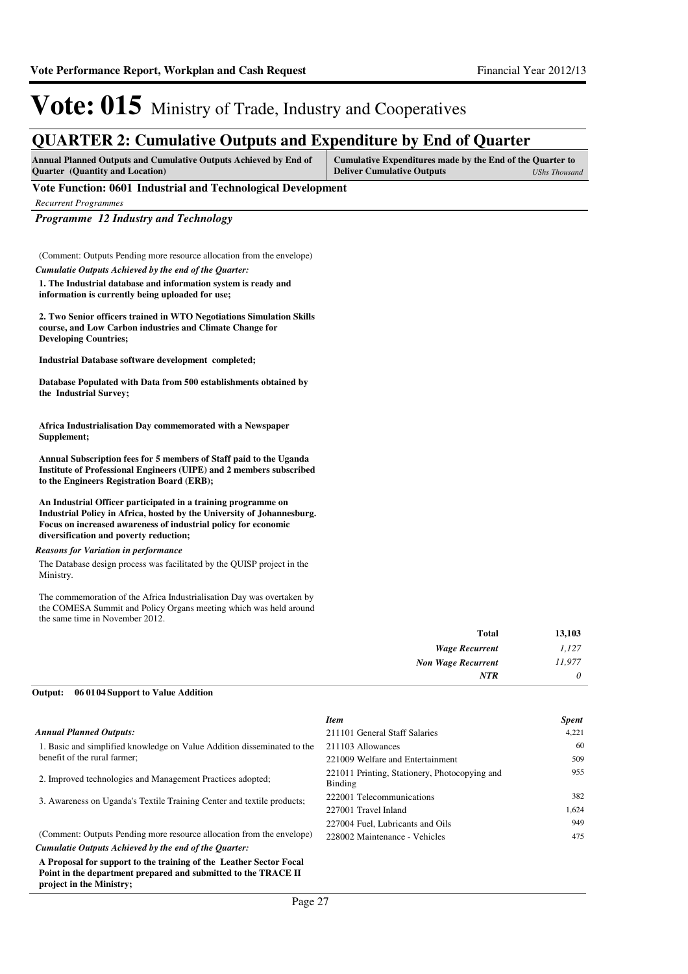### **QUARTER 2: Cumulative Outputs and Expenditure by End of Quarter**

| <b>Annual Planned Outputs and Cumulative Outputs Achieved by End of</b> | Cumulative Expenditures made by the End of the Quarter to |               |
|-------------------------------------------------------------------------|-----------------------------------------------------------|---------------|
| <b>Ouarter</b> (Quantity and Location)                                  | <b>Deliver Cumulative Outputs</b>                         | UShs Thousand |

#### **Vote Function: 0601 Industrial and Technological Development**

*Recurrent Programmes*

*Programme 12 Industry and Technology*

(Comment: Outputs Pending more resource allocation from the envelope) *Cumulatie Outputs Achieved by the end of the Quarter:*

**1. The Industrial database and information system is ready and information is currently being uploaded for use;**

**2. Two Senior officers trained in WTO Negotiations Simulation Skills course, and Low Carbon industries and Climate Change for Developing Countries;**

**Industrial Database software development completed;** 

**Database Populated with Data from 500 establishments obtained by the Industrial Survey;**

**Africa Industrialisation Day commemorated with a Newspaper Supplement;**

**Annual Subscription fees for 5 members of Staff paid to the Uganda Institute of Professional Engineers (UIPE) and 2 members subscribed to the Engineers Registration Board (ERB);**

**An Industrial Officer participated in a training programme on Industrial Policy in Africa, hosted by the University of Johannesburg. Focus on increased awareness of industrial policy for economic diversification and poverty reduction;**

#### *Reasons for Variation in performance*

The Database design process was facilitated by the QUISP project in the Ministry.

The commemoration of the Africa Industrialisation Day was overtaken by the COMESA Summit and Policy Organs meeting which was held around the same time in November 2012.

| 13,103                                |
|---------------------------------------|
| 1,127                                 |
| 11,977<br><b>Non Wage Recurrent</b>   |
| $\theta$                              |
| <b>Total</b><br><b>Wage Recurrent</b> |

#### **06 0104 Support to Value Addition Output:**

|                                                                                                                                                                  | <b>Item</b>                                              | <b>Spent</b> |
|------------------------------------------------------------------------------------------------------------------------------------------------------------------|----------------------------------------------------------|--------------|
| <b>Annual Planned Outputs:</b>                                                                                                                                   | 211101 General Staff Salaries                            | 4,221        |
| 1. Basic and simplified knowledge on Value Addition disseminated to the                                                                                          | 211103 Allowances                                        | 60           |
| benefit of the rural farmer;                                                                                                                                     | 221009 Welfare and Entertainment                         | 509          |
| 2. Improved technologies and Management Practices adopted;                                                                                                       | 221011 Printing, Stationery, Photocopying and<br>Binding | 955          |
| 3. Awareness on Uganda's Textile Training Center and textile products;                                                                                           | 222001 Telecommunications                                | 382          |
|                                                                                                                                                                  | 227001 Travel Inland                                     | 1,624        |
|                                                                                                                                                                  | 227004 Fuel, Lubricants and Oils                         | 949          |
| (Comment: Outputs Pending more resource allocation from the envelope)                                                                                            | 228002 Maintenance - Vehicles                            | 475          |
| Cumulatie Outputs Achieved by the end of the Ouarter:                                                                                                            |                                                          |              |
| A Proposal for support to the training of the Leather Sector Focal<br>Point in the department prepared and submitted to the TRACE II<br>project in the Ministry; |                                                          |              |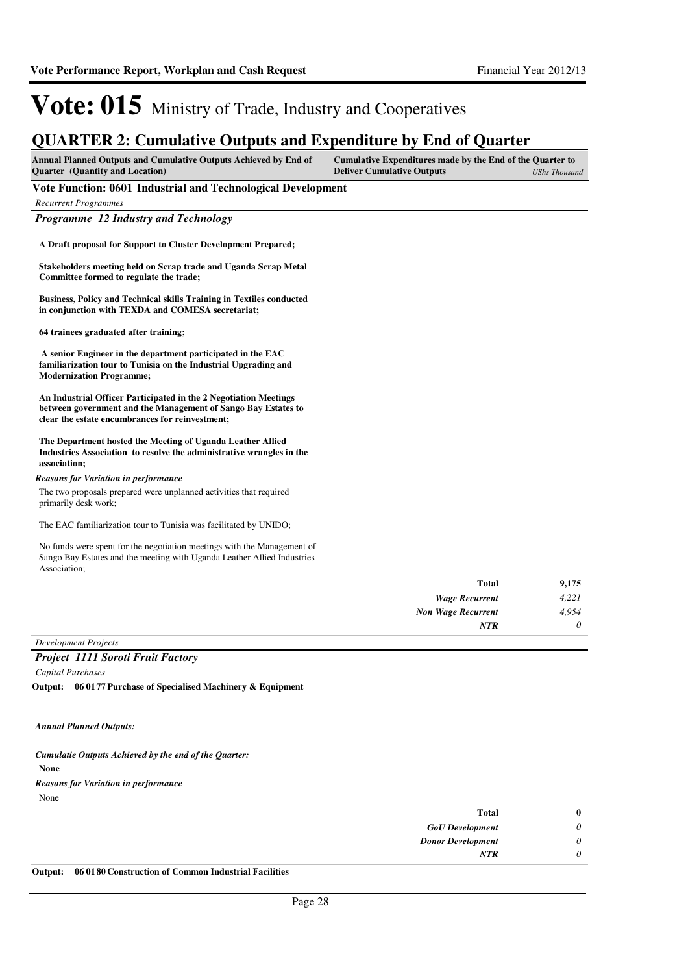| Annual Planned Outputs and Cumulative Outputs Achieved by End of<br>Quarter (Quantity and Location)                                                                                  | Cumulative Expenditures made by the End of the Quarter to<br><b>Deliver Cumulative Outputs</b> | <b>UShs Thousand</b> |
|--------------------------------------------------------------------------------------------------------------------------------------------------------------------------------------|------------------------------------------------------------------------------------------------|----------------------|
| Vote Function: 0601 Industrial and Technological Development                                                                                                                         |                                                                                                |                      |
| <b>Recurrent Programmes</b>                                                                                                                                                          |                                                                                                |                      |
| Programme 12 Industry and Technology                                                                                                                                                 |                                                                                                |                      |
| A Draft proposal for Support to Cluster Development Prepared;                                                                                                                        |                                                                                                |                      |
| Stakeholders meeting held on Scrap trade and Uganda Scrap Metal<br>Committee formed to regulate the trade;                                                                           |                                                                                                |                      |
| Business, Policy and Technical skills Training in Textiles conducted<br>in conjunction with TEXDA and COMESA secretariat;                                                            |                                                                                                |                      |
| 64 trainees graduated after training;                                                                                                                                                |                                                                                                |                      |
| A senior Engineer in the department participated in the EAC<br>familiarization tour to Tunisia on the Industrial Upgrading and<br><b>Modernization Programme;</b>                    |                                                                                                |                      |
| An Industrial Officer Participated in the 2 Negotiation Meetings<br>between government and the Management of Sango Bay Estates to<br>clear the estate encumbrances for reinvestment; |                                                                                                |                      |
| The Department hosted the Meeting of Uganda Leather Allied<br>Industries Association to resolve the administrative wrangles in the<br>association;                                   |                                                                                                |                      |
| <b>Reasons for Variation in performance</b>                                                                                                                                          |                                                                                                |                      |
| The two proposals prepared were unplanned activities that required<br>primarily desk work;                                                                                           |                                                                                                |                      |
| The EAC familiarization tour to Tunisia was facilitated by UNIDO;                                                                                                                    |                                                                                                |                      |
| No funds were spent for the negotiation meetings with the Management of<br>Sango Bay Estates and the meeting with Uganda Leather Allied Industries<br>Association;                   |                                                                                                |                      |
|                                                                                                                                                                                      | <b>Total</b>                                                                                   | 9,175                |
|                                                                                                                                                                                      | <b>Wage Recurrent</b>                                                                          | 4,221                |
|                                                                                                                                                                                      | <b>Non Wage Recurrent</b>                                                                      | 4,954                |
|                                                                                                                                                                                      | <b>NTR</b>                                                                                     | 0                    |

*Development Projects*

*Project 1111 Soroti Fruit Factory Capital Purchases*

**06 0177 Purchase of Specialised Machinery & Equipment Output:**

*Annual Planned Outputs:*

**None** *Cumulatie Outputs Achieved by the end of the Quarter:* None *Reasons for Variation in performance*

| 0 | <b>Total</b>                                                                                                                                                   |
|---|----------------------------------------------------------------------------------------------------------------------------------------------------------------|
|   | <b>GoU</b> Development                                                                                                                                         |
|   | <b>Donor Development</b>                                                                                                                                       |
|   | NTR                                                                                                                                                            |
|   | $\alpha$ , $\alpha$ , $\alpha$ , $\alpha$ , $\alpha$<br>$\mathbf{v}$ , $\mathbf{v}$ , $\mathbf{v}$ , $\mathbf{v}$ , $\mathbf{v}$ , $\mathbf{v}$ , $\mathbf{v}$ |

**Output: 06 0180 Construction of Common Industrial Facilities**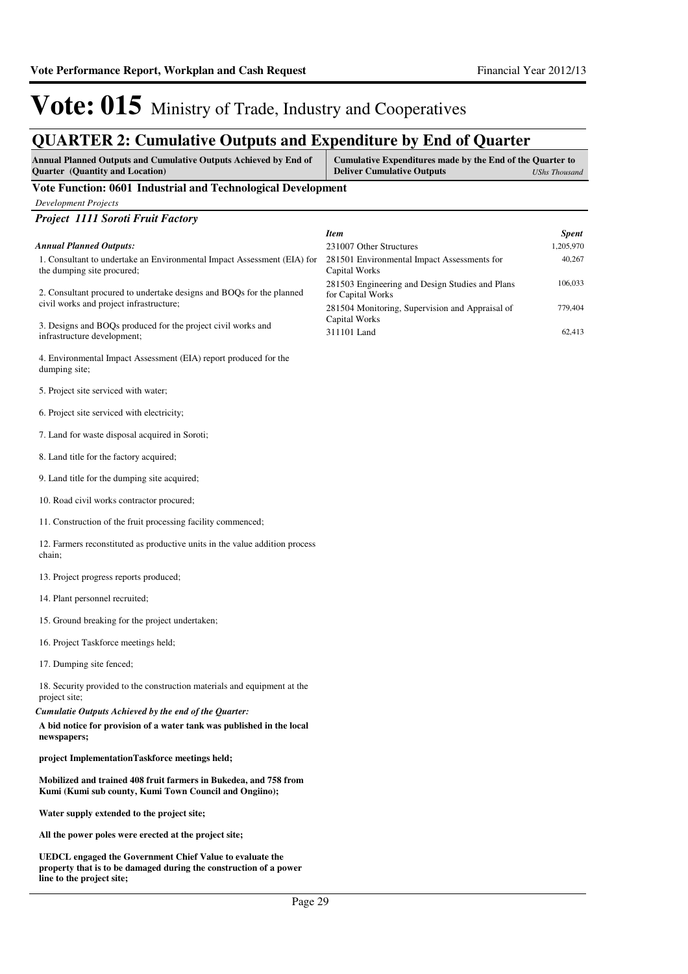### **QUARTER 2: Cumulative Outputs and Expenditure by End of Quarter**

| отичных по санташите одераля ана наренации о му ниа от стан ест<br><b>Annual Planned Outputs and Cumulative Outputs Achieved by End of</b>                        | <b>Cumulative Expenditures made by the End of the Quarter to</b>                                                        |                      |
|-------------------------------------------------------------------------------------------------------------------------------------------------------------------|-------------------------------------------------------------------------------------------------------------------------|----------------------|
| <b>Quarter</b> (Quantity and Location)                                                                                                                            | <b>Deliver Cumulative Outputs</b>                                                                                       | <b>UShs Thousand</b> |
| Vote Function: 0601 Industrial and Technological Development                                                                                                      |                                                                                                                         |                      |
| <b>Development Projects</b><br>Project 1111 Soroti Fruit Factory                                                                                                  |                                                                                                                         |                      |
|                                                                                                                                                                   | <b>Item</b>                                                                                                             | <b>Spent</b>         |
| <b>Annual Planned Outputs:</b>                                                                                                                                    | 231007 Other Structures                                                                                                 | 1,205,970            |
| 1. Consultant to undertake an Environmental Impact Assessment (EIA) for<br>the dumping site procured;                                                             | 281501 Environmental Impact Assessments for<br>Capital Works                                                            | 40,267               |
| 2. Consultant procured to undertake designs and BOQs for the planned<br>civil works and project infrastructure;                                                   | 281503 Engineering and Design Studies and Plans<br>for Capital Works<br>281504 Monitoring, Supervision and Appraisal of | 106,033<br>779,404   |
| 3. Designs and BOQs produced for the project civil works and<br>infrastructure development;                                                                       | Capital Works<br>311101 Land                                                                                            | 62,413               |
| 4. Environmental Impact Assessment (EIA) report produced for the<br>dumping site;                                                                                 |                                                                                                                         |                      |
| 5. Project site serviced with water;                                                                                                                              |                                                                                                                         |                      |
| 6. Project site serviced with electricity;                                                                                                                        |                                                                                                                         |                      |
| 7. Land for waste disposal acquired in Soroti;                                                                                                                    |                                                                                                                         |                      |
| 8. Land title for the factory acquired;                                                                                                                           |                                                                                                                         |                      |
| 9. Land title for the dumping site acquired;                                                                                                                      |                                                                                                                         |                      |
| 10. Road civil works contractor procured;                                                                                                                         |                                                                                                                         |                      |
| 11. Construction of the fruit processing facility commenced;                                                                                                      |                                                                                                                         |                      |
| 12. Farmers reconstituted as productive units in the value addition process<br>chain;                                                                             |                                                                                                                         |                      |
| 13. Project progress reports produced;                                                                                                                            |                                                                                                                         |                      |
| 14. Plant personnel recruited;                                                                                                                                    |                                                                                                                         |                      |
| 15. Ground breaking for the project undertaken;                                                                                                                   |                                                                                                                         |                      |
| 16. Project Taskforce meetings held;                                                                                                                              |                                                                                                                         |                      |
| 17. Dumping site fenced;                                                                                                                                          |                                                                                                                         |                      |
| 18. Security provided to the construction materials and equipment at the<br>project site;                                                                         |                                                                                                                         |                      |
| Cumulatie Outputs Achieved by the end of the Quarter:<br>A bid notice for provision of a water tank was published in the local<br>newspapers;                     |                                                                                                                         |                      |
| project ImplementationTaskforce meetings held;                                                                                                                    |                                                                                                                         |                      |
| Mobilized and trained 408 fruit farmers in Bukedea, and 758 from<br>Kumi (Kumi sub county, Kumi Town Council and Ongiino);                                        |                                                                                                                         |                      |
| Water supply extended to the project site;                                                                                                                        |                                                                                                                         |                      |
| All the power poles were erected at the project site;                                                                                                             |                                                                                                                         |                      |
| <b>UEDCL</b> engaged the Government Chief Value to evaluate the<br>property that is to be damaged during the construction of a power<br>line to the project site; |                                                                                                                         |                      |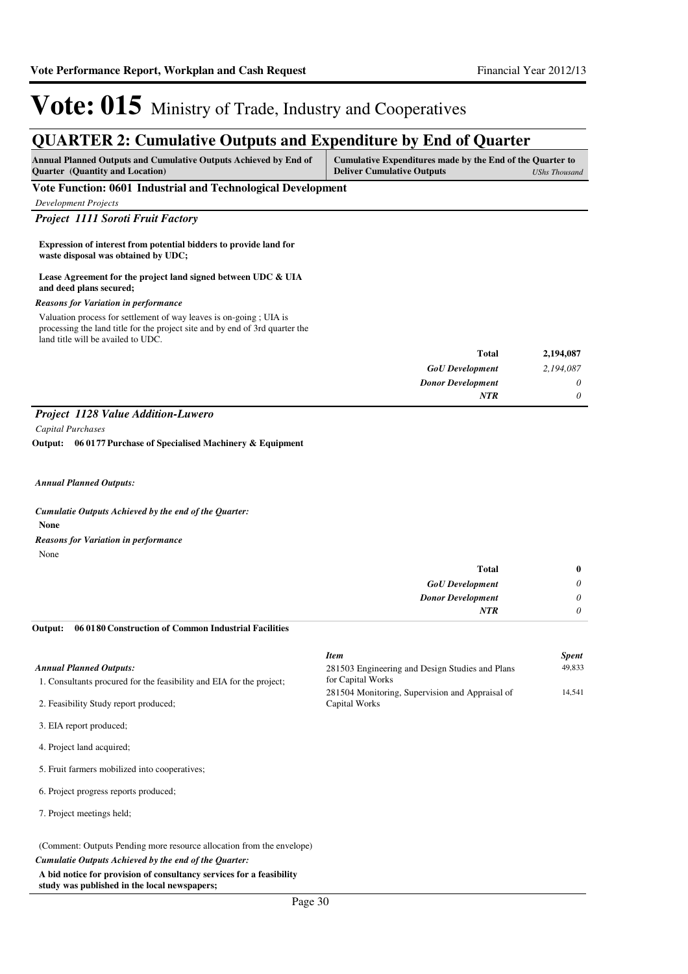### **QUARTER 2: Cumulative Outputs and Expenditure by End of Quarter**

| Annual Planned Outputs and Cumulative Outputs Achieved by End of<br><b>Quarter</b> (Quantity and Location)                                                                               | Cumulative Expenditures made by the End of the Quarter to<br><b>Deliver Cumulative Outputs</b> | <b>UShs Thousand</b> |
|------------------------------------------------------------------------------------------------------------------------------------------------------------------------------------------|------------------------------------------------------------------------------------------------|----------------------|
| Vote Function: 0601 Industrial and Technological Development                                                                                                                             |                                                                                                |                      |
| <b>Development Projects</b>                                                                                                                                                              |                                                                                                |                      |
| <b>Project 1111 Soroti Fruit Factory</b>                                                                                                                                                 |                                                                                                |                      |
| Expression of interest from potential bidders to provide land for<br>waste disposal was obtained by UDC;                                                                                 |                                                                                                |                      |
| Lease Agreement for the project land signed between UDC & UIA<br>and deed plans secured;                                                                                                 |                                                                                                |                      |
| <b>Reasons for Variation in performance</b>                                                                                                                                              |                                                                                                |                      |
| Valuation process for settlement of way leaves is on-going; UIA is<br>processing the land title for the project site and by end of 3rd quarter the<br>land title will be availed to UDC. |                                                                                                |                      |
|                                                                                                                                                                                          | <b>Total</b>                                                                                   | 2,194,087            |
|                                                                                                                                                                                          | <b>GoU</b> Development                                                                         | 2,194,087            |
|                                                                                                                                                                                          | <b>Donor Development</b><br><b>NTR</b>                                                         | 0<br>0               |
| Project 1128 Value Addition-Luwero                                                                                                                                                       |                                                                                                |                      |
| Capital Purchases                                                                                                                                                                        |                                                                                                |                      |
| Output: 06 0177 Purchase of Specialised Machinery & Equipment                                                                                                                            |                                                                                                |                      |
|                                                                                                                                                                                          |                                                                                                |                      |
| <b>Annual Planned Outputs:</b>                                                                                                                                                           |                                                                                                |                      |
| Cumulatie Outputs Achieved by the end of the Quarter:<br><b>None</b>                                                                                                                     |                                                                                                |                      |
| <b>Reasons for Variation in performance</b><br>None                                                                                                                                      |                                                                                                |                      |
|                                                                                                                                                                                          | <b>Total</b>                                                                                   | $\bf{0}$             |
|                                                                                                                                                                                          | <b>GoU</b> Development                                                                         | 0                    |
|                                                                                                                                                                                          | <b>Donor Development</b>                                                                       | 0                    |
|                                                                                                                                                                                          | <b>NTR</b>                                                                                     | $\theta$             |
| 06 01 80 Construction of Common Industrial Facilities<br>Output:                                                                                                                         |                                                                                                |                      |
|                                                                                                                                                                                          | <b>Item</b>                                                                                    | <b>Spent</b>         |
| <b>Annual Planned Outputs:</b><br>1. Consultants procured for the feasibility and EIA for the project;                                                                                   | 281503 Engineering and Design Studies and Plans<br>for Capital Works                           | 49,833               |
| 2. Feasibility Study report produced;                                                                                                                                                    | 281504 Monitoring, Supervision and Appraisal of<br>Capital Works                               | 14,541               |
| 3. EIA report produced;                                                                                                                                                                  |                                                                                                |                      |
| 4. Project land acquired;                                                                                                                                                                |                                                                                                |                      |
| 5. Fruit farmers mobilized into cooperatives;                                                                                                                                            |                                                                                                |                      |
| 6. Project progress reports produced;                                                                                                                                                    |                                                                                                |                      |
| 7. Project meetings held;                                                                                                                                                                |                                                                                                |                      |

(Comment: Outputs Pending more resource allocation from the envelope)

*Cumulatie Outputs Achieved by the end of the Quarter:*

**A bid notice for provision of consultancy services for a feasibility study was published in the local newspapers;**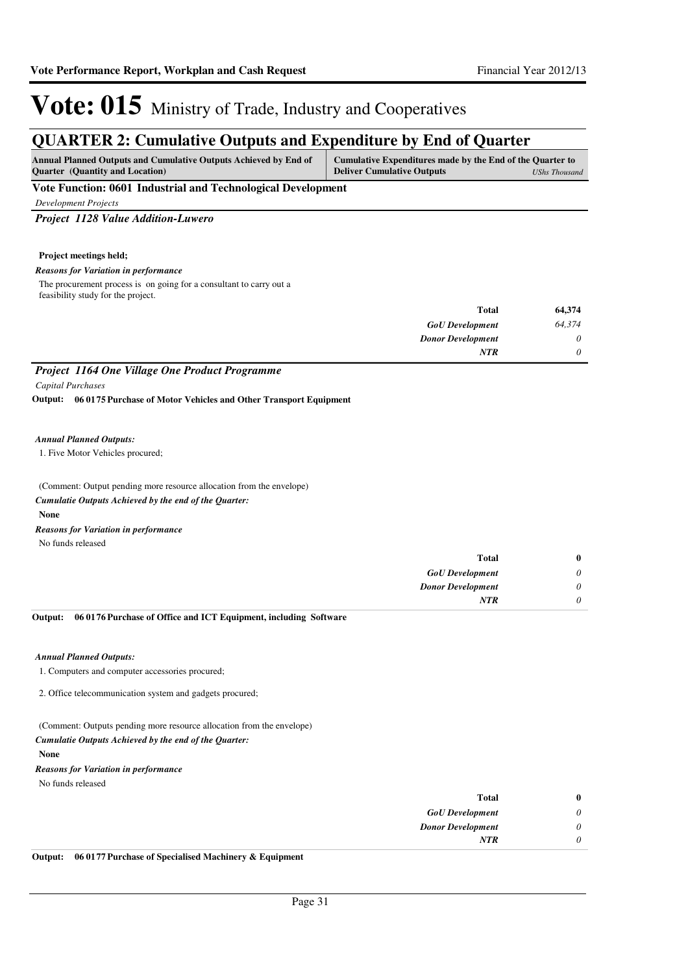### **QUARTER 2: Cumulative Outputs and Expenditure by End of Quarter**

| <b>Annual Planned Outputs and Cumulative Outputs Achieved by End of</b> | Cumulative Expenditures made by the End of the Quarter to |                      |
|-------------------------------------------------------------------------|-----------------------------------------------------------|----------------------|
| <b>Ouarter</b> (Quantity and Location)                                  | <b>Deliver Cumulative Outputs</b>                         | <b>UShs Thousand</b> |
|                                                                         |                                                           |                      |

#### **Vote Function: 0601 Industrial and Technological Development**

*Development Projects*

#### *Project 1128 Value Addition-Luwero*

#### **Project meetings held;**

#### *Reasons for Variation in performance*

The procurement process is on going for a consultant to carry out a feasibility study for the project.

| 64,374   | Total                    |
|----------|--------------------------|
| 64,374   | <b>GoU</b> Development   |
| 0        | <b>Donor Development</b> |
| $\theta$ | <b>NTR</b>               |
|          |                          |

### *Project 1164 One Village One Product Programme*

*Capital Purchases*

**06 0175 Purchase of Motor Vehicles and Other Transport Equipment Output:**

#### *Annual Planned Outputs:*

1. Five Motor Vehicles procured;

(Comment: Output pending more resource allocation from the envelope) **None** *Cumulatie Outputs Achieved by the end of the Quarter:* No funds released *Reasons for Variation in performance*

| $\bf{0}$ | Total                    |
|----------|--------------------------|
| 0        | <b>GoU</b> Development   |
|          | <b>Donor Development</b> |
|          | <b>NTR</b>               |
|          |                          |

#### **06 0176 Purchase of Office and ICT Equipment, including Software Output:**

#### *Annual Planned Outputs:*

1. Computers and computer accessories procured;

2. Office telecommunication system and gadgets procured;

(Comment: Outputs pending more resource allocation from the envelope)

#### *Cumulatie Outputs Achieved by the end of the Quarter:*

**None**

No funds released *Reasons for Variation in performance*

| $\bf{0}$ | Total                    |
|----------|--------------------------|
| $\theta$ | <b>GoU</b> Development   |
| 0        | <b>Donor Development</b> |
| 0        | <b>NTR</b>               |
|          |                          |

**Output: 06 0177 Purchase of Specialised Machinery & Equipment**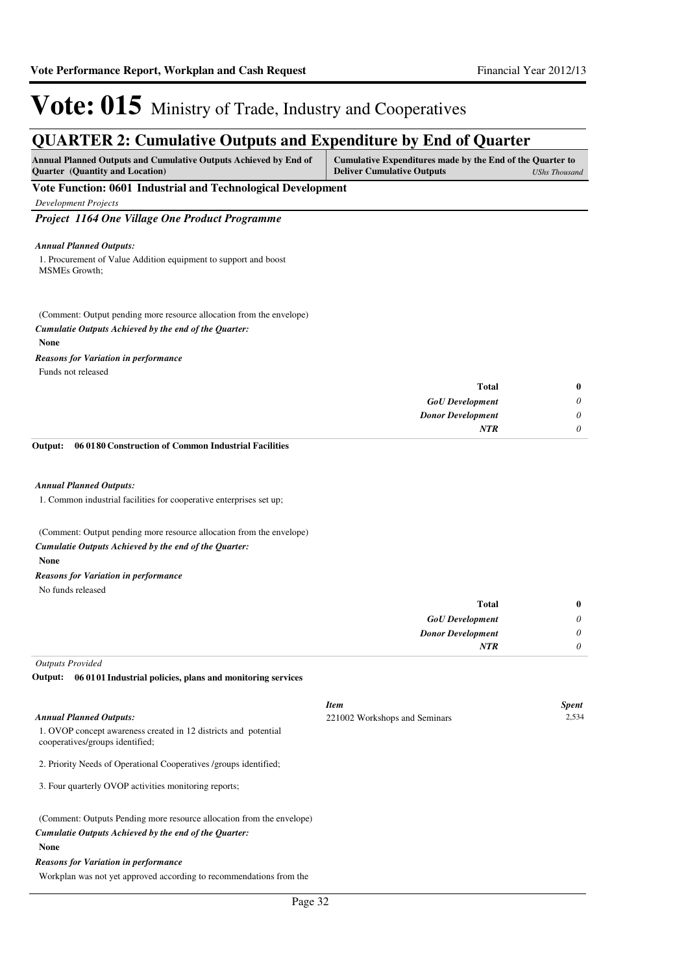### **QUARTER 2: Cumulative Outputs and Expenditure by End of Quarter**

| <b>Annual Planned Outputs and Cumulative Outputs Achieved by End of</b> | Cumulative Expenditures made by the End of the Quarter to |               |
|-------------------------------------------------------------------------|-----------------------------------------------------------|---------------|
| <b>Ouarter</b> (Quantity and Location)                                  | <b>Deliver Cumulative Outputs</b>                         | UShs Thousand |
| Vote Function: 0601 Industrial and Technological Development            |                                                           |               |

*Development Projects*

#### *Project 1164 One Village One Product Programme*

#### *Annual Planned Outputs:*

1. Procurement of Value Addition equipment to support and boost MSMEs Growth;

(Comment: Output pending more resource allocation from the envelope)

#### *Cumulatie Outputs Achieved by the end of the Quarter:*

#### **None**

*Reasons for Variation in performance*

Funds not released

| $\bf{0}$ | Total                    |
|----------|--------------------------|
| $\theta$ | <b>GoU</b> Development   |
| $\theta$ | <b>Donor Development</b> |
| 0        | <b>NTR</b>               |
|          |                          |

**06 0180 Construction of Common Industrial Facilities Output:**

#### *Annual Planned Outputs:*

1. Common industrial facilities for cooperative enterprises set up;

(Comment: Output pending more resource allocation from the envelope)

#### *Cumulatie Outputs Achieved by the end of the Quarter:*

**None**

#### *Reasons for Variation in performance*

No funds released

| $\bf{0}$ | <b>Total</b>             |
|----------|--------------------------|
| 0        | <b>GoU</b> Development   |
| 0        | <b>Donor Development</b> |
| 0        | <b>NTR</b>               |
|          |                          |

*Outputs Provided*

**06 0101 Industrial policies, plans and monitoring services Output:**

|                                                                                                                                | <b>Item</b>                   | <b>Spent</b> |
|--------------------------------------------------------------------------------------------------------------------------------|-------------------------------|--------------|
| <b>Annual Planned Outputs:</b>                                                                                                 | 221002 Workshops and Seminars | 2,534        |
| 1. OVOP concept awareness created in 12 districts and potential<br>cooperatives/groups identified;                             |                               |              |
| 2. Priority Needs of Operational Cooperatives /groups identified;                                                              |                               |              |
| 3. Four quarterly OVOP activities monitoring reports;                                                                          |                               |              |
| (Comment: Outputs Pending more resource allocation from the envelope)<br>Cumulatie Outputs Achieved by the end of the Ouarter: |                               |              |
|                                                                                                                                |                               |              |
| <b>None</b>                                                                                                                    |                               |              |

#### *Reasons for Variation in performance*

Workplan was not yet approved according to recommendations from the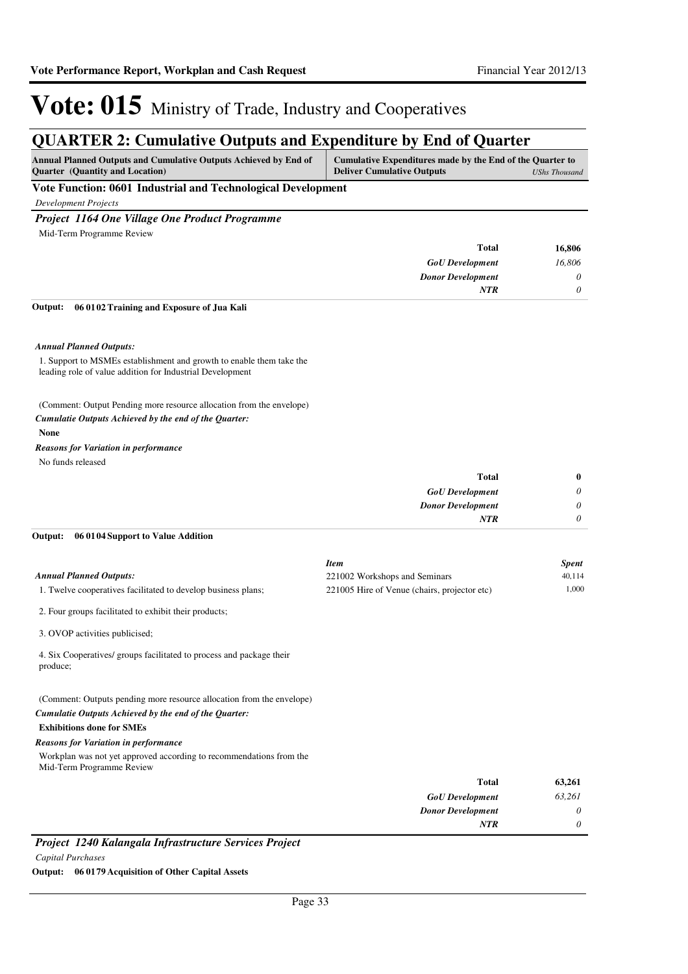### **QUARTER 2: Cumulative Outputs and Expenditure by End of Quarter**

| <b>Annual Planned Outputs and Cumulative Outputs Achieved by End of</b> | Cumulative Expenditures made by the End of the Quarter to |               |
|-------------------------------------------------------------------------|-----------------------------------------------------------|---------------|
| <b>Ouarter</b> (Quantity and Location)                                  | <b>Deliver Cumulative Outputs</b>                         | UShs Thousand |

**Vote Function: 0601 Industrial and Technological Development**

*Development Projects*

#### *Project 1164 One Village One Product Programme*

Mid-Term Programme Review

| <b>Total</b>             | 16,806   |
|--------------------------|----------|
| <b>GoU</b> Development   | 16,806   |
| <b>Donor Development</b> | $\theta$ |
| <b>NTR</b>               |          |

**06 0102 Training and Exposure of Jua Kali Output:**

#### *Annual Planned Outputs:*

1. Support to MSMEs establishment and growth to enable them take the leading role of value addition for Industrial Development

(Comment: Output Pending more resource allocation from the envelope)

#### *Cumulatie Outputs Achieved by the end of the Quarter:*

#### **None**

No funds released *Reasons for Variation in performance*

| $\bf{0}$ | <b>Total</b>             |
|----------|--------------------------|
| $\theta$ | <b>GoU</b> Development   |
| $\theta$ | <b>Donor Development</b> |
|          | NTR                      |
|          |                          |

#### **06 0104 Support to Value Addition Output:**

|                                                               | Item                                         | Spent  |
|---------------------------------------------------------------|----------------------------------------------|--------|
| <b>Annual Planned Outputs:</b>                                | 221002 Workshops and Seminars                | 40.114 |
| 1. Twelve cooperatives facilitated to develop business plans; | 221005 Hire of Venue (chairs, projector etc) | 000.   |

2. Four groups facilitated to exhibit their products;

3. OVOP activities publicised;

4. Six Cooperatives/ groups facilitated to process and package their produce;

(Comment: Outputs pending more resource allocation from the envelope) *Cumulatie Outputs Achieved by the end of the Quarter:*

#### **Exhibitions done for SMEs**

#### *Reasons for Variation in performance*

Workplan was not yet approved according to recommendations from the Mid-Term Programme Review

| 63,261   | <b>Total</b>             |
|----------|--------------------------|
| 63,261   | <b>GoU</b> Development   |
| $\theta$ | <b>Donor Development</b> |
| $\theta$ | <b>NTR</b>               |
|          |                          |

*Project 1240 Kalangala Infrastructure Services Project*

*Capital Purchases*

**Output: 06 0179 Acquisition of Other Capital Assets**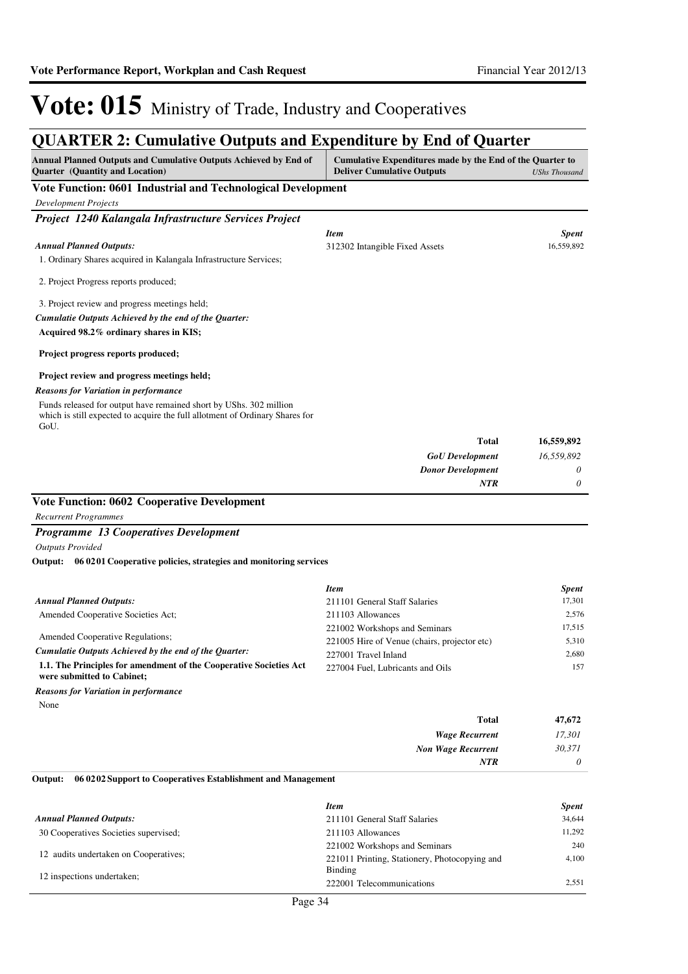**Annual Planned Outputs and Cumulative Outputs Achieved by End of** 

 $\overline{a}$ 

**Cumulative Expenditures made by the End of the Quarter to** 

# Vote: 015 Ministry of Trade, Industry and Cooperatives

### **QUARTER 2: Cumulative Outputs and Expenditure by End of Quarter**

| <b>Quarter</b> (Quantity and Location)                                                           | <b>Deliver Cumulative Outputs</b>                        | <b>UShs Thousand</b> |
|--------------------------------------------------------------------------------------------------|----------------------------------------------------------|----------------------|
| Vote Function: 0601 Industrial and Technological Development                                     |                                                          |                      |
| <b>Development Projects</b>                                                                      |                                                          |                      |
| Project 1240 Kalangala Infrastructure Services Project                                           |                                                          |                      |
|                                                                                                  | <b>Item</b>                                              | <b>Spent</b>         |
| <b>Annual Planned Outputs:</b>                                                                   | 312302 Intangible Fixed Assets                           | 16,559,892           |
| 1. Ordinary Shares acquired in Kalangala Infrastructure Services;                                |                                                          |                      |
| 2. Project Progress reports produced;                                                            |                                                          |                      |
| 3. Project review and progress meetings held;                                                    |                                                          |                      |
| Cumulatie Outputs Achieved by the end of the Quarter:                                            |                                                          |                      |
| Acquired 98.2% ordinary shares in KIS;                                                           |                                                          |                      |
| Project progress reports produced;                                                               |                                                          |                      |
|                                                                                                  |                                                          |                      |
| Project review and progress meetings held;<br><b>Reasons for Variation in performance</b>        |                                                          |                      |
| Funds released for output have remained short by UShs. 302 million                               |                                                          |                      |
| which is still expected to acquire the full allotment of Ordinary Shares for                     |                                                          |                      |
| GoU.                                                                                             | <b>Total</b>                                             | 16,559,892           |
|                                                                                                  | <b>GoU</b> Development                                   | 16,559,892           |
|                                                                                                  | <b>Donor Development</b>                                 | 0                    |
|                                                                                                  | <b>NTR</b>                                               | 0                    |
| <b>Vote Function: 0602 Cooperative Development</b>                                               |                                                          |                      |
| <b>Recurrent Programmes</b>                                                                      |                                                          |                      |
| <b>Programme 13 Cooperatives Development</b>                                                     |                                                          |                      |
| <b>Outputs Provided</b>                                                                          |                                                          |                      |
| Output:<br>06 02 01 Cooperative policies, strategies and monitoring services                     |                                                          |                      |
|                                                                                                  | <b>Item</b>                                              | <b>Spent</b>         |
| <b>Annual Planned Outputs:</b>                                                                   | 211101 General Staff Salaries                            | 17,301               |
| Amended Cooperative Societies Act;                                                               | 211103 Allowances                                        | 2,576                |
|                                                                                                  | 221002 Workshops and Seminars                            | 17,515               |
| Amended Cooperative Regulations;                                                                 | 221005 Hire of Venue (chairs, projector etc)             | 5,310                |
| Cumulatie Outputs Achieved by the end of the Quarter:                                            | 227001 Travel Inland                                     | 2,680                |
| 1.1. The Principles for amendment of the Cooperative Societies Act<br>were submitted to Cabinet; | 227004 Fuel, Lubricants and Oils                         | 157                  |
| <b>Reasons for Variation in performance</b>                                                      |                                                          |                      |
| None                                                                                             |                                                          |                      |
|                                                                                                  | <b>Total</b>                                             | 47,672               |
|                                                                                                  | <b>Wage Recurrent</b>                                    | 17,301               |
|                                                                                                  | <b>Non Wage Recurrent</b>                                | 30,371               |
|                                                                                                  | <b>NTR</b>                                               | 0                    |
| Output:<br>06 02 02 Support to Cooperatives Establishment and Management                         |                                                          |                      |
|                                                                                                  | <b>Item</b>                                              | <b>Spent</b>         |
| <b>Annual Planned Outputs:</b>                                                                   | 211101 General Staff Salaries                            | 34,644               |
| 30 Cooperatives Societies supervised;                                                            | 211103 Allowances                                        | 11,292               |
| 12 audits undertaken on Cooperatives;                                                            | 221002 Workshops and Seminars                            | 240                  |
|                                                                                                  | 221011 Printing, Stationery, Photocopying and<br>Binding | 4,100                |
| 12 inspections undertaken;                                                                       | 222001 Telecommunications                                | 2,551                |
|                                                                                                  |                                                          |                      |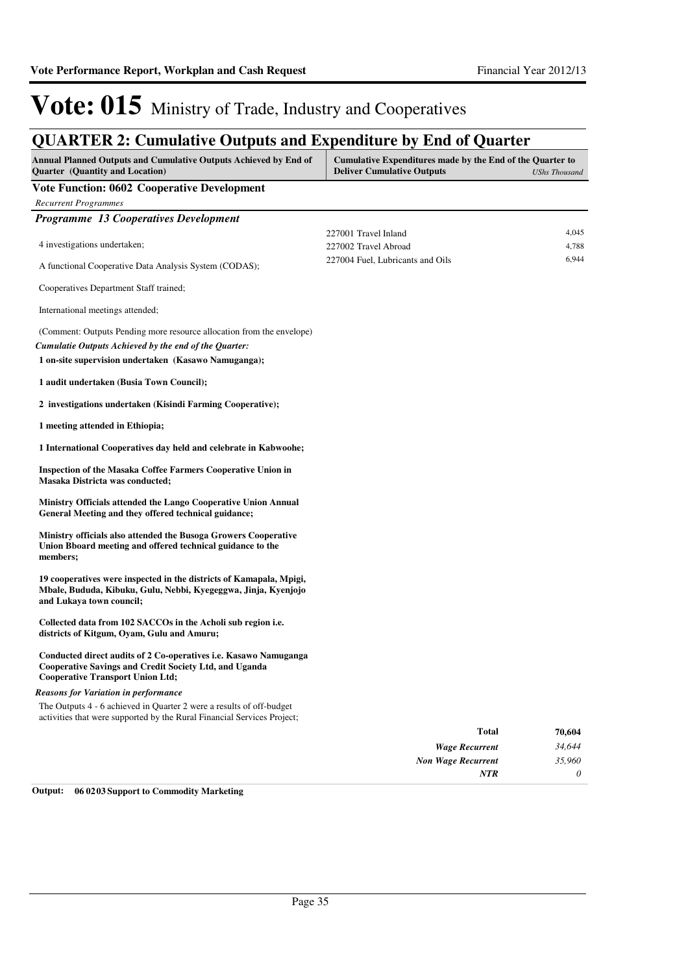### **QUARTER 2: Cumulative Outputs and Expenditure by End of Quarter**

| <b>Annual Planned Outputs and Cumulative Outputs Achieved by End of</b><br>Quarter (Quantity and Location)                                                                             | Cumulative Expenditures made by the End of the Quarter to<br><b>Deliver Cumulative Outputs</b> | <b>UShs Thousand</b> |
|----------------------------------------------------------------------------------------------------------------------------------------------------------------------------------------|------------------------------------------------------------------------------------------------|----------------------|
| <b>Vote Function: 0602 Cooperative Development</b>                                                                                                                                     |                                                                                                |                      |
| <b>Recurrent Programmes</b>                                                                                                                                                            |                                                                                                |                      |
| Programme 13 Cooperatives Development                                                                                                                                                  |                                                                                                |                      |
| 4 investigations undertaken;                                                                                                                                                           | 227001 Travel Inland<br>227002 Travel Abroad                                                   | 4,045<br>4,788       |
| A functional Cooperative Data Analysis System (CODAS);                                                                                                                                 | 227004 Fuel, Lubricants and Oils                                                               | 6,944                |
| Cooperatives Department Staff trained;                                                                                                                                                 |                                                                                                |                      |
| International meetings attended;                                                                                                                                                       |                                                                                                |                      |
| (Comment: Outputs Pending more resource allocation from the envelope)<br>Cumulatie Outputs Achieved by the end of the Quarter:<br>1 on-site supervision undertaken (Kasawo Namuganga); |                                                                                                |                      |
| 1 audit undertaken (Busia Town Council);                                                                                                                                               |                                                                                                |                      |
| 2 investigations undertaken (Kisindi Farming Cooperative);                                                                                                                             |                                                                                                |                      |
| 1 meeting attended in Ethiopia;                                                                                                                                                        |                                                                                                |                      |
| 1 International Cooperatives day held and celebrate in Kabwoohe;                                                                                                                       |                                                                                                |                      |
| <b>Inspection of the Masaka Coffee Farmers Cooperative Union in</b><br>Masaka Districta was conducted;                                                                                 |                                                                                                |                      |
| Ministry Officials attended the Lango Cooperative Union Annual<br>General Meeting and they offered technical guidance;                                                                 |                                                                                                |                      |
| Ministry officials also attended the Busoga Growers Cooperative<br>Union Bboard meeting and offered technical guidance to the<br>members;                                              |                                                                                                |                      |
| 19 cooperatives were inspected in the districts of Kamapala, Mpigi,<br>Mbale, Bududa, Kibuku, Gulu, Nebbi, Kyegeggwa, Jinja, Kyenjojo<br>and Lukaya town council;                      |                                                                                                |                      |
| Collected data from 102 SACCOs in the Acholi sub region i.e.<br>districts of Kitgum, Oyam, Gulu and Amuru;                                                                             |                                                                                                |                      |
| Conducted direct audits of 2 Co-operatives i.e. Kasawo Namuganga<br>Cooperative Savings and Credit Society Ltd, and Uganda<br><b>Cooperative Transport Union Ltd;</b>                  |                                                                                                |                      |
| <b>Reasons for Variation in performance</b>                                                                                                                                            |                                                                                                |                      |
| The Outputs 4 - 6 achieved in Quarter 2 were a results of off-budget<br>activities that were supported by the Rural Financial Services Project;                                        |                                                                                                |                      |
|                                                                                                                                                                                        | <b>Total</b>                                                                                   | 70,604               |
|                                                                                                                                                                                        | <b>Wage Recurrent</b>                                                                          | 34,644               |
|                                                                                                                                                                                        | <b>Non Wage Recurrent</b>                                                                      | 35,960               |
|                                                                                                                                                                                        | <b>NTR</b>                                                                                     | 0                    |

**Output: 06 0203 Support to Commodity Marketing**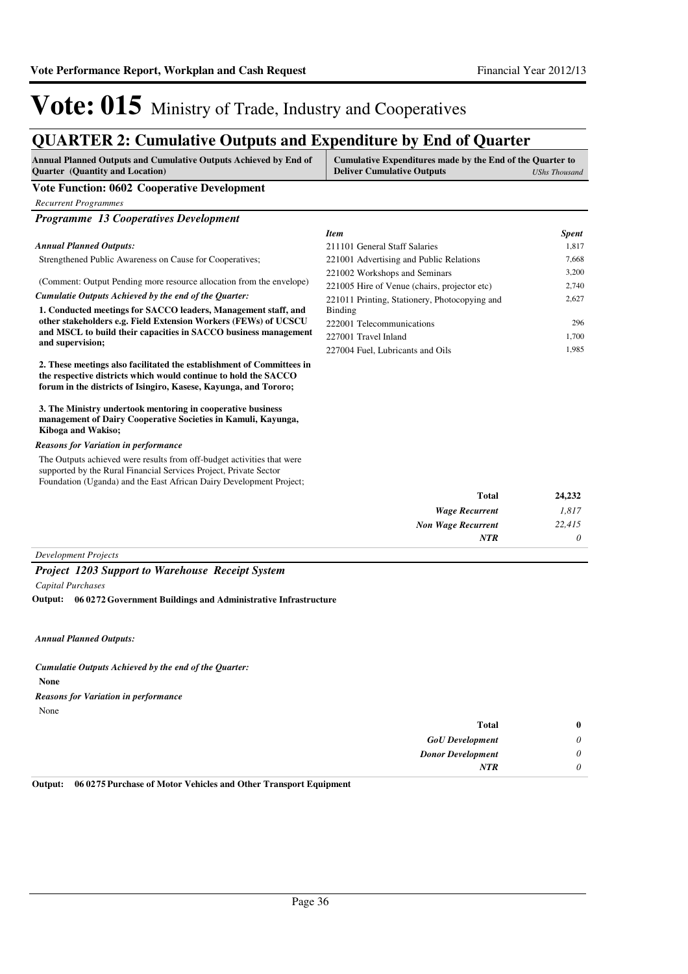### **QUARTER 2: Cumulative Outputs and Expenditure by End of Quarter**

| Annual Planned Outputs and Cumulative Outputs Achieved by End of<br><b>Ouarter</b> (Quantity and Location) | Cumulative Expenditures made by the End of the Quarter to<br><b>Deliver Cumulative Outputs</b> | UShs Thousand |
|------------------------------------------------------------------------------------------------------------|------------------------------------------------------------------------------------------------|---------------|
| <b>Vote Function: 0602 Cooperative Development</b>                                                         |                                                                                                |               |

*Programme 13 Cooperatives Development* Strengthened Public Awareness on Cause for Cooperatives; (Comment: Output Pending more resource allocation from the envelope) **1. Conducted meetings for SACCO leaders, Management staff, and other stakeholders e.g. Field Extension Workers (FEWs) of UCSCU and MSCL to build their capacities in SACCO business management and supervision; 2. These meetings also facilitated the establishment of Committees in the respective districts which would continue to hold the SACCO forum in the districts of Isingiro, Kasese, Kayunga, and Tororo; 3. The Ministry undertook mentoring in cooperative business management of Dairy Cooperative Societies in Kamuli, Kayunga, Kiboga and Wakiso;** *Cumulatie Outputs Achieved by the end of the Quarter: Annual Planned Outputs:* The Outputs achieved were results from off-budget activities that were supported by the Rural Financial Services Project, Private Sector Foundation (Uganda) and the East African Dairy Development Project; *Reasons for Variation in performance Item Spent* 211101 General Staff Salaries 1,817 221001 Advertising and Public Relations 7,668 221002 Workshops and Seminars 3,200 221005 Hire of Venue (chairs, projector etc) 2,740 221011 Printing, Stationery, Photocopying and Binding 2,627 222001 Telecommunications 296 227001 Travel Inland 1,700 227004 Fuel, Lubricants and Oils 1,985

| 24,232 | <b>Total</b>              |  |
|--------|---------------------------|--|
| 1,817  | <b>Wage Recurrent</b>     |  |
| 22,415 | <b>Non Wage Recurrent</b> |  |
|        | <b>NTR</b>                |  |
|        |                           |  |

*Development Projects*

*Recurrent Programmes*

#### *Project 1203 Support to Warehouse Receipt System*

*Capital Purchases*

**06 0272 Government Buildings and Administrative Infrastructure Output:**

*Annual Planned Outputs:*

**None** *Cumulatie Outputs Achieved by the end of the Quarter:* None *Reasons for Variation in performance*

| $\bf{0}$ | <b>Total</b>             |
|----------|--------------------------|
| 0        | <b>GoU</b> Development   |
| 0        | <b>Donor Development</b> |
| 0        | <b>NTR</b>               |
|          |                          |

**Output: 06 0275 Purchase of Motor Vehicles and Other Transport Equipment**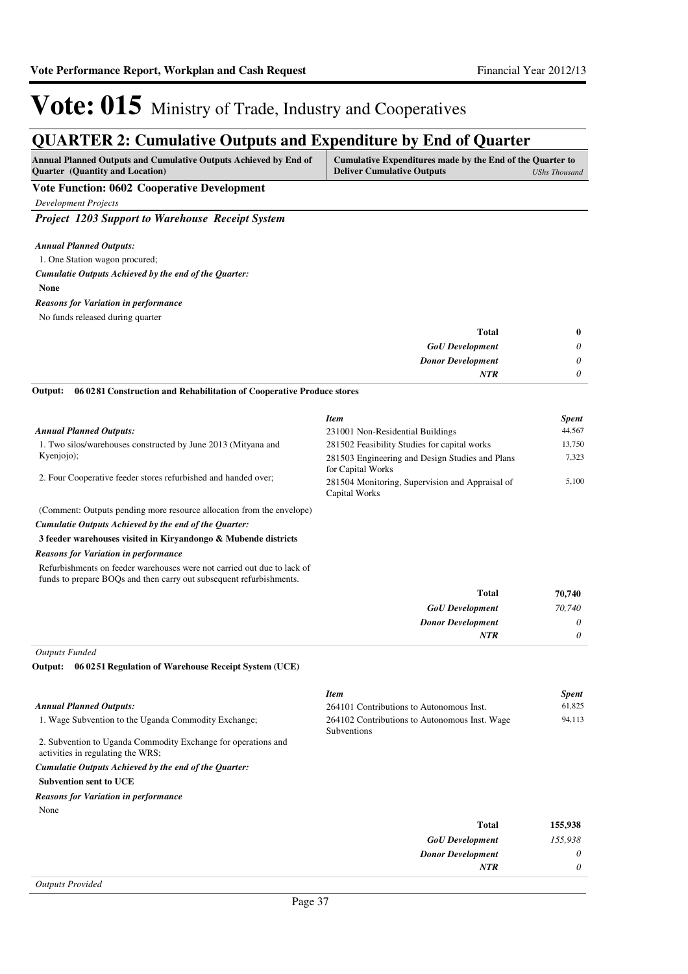## **QUARTER 2: Cumulative Outputs and Expenditure by End of Quarter**

| <b>Annual Planned Outputs and Cumulative Outputs Achieved by End of</b> | Cumulative Expenditures made by the End of the Quarter to |               |
|-------------------------------------------------------------------------|-----------------------------------------------------------|---------------|
| <b>Ouarter</b> (Quantity and Location)                                  | <b>Deliver Cumulative Outputs</b>                         | UShs Thousand |

### **Vote Function: 0602 Cooperative Development**

*Development Projects*

*Project 1203 Support to Warehouse Receipt System*

#### *Annual Planned Outputs:*

1. One Station wagon procured;

#### *Cumulatie Outputs Achieved by the end of the Quarter:*

**None**

#### *Reasons for Variation in performance*

No funds released during quarter

| <b>Total</b>             | $\bf{0}$ |
|--------------------------|----------|
| <b>GoU</b> Development   | 0        |
| <b>Donor Development</b> |          |
| NTR                      |          |

**06 0281 Construction and Rehabilitation of Cooperative Produce stores Output:**

|                                                                                                                                                | <b>Item</b>                                                      | <b>Spent</b> |
|------------------------------------------------------------------------------------------------------------------------------------------------|------------------------------------------------------------------|--------------|
| <b>Annual Planned Outputs:</b>                                                                                                                 | 231001 Non-Residential Buildings                                 | 44,567       |
| 1. Two silos/warehouses constructed by June 2013 (Mityana and                                                                                  | 281502 Feasibility Studies for capital works                     | 13,750       |
| Kyenjojo);                                                                                                                                     | 281503 Engineering and Design Studies and Plans                  | 7,323        |
| 2. Four Cooperative feeder stores refurbished and handed over;                                                                                 | for Capital Works                                                |              |
|                                                                                                                                                | 281504 Monitoring, Supervision and Appraisal of<br>Capital Works | 5,100        |
| (Comment: Outputs pending more resource allocation from the envelope)                                                                          |                                                                  |              |
| Cumulatie Outputs Achieved by the end of the Quarter:                                                                                          |                                                                  |              |
| 3 feeder warehouses visited in Kiryandongo & Mubende districts                                                                                 |                                                                  |              |
| <b>Reasons for Variation in performance</b>                                                                                                    |                                                                  |              |
| Refurbishments on feeder warehouses were not carried out due to lack of<br>funds to prepare BOQs and then carry out subsequent refurbishments. |                                                                  |              |
|                                                                                                                                                | <b>Total</b>                                                     | 70,740       |
|                                                                                                                                                | <b>GoU</b> Development                                           | 70,740       |

*Donor Development*

*NTR*

*0 0*

*Outputs Funded*

**06 0251 Regulation of Warehouse Receipt System (UCE) Output:**

| <b>Item</b>                                                  | <b>Spent</b> |
|--------------------------------------------------------------|--------------|
| 264101 Contributions to Autonomous Inst.                     | 61,825       |
| 264102 Contributions to Autonomous Inst. Wage<br>Subventions | 94,113       |
|                                                              |              |
|                                                              |              |
|                                                              |              |
|                                                              |              |
|                                                              |              |
| <b>Total</b>                                                 | 155,938      |
| <b>GoU</b> Development                                       | 155,938      |
| <b>Donor Development</b>                                     | 0            |
| <b>NTR</b>                                                   | 0            |
|                                                              |              |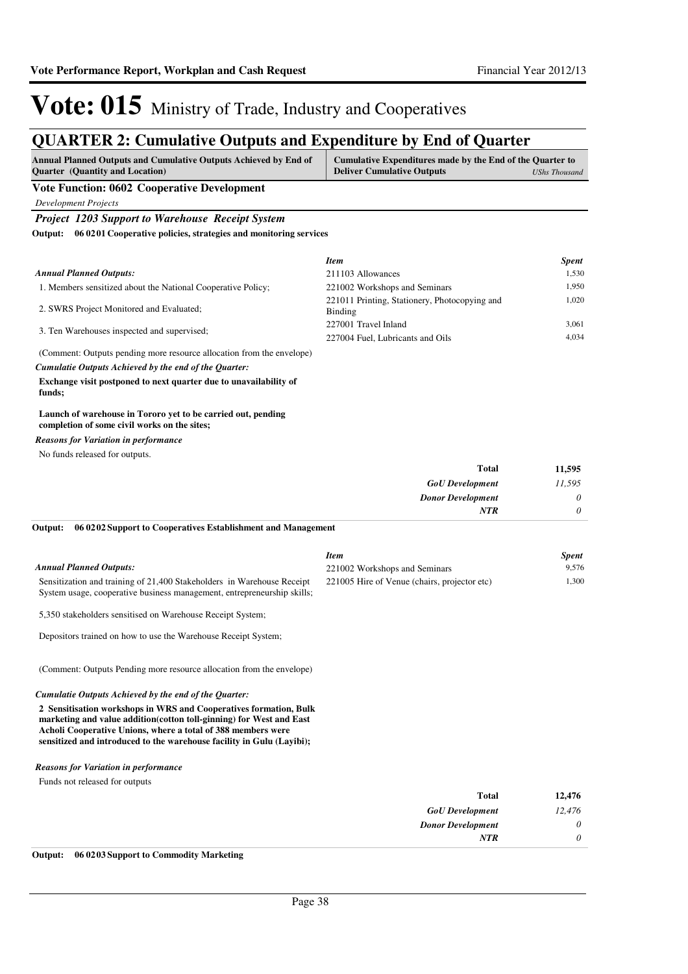## **QUARTER 2: Cumulative Outputs and Expenditure by End of Quarter**

| Annual Planned Outputs and Cumulative Outputs Achieved by End of<br><b>Quarter</b> (Quantity and Location)                                        | Cumulative Expenditures made by the End of the Quarter to<br><b>Deliver Cumulative Outputs</b> | <b>UShs Thousand</b> |
|---------------------------------------------------------------------------------------------------------------------------------------------------|------------------------------------------------------------------------------------------------|----------------------|
| Vote Function: 0602 Cooperative Development                                                                                                       |                                                                                                |                      |
| Development Projects                                                                                                                              |                                                                                                |                      |
| <b>Project 1203 Support to Warehouse Receipt System</b>                                                                                           |                                                                                                |                      |
| Output: 06 0201 Cooperative policies, strategies and monitoring services                                                                          |                                                                                                |                      |
|                                                                                                                                                   | <b>Item</b>                                                                                    | <b>Spent</b>         |
| <b>Annual Planned Outputs:</b>                                                                                                                    | 211103 Allowances                                                                              | 1,530                |
| 1. Members sensitized about the National Cooperative Policy;                                                                                      | 221002 Workshops and Seminars                                                                  | 1,950                |
| 2. SWRS Project Monitored and Evaluated;                                                                                                          | 221011 Printing, Stationery, Photocopying and<br>Binding                                       | 1,020                |
| 3. Ten Warehouses inspected and supervised;                                                                                                       | 227001 Travel Inland                                                                           | 3,061                |
|                                                                                                                                                   | 227004 Fuel, Lubricants and Oils                                                               | 4,034                |
| (Comment: Outputs pending more resource allocation from the envelope)                                                                             |                                                                                                |                      |
| Cumulatie Outputs Achieved by the end of the Quarter:                                                                                             |                                                                                                |                      |
| Exchange visit postponed to next quarter due to unavailability of<br>funds;                                                                       |                                                                                                |                      |
| Launch of warehouse in Tororo yet to be carried out, pending<br>completion of some civil works on the sites;                                      |                                                                                                |                      |
| <b>Reasons for Variation in performance</b>                                                                                                       |                                                                                                |                      |
| No funds released for outputs.                                                                                                                    |                                                                                                |                      |
|                                                                                                                                                   | <b>Total</b>                                                                                   | 11,595               |
|                                                                                                                                                   | <b>GoU</b> Development                                                                         | 11.595               |
|                                                                                                                                                   | <b>Donor Development</b>                                                                       | 0                    |
|                                                                                                                                                   | <b>NTR</b>                                                                                     | 0                    |
| Output:<br>06 02 02 Support to Cooperatives Establishment and Management                                                                          |                                                                                                |                      |
|                                                                                                                                                   | <b>Item</b>                                                                                    | <b>Spent</b>         |
| <b>Annual Planned Outputs:</b>                                                                                                                    | 221002 Workshops and Seminars                                                                  | 9,576                |
| Sensitization and training of 21,400 Stakeholders in Warehouse Receipt<br>System usage, cooperative business management, entrepreneurship skills; | 221005 Hire of Venue (chairs, projector etc)                                                   | 1,300                |
| 5,350 stakeholders sensitised on Warehouse Receipt System;                                                                                        |                                                                                                |                      |
| Depositors trained on how to use the Warehouse Receipt System;                                                                                    |                                                                                                |                      |

(Comment: Outputs Pending more resource allocation from the envelope)

#### *Cumulatie Outputs Achieved by the end of the Quarter:*

**2 Sensitisation workshops in WRS and Cooperatives formation, Bulk marketing and value addition(cotton toll-ginning) for West and East Acholi Cooperative Unions, where a total of 388 members were**  sensitized and introduced to the warehouse facility in Gulu (Layibi);

#### *Reasons for Variation in performance*

Funds not released for outputs

| 12,476   | <b>Total</b>             |
|----------|--------------------------|
| 12,476   | <b>GoU</b> Development   |
| $\theta$ | <b>Donor Development</b> |
| $\theta$ | <b>NTR</b>               |
|          |                          |

**Output: 06 0203 Support to Commodity Marketing**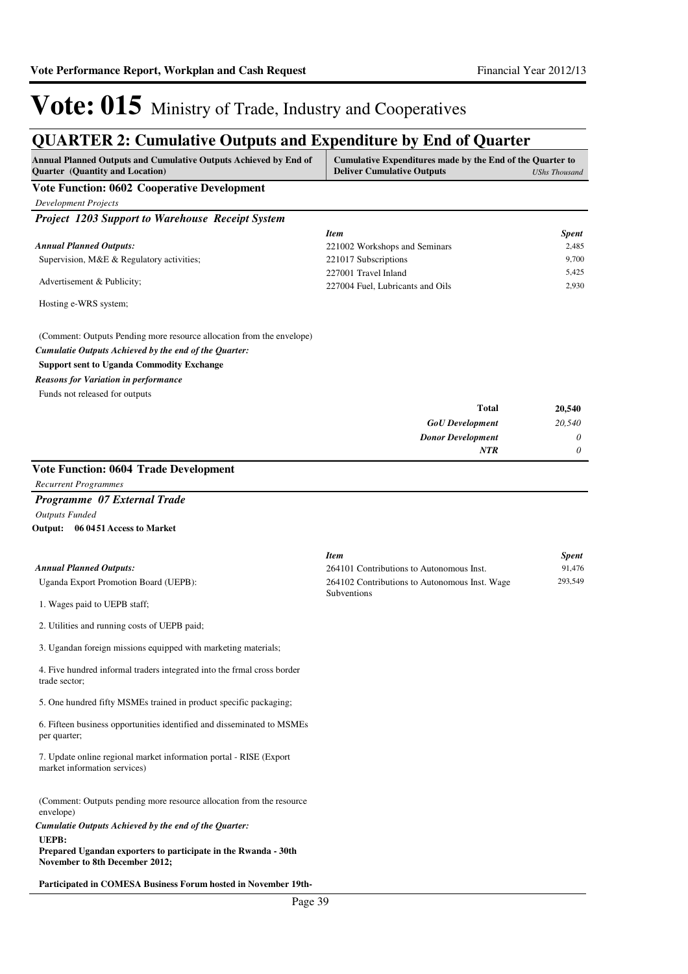## **QUARTER 2: Cumulative Outputs and Expenditure by End of Quarter**

| QUARTER 2: Cumulative Outputs and Expenditure by End of Quarter<br>Annual Planned Outputs and Cumulative Outputs Achieved by End of<br>Quarter (Quantity and Location) | Cumulative Expenditures made by the End of the Quarter to<br><b>Deliver Cumulative Outputs</b> | <b>UShs Thousand</b>   |
|------------------------------------------------------------------------------------------------------------------------------------------------------------------------|------------------------------------------------------------------------------------------------|------------------------|
| <b>Vote Function: 0602 Cooperative Development</b>                                                                                                                     |                                                                                                |                        |
| <b>Development Projects</b>                                                                                                                                            |                                                                                                |                        |
| <b>Project 1203 Support to Warehouse Receipt System</b>                                                                                                                |                                                                                                |                        |
|                                                                                                                                                                        | <b>Item</b>                                                                                    | <b>Spent</b>           |
| <b>Annual Planned Outputs:</b>                                                                                                                                         | 221002 Workshops and Seminars                                                                  | 2,485                  |
| Supervision, M&E & Regulatory activities;                                                                                                                              | 221017 Subscriptions                                                                           | 9,700<br>5,425         |
| Advertisement & Publicity;                                                                                                                                             | 227001 Travel Inland<br>227004 Fuel, Lubricants and Oils                                       | 2,930                  |
| Hosting e-WRS system;                                                                                                                                                  |                                                                                                |                        |
| (Comment: Outputs Pending more resource allocation from the envelope)                                                                                                  |                                                                                                |                        |
| Cumulatie Outputs Achieved by the end of the Quarter:                                                                                                                  |                                                                                                |                        |
| <b>Support sent to Uganda Commodity Exchange</b>                                                                                                                       |                                                                                                |                        |
| <b>Reasons for Variation in performance</b>                                                                                                                            |                                                                                                |                        |
| Funds not released for outputs                                                                                                                                         |                                                                                                |                        |
|                                                                                                                                                                        | <b>Total</b><br><b>GoU</b> Development                                                         | 20,540<br>20,540       |
|                                                                                                                                                                        | <b>Donor Development</b>                                                                       | 0                      |
|                                                                                                                                                                        | <b>NTR</b>                                                                                     | 0                      |
| <b>Vote Function: 0604 Trade Development</b>                                                                                                                           |                                                                                                |                        |
| <b>Recurrent Programmes</b>                                                                                                                                            |                                                                                                |                        |
| Programme 07 External Trade                                                                                                                                            |                                                                                                |                        |
| <b>Outputs Funded</b>                                                                                                                                                  |                                                                                                |                        |
| Output: 06 0451 Access to Market                                                                                                                                       |                                                                                                |                        |
|                                                                                                                                                                        |                                                                                                |                        |
| <b>Annual Planned Outputs:</b>                                                                                                                                         | <b>Item</b><br>264101 Contributions to Autonomous Inst.                                        | <b>Spent</b><br>91,476 |
| Uganda Export Promotion Board (UEPB):                                                                                                                                  | 264102 Contributions to Autonomous Inst. Wage                                                  | 293,549                |
| 1. Wages paid to UEPB staff;                                                                                                                                           | Subventions                                                                                    |                        |
| 2. Utilities and running costs of UEPB paid;                                                                                                                           |                                                                                                |                        |
| 3. Ugandan foreign missions equipped with marketing materials;                                                                                                         |                                                                                                |                        |
|                                                                                                                                                                        |                                                                                                |                        |
| 4. Five hundred informal traders integrated into the frmal cross border<br>trade sector;                                                                               |                                                                                                |                        |
| 5. One hundred fifty MSMEs trained in product specific packaging;                                                                                                      |                                                                                                |                        |
| 6. Fifteen business opportunities identified and disseminated to MSMEs<br>per quarter;                                                                                 |                                                                                                |                        |
| 7. Update online regional market information portal - RISE (Export<br>market information services)                                                                     |                                                                                                |                        |
| (Comment: Outputs pending more resource allocation from the resource<br>envelope)                                                                                      |                                                                                                |                        |
| Cumulatie Outputs Achieved by the end of the Quarter:                                                                                                                  |                                                                                                |                        |
| UEPB:<br>Prepared Ugandan exporters to participate in the Rwanda - 30th<br>November to 8th December 2012;                                                              |                                                                                                |                        |
| Participated in COMESA Business Forum hosted in November 19th-                                                                                                         |                                                                                                |                        |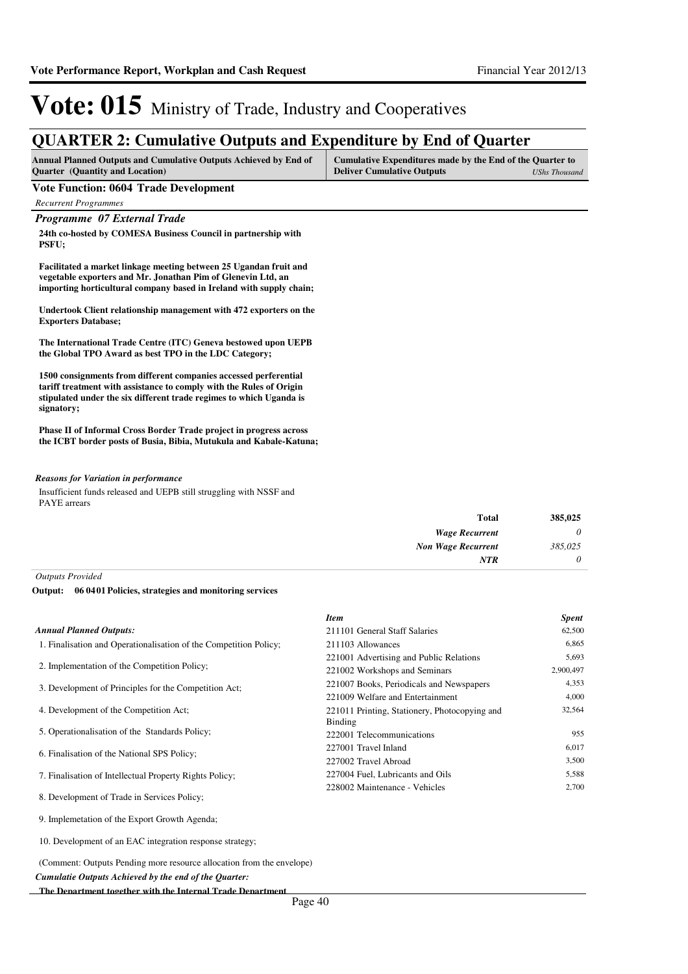## **QUARTER 2: Cumulative Outputs and Expenditure by End of Quarter**

| <b>Annual Planned Outputs and Cumulative Outputs Achieved by End of</b> | Cumulative Expenditures made by the End of the Quarter to |               |
|-------------------------------------------------------------------------|-----------------------------------------------------------|---------------|
| <b>Quarter</b> (Quantity and Location)                                  | <b>Deliver Cumulative Outputs</b>                         | UShs Thousand |

### **Vote Function: 0604 Trade Development**

*Recurrent Programmes*

### *Programme 07 External Trade*

**24th co-hosted by COMESA Business Council in partnership with PSFU;**

**Facilitated a market linkage meeting between 25 Ugandan fruit and vegetable exporters and Mr. Jonathan Pim of Glenevin Ltd, an importing horticultural company based in Ireland with supply chain;**

**Undertook Client relationship management with 472 exporters on the Exporters Database;**

**The International Trade Centre (ITC) Geneva bestowed upon UEPB the Global TPO Award as best TPO in the LDC Category;**

**1500 consignments from different companies accessed perferential tariff treatment with assistance to comply with the Rules of Origin stipulated under the six different trade regimes to which Uganda is signatory;**

**Phase II of Informal Cross Border Trade project in progress across the ICBT border posts of Busia, Bibia, Mutukula and Kabale-Katuna;**

#### *Reasons for Variation in performance*

Insufficient funds released and UEPB still struggling with NSSF and PAYE arrears

| 385,025 |
|---------|
| 0       |
| 385,025 |
| 0       |
|         |

*Outputs Provided*

#### **06 0401 Policies, strategies and monitoring services Output:**

|                                                                   | <b>Item</b>                                   | <b>Spent</b> |
|-------------------------------------------------------------------|-----------------------------------------------|--------------|
| <b>Annual Planned Outputs:</b>                                    | 211101 General Staff Salaries                 | 62,500       |
| 1. Finalisation and Operationalisation of the Competition Policy; | 211103 Allowances                             | 6,865        |
| 2. Implementation of the Competition Policy;                      | 221001 Advertising and Public Relations       | 5,693        |
|                                                                   | 221002 Workshops and Seminars                 | 2,900,497    |
| 3. Development of Principles for the Competition Act;             | 221007 Books, Periodicals and Newspapers      | 4,353        |
|                                                                   | 221009 Welfare and Entertainment              | 4,000        |
| 4. Development of the Competition Act:                            | 221011 Printing, Stationery, Photocopying and | 32,564       |
|                                                                   | Binding                                       |              |
| 5. Operationalisation of the Standards Policy;                    | 222001 Telecommunications                     | 955          |
| 6. Finalisation of the National SPS Policy;                       | 227001 Travel Inland                          | 6,017        |
|                                                                   | 227002 Travel Abroad                          | 3,500        |
| 7. Finalisation of Intellectual Property Rights Policy;           | 227004 Fuel, Lubricants and Oils              | 5,588        |
|                                                                   | 228002 Maintenance - Vehicles                 | 2,700        |
| 8. Development of Trade in Services Policy;                       |                                               |              |

9. Implemetation of the Export Growth Agenda;

10. Development of an EAC integration response strategy;

(Comment: Outputs Pending more resource allocation from the envelope)

*Cumulatie Outputs Achieved by the end of the Quarter:*

**The Department together with the Internal Trade Department**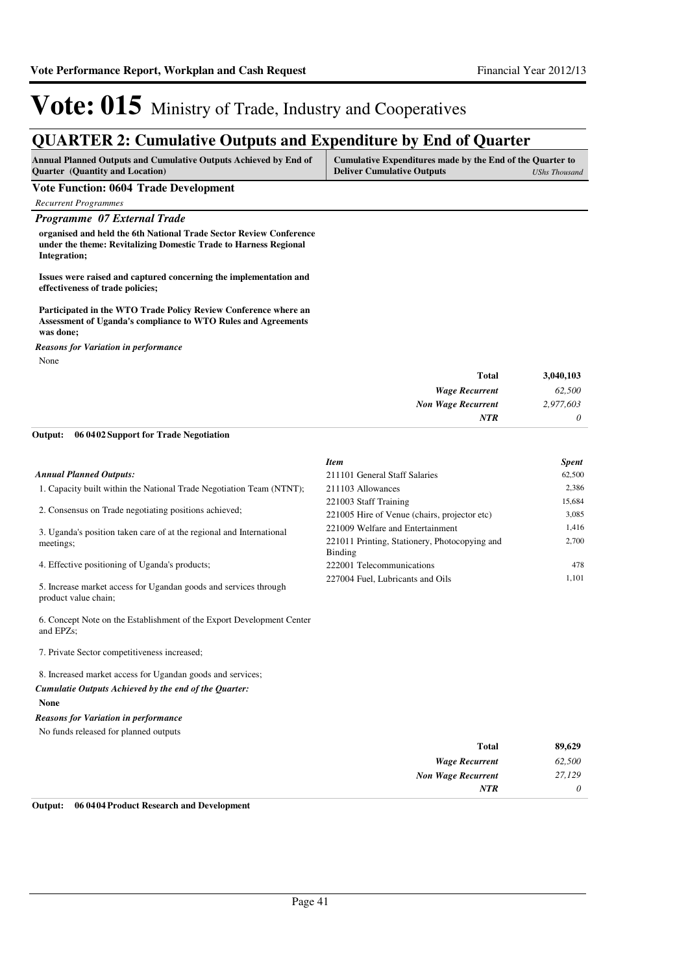## **QUARTER 2: Cumulative Outputs and Expenditure by End of Quarter**

| <b>Annual Planned Outputs and Cumulative Outputs Achieved by End of</b> | Cumulative Expenditures made by the End of the Quarter to |               |
|-------------------------------------------------------------------------|-----------------------------------------------------------|---------------|
| <b>Ouarter</b> (Quantity and Location)                                  | <b>Deliver Cumulative Outputs</b>                         | UShs Thousand |

#### **Vote Function: 0604 Trade Development**

*Recurrent Programmes*

## *Programme 07 External Trade*

**organised and held the 6th National Trade Sector Review Conference under the theme: Revitalizing Domestic Trade to Harness Regional Integration;** 

**Issues were raised and captured concerning the implementation and effectiveness of trade policies;**

**Participated in the WTO Trade Policy Review Conference where an Assessment of Uganda's compliance to WTO Rules and Agreements was done;**

None *Reasons for Variation in performance*

| <b>Total</b>              | 3,040,103 |
|---------------------------|-----------|
| <b>Wage Recurrent</b>     | 62,500    |
| <b>Non Wage Recurrent</b> | 2,977,603 |
| NTR                       | $\theta$  |

#### **06 0402 Support for Trade Negotiation Output:**

|                                                                      | <b>Item</b>                                              | <b>Spent</b> |
|----------------------------------------------------------------------|----------------------------------------------------------|--------------|
| <b>Annual Planned Outputs:</b>                                       | 211101 General Staff Salaries                            | 62,500       |
| 1. Capacity built within the National Trade Negotiation Team (NTNT); | 211103 Allowances                                        | 2.386        |
|                                                                      | 221003 Staff Training                                    | 15,684       |
| 2. Consensus on Trade negotiating positions achieved;                | 221005 Hire of Venue (chairs, projector etc)             | 3.085        |
| 3. Uganda's position taken care of at the regional and International | 221009 Welfare and Entertainment                         | 1.416        |
| meetings:                                                            | 221011 Printing, Stationery, Photocopying and<br>Binding | 2.700        |
| 4. Effective positioning of Uganda's products;                       | 222001 Telecommunications                                | 478          |
| 5. Increase market access for Ugandan goods and services through     | 227004 Fuel, Lubricants and Oils                         | 1,101        |

6. Concept Note on the Establishment of the Export Development Center and EPZs;

7. Private Sector competitiveness increased;

product value chain;

8. Increased market access for Ugandan goods and services;

**None** *Cumulatie Outputs Achieved by the end of the Quarter:*

#### *Reasons for Variation in performance*

No funds released for planned outputs

| <b>Total</b>              | 89,629   |
|---------------------------|----------|
| <b>Wage Recurrent</b>     | 62,500   |
| <b>Non Wage Recurrent</b> | 27,129   |
| <b>NTR</b>                | $\theta$ |

**Output: 06 0404 Product Research and Development**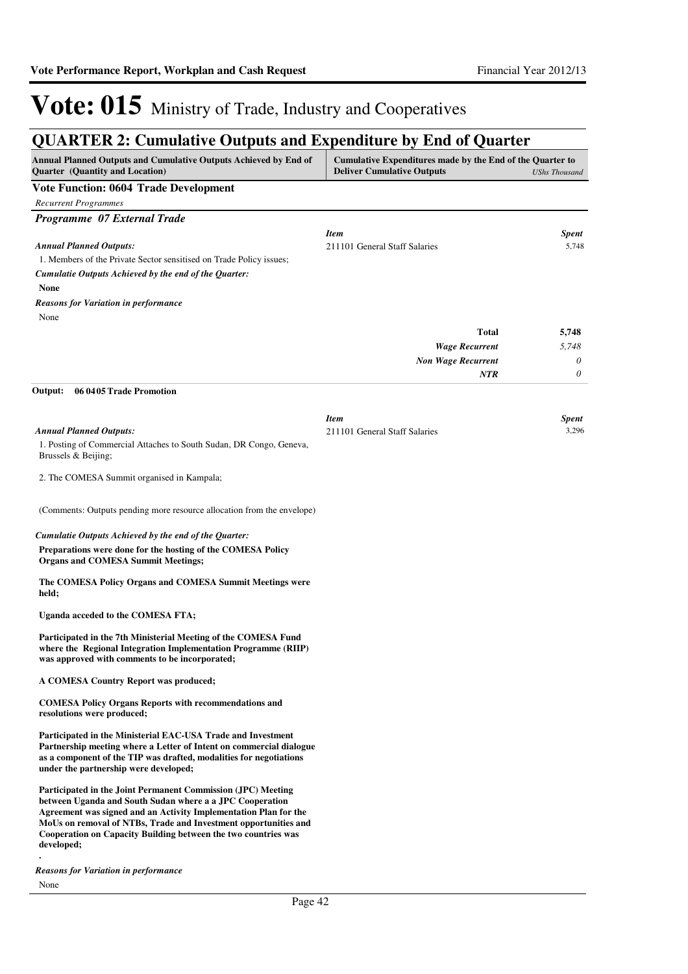## **QUARTER 2: Cumulative Outputs and Expenditure by End of Quarter**

| Annual Planned Outputs and Cumulative Outputs Achieved by End of<br><b>Quarter</b> (Quantity and Location)                                                                                                                                                                                                                                      | Cumulative Expenditures made by the End of the Quarter to<br><b>Deliver Cumulative Outputs</b> | <b>UShs Thousand</b>  |
|-------------------------------------------------------------------------------------------------------------------------------------------------------------------------------------------------------------------------------------------------------------------------------------------------------------------------------------------------|------------------------------------------------------------------------------------------------|-----------------------|
| <b>Vote Function: 0604 Trade Development</b>                                                                                                                                                                                                                                                                                                    |                                                                                                |                       |
| <b>Recurrent Programmes</b>                                                                                                                                                                                                                                                                                                                     |                                                                                                |                       |
| Programme 07 External Trade                                                                                                                                                                                                                                                                                                                     |                                                                                                |                       |
|                                                                                                                                                                                                                                                                                                                                                 | <b>Item</b>                                                                                    | <b>Spent</b>          |
| <b>Annual Planned Outputs:</b>                                                                                                                                                                                                                                                                                                                  | 211101 General Staff Salaries                                                                  | 5,748                 |
| 1. Members of the Private Sector sensitised on Trade Policy issues;                                                                                                                                                                                                                                                                             |                                                                                                |                       |
| Cumulatie Outputs Achieved by the end of the Quarter:<br>None                                                                                                                                                                                                                                                                                   |                                                                                                |                       |
| <b>Reasons for Variation in performance</b>                                                                                                                                                                                                                                                                                                     |                                                                                                |                       |
| None                                                                                                                                                                                                                                                                                                                                            |                                                                                                |                       |
|                                                                                                                                                                                                                                                                                                                                                 | <b>Total</b>                                                                                   | 5,748                 |
|                                                                                                                                                                                                                                                                                                                                                 | <b>Wage Recurrent</b>                                                                          | 5,748                 |
|                                                                                                                                                                                                                                                                                                                                                 | <b>Non Wage Recurrent</b>                                                                      | 0                     |
|                                                                                                                                                                                                                                                                                                                                                 | <b>NTR</b>                                                                                     | 0                     |
| 06 04 05 Trade Promotion<br>Output:                                                                                                                                                                                                                                                                                                             |                                                                                                |                       |
|                                                                                                                                                                                                                                                                                                                                                 |                                                                                                |                       |
| <b>Annual Planned Outputs:</b>                                                                                                                                                                                                                                                                                                                  | <b>Item</b><br>211101 General Staff Salaries                                                   | <b>Spent</b><br>3,296 |
| 1. Posting of Commercial Attaches to South Sudan, DR Congo, Geneva,                                                                                                                                                                                                                                                                             |                                                                                                |                       |
| Brussels & Beijing;                                                                                                                                                                                                                                                                                                                             |                                                                                                |                       |
| 2. The COMESA Summit organised in Kampala;                                                                                                                                                                                                                                                                                                      |                                                                                                |                       |
| (Comments: Outputs pending more resource allocation from the envelope)                                                                                                                                                                                                                                                                          |                                                                                                |                       |
| Cumulatie Outputs Achieved by the end of the Quarter:                                                                                                                                                                                                                                                                                           |                                                                                                |                       |
| Preparations were done for the hosting of the COMESA Policy<br><b>Organs and COMESA Summit Meetings;</b>                                                                                                                                                                                                                                        |                                                                                                |                       |
| The COMESA Policy Organs and COMESA Summit Meetings were<br>held;                                                                                                                                                                                                                                                                               |                                                                                                |                       |
| Uganda acceded to the COMESA FTA;                                                                                                                                                                                                                                                                                                               |                                                                                                |                       |
| Participated in the 7th Ministerial Meeting of the COMESA Fund<br>where the Regional Integration Implementation Programme (RIIP)<br>was approved with comments to be incorporated;                                                                                                                                                              |                                                                                                |                       |
| A COMESA Country Report was produced;                                                                                                                                                                                                                                                                                                           |                                                                                                |                       |
| <b>COMESA Policy Organs Reports with recommendations and</b><br>resolutions were produced;                                                                                                                                                                                                                                                      |                                                                                                |                       |
| Participated in the Ministerial EAC-USA Trade and Investment<br>Partnership meeting where a Letter of Intent on commercial dialogue<br>as a component of the TIP was drafted, modalities for negotiations<br>under the partnership were developed;                                                                                              |                                                                                                |                       |
| Participated in the Joint Permanent Commission (JPC) Meeting<br>between Uganda and South Sudan where a a JPC Cooperation<br>Agreement was signed and an Activity Implementation Plan for the<br>MoUs on removal of NTBs, Trade and Investment opportunities and<br>Cooperation on Capacity Building between the two countries was<br>developed; |                                                                                                |                       |
| <b>Reasons for Variation in performance</b>                                                                                                                                                                                                                                                                                                     |                                                                                                |                       |

Page 42

None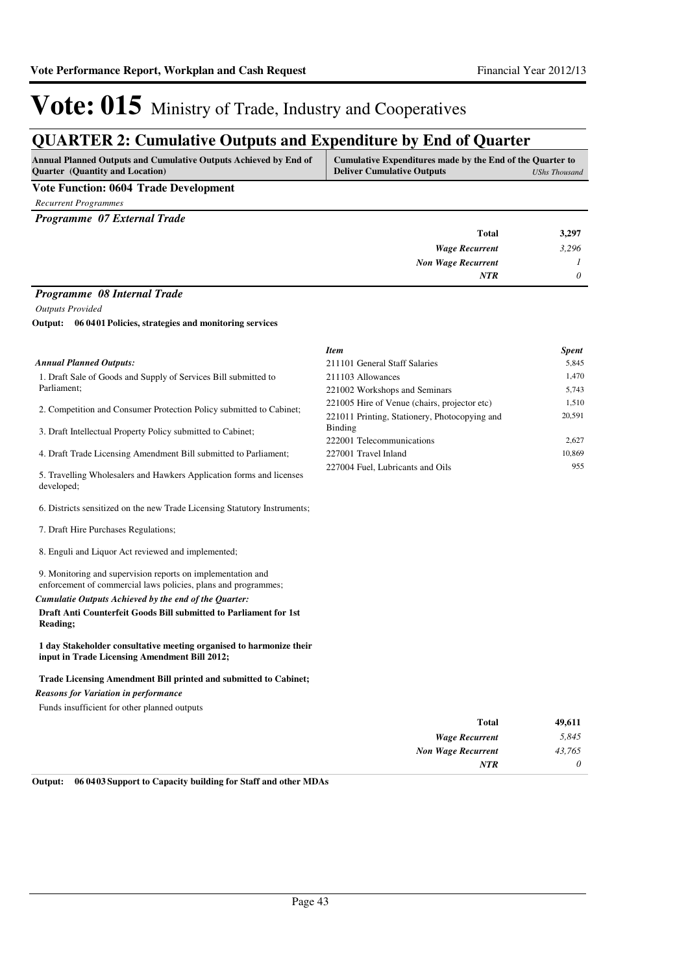# **QUARTER 2: Cumulative Outputs and Expenditure by End of Quarter**

| <b>Annual Planned Outputs and Cumulative Outputs Achieved by End of</b> | Cumulative Expenditures made by the End of the Quarter to |
|-------------------------------------------------------------------------|-----------------------------------------------------------|
| <b>Ouarter</b> (Quantity and Location)                                  | <b>Deliver Cumulative Outputs</b><br>UShs Thousand        |
| ---                                                                     |                                                           |

### **Vote Function: 0604 Trade Development**

*Recurrent Programmes*

*Programme 07 External Trade*

| <b>Total</b>              | 3,297    |
|---------------------------|----------|
| <b>Wage Recurrent</b>     | 3,296    |
| <b>Non Wage Recurrent</b> |          |
| <b>NTR</b>                | $\theta$ |
|                           |          |

### *Programme 08 Internal Trade*

*Outputs Provided*

**06 0401 Policies, strategies and monitoring services Output:**

|                                                                                    | <b>Item</b>                                   | <b>Spent</b> |
|------------------------------------------------------------------------------------|-----------------------------------------------|--------------|
| <b>Annual Planned Outputs:</b>                                                     | 211101 General Staff Salaries                 | 5,845        |
| 1. Draft Sale of Goods and Supply of Services Bill submitted to                    | 211103 Allowances                             | 1,470        |
| Parliament;                                                                        | 221002 Workshops and Seminars                 | 5,743        |
| 2. Competition and Consumer Protection Policy submitted to Cabinet;                | 221005 Hire of Venue (chairs, projector etc)  | 1,510        |
|                                                                                    | 221011 Printing, Stationery, Photocopying and | 20,591       |
| 3. Draft Intellectual Property Policy submitted to Cabinet;                        | Binding                                       |              |
|                                                                                    | 222001 Telecommunications                     | 2,627        |
| 4. Draft Trade Licensing Amendment Bill submitted to Parliament;                   | 227001 Travel Inland                          | 10,869       |
| 5. Travelling Wholesalers and Hawkers Application forms and licenses<br>developed: | 227004 Fuel, Lubricants and Oils              | 955          |
| 6. Districts sensitized on the new Trade Licensing Statutory Instruments;          |                                               |              |

7. Draft Hire Purchases Regulations;

8. Enguli and Liquor Act reviewed and implemented;

9. Monitoring and supervision reports on implementation and enforcement of commercial laws policies, plans and programmes;

#### *Cumulatie Outputs Achieved by the end of the Quarter:*

**Draft Anti Counterfeit Goods Bill submitted to Parliament for 1st Reading;**

**1 day Stakeholder consultative meeting organised to harmonize their input in Trade Licensing Amendment Bill 2012;**

### **Trade Licensing Amendment Bill printed and submitted to Cabinet;**

*Reasons for Variation in performance*

Funds insufficient for other planned outputs

| 49,611   | <b>Total</b>              |
|----------|---------------------------|
| 5,845    | <b>Wage Recurrent</b>     |
| 43,765   | <b>Non Wage Recurrent</b> |
| $\theta$ | <b>NTR</b>                |
|          |                           |

**Output: 06 0403 Support to Capacity building for Staff and other MDAs**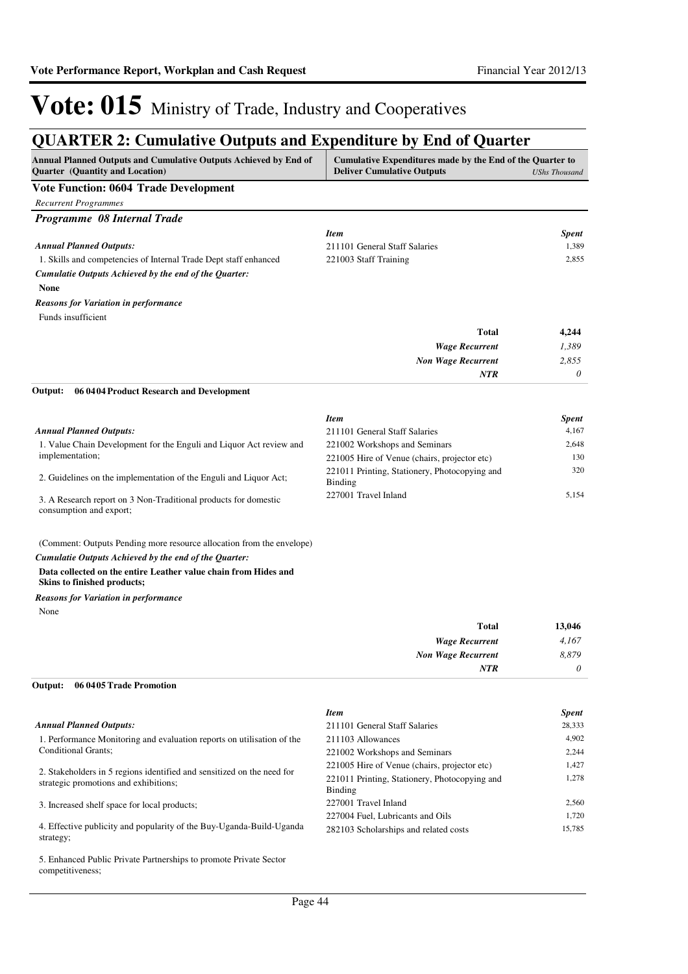# **QUARTER 2: Cumulative Outputs and Expenditure by End of Quarter**

| QUANTEN 2: Cumulative Outputs and Expenditure by Eild of Quarter<br>Annual Planned Outputs and Cumulative Outputs Achieved by End of<br>Quarter (Quantity and Location)                                                          | Cumulative Expenditures made by the End of the Quarter to<br><b>Deliver Cumulative Outputs</b> | <b>UShs Thousand</b>  |
|----------------------------------------------------------------------------------------------------------------------------------------------------------------------------------------------------------------------------------|------------------------------------------------------------------------------------------------|-----------------------|
| <b>Vote Function: 0604 Trade Development</b>                                                                                                                                                                                     |                                                                                                |                       |
| <b>Recurrent Programmes</b>                                                                                                                                                                                                      |                                                                                                |                       |
| Programme 08 Internal Trade                                                                                                                                                                                                      |                                                                                                |                       |
|                                                                                                                                                                                                                                  | <b>Item</b>                                                                                    | <b>Spent</b>          |
| <b>Annual Planned Outputs:</b>                                                                                                                                                                                                   | 211101 General Staff Salaries                                                                  | 1,389                 |
| 1. Skills and competencies of Internal Trade Dept staff enhanced                                                                                                                                                                 | 221003 Staff Training                                                                          | 2,855                 |
| Cumulatie Outputs Achieved by the end of the Quarter:<br><b>None</b>                                                                                                                                                             |                                                                                                |                       |
| <b>Reasons for Variation in performance</b>                                                                                                                                                                                      |                                                                                                |                       |
| Funds insufficient                                                                                                                                                                                                               |                                                                                                |                       |
|                                                                                                                                                                                                                                  | <b>Total</b>                                                                                   | 4,244                 |
|                                                                                                                                                                                                                                  | <b>Wage Recurrent</b>                                                                          | 1,389                 |
|                                                                                                                                                                                                                                  | <b>Non Wage Recurrent</b>                                                                      | 2,855                 |
|                                                                                                                                                                                                                                  | <b>NTR</b>                                                                                     | 0                     |
| Output:<br>06 04 04 Product Research and Development                                                                                                                                                                             |                                                                                                |                       |
|                                                                                                                                                                                                                                  | <b>Item</b>                                                                                    | Spent                 |
| <b>Annual Planned Outputs:</b>                                                                                                                                                                                                   | 211101 General Staff Salaries                                                                  | 4,167                 |
| 1. Value Chain Development for the Enguli and Liquor Act review and                                                                                                                                                              | 221002 Workshops and Seminars                                                                  | 2,648                 |
| implementation;                                                                                                                                                                                                                  | 221005 Hire of Venue (chairs, projector etc)                                                   | 130                   |
| 2. Guidelines on the implementation of the Enguli and Liquor Act;                                                                                                                                                                | 221011 Printing, Stationery, Photocopying and<br><b>Binding</b>                                | 320                   |
| 3. A Research report on 3 Non-Traditional products for domestic<br>consumption and export;                                                                                                                                       | 227001 Travel Inland                                                                           | 5,154                 |
| (Comment: Outputs Pending more resource allocation from the envelope)<br>Cumulatie Outputs Achieved by the end of the Quarter:<br>Data collected on the entire Leather value chain from Hides and<br>Skins to finished products; |                                                                                                |                       |
| <b>Reasons for Variation in performance</b>                                                                                                                                                                                      |                                                                                                |                       |
| None                                                                                                                                                                                                                             |                                                                                                |                       |
|                                                                                                                                                                                                                                  | <b>Total</b>                                                                                   | 13,046                |
|                                                                                                                                                                                                                                  | <b>Wage Recurrent</b>                                                                          | 4,167                 |
|                                                                                                                                                                                                                                  | <b>Non Wage Recurrent</b>                                                                      | 8,879                 |
|                                                                                                                                                                                                                                  | <b>NTR</b>                                                                                     | $\boldsymbol{\theta}$ |
| 06 04 05 Trade Promotion<br>Output:                                                                                                                                                                                              |                                                                                                |                       |
|                                                                                                                                                                                                                                  | <b>Item</b>                                                                                    | <b>Spent</b>          |
| <b>Annual Planned Outputs:</b>                                                                                                                                                                                                   | 211101 General Staff Salaries                                                                  | 28,333                |
| 1. Performance Monitoring and evaluation reports on utilisation of the                                                                                                                                                           | 211103 Allowances                                                                              | 4,902                 |
| Conditional Grants;                                                                                                                                                                                                              | 221002 Workshops and Seminars                                                                  | 2,244                 |
| 2. Stakeholders in 5 regions identified and sensitized on the need for                                                                                                                                                           | 221005 Hire of Venue (chairs, projector etc)                                                   | 1,427                 |
| strategic promotions and exhibitions;                                                                                                                                                                                            | 221011 Printing, Stationery, Photocopying and<br><b>Binding</b>                                | 1,278                 |
| 3. Increased shelf space for local products;                                                                                                                                                                                     | 227001 Travel Inland                                                                           | 2,560                 |
| 4. Effective publicity and popularity of the Buy-Uganda-Build-Uganda<br>strategy;                                                                                                                                                | 227004 Fuel, Lubricants and Oils<br>282103 Scholarships and related costs                      | 1,720<br>15,785       |
| 5. Enhanced Public Private Partnerships to promote Private Sector<br>competitiveness;                                                                                                                                            |                                                                                                |                       |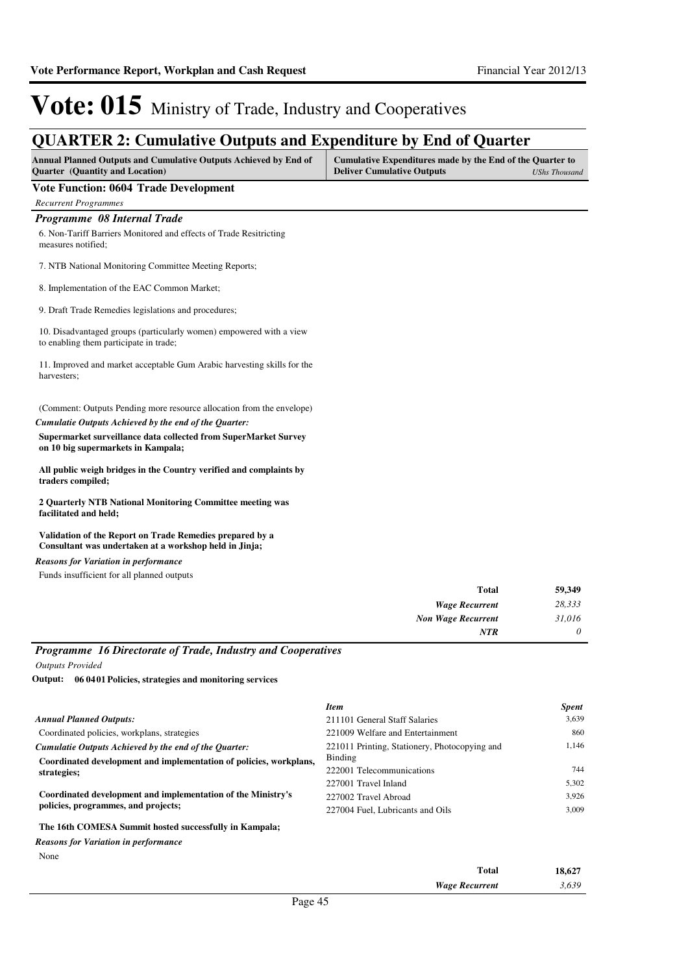## **QUARTER 2: Cumulative Outputs and Expenditure by End of Quarter**

| <b>Annual Planned Outputs and Cumulative Outputs Achieved by End of</b> | Cumulative Expenditures made by the End of the Quarter to |               |
|-------------------------------------------------------------------------|-----------------------------------------------------------|---------------|
| <b>Ouarter</b> (Quantity and Location)                                  | <b>Deliver Cumulative Outputs</b>                         | UShs Thousand |

#### **Vote Function: 0604 Trade Development**

*Recurrent Programmes*

### *Programme 08 Internal Trade*

6. Non-Tariff Barriers Monitored and effects of Trade Resitricting measures notified;

7. NTB National Monitoring Committee Meeting Reports;

8. Implementation of the EAC Common Market;

9. Draft Trade Remedies legislations and procedures;

10. Disadvantaged groups (particularly women) empowered with a view to enabling them participate in trade;

11. Improved and market acceptable Gum Arabic harvesting skills for the harvesters;

#### (Comment: Outputs Pending more resource allocation from the envelope)

#### **Supermarket surveillance data collected from SuperMarket Survey on 10 big supermarkets in Kampala;** *Cumulatie Outputs Achieved by the end of the Quarter:*

**All public weigh bridges in the Country verified and complaints by traders compiled;**

**2 Quarterly NTB National Monitoring Committee meeting was facilitated and held;**

**Validation of the Report on Trade Remedies prepared by a Consultant was undertaken at a workshop held in Jinja;**

Funds insufficient for all planned outputs *Reasons for Variation in performance*

| <b>Total</b>              | 59,349   |
|---------------------------|----------|
| <b>Wage Recurrent</b>     | 28,333   |
| <b>Non Wage Recurrent</b> | 31,016   |
| <b>NTR</b>                | $\theta$ |

### *Programme 16 Directorate of Trade, Industry and Cooperatives*

*Outputs Provided*

**06 0401 Policies, strategies and monitoring services Output:**

|                                                                                                                     | <b>Item</b>                                   | <b>Spent</b> |
|---------------------------------------------------------------------------------------------------------------------|-----------------------------------------------|--------------|
| <b>Annual Planned Outputs:</b>                                                                                      | 211101 General Staff Salaries                 | 3,639        |
| Coordinated policies, workplans, strategies                                                                         | 221009 Welfare and Entertainment              | 860          |
| Cumulatie Outputs Achieved by the end of the Ouarter:                                                               | 221011 Printing, Stationery, Photocopying and | 1,146        |
| Coordinated development and implementation of policies, workplans,                                                  | Binding                                       |              |
| strategies;                                                                                                         | 222001 Telecommunications                     | 744          |
| Coordinated development and implementation of the Ministry's<br>policies, programmes, and projects;                 | 227001 Travel Inland                          | 5,302        |
|                                                                                                                     | 227002 Travel Abroad                          | 3.926        |
|                                                                                                                     | 227004 Fuel. Lubricants and Oils              | 3.009        |
| The 16th COMESA Summit hosted successfully in Kampala;                                                              |                                               |              |
| <b>Provident Contract Contract Contract Contract Contract Contract Contract Contract Contract Contract Contract</b> |                                               |              |

None *Reasons for Variation in performance*

| 18,627 | Total                 |                |            | ________ |
|--------|-----------------------|----------------|------------|----------|
| 3,639  | <b>Wage Recurrent</b> |                |            |          |
|        |                       | $\overline{A}$ | $\sqrt{ }$ |          |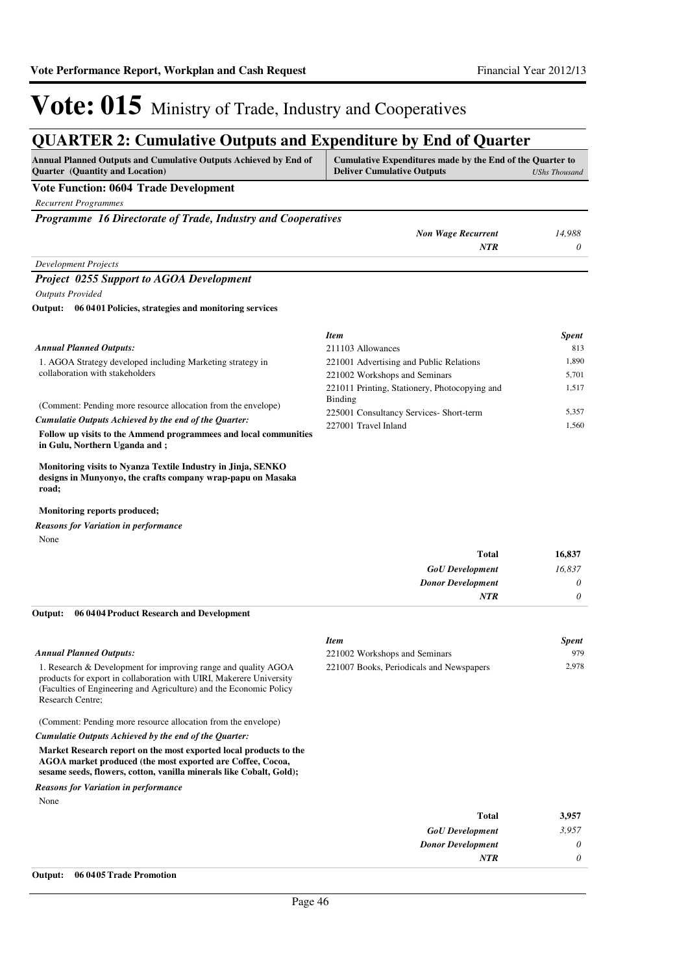## **QUARTER 2: Cumulative Outputs and Expenditure by End of Quarter**

| Annual Planned Outputs and Cumulative Outputs Achieved by End of<br><b>Quarter</b> (Quantity and Location) | Cumulative Expenditures made by the End of the Quarter to<br><b>Deliver Cumulative Outputs</b> | UShs Thousand |
|------------------------------------------------------------------------------------------------------------|------------------------------------------------------------------------------------------------|---------------|
| <b>Vote Function: 0604 Trade Development</b>                                                               |                                                                                                |               |
| <b>Recurrent Programmes</b>                                                                                |                                                                                                |               |
| Programme 16 Directorate of Trade, Industry and Cooperatives                                               |                                                                                                |               |
|                                                                                                            | <b>Non Wage Recurrent</b>                                                                      | 14.988        |
|                                                                                                            | NTR                                                                                            |               |

### *Development Projects Project 0255 Support to AGOA Development*

*Outputs Provided*

#### **06 0401 Policies, strategies and monitoring services Output:**

|                                                                                                                                                            | <b>Item</b>                                                     | <b>Spent</b> |
|------------------------------------------------------------------------------------------------------------------------------------------------------------|-----------------------------------------------------------------|--------------|
| <b>Annual Planned Outputs:</b>                                                                                                                             | 211103 Allowances                                               | 813          |
| 1. AGOA Strategy developed including Marketing strategy in                                                                                                 | 221001 Advertising and Public Relations                         | 1.890        |
| collaboration with stakeholders                                                                                                                            | 221002 Workshops and Seminars                                   | 5.701        |
| (Comment: Pending more resource allocation from the envelope)                                                                                              | 221011 Printing, Stationery, Photocopying and<br><b>Binding</b> | 1.517        |
|                                                                                                                                                            | 225001 Consultancy Services- Short-term                         | 5.357        |
| Cumulatie Outputs Achieved by the end of the Ouarter:<br>Follow up visits to the Ammend programmees and local communities<br>in Gulu, Northern Uganda and; | 227001 Travel Inland                                            | 1.560        |

**Monitoring visits to Nyanza Textile Industry in Jinja, SENKO designs in Munyonyo, the crafts company wrap-papu on Masaka road;**

#### **Monitoring reports produced;**

None *Reasons for Variation in performance*

| <b>Total</b> |                          | 16,837   |
|--------------|--------------------------|----------|
|              | <b>GoU</b> Development   | 16,837   |
|              | <b>Donor Development</b> | $\theta$ |
| <b>NTR</b>   |                          | $\theta$ |

#### **06 0404 Product Research and Development Output:**

|                                                                                                                                                                                                                                        | <b>Item</b>                              | <b>Spent</b> |
|----------------------------------------------------------------------------------------------------------------------------------------------------------------------------------------------------------------------------------------|------------------------------------------|--------------|
| <b>Annual Planned Outputs:</b>                                                                                                                                                                                                         | 221002 Workshops and Seminars            | 979          |
| 1. Research & Development for improving range and quality AGOA<br>products for export in collaboration with UIRI, Makerere University<br>(Faculties of Engineering and Agriculture) and the Economic Policy<br><b>Research Centre:</b> | 221007 Books, Periodicals and Newspapers | 2.978        |
| (Comment: Pending more resource allocation from the envelope)                                                                                                                                                                          |                                          |              |
| Cumulatie Outputs Achieved by the end of the Quarter:                                                                                                                                                                                  |                                          |              |
| Market Research report on the most exported local products to the<br>AGOA market produced (the most exported are Coffee, Cocoa,<br>sesame seeds, flowers, cotton, vanilla minerals like Cobalt, Gold);                                 |                                          |              |
| <b>Reasons for Variation in performance</b>                                                                                                                                                                                            |                                          |              |

None

| 3,957    | <b>Total</b>             |
|----------|--------------------------|
| 3,957    | <b>GoU</b> Development   |
| $\theta$ | <b>Donor Development</b> |
| $\theta$ | <b>NTR</b>               |
|          |                          |

#### **Output: 06 0405 Trade Promotion**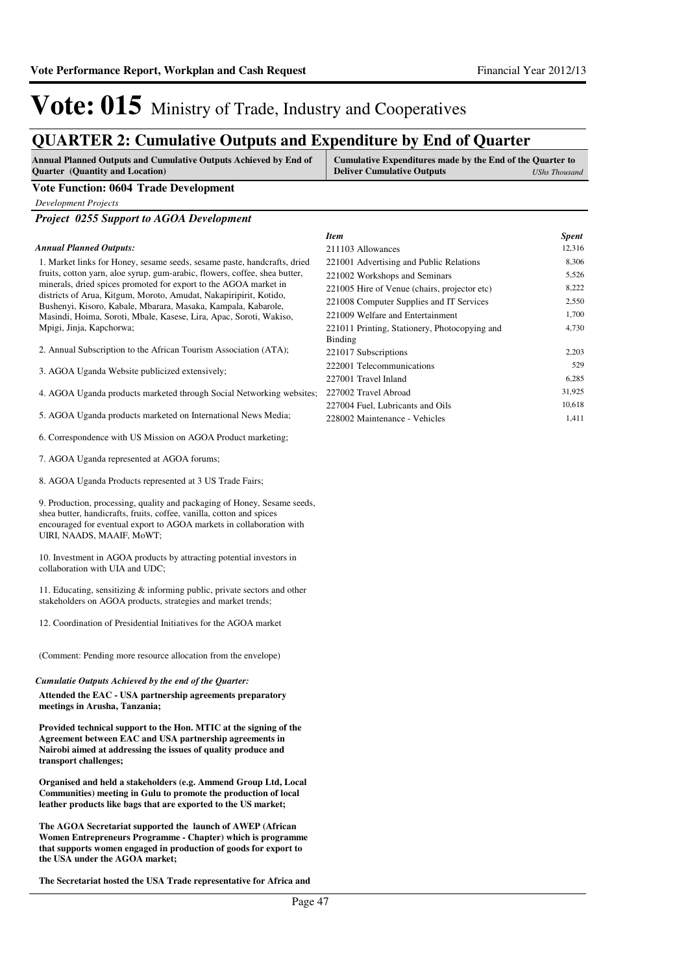## **QUARTER 2: Cumulative Outputs and Expenditure by End of Quarter**

| <b>Annual Planned Outputs and Cumulative Outputs Achieved by End of</b> | Cumulative Expenditures made by the End of the Quarter to |               |
|-------------------------------------------------------------------------|-----------------------------------------------------------|---------------|
| <b>Quarter</b> (Quantity and Location)                                  | <b>Deliver Cumulative Outputs</b>                         | UShs Thousand |

### **Vote Function: 0604 Trade Development**

*Development Projects*

*Project 0255 Support to AGOA Development*

#### *Annual Planned Outputs:*

1. Market links for Honey, sesame seeds, sesame paste, handcrafts, dried fruits, cotton yarn, aloe syrup, gum-arabic, flowers, coffee, shea butter, minerals, dried spices promoted for export to the AGOA market in districts of Arua, Kitgum, Moroto, Amudat, Nakapiripirit, Kotido, Bushenyi, Kisoro, Kabale, Mbarara, Masaka, Kampala, Kabarole, Masindi, Hoima, Soroti, Mbale, Kasese, Lira, Apac, Soroti, Wakiso, Mpigi, Jinja, Kapchorwa;

- 2. Annual Subscription to the African Tourism Association (ATA);
- 3. AGOA Uganda Website publicized extensively;

4. AGOA Uganda products marketed through Social Networking websites;

5. AGOA Uganda products marketed on International News Media;

6. Correspondence with US Mission on AGOA Product marketing;

- 7. AGOA Uganda represented at AGOA forums;
- 8. AGOA Uganda Products represented at 3 US Trade Fairs;

9. Production, processing, quality and packaging of Honey, Sesame seeds, shea butter, handicrafts, fruits, coffee, vanilla, cotton and spices encouraged for eventual export to AGOA markets in collaboration with UIRI, NAADS, MAAIF, MoWT;

10. Investment in AGOA products by attracting potential investors in collaboration with UIA and UDC;

11. Educating, sensitizing & informing public, private sectors and other stakeholders on AGOA products, strategies and market trends;

12. Coordination of Presidential Initiatives for the AGOA market

(Comment: Pending more resource allocation from the envelope)

## *Cumulatie Outputs Achieved by the end of the Quarter:*

**Attended the EAC - USA partnership agreements preparatory meetings in Arusha, Tanzania;** 

**Provided technical support to the Hon. MTIC at the signing of the Agreement between EAC and USA partnership agreements in Nairobi aimed at addressing the issues of quality produce and transport challenges;** 

**Organised and held a stakeholders (e.g. Ammend Group Ltd, Local Communities) meeting in Gulu to promote the production of local leather products like bags that are exported to the US market;** 

**The AGOA Secretariat supported the launch of AWEP (African Women Entrepreneurs Programme - Chapter) which is programme that supports women engaged in production of goods for export to the USA under the AGOA market;**

**The Secretariat hosted the USA Trade representative for Africa and** 

| Item                                          | <b>Spent</b> |
|-----------------------------------------------|--------------|
| 211103 Allowances                             | 12,316       |
| 221001 Advertising and Public Relations       | 8,306        |
| 221002 Workshops and Seminars                 | 5,526        |
| 221005 Hire of Venue (chairs, projector etc)  | 8,222        |
| 221008 Computer Supplies and IT Services      | 2,550        |
| 221009 Welfare and Entertainment              | 1,700        |
| 221011 Printing, Stationery, Photocopying and | 4,730        |
| Binding                                       |              |
| 221017 Subscriptions                          | 2,203        |
| 222001 Telecommunications                     | 529          |
| 227001 Travel Inland                          | 6,285        |
| 227002 Travel Abroad                          | 31,925       |
| 227004 Fuel, Lubricants and Oils              | 10,618       |
| 228002 Maintenance - Vehicles                 | 1,411        |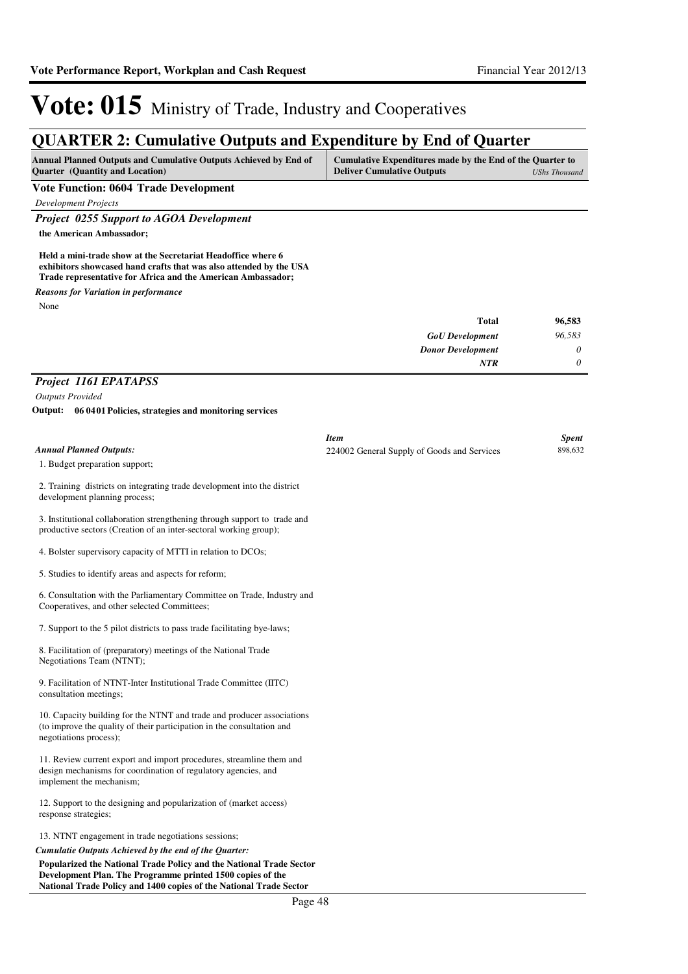# **QUARTER 2: Cumulative Outputs and Expenditure by End of Quarter**

| <b>Annual Planned Outputs and Cumulative Outputs Achieved by End of</b> | Cumulative Expenditures made by the End of the Quarter to |               |
|-------------------------------------------------------------------------|-----------------------------------------------------------|---------------|
| <b>Ouarter</b> (Quantity and Location)                                  | <b>Deliver Cumulative Outputs</b>                         | UShs Thousand |

#### **Vote Function: 0604 Trade Development**

*Development Projects*

*Project 0255 Support to AGOA Development*

**the American Ambassador;** 

**Held a mini-trade show at the Secretariat Headoffice where 6 exhibitors showcased hand crafts that was also attended by the USA Trade representative for Africa and the American Ambassador;**

*Reasons for Variation in performance*

None

| Total                    | 96,583 |
|--------------------------|--------|
| <b>GoU</b> Development   | 96,583 |
| <b>Donor Development</b> | 0      |
| <b>NTR</b>               | 0      |

### *Project 1161 EPATAPSS*

*Outputs Provided*

**06 0401 Policies, strategies and monitoring services Output:**

|                                                                                                                                                                            | <b>Item</b>                                 | <b>Spent</b> |
|----------------------------------------------------------------------------------------------------------------------------------------------------------------------------|---------------------------------------------|--------------|
| <b>Annual Planned Outputs:</b>                                                                                                                                             | 224002 General Supply of Goods and Services | 898,632      |
| 1. Budget preparation support;                                                                                                                                             |                                             |              |
| 2. Training districts on integrating trade development into the district<br>development planning process;                                                                  |                                             |              |
| 3. Institutional collaboration strengthening through support to trade and<br>productive sectors (Creation of an inter-sectoral working group);                             |                                             |              |
| 4. Bolster supervisory capacity of MTTI in relation to DCOs;                                                                                                               |                                             |              |
| 5. Studies to identify areas and aspects for reform;                                                                                                                       |                                             |              |
| 6. Consultation with the Parliamentary Committee on Trade, Industry and<br>Cooperatives, and other selected Committees;                                                    |                                             |              |
| 7. Support to the 5 pilot districts to pass trade facilitating bye-laws;                                                                                                   |                                             |              |
| 8. Facilitation of (preparatory) meetings of the National Trade<br>Negotiations Team (NTNT);                                                                               |                                             |              |
| 9. Facilitation of NTNT-Inter Institutional Trade Committee (IITC)<br>consultation meetings;                                                                               |                                             |              |
| 10. Capacity building for the NTNT and trade and producer associations<br>(to improve the quality of their participation in the consultation and<br>negotiations process); |                                             |              |
| 11. Review current export and import procedures, streamline them and<br>design mechanisms for coordination of regulatory agencies, and<br>implement the mechanism;         |                                             |              |
| 12. Support to the designing and popularization of (market access)<br>response strategies;                                                                                 |                                             |              |
| 13. NTNT engagement in trade negotiations sessions;                                                                                                                        |                                             |              |
| Cumulatie Outputs Achieved by the end of the Quarter:                                                                                                                      |                                             |              |
| Popularized the National Trade Policy and the National Trade Sector                                                                                                        |                                             |              |
| Development Plan. The Programme printed 1500 copies of the                                                                                                                 |                                             |              |

**Development Plan. The Programme printed 1500 copies of the National Trade Policy and 1400 copies of the National Trade Sector**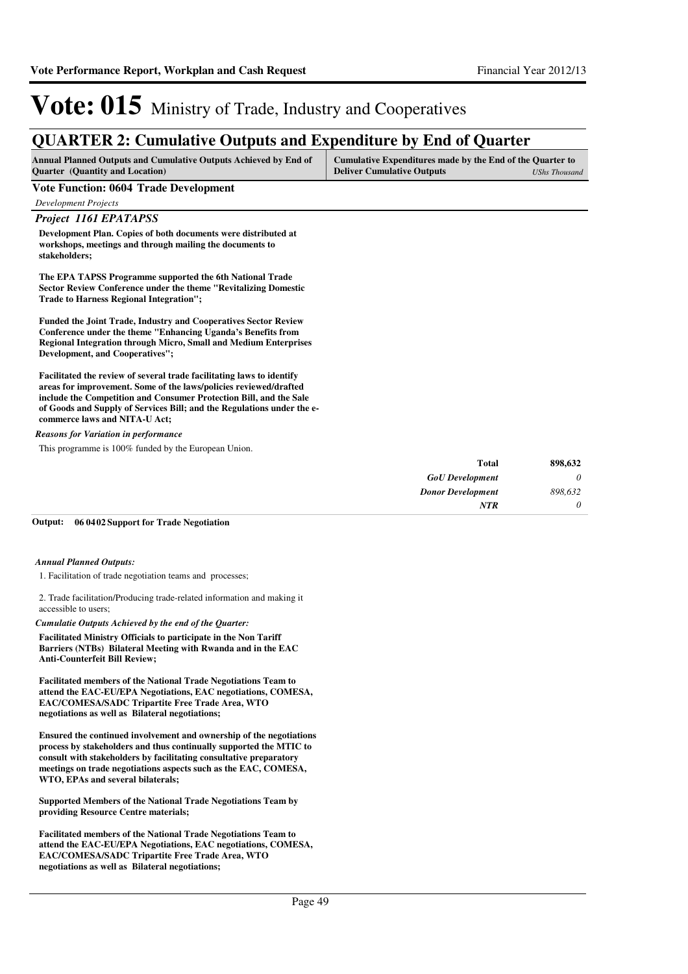## **QUARTER 2: Cumulative Outputs and Expenditure by End of Quarter**

| <b>Annual Planned Outputs and Cumulative Outputs Achieved by End of</b> | Cumulative Expenditures made by the End of the Quarter to |               |
|-------------------------------------------------------------------------|-----------------------------------------------------------|---------------|
| <b>Ouarter</b> (Quantity and Location)                                  | <b>Deliver Cumulative Outputs</b>                         | UShs Thousand |

#### **Vote Function: 0604 Trade Development**

*Development Projects*

*Project 1161 EPATAPSS* **Development Plan. Copies of both documents were distributed at workshops, meetings and through mailing the documents to stakeholders;**

**The EPA TAPSS Programme supported the 6th National Trade Sector Review Conference under the theme "Revitalizing Domestic Trade to Harness Regional Integration";**

**Funded the Joint Trade, Industry and Cooperatives Sector Review Conference under the theme "Enhancing Uganda's Benefits from Regional Integration through Micro, Small and Medium Enterprises Development, and Cooperatives";**

**Facilitated the review of several trade facilitating laws to identify areas for improvement. Some of the laws/policies reviewed/drafted include the Competition and Consumer Protection Bill, and the Sale of Goods and Supply of Services Bill; and the Regulations under the ecommerce laws and NITA-U Act;**

#### *Reasons for Variation in performance*

This programme is 100% funded by the European Union.

| 898,632 |
|---------|
|         |
| 898,632 |
|         |
|         |

#### **06 0402 Support for Trade Negotiation Output:**

#### *Annual Planned Outputs:*

1. Facilitation of trade negotiation teams and processes;

#### 2. Trade facilitation/Producing trade-related information and making it accessible to users;

#### *Cumulatie Outputs Achieved by the end of the Quarter:*

**Facilitated Ministry Officials to participate in the Non Tariff Barriers (NTBs) Bilateral Meeting with Rwanda and in the EAC Anti-Counterfeit Bill Review;**

**Facilitated members of the National Trade Negotiations Team to attend the EAC-EU/EPA Negotiations, EAC negotiations, COMESA, EAC/COMESA/SADC Tripartite Free Trade Area, WTO negotiations as well as Bilateral negotiations;**

**Ensured the continued involvement and ownership of the negotiations process by stakeholders and thus continually supported the MTIC to consult with stakeholders by facilitating consultative preparatory meetings on trade negotiations aspects such as the EAC, COMESA, WTO, EPAs and several bilaterals;**

**Supported Members of the National Trade Negotiations Team by providing Resource Centre materials;**

**Facilitated members of the National Trade Negotiations Team to attend the EAC-EU/EPA Negotiations, EAC negotiations, COMESA, EAC/COMESA/SADC Tripartite Free Trade Area, WTO negotiations as well as Bilateral negotiations;**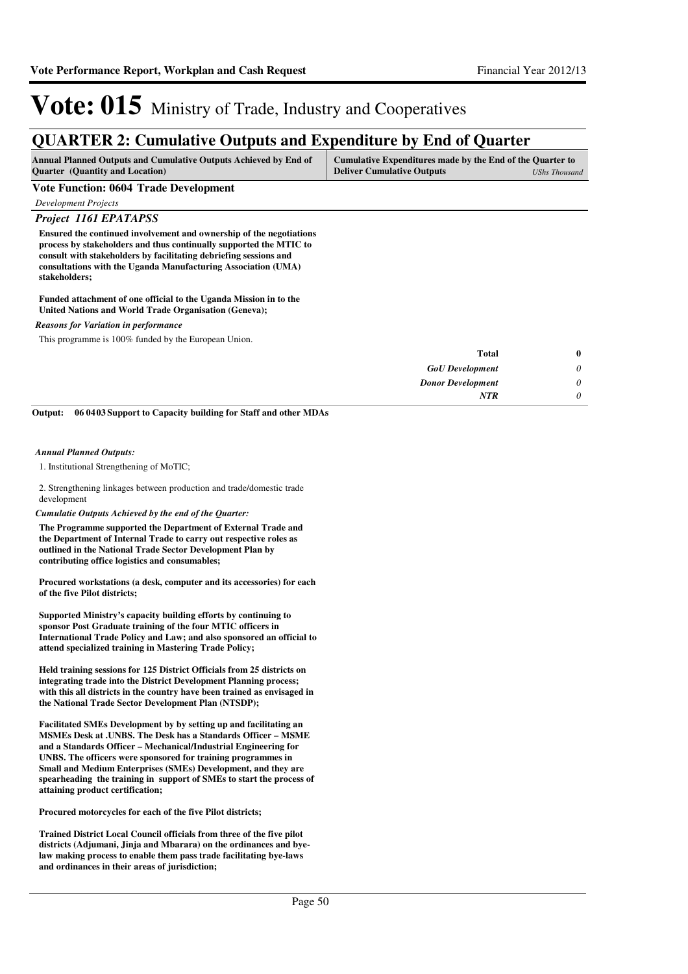## **QUARTER 2: Cumulative Outputs and Expenditure by End of Quarter**

| Annual Planned Outputs and Cumulative Outputs Achieved by End of | Cumulative Expenditures made by the End of the Quarter to |  |
|------------------------------------------------------------------|-----------------------------------------------------------|--|
| <b>Quarter</b> (Quantity and Location)                           | <b>Deliver Cumulative Outputs</b><br>UShs Thousand        |  |

#### **Vote Function: 0604 Trade Development**

*Development Projects*

### *Project 1161 EPATAPSS*

**Ensured the continued involvement and ownership of the negotiations process by stakeholders and thus continually supported the MTIC to consult with stakeholders by facilitating debriefing sessions and consultations with the Uganda Manufacturing Association (UMA) stakeholders;**

#### **Funded attachment of one official to the Uganda Mission in to the United Nations and World Trade Organisation (Geneva);**

#### *Reasons for Variation in performance*

This programme is 100% funded by the European Union.

| $\bf{0}$ | <b>Total</b>             |
|----------|--------------------------|
| $\theta$ | <b>GoU</b> Development   |
| $\theta$ | <b>Donor Development</b> |
| $\theta$ | <b>NTR</b>               |
|          |                          |

**06 0403 Support to Capacity building for Staff and other MDAs Output:**

#### *Annual Planned Outputs:*

1. Institutional Strengthening of MoTIC;

2. Strengthening linkages between production and trade/domestic trade development

#### *Cumulatie Outputs Achieved by the end of the Quarter:*

**The Programme supported the Department of External Trade and the Department of Internal Trade to carry out respective roles as outlined in the National Trade Sector Development Plan by contributing office logistics and consumables;**

**Procured workstations (a desk, computer and its accessories) for each of the five Pilot districts;**

**Supported Ministry's capacity building efforts by continuing to sponsor Post Graduate training of the four MTIC officers in International Trade Policy and Law; and also sponsored an official to attend specialized training in Mastering Trade Policy;**

**Held training sessions for 125 District Officials from 25 districts on integrating trade into the District Development Planning process; with this all districts in the country have been trained as envisaged in the National Trade Sector Development Plan (NTSDP);**

**Facilitated SMEs Development by by setting up and facilitating an MSMEs Desk at .UNBS. The Desk has a Standards Officer – MSME and a Standards Officer – Mechanical/Industrial Engineering for UNBS. The officers were sponsored for training programmes in Small and Medium Enterprises (SMEs) Development, and they are spearheading the training in support of SMEs to start the process of attaining product certification;**

**Procured motorcycles for each of the five Pilot districts;**

**Trained District Local Council officials from three of the five pilot districts (Adjumani, Jinja and Mbarara) on the ordinances and byelaw making process to enable them pass trade facilitating bye-laws and ordinances in their areas of jurisdiction;**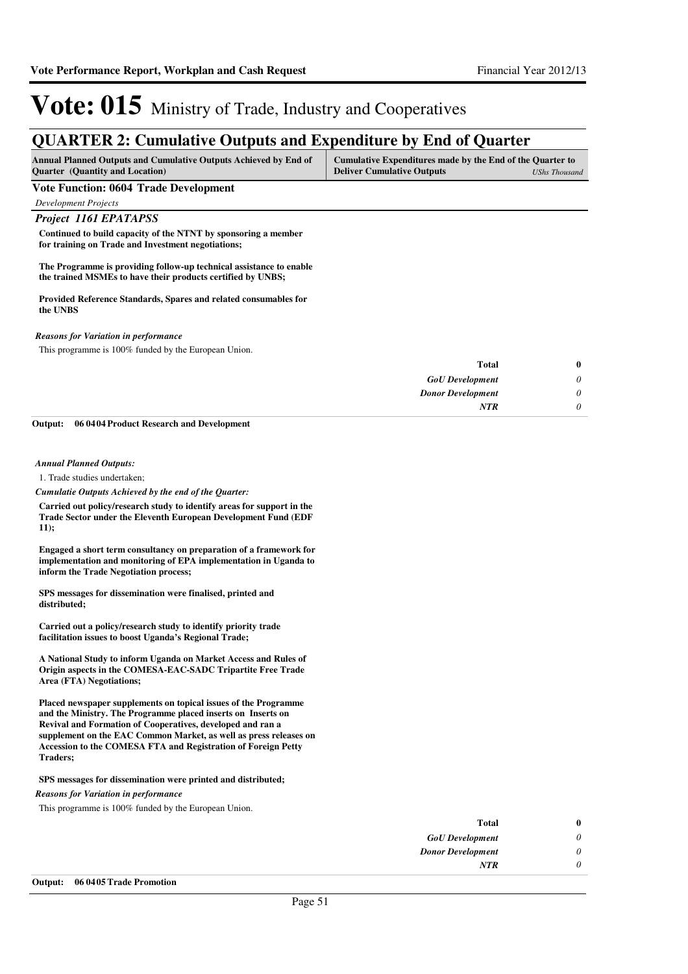## **QUARTER 2: Cumulative Outputs and Expenditure by End of Quarter**

| <b>Annual Planned Outputs and Cumulative Outputs Achieved by End of</b> | Cumulative Expenditures made by the End of the Quarter to |               |
|-------------------------------------------------------------------------|-----------------------------------------------------------|---------------|
| <b>Quarter</b> (Quantity and Location)                                  | <b>Deliver Cumulative Outputs</b>                         | UShs Thousand |

#### **Vote Function: 0604 Trade Development**

*Development Projects*

### *Project 1161 EPATAPSS*

**Continued to build capacity of the NTNT by sponsoring a member for training on Trade and Investment negotiations;**

**The Programme is providing follow-up technical assistance to enable the trained MSMEs to have their products certified by UNBS;**

**Provided Reference Standards, Spares and related consumables for the UNBS**

#### *Reasons for Variation in performance*

This programme is 100% funded by the European Union.

| $\bf{0}$ | Total                    |
|----------|--------------------------|
| 0        | <b>GoU</b> Development   |
| $\theta$ | <b>Donor Development</b> |
|          | <b>NTR</b>               |
|          |                          |

**06 0404 Product Research and Development Output:**

#### *Annual Planned Outputs:*

1. Trade studies undertaken;

*Cumulatie Outputs Achieved by the end of the Quarter:*

**Carried out policy/research study to identify areas for support in the Trade Sector under the Eleventh European Development Fund (EDF 11);** 

**Engaged a short term consultancy on preparation of a framework for implementation and monitoring of EPA implementation in Uganda to inform the Trade Negotiation process;**

**SPS messages for dissemination were finalised, printed and distributed;**

**Carried out a policy/research study to identify priority trade facilitation issues to boost Uganda's Regional Trade;**

**A National Study to inform Uganda on Market Access and Rules of Origin aspects in the COMESA-EAC-SADC Tripartite Free Trade Area (FTA) Negotiations;**

**Placed newspaper supplements on topical issues of the Programme and the Ministry. The Programme placed inserts on Inserts on Revival and Formation of Cooperatives, developed and ran a supplement on the EAC Common Market, as well as press releases on Accession to the COMESA FTA and Registration of Foreign Petty Traders;**

#### **SPS messages for dissemination were printed and distributed;**

*Reasons for Variation in performance*

This programme is 100% funded by the European Union.

| $\bf{0}$ | <b>Total</b>             |
|----------|--------------------------|
| 0        | <b>GoU</b> Development   |
| 0        | <b>Donor Development</b> |
| 0        | <b>NTR</b>               |
|          |                          |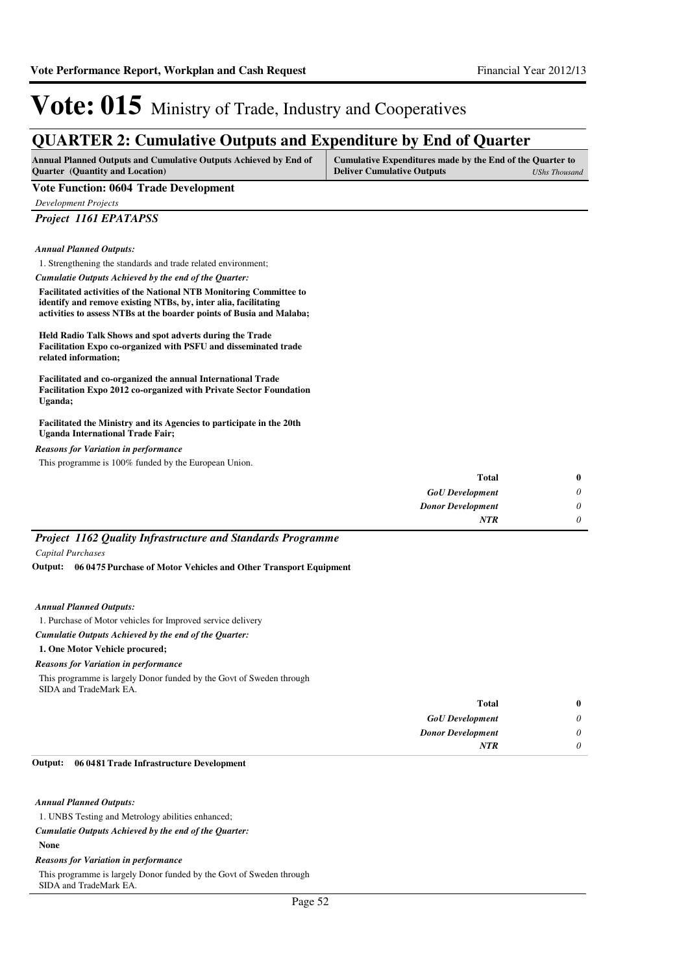## **QUARTER 2: Cumulative Outputs and Expenditure by End of Quarter**

| <b>Annual Planned Outputs and Cumulative Outputs Achieved by End of</b> | Cumulative Expenditures made by the End of the Quarter to |               |
|-------------------------------------------------------------------------|-----------------------------------------------------------|---------------|
| <b>Ouarter</b> (Quantity and Location)                                  | <b>Deliver Cumulative Outputs</b>                         | UShs Thousand |

#### **Vote Function: 0604 Trade Development**

*Development Projects*

*Project 1161 EPATAPSS*

*Annual Planned Outputs:*

1. Strengthening the standards and trade related environment;

*Cumulatie Outputs Achieved by the end of the Quarter:*

**Facilitated activities of the National NTB Monitoring Committee to identify and remove existing NTBs, by, inter alia, facilitating activities to assess NTBs at the boarder points of Busia and Malaba;**

**Held Radio Talk Shows and spot adverts during the Trade Facilitation Expo co-organized with PSFU and disseminated trade related information;**

**Facilitated and co-organized the annual International Trade Facilitation Expo 2012 co-organized with Private Sector Foundation Uganda;**

**Facilitated the Ministry and its Agencies to participate in the 20th Uganda International Trade Fair;**

*Reasons for Variation in performance*

This programme is 100% funded by the European Union.

| $\bf{0}$ | Total                    |
|----------|--------------------------|
| 0        | <b>GoU</b> Development   |
| 0        | <b>Donor Development</b> |
| 0        | <b>NTR</b>               |

*Project 1162 Quality Infrastructure and Standards Programme Capital Purchases*

**06 0475 Purchase of Motor Vehicles and Other Transport Equipment Output:**

#### *Annual Planned Outputs:*

1. Purchase of Motor vehicles for Improved service delivery

#### *Cumulatie Outputs Achieved by the end of the Quarter:*

**1. One Motor Vehicle procured;**

*Reasons for Variation in performance*

This programme is largely Donor funded by the Govt of Sweden through SIDA and TradeMark EA.

| $\bf{0}$                  | <b>Total</b>             |
|---------------------------|--------------------------|
| $\boldsymbol{\mathsf{U}}$ | <b>GoU</b> Development   |
| U                         | <b>Donor Development</b> |
| U                         | <b>NTR</b>               |

#### **06 0481 Trade Infrastructure Development Output:**

### *Annual Planned Outputs:*

1. UNBS Testing and Metrology abilities enhanced;

#### *Cumulatie Outputs Achieved by the end of the Quarter:*

#### **None**

#### *Reasons for Variation in performance*

This programme is largely Donor funded by the Govt of Sweden through SIDA and TradeMark EA.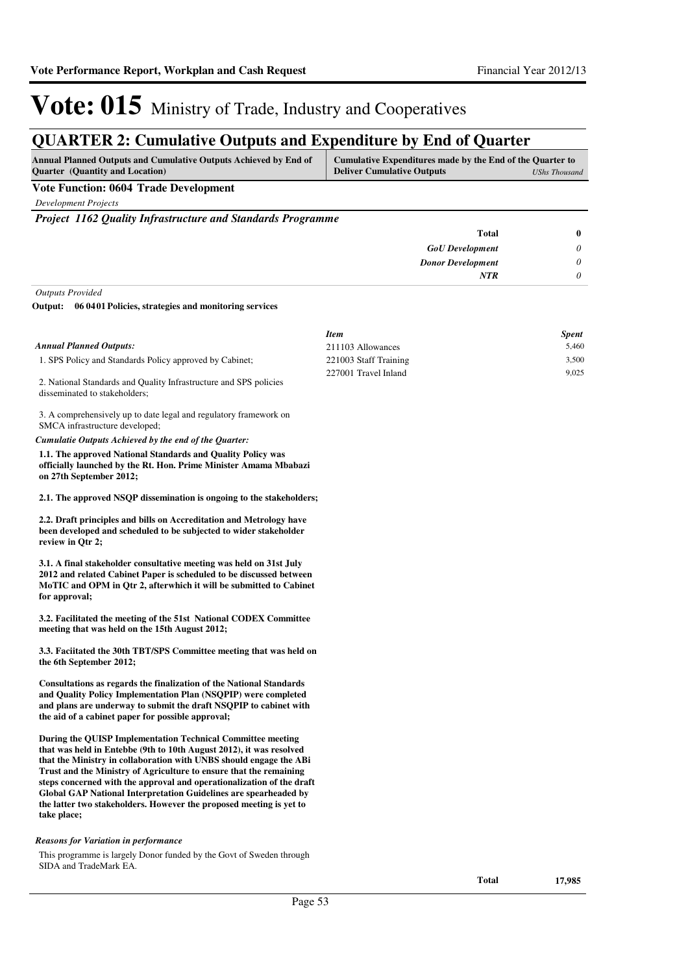## **QUARTER 2: Cumulative Outputs and Expenditure by End of Quarter**

| Cumulative Expenditures made by the End of the Quarter to |  |
|-----------------------------------------------------------|--|
| <b>Deliver Cumulative Outputs</b><br>UShs Thousand        |  |
|                                                           |  |

## **Vote Function: 0604 Trade Development**

*Development Projects*

*Project 1162 Quality Infrastructure and Standards Programme*

| $\bf{0}$ | Total                    |
|----------|--------------------------|
| 0        | <b>GoU</b> Development   |
|          | <b>Donor Development</b> |
|          | <b>NTR</b>               |
|          |                          |

*Outputs Provided*

disseminated to stakeholders;

#### **06 0401 Policies, strategies and monitoring services Output:**

|                                                                   | <b>Item</b>           | <b>Spent</b> |
|-------------------------------------------------------------------|-----------------------|--------------|
| Annual Planned Outputs:                                           | 211103 Allowances     | 5.460        |
| 1. SPS Policy and Standards Policy approved by Cabinet;           | 221003 Staff Training | 3.500        |
| 2. National Standards and Quality Infrastructure and SPS policies | 227001 Travel Inland  | 9.025        |

3. A comprehensively up to date legal and regulatory framework on SMCA infrastructure developed;

*Cumulatie Outputs Achieved by the end of the Quarter:*

**1.1. The approved National Standards and Quality Policy was officially launched by the Rt. Hon. Prime Minister Amama Mbabazi on 27th September 2012;**

**2.1. The approved NSQP dissemination is ongoing to the stakeholders;**

**2.2. Draft principles and bills on Accreditation and Metrology have been developed and scheduled to be subjected to wider stakeholder review in Qtr 2;**

**3.1. A final stakeholder consultative meeting was held on 31st July 2012 and related Cabinet Paper is scheduled to be discussed between MoTIC and OPM in Qtr 2, afterwhich it will be submitted to Cabinet for approval;**

**3.2. Facilitated the meeting of the 51st National CODEX Committee meeting that was held on the 15th August 2012;**

**3.3. Faciitated the 30th TBT/SPS Committee meeting that was held on the 6th September 2012;**

**Consultations as regards the finalization of the National Standards and Quality Policy Implementation Plan (NSQPIP) were completed and plans are underway to submit the draft NSQPIP to cabinet with the aid of a cabinet paper for possible approval;**

**During the QUISP Implementation Technical Committee meeting that was held in Entebbe (9th to 10th August 2012), it was resolved that the Ministry in collaboration with UNBS should engage the ABi Trust and the Ministry of Agriculture to ensure that the remaining steps concerned with the approval and operationalization of the draft Global GAP National Interpretation Guidelines are spearheaded by the latter two stakeholders. However the proposed meeting is yet to take place;**

#### *Reasons for Variation in performance*

This programme is largely Donor funded by the Govt of Sweden through SIDA and TradeMark EA.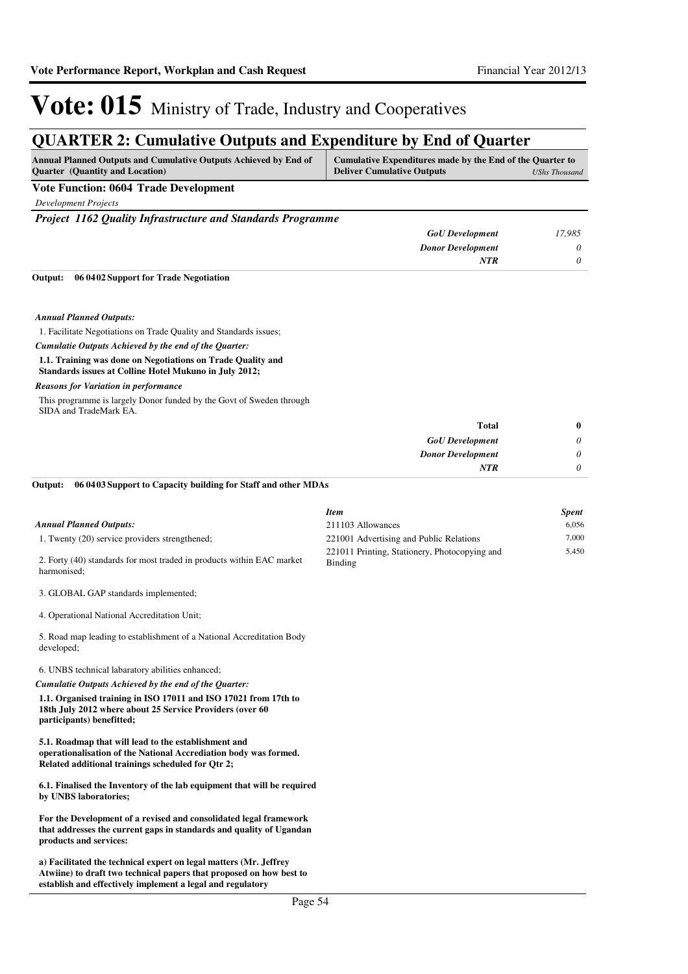## **QUARTER 2: Cumulative Outputs and Expenditure by End of Quarter**

| <b>Annual Planned Outputs and Cumulative Outputs Achieved by End of</b> | Cumulative Expenditures made by the End of the Quarter to |               |
|-------------------------------------------------------------------------|-----------------------------------------------------------|---------------|
| <b>Ouarter</b> (Quantity and Location)                                  | <b>Deliver Cumulative Outputs</b>                         | UShs Thousand |

### **Vote Function: 0604 Trade Development**

*Development Projects*

*Project 1162 Quality Infrastructure and Standards Programme*

| <b>GoU</b> Development   | 17,985                      |
|--------------------------|-----------------------------|
| <b>Donor Development</b> | $\boldsymbol{\mathsf{\nu}}$ |
| NTR                      |                             |

**06 0402 Support for Trade Negotiation Output:**

#### *Annual Planned Outputs:*

1. Facilitate Negotiations on Trade Quality and Standards issues;

*Cumulatie Outputs Achieved by the end of the Quarter:*

#### **1.1. Training was done on Negotiations on Trade Quality and Standards issues at Colline Hotel Mukuno in July 2012;**

#### *Reasons for Variation in performance*

This programme is largely Donor funded by the Govt of Sweden through SIDA and TradeMark EA.

| $\bf{0}$ | <b>Total</b>             |
|----------|--------------------------|
| 0        | <b>GoU</b> Development   |
| 0        | <b>Donor Development</b> |
| 0        | <b>NTR</b>               |

#### **06 0403 Support to Capacity building for Staff and other MDAs Output:**

|                                                                                                                                                                               | <b>Item</b>                                              | <b>Spent</b> |
|-------------------------------------------------------------------------------------------------------------------------------------------------------------------------------|----------------------------------------------------------|--------------|
| <b>Annual Planned Outputs:</b>                                                                                                                                                | 211103 Allowances                                        | 6,056        |
| 1. Twenty (20) service providers strengthened;                                                                                                                                | 221001 Advertising and Public Relations                  | 7,000        |
| 2. Forty (40) standards for most traded in products within EAC market<br>harmonised:                                                                                          | 221011 Printing, Stationery, Photocopying and<br>Binding | 5,450        |
| 3. GLOBAL GAP standards implemented;                                                                                                                                          |                                                          |              |
| 4. Operational National Accreditation Unit;                                                                                                                                   |                                                          |              |
| 5. Road map leading to establishment of a National Accreditation Body<br>developed;                                                                                           |                                                          |              |
| 6. UNBS technical labaratory abilities enhanced;                                                                                                                              |                                                          |              |
| Cumulatie Outputs Achieved by the end of the Quarter:                                                                                                                         |                                                          |              |
| 1.1. Organised training in ISO 17011 and ISO 17021 from 17th to<br>18th July 2012 where about 25 Service Providers (over 60<br>participants) benefitted;                      |                                                          |              |
| 5.1. Roadmap that will lead to the establishment and<br>operationalisation of the National Accrediation body was formed.<br>Related additional trainings scheduled for Qtr 2; |                                                          |              |
| 6.1. Finalised the Inventory of the lab equipment that will be required<br>by UNBS laboratories;                                                                              |                                                          |              |
| For the Development of a revised and consolidated legal framework<br>that addresses the current gaps in standards and quality of Ugandan<br>products and services:            |                                                          |              |
| a) Facilitated the technical expert on legal matters (Mr. Jeffrey                                                                                                             |                                                          |              |

**Atwiine) to draft two technical papers that proposed on how best to establish and effectively implement a legal and regulatory**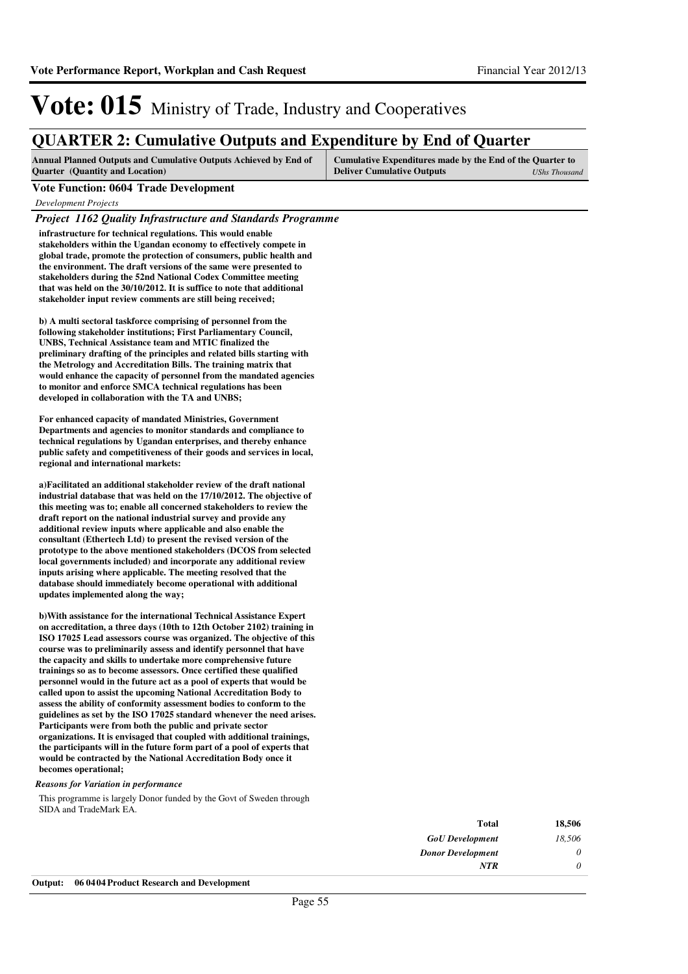## **QUARTER 2: Cumulative Outputs and Expenditure by End of Quarter**

| Annual Planned Outputs and Cumulative Outputs Achieved by End of | Cumulative Expenditures made by the End of the Quarter to |               |
|------------------------------------------------------------------|-----------------------------------------------------------|---------------|
| <b>Ouarter</b> (Quantity and Location)                           | <b>Deliver Cumulative Outputs</b>                         | UShs Thousand |

#### **Vote Function: 0604 Trade Development**

*Development Projects*

#### *Project 1162 Quality Infrastructure and Standards Programme*

**infrastructure for technical regulations. This would enable stakeholders within the Ugandan economy to effectively compete in global trade, promote the protection of consumers, public health and the environment. The draft versions of the same were presented to stakeholders during the 52nd National Codex Committee meeting that was held on the 30/10/2012. It is suffice to note that additional stakeholder input review comments are still being received;** 

**b) A multi sectoral taskforce comprising of personnel from the following stakeholder institutions; First Parliamentary Council, UNBS, Technical Assistance team and MTIC finalized the preliminary drafting of the principles and related bills starting with the Metrology and Accreditation Bills. The training matrix that would enhance the capacity of personnel from the mandated agencies to monitor and enforce SMCA technical regulations has been developed in collaboration with the TA and UNBS;**

**For enhanced capacity of mandated Ministries, Government Departments and agencies to monitor standards and compliance to technical regulations by Ugandan enterprises, and thereby enhance public safety and competitiveness of their goods and services in local, regional and international markets:**

a)Facilitated an additional stakeholder review of the draft national **industrial database that was held on the 17/10/2012. The objective of this meeting was to; enable all concerned stakeholders to review the draft report on the national industrial survey and provide any additional review inputs where applicable and also enable the consultant (Ethertech Ltd) to present the revised version of the prototype to the above mentioned stakeholders (DCOS from selected local governments included) and incorporate any additional review inputs arising where applicable. The meeting resolved that the database should immediately become operational with additional updates implemented along the way;**

**b)With assistance for the international Technical A ssistance Expert on accreditation, a three days (10th to 12th October 2102) training in ISO 17025 Lead assessors course was organized. The objective of this course was to preliminarily assess and identify personnel that have the capacity and skills to undertake more comprehensive future trainings so as to become assessors. Once certified these qualified personnel would in the future act as a pool of experts that would be called upon to assist the upcoming National Accreditation Body to assess the ability of conformity assessment bodies to conform to the guidelines as set by the ISO 17025 standard whenever the need arises. Participants were from both the public and private sector organizations. It is envisaged that coupled with additional trainings, the participants will in the future form part of a pool of experts that would be contracted by the National Accreditation Body once it becomes operational;**

#### *Reasons for Variation in performance*

This programme is largely Donor funded by the Govt of Sweden through SIDA and TradeMark EA.

| 18,506 | <b>Total</b>             |
|--------|--------------------------|
| 18,506 | <b>GoU</b> Development   |
| 0      | <b>Donor Development</b> |
| 0      | <b>NTR</b>               |
|        | .                        |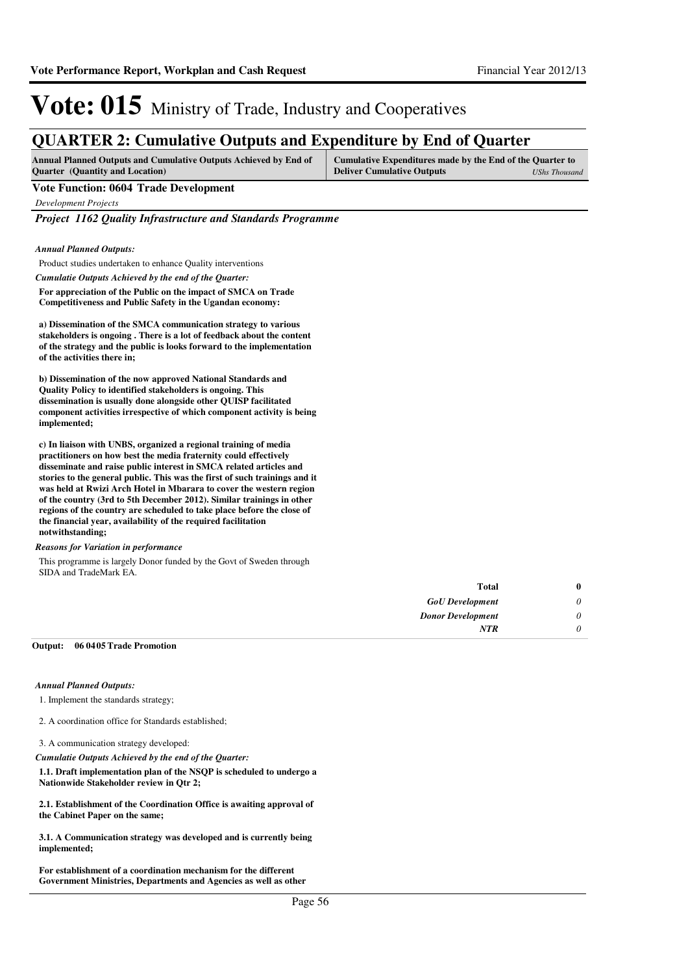## **QUARTER 2: Cumulative Outputs and Expenditure by End of Quarter**

| <b>Annual Planned Outputs and Cumulative Outputs Achieved by End of</b> | Cumulative Expenditures made by the End of the Quarter to |               |
|-------------------------------------------------------------------------|-----------------------------------------------------------|---------------|
| <b>Ouarter</b> (Quantity and Location)                                  | <b>Deliver Cumulative Outputs</b>                         | UShs Thousand |

#### **Vote Function: 0604 Trade Development**

*Development Projects*

*Project 1162 Quality Infrastructure and Standards Programme*

*Annual Planned Outputs:*

Product studies undertaken to enhance Quality interventions

*Cumulatie Outputs Achieved by the end of the Quarter:*

**For appreciation of the Public on the impact of SMCA on Trade Competitiveness and Public Safety in the Ugandan economy:**

**a) Dissemination of the SMCA communication strategy to various stakeholders is ongoing . There is a lot of feedback about the content of the strategy and the public is looks forward to the implementation of the activities there in;**

**b) Dissemination of the now approved National Standards and Quality Policy to identified stakeholders is ongoing. This dissemination is usually done alongside other QUISP facilitated component activities irrespective of which component activity is being implemented;**

**c) In liaison with UNBS, organized a regional training of media practitioners on how best the media fraternity could effectively disseminate and raise public interest in SMCA related articles and stories to the general public. This was the first of such trainings and it was held at Rwizi Arch Hotel in Mbarara to cover the western region of the country (3rd to 5th December 2012). Similar trainings in other regions of the country are scheduled to take place before the close of the financial year, availability of the required facilitation notwithstanding;**

#### *Reasons for Variation in performance*

This programme is largely Donor funded by the Govt of Sweden through SIDA and TradeMark EA.

| $\mathbf{0}$              | Total                    |
|---------------------------|--------------------------|
| 0                         | <b>GoU</b> Development   |
| 0                         | <b>Donor Development</b> |
| $\boldsymbol{\mathsf{U}}$ | <b>NTR</b>               |

#### **06 0405 Trade Promotion Output:**

#### *Annual Planned Outputs:*

1. Implement the standards strategy;

2. A coordination office for Standards established;

3. A communication strategy developed:

*Cumulatie Outputs Achieved by the end of the Quarter:*

**1.1. Draft implementation plan of the NSQP is scheduled to undergo a Nationwide Stakeholder review in Qtr 2;**

**2.1. Establishment of the Coordination Office is awaiting approval of the Cabinet Paper on the same;**

**3.1. A Communication strategy was developed and is currently being implemented;**

**For establishment of a coordination mechanism for the different Government Ministries, Departments and Agencies as well as other**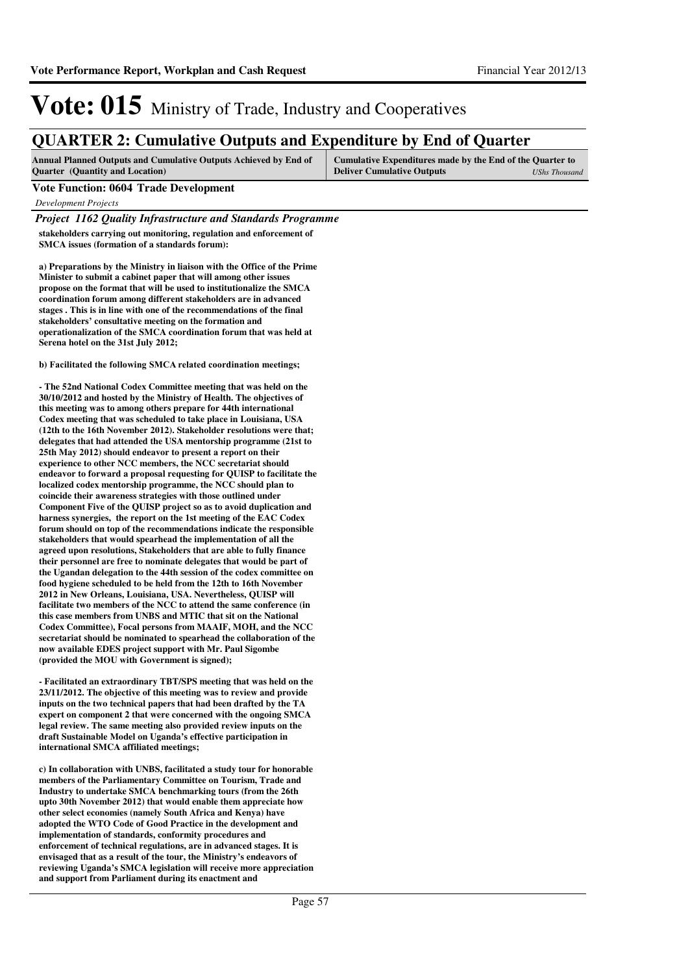## **QUARTER 2: Cumulative Outputs and Expenditure by End of Quarter**

| <b>Annual Planned Outputs and Cumulative Outputs Achieved by End of</b> | Cumulative Expenditures made by the End of the Quarter to |               |
|-------------------------------------------------------------------------|-----------------------------------------------------------|---------------|
| <b>Ouarter</b> (Quantity and Location)                                  | <b>Deliver Cumulative Outputs</b>                         | UShs Thousand |

#### **Vote Function: 0604 Trade Development**

*Development Projects*

*Project 1162 Quality Infrastructure and Standards Programme*

**stakeholders carrying out monitoring, regulation and enforcement of SMCA issues (formation of a standards forum):**

**a) Preparations by the Ministry in liaison with the Office of the Prime Minister to submit a cabinet paper that will among other issues propose on the format that will be used to institutionalize the SMCA coordination forum among different stakeholders are in advanced stages . This is in line with one of the recommendations of the final stakeholders' consultative meeting on the formation and operationalization of the SMCA coordination forum that was held at Serena hotel on the 31st July 2012;**

**b)** Facilitated the following SMCA related coordination meetings;

**- The 52nd National Codex Committee meeting that was held on the 30/10/2012 and hosted by the Ministry of Health. The objectives of this meeting was to among others prepare for 44th international Codex meeting that was scheduled to take place in Louisiana, USA (12th to the 16th November 2012). Stakeholder resolutions were that; delegates that had attended the USA mentorship programme (21st to 25th May 2012) should endeavor to present a report on their experience to other NCC members, the NCC secretariat should endeavor to forward a proposal requesting for QUISP to facilitate the localized codex mentorship programme, the NCC should plan to coincide their awareness strategies with those outlined under Component Five of the QUISP project so as to avoid duplication and harness synergies, the report on the 1st meeting of the EAC Codex forum should on top of the recommendations indicate the responsible stakeholders that would spearhead the implementation of all the agreed upon resolutions, Stakeholders that are able to fully finance their personnel are free to nominate delegates that would be part of the Ugandan delegation to the 44th session of the codex committee on food hygiene scheduled to be held from the 12th to 16th November 2012 in New Orleans, Louisiana, USA. Nevertheless, QUISP will facilitate two members of the NCC to attend the same conference (in this case members from UNBS and MTIC that sit on the National Codex Committee), Focal persons from MAAIF, MOH, and the NCC secretariat should be nominated to spearhead the collaboration of the now available EDES project support with Mr. Paul Sigombe (provided the MOU with Government is signed);**

**- Facilitated an extraordinary TBT/SPS meeting that was held on the 23/11/2012. The objective of this meeting was to review and provide inputs on the two technical papers that had been drafted by the TA expert on component 2 that were concerned with the ongoing SMCA legal review. The same meeting also provided review inputs on the draft Sustainable Model on Uganda's effective participation in international SMCA affiliated meetings;** 

**c) In collaboration with UNBS, facilitated a study tour for honorable members of the Parliamentary Committee on Tourism, Trade and Industry to undertake SMCA benchmarking tours (from the 26th upto 30th November 2012) that would enable them appreciate how other select economies (namely South Africa and Kenya) have adopted the WTO Code of Good Practice in the development and implementation of standards, conformity procedures and enforcement of technical regulations, are in advanced stages. It is envisaged that as a result of the tour, the Ministry's endeavors of reviewing Uganda's SMCA legislation will receive more appreciation and support from Parliament during its enactment and**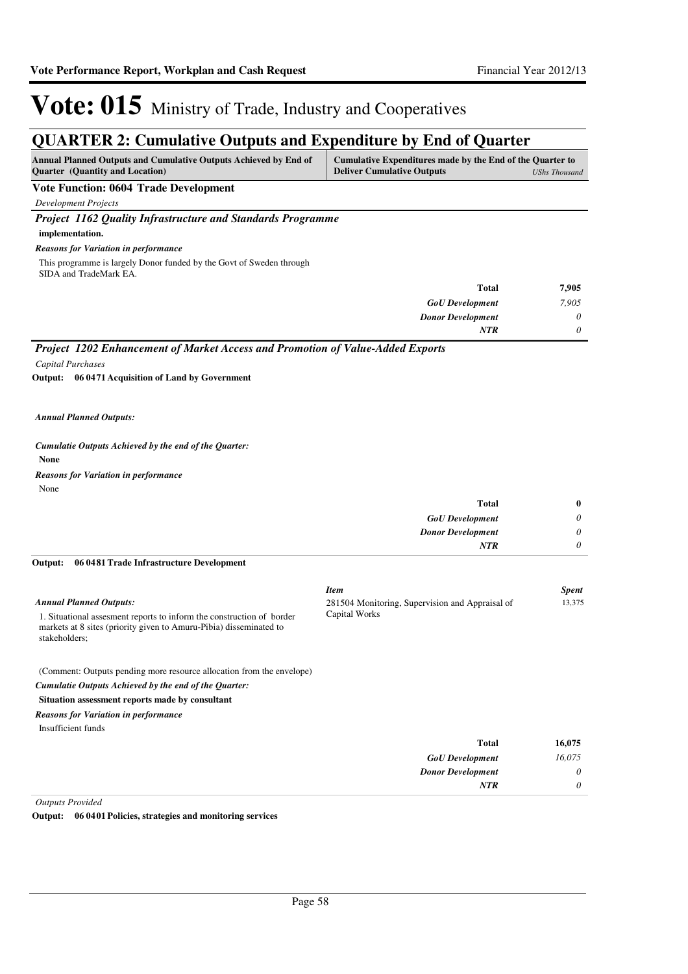*0*

*NTR*

# Vote: 015 Ministry of Trade, Industry and Cooperatives

## **QUARTER 2: Cumulative Outputs and Expenditure by End of Quarter**

| <b>Annual Planned Outputs and Cumulative Outputs Achieved by End of</b> | Cumulative Expenditures made by the End of the Quarter to |               |
|-------------------------------------------------------------------------|-----------------------------------------------------------|---------------|
| <b>Ouarter</b> (Quantity and Location)                                  | <b>Deliver Cumulative Outputs</b>                         | UShs Thousand |

### **Vote Function: 0604 Trade Development**

*Development Projects*

*Project 1162 Quality Infrastructure and Standards Programme*

### **implementation.**

#### *Reasons for Variation in performance*

This programme is largely Donor funded by the Govt of Sweden through SIDA and TradeMark EA.

| <b>Total</b>             | 7,905 |
|--------------------------|-------|
| <b>GoU</b> Development   | 7,905 |
| <b>Donor Development</b> | 0     |
| <b>NTR</b>               | 0     |

## *Project 1202 Enhancement of Market Access and Promotion of Value-Added Exports*

*Capital Purchases*

**06 0471 Acquisition of Land by Government Output:**

#### *Annual Planned Outputs:*

#### *Cumulatie Outputs Achieved by the end of the Quarter:*

**None**

None *Reasons for Variation in performance*

| Total                    | $\bf{0}$ |
|--------------------------|----------|
| <b>GoU</b> Development   | 0        |
| <b>Donor Development</b> | 0        |
| <b>NTR</b>               | 0        |
|                          |          |

#### **06 0481 Trade Infrastructure Development Output:**

|                                                                                                                                                                                                 | <b>Item</b>                                                      | <b>Spent</b> |
|-------------------------------------------------------------------------------------------------------------------------------------------------------------------------------------------------|------------------------------------------------------------------|--------------|
| <b>Annual Planned Outputs:</b><br>1. Situational assessment reports to inform the construction of border<br>markets at 8 sites (priority given to Amuru-Pibia) disseminated to<br>stakeholders: | 281504 Monitoring, Supervision and Appraisal of<br>Capital Works | 13,375       |
| (Comment: Outputs pending more resource allocation from the envelope)<br>Cumulatie Outputs Achieved by the end of the Ouarter:<br>Situation assessment reports made by consultant               |                                                                  |              |
| <b>Reasons for Variation in performance</b>                                                                                                                                                     |                                                                  |              |
| Insufficient funds                                                                                                                                                                              |                                                                  |              |
|                                                                                                                                                                                                 | <b>Total</b>                                                     | 16,075       |
|                                                                                                                                                                                                 | <b>GoU</b> Development                                           | 16.075       |
|                                                                                                                                                                                                 | <b>Donor Development</b>                                         | 0            |

*Outputs Provided*

**Output: 06 0401 Policies, strategies and monitoring services**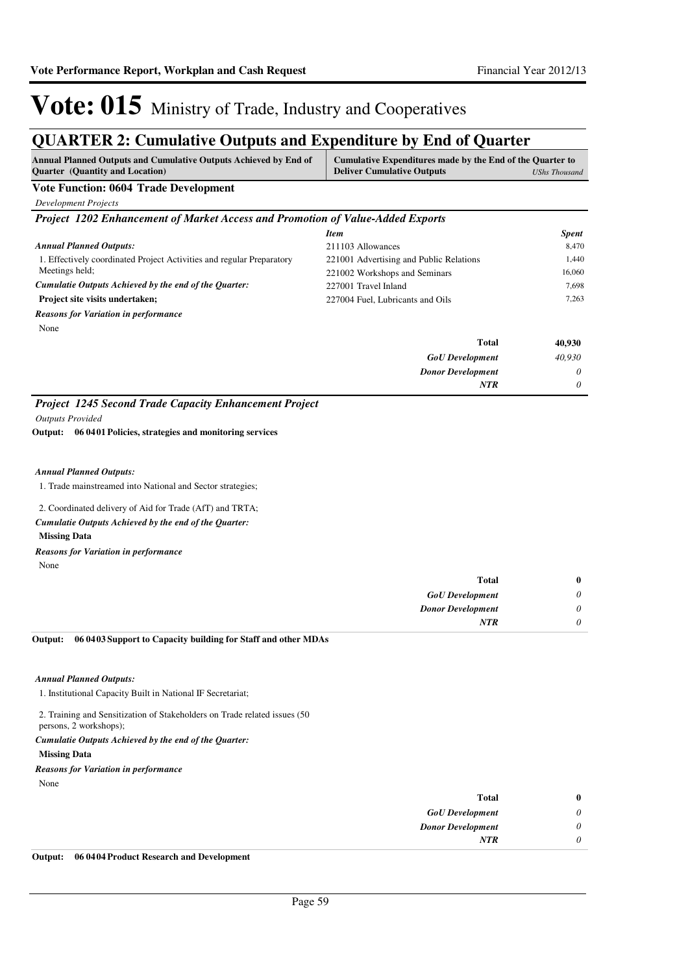# **QUARTER 2: Cumulative Outputs and Expenditure by End of Quarter**

| <b>Annual Planned Outputs and Cumulative Outputs Achieved by End of</b><br><b>Quarter</b> (Quantity and Location) | Cumulative Expenditures made by the End of the Quarter to<br><b>Deliver Cumulative Outputs</b><br>UShs Thousand |  |
|-------------------------------------------------------------------------------------------------------------------|-----------------------------------------------------------------------------------------------------------------|--|
| <b>Vote Function: 0604 Trade Development</b>                                                                      |                                                                                                                 |  |
| Development Projects                                                                                              |                                                                                                                 |  |
| <b>Project 1202 Enhancement of Market Access and Promotion of Value-Added Exports</b>                             |                                                                                                                 |  |
|                                                                                                                   | Svent<br>Item                                                                                                   |  |

|                                                                       |                                         | $_{\nu}$ $_{\nu}$ |
|-----------------------------------------------------------------------|-----------------------------------------|-------------------|
| <b>Annual Planned Outputs:</b>                                        | 211103 Allowances                       | 8,470             |
| 1. Effectively coordinated Project Activities and regular Preparatory | 221001 Advertising and Public Relations | 1,440             |
| Meetings held:                                                        | 221002 Workshops and Seminars           | 16,060            |
| Cumulatie Outputs Achieved by the end of the Quarter:                 | 227001 Travel Inland                    | 7.698             |
| Project site visits undertaken;                                       | 227004 Fuel, Lubricants and Oils        | 7,263             |
| <b>Reasons for Variation in performance</b>                           |                                         |                   |
| None                                                                  |                                         |                   |
|                                                                       | <b>Total</b>                            | 40,930            |
|                                                                       | <b>GoU</b> Development                  | 40,930            |
|                                                                       | <b>Donor Development</b>                | $\theta$          |
|                                                                       | <b>NTR</b>                              | $\theta$          |

### *Project 1245 Second Trade Capacity Enhancement Project*

*Outputs Provided*

**06 0401 Policies, strategies and monitoring services Output:**

#### *Annual Planned Outputs:*

1. Trade mainstreamed into National and Sector strategies;

#### 2. Coordinated delivery of Aid for Trade (AfT) and TRTA;

*Cumulatie Outputs Achieved by the end of the Quarter:*

### **Missing Data**

### *Reasons for Variation in performance*

None

| $\mathbf{0}$          | <b>Total</b>             |
|-----------------------|--------------------------|
| $\boldsymbol{\omega}$ | <b>GoU</b> Development   |
| $\boldsymbol{\omega}$ | <b>Donor Development</b> |
| υ                     | NTR                      |
|                       |                          |

#### **06 0403 Support to Capacity building for Staff and other MDAs Output:**

#### *Annual Planned Outputs:*

1. Institutional Capacity Built in National IF Secretariat;

2. Training and Sensitization of Stakeholders on Trade related issues (50 persons, 2 workshops);

#### *Cumulatie Outputs Achieved by the end of the Quarter:*

**Missing Data**

#### None *Reasons for Variation in performance*

| $\bf{0}$                    | <b>Total</b>             |
|-----------------------------|--------------------------|
| $\boldsymbol{\omega}$       | <b>GoU</b> Development   |
| $\theta$                    | <b>Donor Development</b> |
| $\boldsymbol{\mathsf{\nu}}$ | <b>NTR</b>               |
|                             |                          |

#### **Output: 06 0404 Product Research and Development**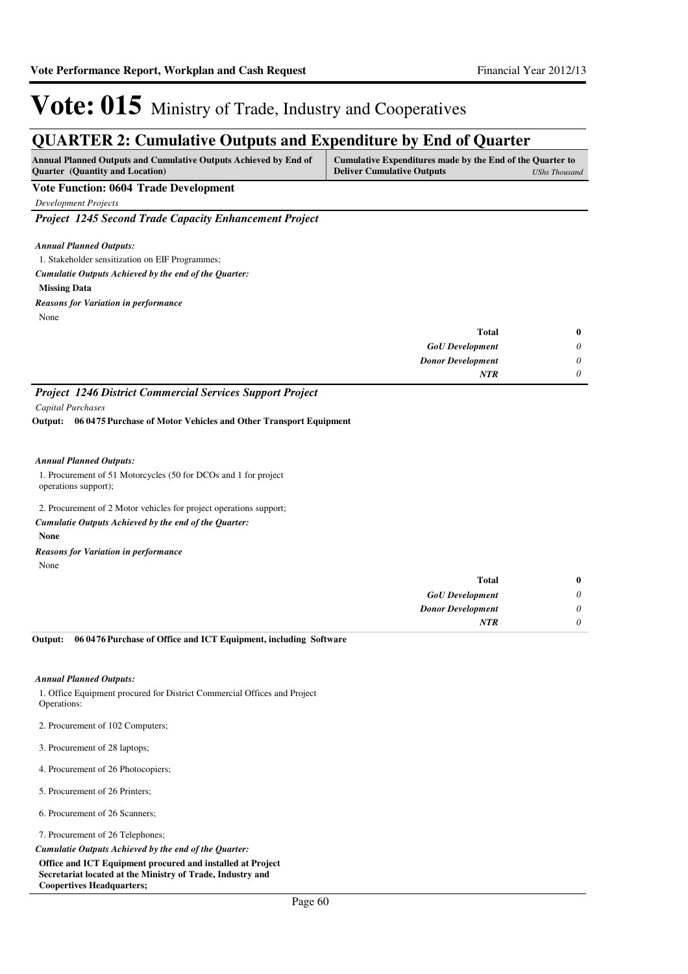## **QUARTER 2: Cumulative Outputs and Expenditure by End of Quarter**

| <b>Annual Planned Outputs and Cumulative Outputs Achieved by End of</b> | Cumulative Expenditures made by the End of the Quarter to |               |
|-------------------------------------------------------------------------|-----------------------------------------------------------|---------------|
| <b>Quarter</b> (Quantity and Location)                                  | <b>Deliver Cumulative Outputs</b>                         | UShs Thousand |

### **Vote Function: 0604 Trade Development**

*Development Projects*

*Project 1245 Second Trade Capacity Enhancement Project*

#### *Annual Planned Outputs:*

1. Stakeholder sensitization on EIF Programmes;

*Cumulatie Outputs Achieved by the end of the Quarter:*

#### **Missing Data**

*Reasons for Variation in performance*

None

| <b>Total</b>             |   |
|--------------------------|---|
| <b>GoU</b> Development   | 0 |
| <b>Donor Development</b> | 0 |
| <b>NTR</b>               | 0 |

### *Project 1246 District Commercial Services Support Project Capital Purchases*

**06 0475 Purchase of Motor Vehicles and Other Transport Equipment Output:**

#### *Annual Planned Outputs:*

1. Procurement of 51 Motorcycles (50 for DCOs and 1 for project operations support);

#### 2. Procurement of 2 Motor vehicles for project operations support;

*Cumulatie Outputs Achieved by the end of the Quarter:*

#### **None**

*Reasons for Variation in performance*

None

| $\mathbf{0}$ | <b>Total</b>             |
|--------------|--------------------------|
| 0            | <b>GoU</b> Development   |
| 0            | <b>Donor Development</b> |
| 0            | <b>NTR</b>               |
|              |                          |

#### **06 0476 Purchase of Office and ICT Equipment, including Software Output:**

#### *Annual Planned Outputs:*

1. Office Equipment procured for District Commercial Offices and Project Operations:

- 2. Procurement of 102 Computers;
- 3. Procurement of 28 laptops;
- 4. Procurement of 26 Photocopiers;
- 5. Procurement of 26 Printers;
- 6. Procurement of 26 Scanners;

7. Procurement of 26 Telephones;

*Cumulatie Outputs Achieved by the end of the Quarter:*

**Office and ICT Equipment procured and installed at Project Secretariat located at the Ministry of Trade, Industry and Coopertives Headquarters;**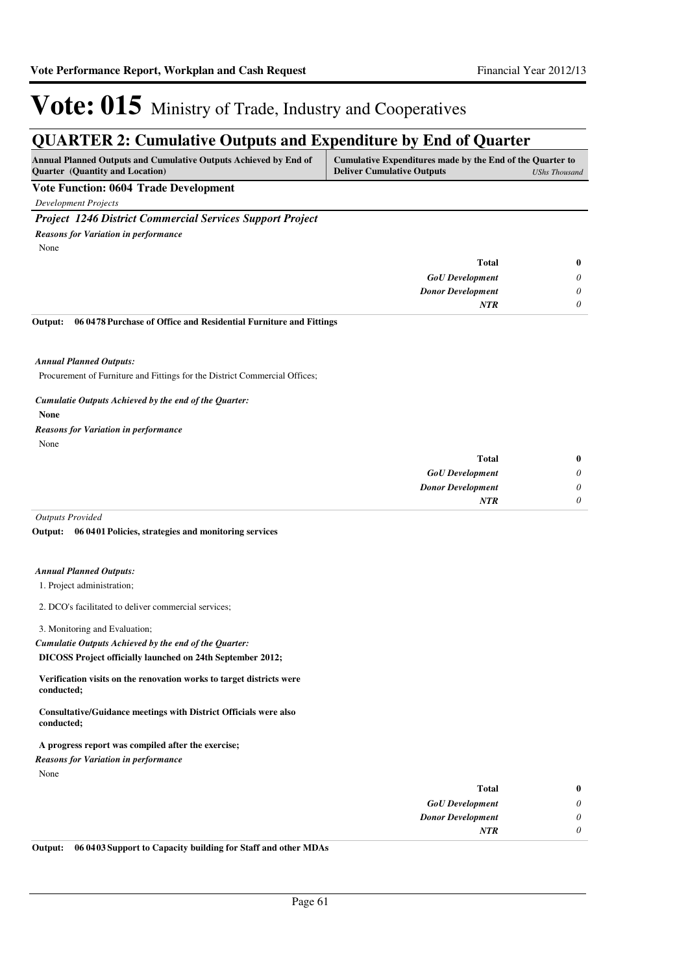## **QUARTER 2: Cumulative Outputs and Expenditure by End of Quarter**

| <b>Annual Planned Outputs and Cumulative Outputs Achieved by End of</b> | Cumulative Expenditures made by the End of the Quarter to |               |
|-------------------------------------------------------------------------|-----------------------------------------------------------|---------------|
| <b>Ouarter</b> (Quantity and Location)                                  | <b>Deliver Cumulative Outputs</b>                         | UShs Thousand |

### **Vote Function: 0604 Trade Development**

*Development Projects*

### *Project 1246 District Commercial Services Support Project*

*Reasons for Variation in performance*

None

| $\bf{0}$ | <b>Total</b>             |
|----------|--------------------------|
| 0        | <b>GoU</b> Development   |
| 0        | <b>Donor Development</b> |
| 0        | <b>NTR</b>               |

#### **06 0478 Purchase of Office and Residential Furniture and Fittings Output:**

*Annual Planned Outputs:*

Procurement of Furniture and Fittings for the District Commercial Offices;

### *Cumulatie Outputs Achieved by the end of the Quarter:*

**None**

## *Reasons for Variation in performance*

None

| $\bf{0}$ | Total                    |
|----------|--------------------------|
| 0        | <b>GoU</b> Development   |
| 0        | <b>Donor Development</b> |
| 0        | <b>NTR</b>               |
|          |                          |

*Outputs Provided*

#### **06 0401 Policies, strategies and monitoring services Output:**

#### *Annual Planned Outputs:*

1. Project administration;

2. DCO's facilitated to deliver commercial services;

3. Monitoring and Evaluation;

*Cumulatie Outputs Achieved by the end of the Quarter:*

**DICOSS Project officially launched on 24th September 2012;**

**Verification visits on the renovation works to target districts were conducted;** 

**Consultative/Guidance meetings with District Officials were also conducted;**

**A progress report was compiled after the exercise;**

*Reasons for Variation in performance*

None

| Total                    | $\bf{0}$ |
|--------------------------|----------|
| <b>GoU</b> Development   | 0        |
| <b>Donor Development</b> | $\theta$ |
| <b>NTR</b>               | $\theta$ |
|                          |          |

**Output: 06 0403 Support to Capacity building for Staff and other MDAs**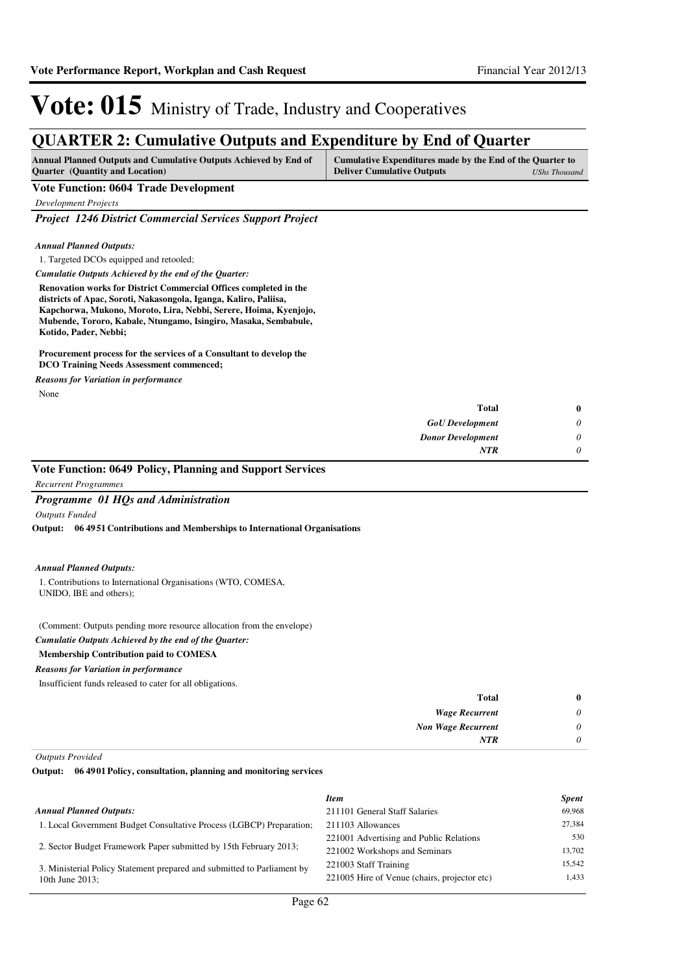## **QUARTER 2: Cumulative Outputs and Expenditure by End of Quarter**

| <b>Annual Planned Outputs and Cumulative Outputs Achieved by End of</b> | Cumulative Expenditures made by the End of the Quarter to |               |
|-------------------------------------------------------------------------|-----------------------------------------------------------|---------------|
| <b>Ouarter</b> (Quantity and Location)                                  | <b>Deliver Cumulative Outputs</b>                         | UShs Thousand |

### **Vote Function: 0604 Trade Development**

*Development Projects*

*Project 1246 District Commercial Services Support Project*

#### *Annual Planned Outputs:*

1. Targeted DCOs equipped and retooled;

*Cumulatie Outputs Achieved by the end of the Quarter:*

**Renovation works for District Commercial Offices completed in the districts of Apac, Soroti, Nakasongola, Iganga, Kaliro, Paliisa, Kapchorwa, Mukono, Moroto, Lira, Nebbi, Serere, Hoima, Kyenjojo, Mubende, Tororo, Kabale, Ntungamo, Isingiro, Masaka, Sembabule, Kotido, Pader, Nebbi;**

#### **Procurement process for the services of a Consultant to develop the DCO Training Needs Assessment commenced;**

*Reasons for Variation in performance*

None

| Total                    |
|--------------------------|
| <b>GoU</b> Development   |
| <b>Donor Development</b> |
| <b>NTR</b>               |
|                          |

### **Vote Function: 0649 Policy, Planning and Support Services**

### *Programme 01 HQs and Administration*

*Outputs Funded*

*Recurrent Programmes*

**06 4951 Contributions and Memberships to International Organisations Output:**

#### *Annual Planned Outputs:*

1. Contributions to International Organisations (WTO, COMESA, UNIDO, IBE and others);

(Comment: Outputs pending more resource allocation from the envelope)

### *Cumulatie Outputs Achieved by the end of the Quarter:*

#### **Membership Contribution paid to COMESA**

*Reasons for Variation in performance*

Insufficient funds released to cater for all obligations.

| $\bf{0}$ | <b>Total</b>              |
|----------|---------------------------|
| 0        | <b>Wage Recurrent</b>     |
| 0        | <b>Non Wage Recurrent</b> |
| 0        | <b>NTR</b>                |
|          |                           |

*Outputs Provided*

**06 4901 Policy, consultation, planning and monitoring services Output:**

|                                                                         | <b>Item</b>                                  | <b>Spent</b> |
|-------------------------------------------------------------------------|----------------------------------------------|--------------|
| <b>Annual Planned Outputs:</b>                                          | 211101 General Staff Salaries                | 69,968       |
| 1. Local Government Budget Consultative Process (LGBCP) Preparation;    | 211103 Allowances                            | 27.384       |
|                                                                         | 221001 Advertising and Public Relations      | 530          |
| 2. Sector Budget Framework Paper submitted by 15th February 2013;       | 221002 Workshops and Seminars                | 13.702       |
| 3. Ministerial Policy Statement prepared and submitted to Parliament by | 221003 Staff Training                        | 15.542       |
| 10th June $2013$ ;                                                      | 221005 Hire of Venue (chairs, projector etc) | 1.433        |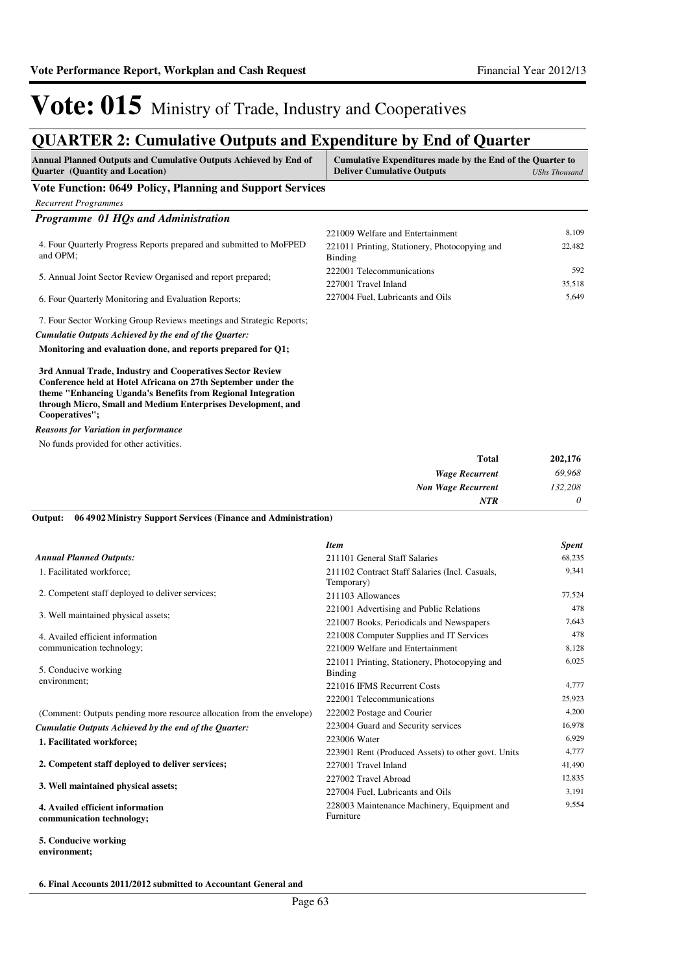## **QUARTER 2: Cumulative Outputs and Expenditure by End of Quarter**

| Annual Planned Outputs and Cumulative Outputs Achieved by End of<br><b>Quarter</b> (Quantity and Location)                                                                                                                                                                   | Cumulative Expenditures made by the End of the Quarter to<br><b>Deliver Cumulative Outputs</b> | <b>UShs Thousand</b> |
|------------------------------------------------------------------------------------------------------------------------------------------------------------------------------------------------------------------------------------------------------------------------------|------------------------------------------------------------------------------------------------|----------------------|
| Vote Function: 0649 Policy, Planning and Support Services                                                                                                                                                                                                                    |                                                                                                |                      |
| <b>Recurrent Programmes</b>                                                                                                                                                                                                                                                  |                                                                                                |                      |
| Programme 01 HQs and Administration                                                                                                                                                                                                                                          |                                                                                                |                      |
|                                                                                                                                                                                                                                                                              | 221009 Welfare and Entertainment                                                               | 8,109                |
| 4. Four Quarterly Progress Reports prepared and submitted to MoFPED<br>and OPM;                                                                                                                                                                                              | 221011 Printing, Stationery, Photocopying and<br><b>Binding</b>                                | 22,482               |
| 5. Annual Joint Sector Review Organised and report prepared;                                                                                                                                                                                                                 | 222001 Telecommunications                                                                      | 592                  |
|                                                                                                                                                                                                                                                                              | 227001 Travel Inland                                                                           | 35,518               |
| 6. Four Quarterly Monitoring and Evaluation Reports;                                                                                                                                                                                                                         | 227004 Fuel, Lubricants and Oils                                                               | 5,649                |
| 7. Four Sector Working Group Reviews meetings and Strategic Reports;                                                                                                                                                                                                         |                                                                                                |                      |
| Cumulatie Outputs Achieved by the end of the Quarter:                                                                                                                                                                                                                        |                                                                                                |                      |
| Monitoring and evaluation done, and reports prepared for Q1;                                                                                                                                                                                                                 |                                                                                                |                      |
| 3rd Annual Trade, Industry and Cooperatives Sector Review<br>Conference held at Hotel Africana on 27th September under the<br>theme "Enhancing Uganda's Benefits from Regional Integration<br>through Micro, Small and Medium Enterprises Development, and<br>Cooperatives"; |                                                                                                |                      |
| <b>Reasons for Variation in performance</b>                                                                                                                                                                                                                                  |                                                                                                |                      |
| No funds provided for other activities.                                                                                                                                                                                                                                      |                                                                                                |                      |
|                                                                                                                                                                                                                                                                              | <b>Total</b>                                                                                   | 202,176              |
|                                                                                                                                                                                                                                                                              | <b>Wage Recurrent</b>                                                                          | 69,968               |
|                                                                                                                                                                                                                                                                              | <b>Non Wage Recurrent</b>                                                                      | 132,208              |
|                                                                                                                                                                                                                                                                              | NTR                                                                                            | $\theta$             |

|                                                                       | <b>Item</b>                                                  | <b>Spent</b> |
|-----------------------------------------------------------------------|--------------------------------------------------------------|--------------|
| <b>Annual Planned Outputs:</b>                                        | 211101 General Staff Salaries                                | 68,235       |
| 1. Facilitated workforce;                                             | 211102 Contract Staff Salaries (Incl. Casuals,<br>Temporary) | 9.341        |
| 2. Competent staff deployed to deliver services;                      | 211103 Allowances                                            | 77,524       |
| 3. Well maintained physical assets;                                   | 221001 Advertising and Public Relations                      | 478          |
|                                                                       | 221007 Books, Periodicals and Newspapers                     | 7.643        |
| 4. Availed efficient information                                      | 221008 Computer Supplies and IT Services                     | 478          |
| communication technology;                                             | 221009 Welfare and Entertainment                             | 8,128        |
| 5. Conducive working                                                  | 221011 Printing, Stationery, Photocopying and<br>Binding     | 6.025        |
| environment:                                                          | 221016 IFMS Recurrent Costs                                  | 4.777        |
|                                                                       | 222001 Telecommunications                                    | 25,923       |
| (Comment: Outputs pending more resource allocation from the envelope) | 222002 Postage and Courier                                   | 4.200        |
| Cumulatie Outputs Achieved by the end of the Quarter:                 | 223004 Guard and Security services                           | 16.978       |
| 1. Facilitated workforce;                                             | 223006 Water                                                 | 6,929        |
|                                                                       | 223901 Rent (Produced Assets) to other govt. Units           | 4.777        |
| 2. Competent staff deployed to deliver services;                      | 227001 Travel Inland                                         | 41,490       |
| 3. Well maintained physical assets;                                   | 227002 Travel Abroad                                         | 12,835       |
|                                                                       | 227004 Fuel, Lubricants and Oils                             | 3,191        |
| 4. Availed efficient information<br>communication technology;         | 228003 Maintenance Machinery, Equipment and<br>Furniture     | 9,554        |

**5. Conducive working environment;**

**6. Final Accounts 2011/2012 submitted to Accountant General and**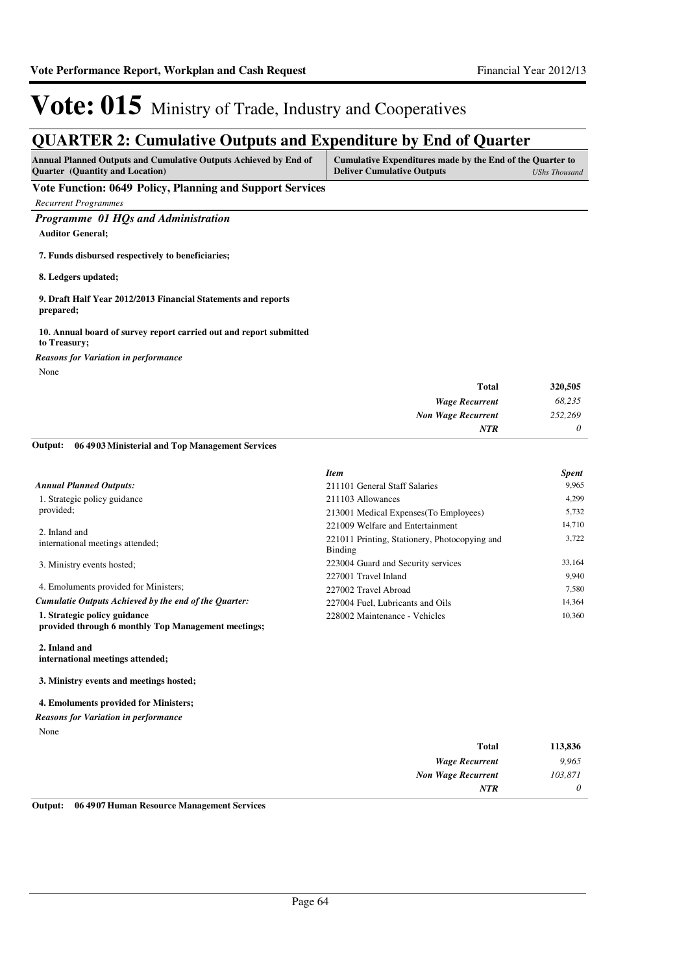## **QUARTER 2: Cumulative Outputs and Expenditure by End of Quarter**

| <b>Annual Planned Outputs and Cumulative Outputs Achieved by End of</b> | Cumulative Expenditures made by the End of the Quarter to |               |
|-------------------------------------------------------------------------|-----------------------------------------------------------|---------------|
| <b>Ouarter</b> (Quantity and Location)                                  | <b>Deliver Cumulative Outputs</b>                         | UShs Thousand |
| Vote Function: 0640 Delicy Dlanning and Support Services                |                                                           |               |

**Vote Function: 0649 Policy, Planning and Support Services**

*Recurrent Programmes*

### *Programme 01 HQs and Administration*

**Auditor General;**

**7. Funds disbursed respectively to beneficiaries;**

**8. Ledgers updated;**

**9. Draft Half Year 2012/2013 Financial Statements and reports prepared;**

#### **10. Annual board of survey report carried out and report submitted to Treasury;**

*Reasons for Variation in performance*

None

| 320,505 | Total                     |
|---------|---------------------------|
| 68,235  | <b>Wage Recurrent</b>     |
| 252,269 | <b>Non Wage Recurrent</b> |
| 0       | NTR                       |

#### **06 4903 Ministerial and Top Management Services Output:**

|                                                                                     | <b>Item</b>                                              | <b>Spent</b> |
|-------------------------------------------------------------------------------------|----------------------------------------------------------|--------------|
| <b>Annual Planned Outputs:</b>                                                      | 211101 General Staff Salaries                            | 9.965        |
| 1. Strategic policy guidance                                                        | 211103 Allowances                                        | 4.299        |
| provided:                                                                           | 213001 Medical Expenses (To Employees)                   | 5,732        |
| 2. Inland and                                                                       | 221009 Welfare and Entertainment                         | 14,710       |
| international meetings attended;                                                    | 221011 Printing, Stationery, Photocopying and<br>Binding | 3,722        |
| 3. Ministry events hosted;                                                          | 223004 Guard and Security services                       | 33,164       |
|                                                                                     | 227001 Travel Inland                                     | 9.940        |
| 4. Emoluments provided for Ministers;                                               | 227002 Travel Abroad                                     | 7,580        |
| Cumulatie Outputs Achieved by the end of the Ouarter:                               | 227004 Fuel, Lubricants and Oils                         | 14,364       |
| 1. Strategic policy guidance<br>provided through 6 monthly Top Management meetings; | 228002 Maintenance - Vehicles                            | 10.360       |

**2. Inland and international meetings attended;**

**3. Ministry events and meetings hosted;**

#### **4. Emoluments provided for Ministers;**

None *Reasons for Variation in performance*

| 113,836 | Total                     |
|---------|---------------------------|
| 9,965   | <b>Wage Recurrent</b>     |
| 103,871 | <b>Non Wage Recurrent</b> |
| 0       | <b>NTR</b>                |
|         |                           |

**Output: 06 4907 Human Resource Management Services**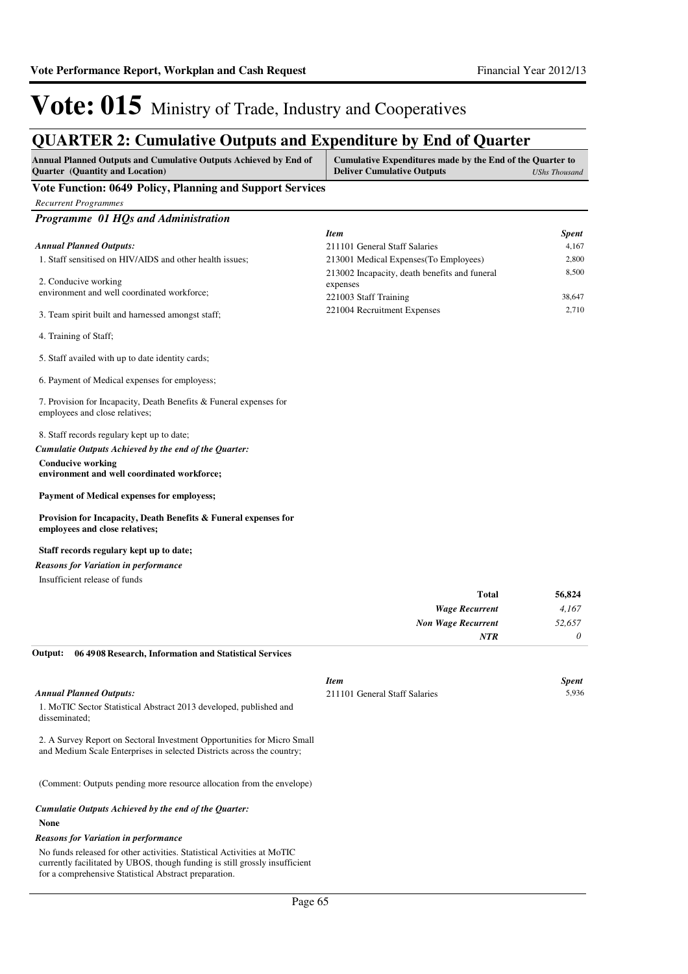## **QUARTER 2: Cumulative Outputs and Expenditure by End of Quarter**

| Annual Planned Outputs and Cumulative Outputs Achieved by End of<br>Quarter (Quantity and Location)                                                                                                             | Cumulative Expenditures made by the End of the Quarter to<br><b>Deliver Cumulative Outputs</b><br><b>UShs Thousand</b> |                       |
|-----------------------------------------------------------------------------------------------------------------------------------------------------------------------------------------------------------------|------------------------------------------------------------------------------------------------------------------------|-----------------------|
| Vote Function: 0649 Policy, Planning and Support Services                                                                                                                                                       |                                                                                                                        |                       |
| <b>Recurrent Programmes</b>                                                                                                                                                                                     |                                                                                                                        |                       |
| Programme 01 HQs and Administration                                                                                                                                                                             |                                                                                                                        |                       |
|                                                                                                                                                                                                                 | <b>Item</b>                                                                                                            | <b>Spent</b>          |
| <b>Annual Planned Outputs:</b>                                                                                                                                                                                  | 211101 General Staff Salaries                                                                                          | 4,167                 |
| 1. Staff sensitised on HIV/AIDS and other health issues;                                                                                                                                                        | 213001 Medical Expenses(To Employees)                                                                                  | 2,800                 |
| 2. Conducive working                                                                                                                                                                                            | 213002 Incapacity, death benefits and funeral<br>expenses                                                              | 8,500                 |
| environment and well coordinated workforce;                                                                                                                                                                     | 221003 Staff Training                                                                                                  | 38,647                |
| 3. Team spirit built and harnessed amongst staff;                                                                                                                                                               | 221004 Recruitment Expenses                                                                                            | 2,710                 |
| 4. Training of Staff;                                                                                                                                                                                           |                                                                                                                        |                       |
| 5. Staff availed with up to date identity cards;                                                                                                                                                                |                                                                                                                        |                       |
| 6. Payment of Medical expenses for employess;                                                                                                                                                                   |                                                                                                                        |                       |
| 7. Provision for Incapacity, Death Benefits & Funeral expenses for<br>employees and close relatives;                                                                                                            |                                                                                                                        |                       |
| 8. Staff records regulary kept up to date;                                                                                                                                                                      |                                                                                                                        |                       |
| Cumulatie Outputs Achieved by the end of the Quarter:                                                                                                                                                           |                                                                                                                        |                       |
| <b>Conducive working</b><br>environment and well coordinated workforce;                                                                                                                                         |                                                                                                                        |                       |
| Payment of Medical expenses for employess;                                                                                                                                                                      |                                                                                                                        |                       |
| Provision for Incapacity, Death Benefits & Funeral expenses for<br>employees and close relatives;                                                                                                               |                                                                                                                        |                       |
| Staff records regulary kept up to date;                                                                                                                                                                         |                                                                                                                        |                       |
| <b>Reasons for Variation in performance</b>                                                                                                                                                                     |                                                                                                                        |                       |
| Insufficient release of funds                                                                                                                                                                                   |                                                                                                                        |                       |
|                                                                                                                                                                                                                 | Total                                                                                                                  | 56,824                |
|                                                                                                                                                                                                                 | <b>Wage Recurrent</b>                                                                                                  | 4,167                 |
|                                                                                                                                                                                                                 | <b>Non Wage Recurrent</b>                                                                                              | 52,657                |
| 06 4908 Research, Information and Statistical Services<br>Output:                                                                                                                                               | NTR                                                                                                                    | 0                     |
| <b>Annual Planned Outputs:</b>                                                                                                                                                                                  | Item<br>211101 General Staff Salaries                                                                                  | <b>Spent</b><br>5,936 |
| 1. MoTIC Sector Statistical Abstract 2013 developed, published and<br>disseminated:                                                                                                                             |                                                                                                                        |                       |
| 2. A Survey Report on Sectoral Investment Opportunities for Micro Small<br>and Medium Scale Enterprises in selected Districts across the country;                                                               |                                                                                                                        |                       |
| (Comment: Outputs pending more resource allocation from the envelope)                                                                                                                                           |                                                                                                                        |                       |
| Cumulatie Outputs Achieved by the end of the Quarter:                                                                                                                                                           |                                                                                                                        |                       |
| None                                                                                                                                                                                                            |                                                                                                                        |                       |
| <b>Reasons for Variation in performance</b>                                                                                                                                                                     |                                                                                                                        |                       |
| No funds released for other activities. Statistical Activities at MoTIC<br>currently facilitated by UBOS, though funding is still grossly insufficient<br>for a comprehensive Statistical Abstract preparation. |                                                                                                                        |                       |
|                                                                                                                                                                                                                 |                                                                                                                        |                       |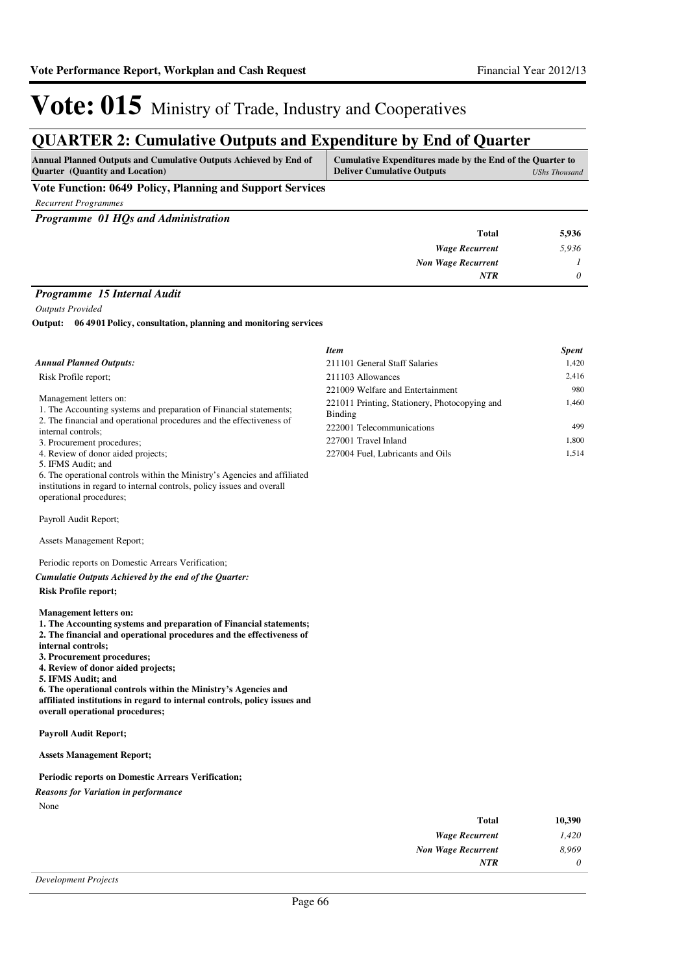*Item Spent*

# Vote: 015 Ministry of Trade, Industry and Cooperatives

## **QUARTER 2: Cumulative Outputs and Expenditure by End of Quarter**

| <b>Annual Planned Outputs and Cumulative Outputs Achieved by End of</b> | Cumulative Expenditures made by the End of the Quarter to |
|-------------------------------------------------------------------------|-----------------------------------------------------------|
| <b>Ouarter</b> (Quantity and Location)                                  | <b>Deliver Cumulative Outputs</b><br>UShs Thousand        |
| <b>TT</b> . <b>TT</b><br>$0.640 \times 10^{-10}$                        |                                                           |

### **Vote Function: 0649 Policy, Planning and Support Services**

*Recurrent Programmes*

*Programme 01 HQs and Administration*

| 5,936 | <b>Total</b>                                                 |
|-------|--------------------------------------------------------------|
| 5,936 | <b>Wage Recurrent</b>                                        |
|       | <b>Non Wage Recurrent</b>                                    |
| 0     | <b>NTR</b>                                                   |
|       | the property of the control of the control of the control of |

### *Programme 15 Internal Audit*

*Outputs Provided*

**06 4901 Policy, consultation, planning and monitoring services Output:**

| <b>Annual Planned Outputs:</b>                                                                                                                                                                                                                                                                                                                                                                                                                                                                                | 211101 General Staff Salaries                 | 1,420    |
|---------------------------------------------------------------------------------------------------------------------------------------------------------------------------------------------------------------------------------------------------------------------------------------------------------------------------------------------------------------------------------------------------------------------------------------------------------------------------------------------------------------|-----------------------------------------------|----------|
| Risk Profile report;                                                                                                                                                                                                                                                                                                                                                                                                                                                                                          | 211103 Allowances                             | 2,416    |
|                                                                                                                                                                                                                                                                                                                                                                                                                                                                                                               | 221009 Welfare and Entertainment              | 980      |
| Management letters on:                                                                                                                                                                                                                                                                                                                                                                                                                                                                                        | 221011 Printing, Stationery, Photocopying and | 1,460    |
| 1. The Accounting systems and preparation of Financial statements;                                                                                                                                                                                                                                                                                                                                                                                                                                            | <b>Binding</b>                                |          |
| 2. The financial and operational procedures and the effectiveness of<br>internal controls;                                                                                                                                                                                                                                                                                                                                                                                                                    | 222001 Telecommunications                     | 499      |
| 3. Procurement procedures;                                                                                                                                                                                                                                                                                                                                                                                                                                                                                    | 227001 Travel Inland                          | 1,800    |
| 4. Review of donor aided projects;                                                                                                                                                                                                                                                                                                                                                                                                                                                                            | 227004 Fuel, Lubricants and Oils              | 1,514    |
| 5. IFMS Audit; and                                                                                                                                                                                                                                                                                                                                                                                                                                                                                            |                                               |          |
| 6. The operational controls within the Ministry's Agencies and affiliated                                                                                                                                                                                                                                                                                                                                                                                                                                     |                                               |          |
| institutions in regard to internal controls, policy issues and overall                                                                                                                                                                                                                                                                                                                                                                                                                                        |                                               |          |
| operational procedures;                                                                                                                                                                                                                                                                                                                                                                                                                                                                                       |                                               |          |
| Payroll Audit Report;                                                                                                                                                                                                                                                                                                                                                                                                                                                                                         |                                               |          |
| <b>Assets Management Report;</b>                                                                                                                                                                                                                                                                                                                                                                                                                                                                              |                                               |          |
| Periodic reports on Domestic Arrears Verification;                                                                                                                                                                                                                                                                                                                                                                                                                                                            |                                               |          |
| Cumulatie Outputs Achieved by the end of the Quarter:                                                                                                                                                                                                                                                                                                                                                                                                                                                         |                                               |          |
| <b>Risk Profile report;</b>                                                                                                                                                                                                                                                                                                                                                                                                                                                                                   |                                               |          |
| <b>Management letters on:</b><br>1. The Accounting systems and preparation of Financial statements;<br>2. The financial and operational procedures and the effectiveness of<br>internal controls;<br>3. Procurement procedures;<br>4. Review of donor aided projects;<br>5. IFMS Audit; and<br>6. The operational controls within the Ministry's Agencies and<br>affiliated institutions in regard to internal controls, policy issues and<br>overall operational procedures;<br><b>Payroll Audit Report;</b> |                                               |          |
| <b>Assets Management Report;</b>                                                                                                                                                                                                                                                                                                                                                                                                                                                                              |                                               |          |
| <b>Periodic reports on Domestic Arrears Verification;</b>                                                                                                                                                                                                                                                                                                                                                                                                                                                     |                                               |          |
|                                                                                                                                                                                                                                                                                                                                                                                                                                                                                                               |                                               |          |
| <b>Reasons for Variation in performance</b><br>None                                                                                                                                                                                                                                                                                                                                                                                                                                                           |                                               |          |
|                                                                                                                                                                                                                                                                                                                                                                                                                                                                                                               | <b>Total</b>                                  | 10,390   |
|                                                                                                                                                                                                                                                                                                                                                                                                                                                                                                               | <b>Wage Recurrent</b>                         | 1,420    |
|                                                                                                                                                                                                                                                                                                                                                                                                                                                                                                               | <b>Non Wage Recurrent</b>                     | 8,969    |
|                                                                                                                                                                                                                                                                                                                                                                                                                                                                                                               | NTR                                           | $\theta$ |
|                                                                                                                                                                                                                                                                                                                                                                                                                                                                                                               |                                               |          |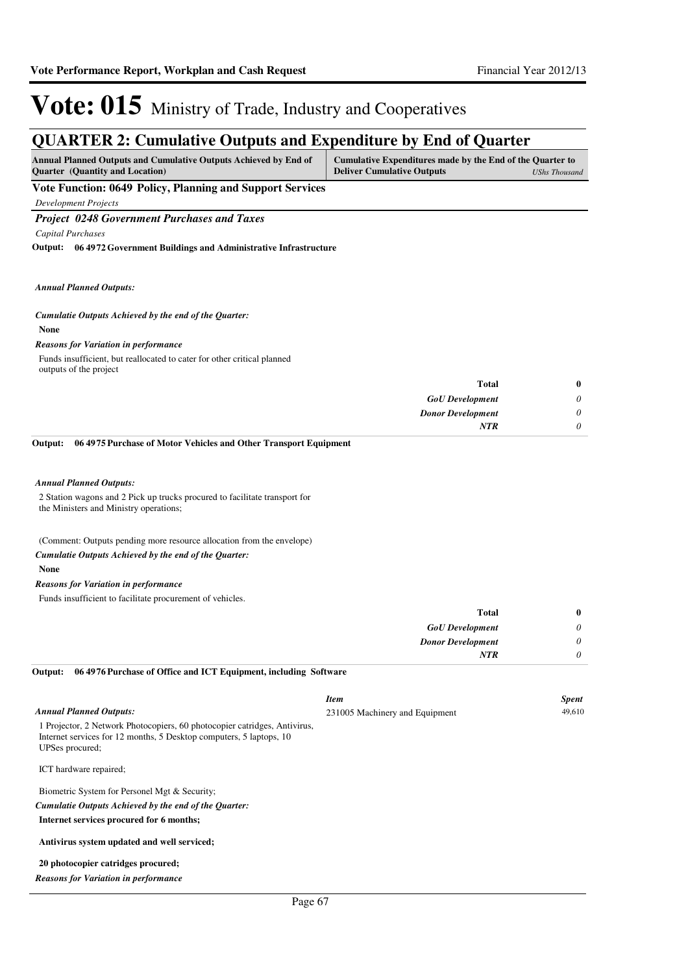*0 0*

*Donor Development*

*NTR*

# Vote: 015 Ministry of Trade, Industry and Cooperatives

## **QUA DTED 2: Cumulative Outputs and Evnanditure by End of Quarter**

| OUANTEN 2. Cumulative Outputs and Expenditure by Eini of Quarter                                           |                                                                                                |                      |
|------------------------------------------------------------------------------------------------------------|------------------------------------------------------------------------------------------------|----------------------|
| Annual Planned Outputs and Cumulative Outputs Achieved by End of<br><b>Quarter</b> (Quantity and Location) | Cumulative Expenditures made by the End of the Quarter to<br><b>Deliver Cumulative Outputs</b> | <b>UShs Thousand</b> |
| <b>Vote Function: 0649 Policy, Planning and Support Services</b>                                           |                                                                                                |                      |
| <b>Development Projects</b>                                                                                |                                                                                                |                      |
| <b>Project 0248 Government Purchases and Taxes</b>                                                         |                                                                                                |                      |
| Capital Purchases                                                                                          |                                                                                                |                      |
| Output: 06 4972 Government Buildings and Administrative Infrastructure                                     |                                                                                                |                      |
| <b>Annual Planned Outputs:</b>                                                                             |                                                                                                |                      |
| Cumulatie Outputs Achieved by the end of the Quarter:                                                      |                                                                                                |                      |
| <b>None</b>                                                                                                |                                                                                                |                      |
| <b>Reasons for Variation in performance</b>                                                                |                                                                                                |                      |
| Funds insufficient, but reallocated to cater for other critical planned<br>outputs of the project          |                                                                                                |                      |
|                                                                                                            | <b>Total</b>                                                                                   | 0                    |
|                                                                                                            | <b>GoU</b> Development                                                                         | 0                    |

**06 4975 Purchase of Motor Vehicles and Other Transport Equipment Output:**

#### *Annual Planned Outputs:*

2 Station wagons and 2 Pick up trucks procured to facilitate transport for the Ministers and Ministry operations;

(Comment: Outputs pending more resource allocation from the envelope)

#### *Cumulatie Outputs Achieved by the end of the Quarter:*

**None**

#### *Reasons for Variation in performance*

Funds insufficient to facilitate procurement of vehicles.

| <b>Total</b>             |          |
|--------------------------|----------|
| <b>GoU</b> Development   | $\theta$ |
| <b>Donor Development</b> | 0        |
| <b>NTR</b>               | $\theta$ |

#### **06 4976 Purchase of Office and ICT Equipment, including Software Output:**

|                                                                                                                                                                     | <b>Item</b>                    | <b>Spent</b> |
|---------------------------------------------------------------------------------------------------------------------------------------------------------------------|--------------------------------|--------------|
| <b>Annual Planned Outputs:</b>                                                                                                                                      | 231005 Machinery and Equipment | 49,610       |
| 1 Projector, 2 Network Photocopiers, 60 photocopier catridges, Antivirus,<br>Internet services for 12 months, 5 Desktop computers, 5 laptops, 10<br>UPSes procured; |                                |              |
| ICT hardware repaired;                                                                                                                                              |                                |              |
| Biometric System for Personel Mgt & Security;                                                                                                                       |                                |              |
| Cumulatie Outputs Achieved by the end of the Ouarter:                                                                                                               |                                |              |
| Internet services procured for 6 months;                                                                                                                            |                                |              |
| Antivirus system updated and well serviced;                                                                                                                         |                                |              |
| 20 photocopier catridges procured;                                                                                                                                  |                                |              |
| <b>Reasons for Variation in performance</b>                                                                                                                         |                                |              |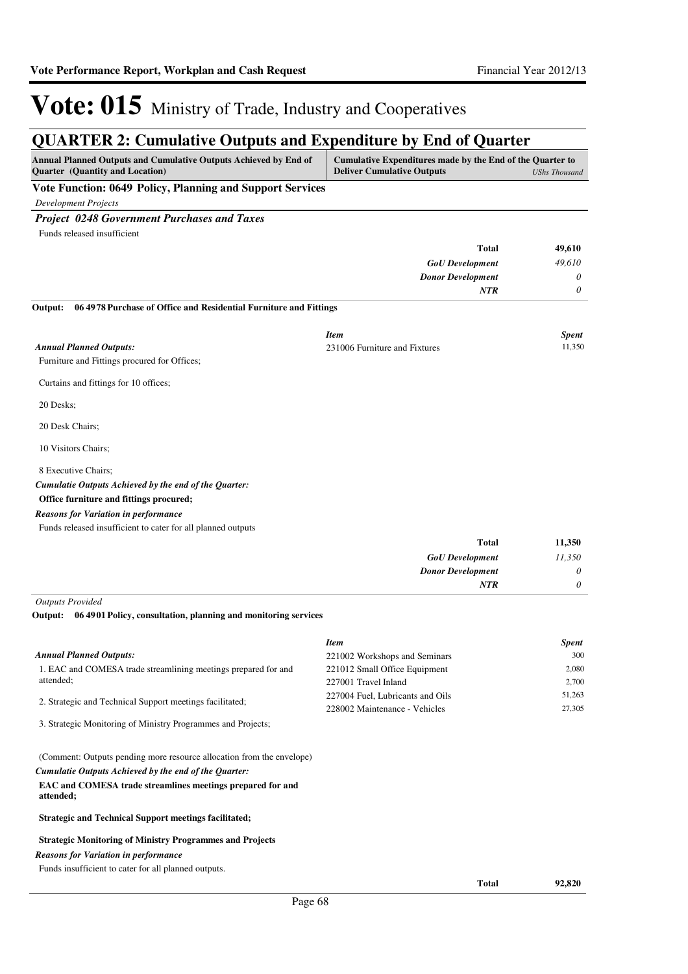## **QUA DTED 2: Cumulative Outputs and Evnanditure by End of Quarter**

| Annual Planned Outputs and Cumulative Outputs Achieved by End of<br>Quarter (Quantity and Location) | Cumulative Expenditures made by the End of the Quarter to<br><b>Deliver Cumulative Outputs</b> | <b>UShs Thousand</b> |
|-----------------------------------------------------------------------------------------------------|------------------------------------------------------------------------------------------------|----------------------|
| Vote Function: 0649 Policy, Planning and Support Services                                           |                                                                                                |                      |
| Development Projects                                                                                |                                                                                                |                      |
| <b>Project 0248 Government Purchases and Taxes</b>                                                  |                                                                                                |                      |
| Funds released insufficient                                                                         |                                                                                                |                      |
|                                                                                                     | <b>Total</b>                                                                                   | 49,610               |
|                                                                                                     | <b>GoU</b> Development                                                                         | 49,610               |
|                                                                                                     | <b>Donor Development</b>                                                                       | 0                    |
|                                                                                                     | <b>NTR</b>                                                                                     | $\theta$             |
| 06 4978 Purchase of Office and Residential Furniture and Fittings<br>Output:                        |                                                                                                |                      |
|                                                                                                     | <b>Item</b>                                                                                    | <b>Spent</b>         |
| <b>Annual Planned Outputs:</b>                                                                      | 231006 Furniture and Fixtures                                                                  | 11,350               |
| Furniture and Fittings procured for Offices;                                                        |                                                                                                |                      |
| Curtains and fittings for 10 offices;                                                               |                                                                                                |                      |
| 20 Desks;                                                                                           |                                                                                                |                      |
| 20 Desk Chairs;                                                                                     |                                                                                                |                      |
| 10 Visitors Chairs;                                                                                 |                                                                                                |                      |
| 8 Executive Chairs;                                                                                 |                                                                                                |                      |
| Cumulatie Outputs Achieved by the end of the Quarter:                                               |                                                                                                |                      |
| Office furniture and fittings procured;                                                             |                                                                                                |                      |
| <b>Reasons for Variation in performance</b>                                                         |                                                                                                |                      |
| Funds released insufficient to cater for all planned outputs                                        |                                                                                                |                      |
|                                                                                                     | <b>Total</b>                                                                                   | 11,350               |
|                                                                                                     | <b>GoU</b> Development                                                                         | 11,350               |
|                                                                                                     | <b>Donor Development</b>                                                                       | 0                    |
|                                                                                                     | <b>NTR</b>                                                                                     | $\theta$             |
| <b>Outputs Provided</b>                                                                             |                                                                                                |                      |
| 06 4901 Policy, consultation, planning and monitoring services<br>Output:                           |                                                                                                |                      |
|                                                                                                     | <b>Item</b>                                                                                    | Spent                |
| <b>Annual Planned Outputs:</b>                                                                      | 221002 Workshops and Seminars                                                                  | 300                  |
| 1. EAC and COMESA trade streamlining meetings prepared for and                                      | 221012 Small Office Equipment                                                                  | 2,080                |

| 1. EAC and CONIESA trade streamming meetings prepared for and | 221012 Stillard Office Equipment | 2.000  |
|---------------------------------------------------------------|----------------------------------|--------|
| attended:                                                     | 227001 Travel Inland             | 2.700  |
|                                                               | 227004 Fuel, Lubricants and Oils | 51.263 |
| 2. Strategic and Technical Support meetings facilitated;      | 228002 Maintenance - Vehicles    | 27.305 |
| 3. Strategic Monitoring of Ministry Programmes and Projects;  |                                  |        |

(Comment: Outputs pending more resource allocation from the envelope)

*Cumulatie Outputs Achieved by the end of the Quarter:*

#### **EAC and COMESA trade streamlines meetings prepared for and attended;**

**Strategic and Technical Support meetings facilitated;**

#### **Strategic Monitoring of Ministry Programmes and Projects**

#### *Reasons for Variation in performance*

Funds insufficient to cater for all planned outputs.

**Total 92,820**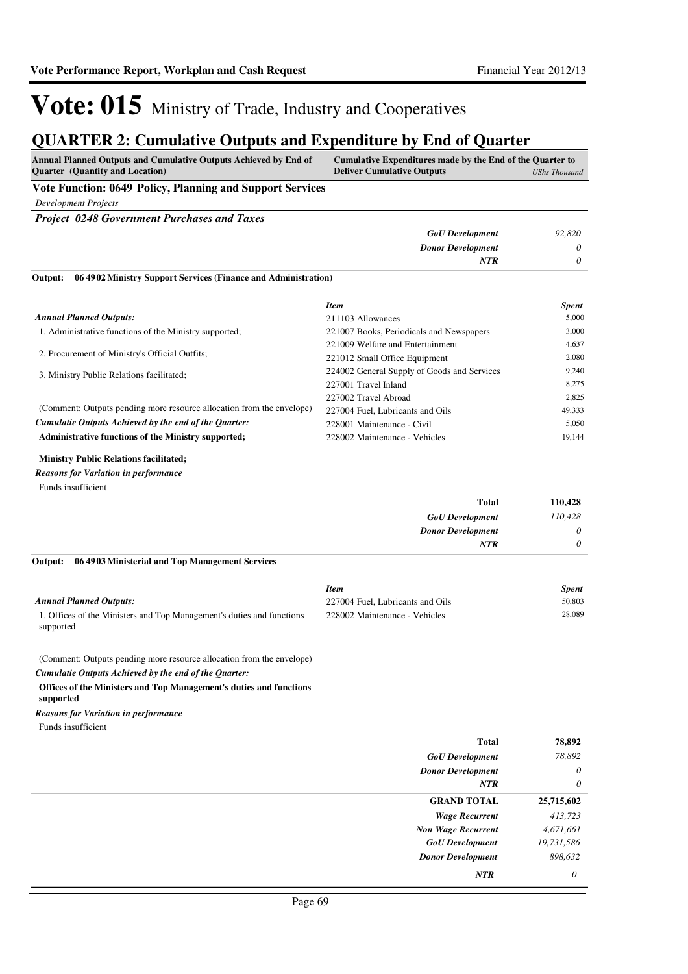## **QUARTER 2: Cumulative Outputs and Expenditure by End of Quarter**

| VUINTER 2. Camaiau ve Outputs and Expenditure by Eini of Quarter<br>Annual Planned Outputs and Cumulative Outputs Achieved by End of<br>Quarter (Quantity and Location) | Cumulative Expenditures made by the End of the Quarter to<br><b>Deliver Cumulative Outputs</b> | <b>UShs Thousand</b> |
|-------------------------------------------------------------------------------------------------------------------------------------------------------------------------|------------------------------------------------------------------------------------------------|----------------------|
| Vote Function: 0649 Policy, Planning and Support Services                                                                                                               |                                                                                                |                      |
| <b>Development Projects</b>                                                                                                                                             |                                                                                                |                      |
| <b>Project 0248 Government Purchases and Taxes</b>                                                                                                                      |                                                                                                |                      |
|                                                                                                                                                                         | <b>GoU</b> Development                                                                         | 92,820               |
|                                                                                                                                                                         | <b>Donor Development</b>                                                                       | 0                    |
|                                                                                                                                                                         | NTR                                                                                            | 0                    |
| 06 49 02 Ministry Support Services (Finance and Administration)<br>Output:                                                                                              |                                                                                                |                      |
|                                                                                                                                                                         | <b>Item</b>                                                                                    | <b>Spent</b>         |
| <b>Annual Planned Outputs:</b>                                                                                                                                          | 211103 Allowances                                                                              | 5,000                |
| 1. Administrative functions of the Ministry supported;                                                                                                                  | 221007 Books, Periodicals and Newspapers                                                       | 3,000                |
| 2. Procurement of Ministry's Official Outfits;                                                                                                                          | 221009 Welfare and Entertainment                                                               | 4,637                |
|                                                                                                                                                                         | 221012 Small Office Equipment                                                                  | 2,080                |
| 3. Ministry Public Relations facilitated;                                                                                                                               | 224002 General Supply of Goods and Services                                                    | 9,240                |
|                                                                                                                                                                         | 227001 Travel Inland                                                                           | 8,275                |
| (Comment: Outputs pending more resource allocation from the envelope)                                                                                                   | 227002 Travel Abroad                                                                           | 2,825                |
| Cumulatie Outputs Achieved by the end of the Quarter:                                                                                                                   | 227004 Fuel, Lubricants and Oils<br>228001 Maintenance - Civil                                 | 49,333<br>5,050      |
| Administrative functions of the Ministry supported;                                                                                                                     | 228002 Maintenance - Vehicles                                                                  | 19,144               |
| <b>Ministry Public Relations facilitated;</b><br><b>Reasons for Variation in performance</b><br>Funds insufficient                                                      |                                                                                                |                      |
|                                                                                                                                                                         | Total                                                                                          | 110,428              |
|                                                                                                                                                                         | <b>GoU</b> Development                                                                         | 110,428              |
|                                                                                                                                                                         | <b>Donor Development</b>                                                                       | 0                    |
|                                                                                                                                                                         | NTR                                                                                            | 0                    |
| 06 49 03 Ministerial and Top Management Services<br>Output:                                                                                                             |                                                                                                |                      |
|                                                                                                                                                                         | <b>Item</b>                                                                                    | <b>Spent</b>         |
| <b>Annual Planned Outputs:</b>                                                                                                                                          | 227004 Fuel, Lubricants and Oils                                                               | 50,803               |
| 1. Offices of the Ministers and Top Management's duties and functions<br>supported                                                                                      | 228002 Maintenance - Vehicles                                                                  | 28,089               |
| (Comment: Outputs pending more resource allocation from the envelope)                                                                                                   |                                                                                                |                      |
| Cumulatie Outputs Achieved by the end of the Quarter:                                                                                                                   |                                                                                                |                      |
| Offices of the Ministers and Top Management's duties and functions<br>supported                                                                                         |                                                                                                |                      |
| <b>Reasons for Variation in performance</b>                                                                                                                             |                                                                                                |                      |
| Funds insufficient                                                                                                                                                      |                                                                                                |                      |
|                                                                                                                                                                         | <b>Total</b>                                                                                   | 78,892               |
|                                                                                                                                                                         | <b>GoU</b> Development                                                                         | 78,892               |
|                                                                                                                                                                         | <b>Donor Development</b>                                                                       | 0                    |
|                                                                                                                                                                         | NTR                                                                                            | $\theta$             |
|                                                                                                                                                                         | <b>GRAND TOTAL</b>                                                                             | 25,715,602           |
|                                                                                                                                                                         | <b>Wage Recurrent</b>                                                                          | 413,723              |
|                                                                                                                                                                         | <b>Non Wage Recurrent</b>                                                                      | 4,671,661            |

Page 69

*GoU Development Donor Development* *19,731,586 898,632*

*NTR 0*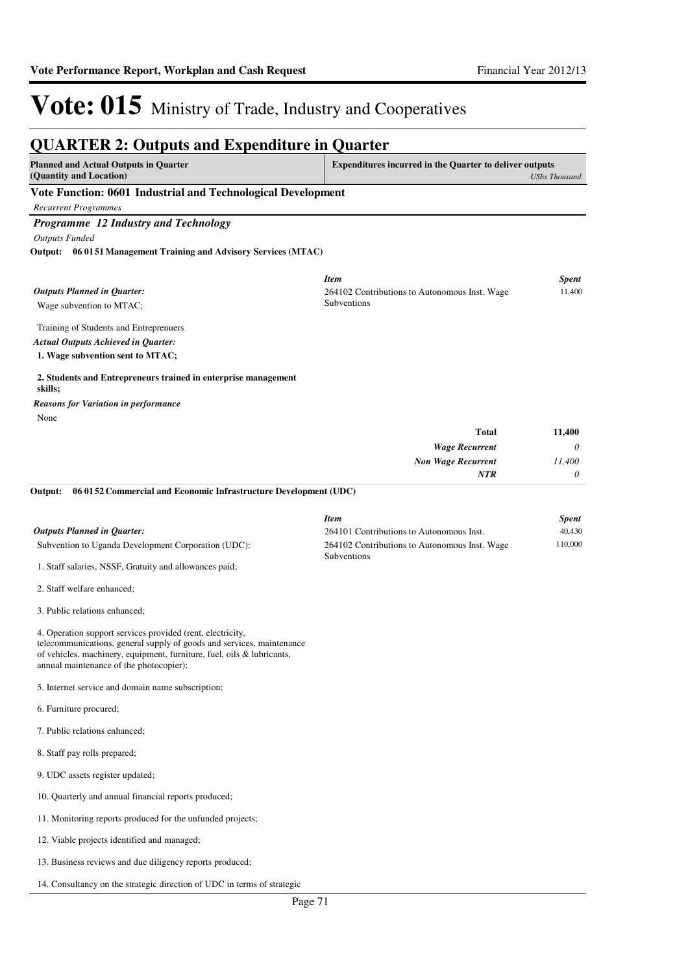*UShs Thousand*

11,400

# Vote: 015 Ministry of Trade, Industry and Cooperatives

### **QUARTER 2: Outputs and Expenditure in Quarter Planned and Actual Outputs in Quarter (Quantity and Location) Expenditures incurred in the Quarter to deliver outputs Vote Function: 0601 Industrial and Technological Development** *Recurrent Programmes Programme 12 Industry and Technology Outputs Funded* Wage subvention to MTAC; Training of Students and Entreprenuers **06 0151 Management Training and Advisory Services (MTAC) Output:** *Outputs Planned in Quarter: Item Spent* 264102 Contributions to Autonomous Inst. Wage Subventions

*Actual Outputs Achieved in Quarter:*

**1. Wage subvention sent to MTAC;**

## **2. Students and Entrepreneurs trained in enterprise management skills;**

None *Reasons for Variation in performance*

| <b>Total</b>              | 11,400   |
|---------------------------|----------|
| <b>Wage Recurrent</b>     | $\theta$ |
| <b>Non Wage Recurrent</b> | 11,400   |
| <b>NTR</b>                | $\theta$ |

#### **06 0152 Commercial and Economic Infrastructure Development (UDC) Output:**

|                                                        | <b>Item</b>                                                         | <b>Spent</b> |
|--------------------------------------------------------|---------------------------------------------------------------------|--------------|
| <b>Outputs Planned in Ouarter:</b>                     | 264101 Contributions to Autonomous Inst.                            | 40,430       |
| Subvention to Uganda Development Corporation (UDC):    | 264102 Contributions to Autonomous Inst. Wage<br><b>Subventions</b> | 110.000      |
| 1. Staff salaries, NSSF, Gratuity and allowances paid; |                                                                     |              |

2. Staff welfare enhanced;

3. Public relations enhanced;

4. Operation support services provided (rent, electricity, telecommunications, general supply of goods and services, maintenance of vehicles, machinery, equipment, furniture, fuel, oils & lubricants, annual maintenance of the photocopier);

5. Internet service and domain name subscription;

- 6. Furniture procured;
- 7. Public relations enhanced;
- 8. Staff pay rolls prepared;
- 9. UDC assets register updated;
- 10. Quarterly and annual financial reports produced;
- 11. Monitoring reports produced for the unfunded projects;
- 12. Viable projects identified and managed;
- 13. Business reviews and due diligency reports produced;
- 14. Consultancy on the strategic direction of UDC in terms of strategic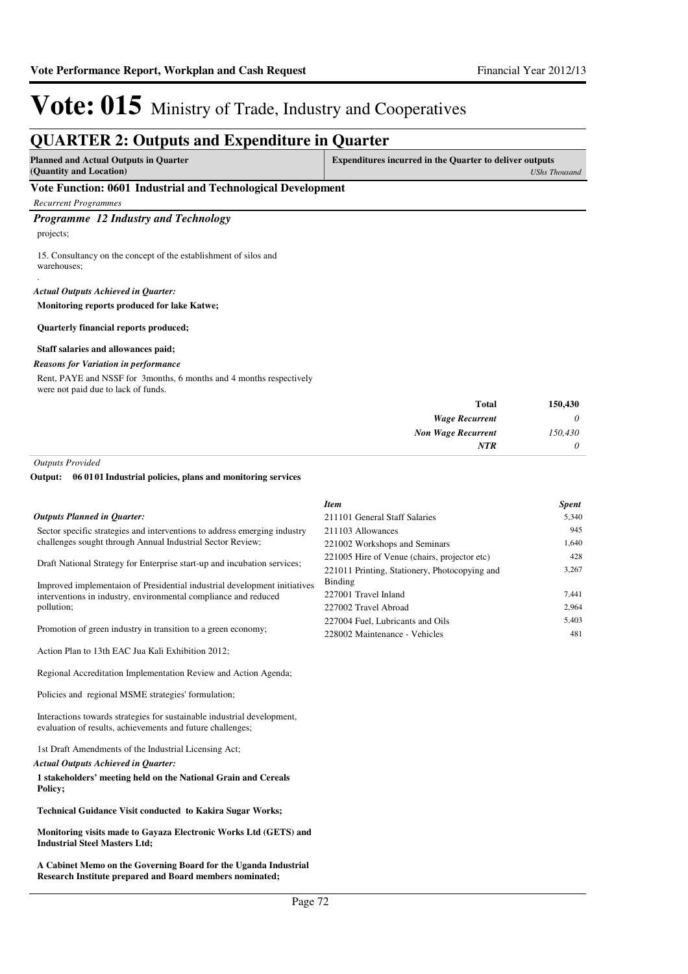### **QUARTER 2: Outputs and Expenditure in Quarter Planned and Actual Outputs in Quarter (Quantity and Location) Expenditures incurred in the Quarter to deliver outputs**  *UShs Thousand* **Vote Function: 0601 Industrial and Technological Development** *Recurrent Programmes Programme 12 Industry and Technology* projects; 15. Consultancy on the concept of the establishment of silos and warehouses; . **Monitoring reports produced for lake Katwe; Quarterly financial reports produced; Staff salaries and allowances paid;** *Actual Outputs Achieved in Quarter:* Rent, PAYE and NSSF for 3months, 6 months and 4 months respectively were not paid due to lack of funds. *Reasons for Variation in performance*

| 150,430  | <b>Total</b>              |
|----------|---------------------------|
| $\theta$ | <b>Wage Recurrent</b>     |
| 150,430  | <b>Non Wage Recurrent</b> |
| $\theta$ | <b>NTR</b>                |
|          |                           |

*Outputs Provided*

#### **06 0101 Industrial policies, plans and monitoring services Output:**

|                                                                                                                                         | <b>Item</b>                                   | <b>Spent</b> |
|-----------------------------------------------------------------------------------------------------------------------------------------|-----------------------------------------------|--------------|
| Outputs Planned in Ouarter:                                                                                                             | 211101 General Staff Salaries                 | 5,340        |
| Sector specific strategies and interventions to address emerging industry<br>challenges sought through Annual Industrial Sector Review; | 211103 Allowances                             | 945          |
|                                                                                                                                         | 221002 Workshops and Seminars                 | 1,640        |
| Draft National Strategy for Enterprise start-up and incubation services;                                                                | 221005 Hire of Venue (chairs, projector etc)  | 428          |
|                                                                                                                                         | 221011 Printing, Stationery, Photocopying and | 3,267        |
| Improved implementaion of Presidential industrial development initiatives                                                               | Binding                                       |              |
| interventions in industry, environmental compliance and reduced<br>pollution;                                                           | 227001 Travel Inland                          | 7,441        |
|                                                                                                                                         | 227002 Travel Abroad                          | 2,964        |
|                                                                                                                                         | 227004 Fuel, Lubricants and Oils              | 5,403        |
| Promotion of green industry in transition to a green economy;                                                                           | 228002 Maintenance - Vehicles                 | 481          |
| Action Plan to 13th EAC Jua Kali Exhibition 2012:                                                                                       |                                               |              |
| Regional Accreditation Implementation Review and Action Agenda;                                                                         |                                               |              |
| Policies and regional MSME strategies' formulation;                                                                                     |                                               |              |

Interactions towards strategies for sustainable industrial development, evaluation of results, achievements and future challenges;

1st Draft Amendments of the Industrial Licensing Act;

#### *Actual Outputs Achieved in Quarter:*

**1 stakeholders' meeting held on the National Grain and Cereals Policy;** 

**Technical Guidance Visit conducted to Kakira Sugar Works;** 

**Monitoring visits made to Gayaza Electronic Works Ltd (GETS) and Industrial Steel Masters Ltd;** 

**A Cabinet Memo on the Governing Board for the Uganda Industrial Research Institute prepared and Board members nominated;**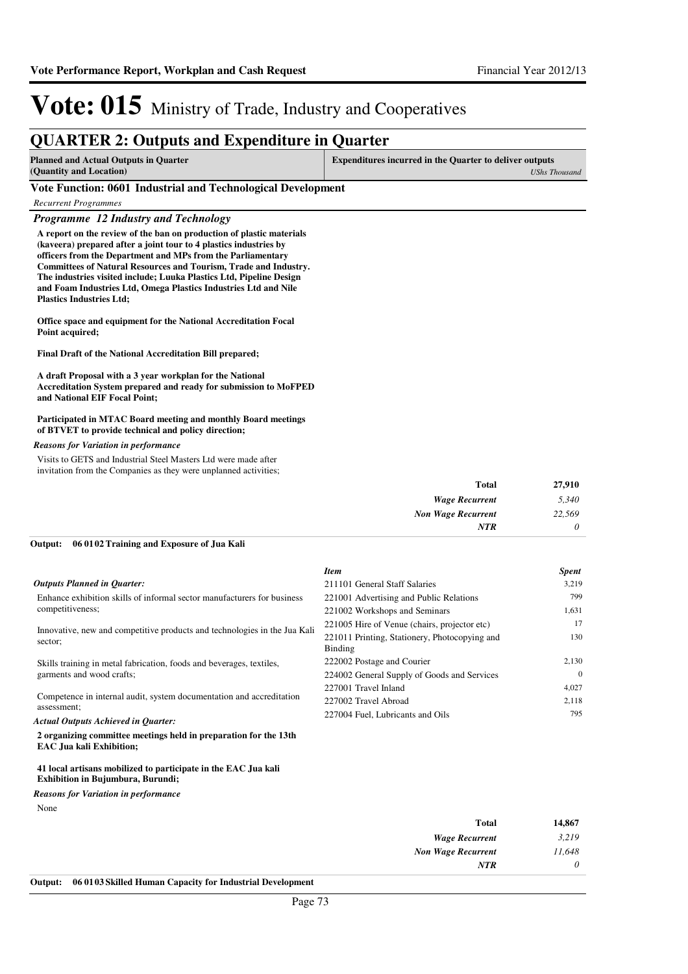*UShs Thousand*

# Vote: 015 Ministry of Trade, Industry and Cooperatives

### **QUARTER 2: Outputs and Expenditure in Quarter**

**Planned and Actual Outputs in Quarter (Quantity and Location) Expenditures incurred in the Quarter to deliver outputs** 

#### **Vote Function: 0601 Industrial and Technological Development**

*Recurrent Programmes*

*Programme 12 Industry and Technology*

**A report on the review of the ban on production of plastic materials (kaveera) prepared after a joint tour to 4 plastics industries by officers from the Department and MPs from the Parliamentary Committees of Natural Resources and Tourism, Trade and Industry. The industries visited include; Luuka Plastics Ltd, Pipeline Design and Foam Industries Ltd, Omega Plastics Industries Ltd and Nile Plastics Industries Ltd;**

**Office space and equipment for the National Accreditation Focal Point acquired;**

**Final Draft of the National Accreditation Bill prepared;**

**A draft Proposal with a 3 year workplan for the National Accreditation System prepared and ready for submission to MoFPED and National EIF Focal Point;**

#### **Participated in MTAC Board meeting and monthly Board meetings of BTVET to provide technical and policy direction;**

#### *Reasons for Variation in performance*

Visits to GETS and Industrial Steel Masters Ltd were made after invitation from the Companies as they were unplanned activities;

| Total                     |
|---------------------------|
| <b>Wage Recurrent</b>     |
| <b>Non Wage Recurrent</b> |
| <b>NTR</b>                |
|                           |

#### **06 0102 Training and Exposure of Jua Kali Output:**

|                                                                                                     | <b>Item</b>                                              | <b>Spent</b> |
|-----------------------------------------------------------------------------------------------------|----------------------------------------------------------|--------------|
| <b>Outputs Planned in Ouarter:</b>                                                                  | 211101 General Staff Salaries                            | 3,219        |
| Enhance exhibition skills of informal sector manufacturers for business<br>competitiveness;         | 221001 Advertising and Public Relations                  | 799          |
|                                                                                                     | 221002 Workshops and Seminars                            | 1,631        |
| Innovative, new and competitive products and technologies in the Jua Kali<br>sector;                | 221005 Hire of Venue (chairs, projector etc)             | 17           |
|                                                                                                     | 221011 Printing, Stationery, Photocopying and<br>Binding | 130          |
| Skills training in metal fabrication, foods and beverages, textiles,<br>garments and wood crafts;   | 222002 Postage and Courier                               | 2,130        |
|                                                                                                     | 224002 General Supply of Goods and Services              | $\Omega$     |
| Competence in internal audit, system documentation and accreditation                                | 227001 Travel Inland                                     | 4,027        |
|                                                                                                     | 227002 Travel Abroad                                     | 2,118        |
| assessment:<br><b>Actual Outputs Achieved in Ouarter:</b>                                           | 227004 Fuel, Lubricants and Oils                         | 795          |
| 2 organizing committee meetings held in preparation for the 13th<br><b>EAC</b> Jua kali Exhibition; |                                                          |              |

#### **41 local artisans mobilized to participate in the EAC Jua kali Exhibition in Bujumbura, Burundi;**

None *Reasons for Variation in performance*

| 14,867   | Total                     |
|----------|---------------------------|
| 3,219    | <b>Wage Recurrent</b>     |
| 11,648   | <b>Non Wage Recurrent</b> |
| $\theta$ | <b>NTR</b>                |
|          |                           |

**Output: 06 0103 Skilled Human Capacity for Industrial Development**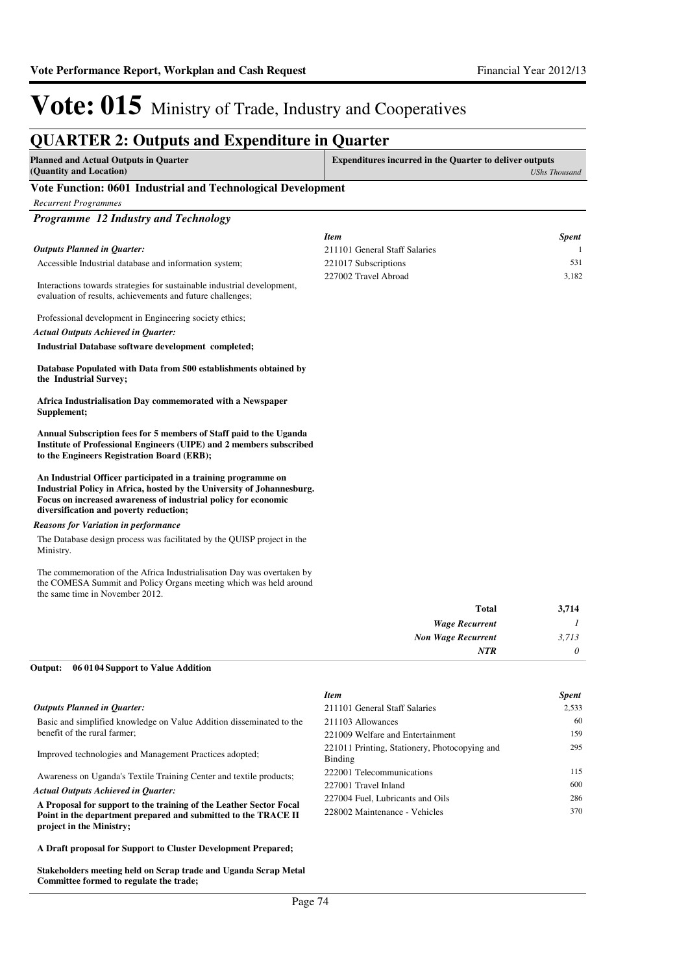### **QUARTER 2: Outputs and Expenditure in Quarter**

| Planned and Actual Outputs in Quarter                        | <b>Expenditures incurred in the Quarter to deliver outputs</b> |  |
|--------------------------------------------------------------|----------------------------------------------------------------|--|
| (Quantity and Location)                                      | UShs Thousand                                                  |  |
| Vote Eunction: 0601 Industrial and Technological Development |                                                                |  |

#### **Vote Function: 0601 Industrial and Technological Development**

| <b>Recurrent Programmes</b>                                                                                                                                                                                                                         |                               |               |
|-----------------------------------------------------------------------------------------------------------------------------------------------------------------------------------------------------------------------------------------------------|-------------------------------|---------------|
| Programme 12 Industry and Technology                                                                                                                                                                                                                |                               |               |
|                                                                                                                                                                                                                                                     | <b>Item</b>                   | <b>Spent</b>  |
| <b>Outputs Planned in Quarter:</b>                                                                                                                                                                                                                  | 211101 General Staff Salaries | 1             |
| Accessible Industrial database and information system;                                                                                                                                                                                              | 221017 Subscriptions          | 531           |
| Interactions towards strategies for sustainable industrial development,<br>evaluation of results, achievements and future challenges;                                                                                                               | 227002 Travel Abroad          | 3,182         |
| Professional development in Engineering society ethics;                                                                                                                                                                                             |                               |               |
| <b>Actual Outputs Achieved in Quarter:</b>                                                                                                                                                                                                          |                               |               |
| Industrial Database software development completed;                                                                                                                                                                                                 |                               |               |
| Database Populated with Data from 500 establishments obtained by<br>the Industrial Survey;                                                                                                                                                          |                               |               |
| Africa Industrialisation Day commemorated with a Newspaper<br>Supplement;                                                                                                                                                                           |                               |               |
| Annual Subscription fees for 5 members of Staff paid to the Uganda<br>Institute of Professional Engineers (UIPE) and 2 members subscribed<br>to the Engineers Registration Board (ERB);                                                             |                               |               |
| An Industrial Officer participated in a training programme on<br>Industrial Policy in Africa, hosted by the University of Johannesburg.<br>Focus on increased awareness of industrial policy for economic<br>diversification and poverty reduction; |                               |               |
| <b>Reasons for Variation in performance</b>                                                                                                                                                                                                         |                               |               |
| The Database design process was facilitated by the QUISP project in the<br>Ministry.                                                                                                                                                                |                               |               |
| The commemoration of the Africa Industrialisation Day was overtaken by<br>the COMESA Summit and Policy Organs meeting which was held around<br>the same time in November 2012.                                                                      |                               |               |
|                                                                                                                                                                                                                                                     | Total                         | 3,714         |
|                                                                                                                                                                                                                                                     | <b>Wage Recurrent</b>         | $\mathcal{I}$ |
|                                                                                                                                                                                                                                                     | <b>Non Wage Recurrent</b>     | 3,713         |
|                                                                                                                                                                                                                                                     | <b>NTR</b>                    | $\theta$      |
| Outpute 06.01.04 Support to Volve Addition                                                                                                                                                                                                          |                               |               |

#### **06 0104 Support to Value Addition Output:**

|                                                                                                                                                                  | <b>Item</b>                                              | <b>Spent</b> |
|------------------------------------------------------------------------------------------------------------------------------------------------------------------|----------------------------------------------------------|--------------|
| <b>Outputs Planned in Quarter:</b>                                                                                                                               | 211101 General Staff Salaries                            | 2.533        |
| Basic and simplified knowledge on Value Addition disseminated to the                                                                                             | 211103 Allowances                                        | 60           |
| benefit of the rural farmer;                                                                                                                                     | 221009 Welfare and Entertainment                         | 159          |
| Improved technologies and Management Practices adopted;                                                                                                          | 221011 Printing, Stationery, Photocopying and<br>Binding | 295          |
| Awareness on Uganda's Textile Training Center and textile products;                                                                                              | 222001 Telecommunications                                | 115          |
| <b>Actual Outputs Achieved in Ouarter:</b>                                                                                                                       | 227001 Travel Inland                                     | 600          |
|                                                                                                                                                                  | 227004 Fuel, Lubricants and Oils                         | 286          |
| A Proposal for support to the training of the Leather Sector Focal<br>Point in the department prepared and submitted to the TRACE II<br>project in the Ministry; | 228002 Maintenance - Vehicles                            | 370          |

**A Draft proposal for Support to Cluster Development Prepared;** 

**Stakeholders meeting held on Scrap trade and Uganda Scrap Metal Committee formed to regulate the trade;**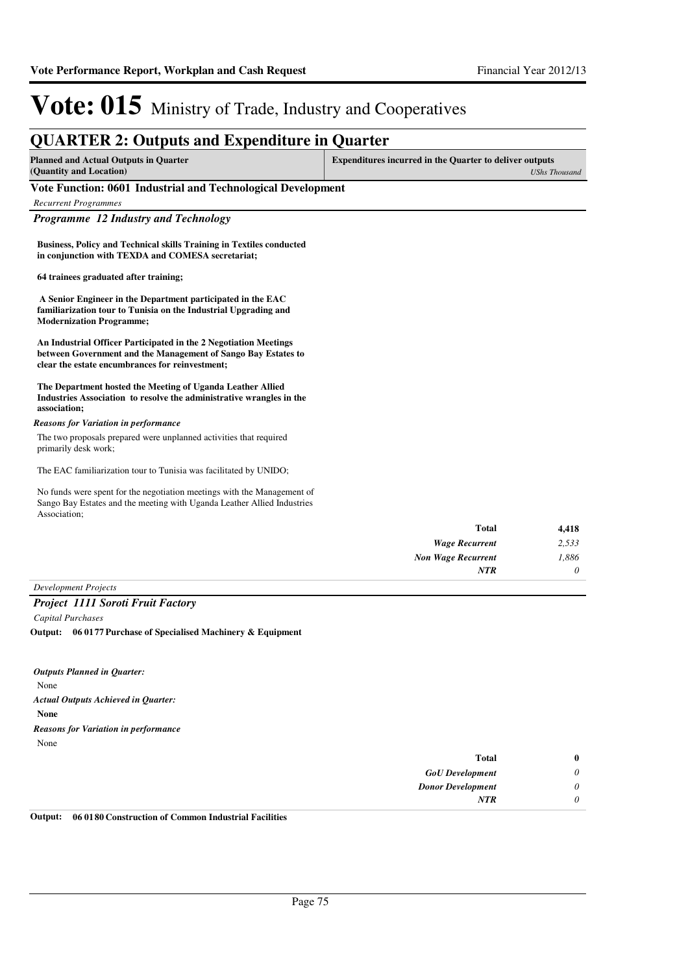### **QUARTER 2: Outputs and Expenditure in Quarter**

| <b>Planned and Actual Outputs in Quarter</b> | <b>Expenditures incurred in the Quarter to deliver outputs</b> |  |
|----------------------------------------------|----------------------------------------------------------------|--|
| (Quantity and Location)                      | UShs Thousand                                                  |  |

#### **Vote Function: 0601 Industrial and Technological Development**

| <b>Recurrent Programmes</b> |  |  |
|-----------------------------|--|--|
|-----------------------------|--|--|

*Programme 12 Industry and Technology*

**Business, Policy and Technical skills Training in Textiles conducted in conjunction with TEXDA and COMESA secretariat;**

**64 trainees graduated after training;**

 **A Senior Engineer in the Department participated in the EAC familiarization tour to Tunisia on the Industrial Upgrading and Modernization Programme;** 

**An Industrial Officer Participated in the 2 Negotiation Meetings between Government and the Management of Sango Bay Estates to clear the estate encumbrances for reinvestment;** 

**The Department hosted the Meeting of Uganda Leather Allied Industries Association to resolve the administrative wrangles in the association;**

#### *Reasons for Variation in performance*

The two proposals prepared were unplanned activities that required primarily desk work;

The EAC familiarization tour to Tunisia was facilitated by UNIDO;

No funds were spent for the negotiation meetings with the Management of Sango Bay Estates and the meeting with Uganda Leather Allied Industries Association;

| 4,418 | Total                     |
|-------|---------------------------|
| 2,533 | <b>Wage Recurrent</b>     |
| 1,886 | <b>Non Wage Recurrent</b> |
| 0     | <b>NTR</b>                |
|       |                           |

### *Development Projects*

*Project 1111 Soroti Fruit Factory*

*Capital Purchases* **06 0177 Purchase of Specialised Machinery & Equipment Output:**

None **None** *Actual Outputs Achieved in Quarter: Outputs Planned in Quarter:* None *Reasons for Variation in performance*

| $\bf{0}$ | <b>Total</b>             |
|----------|--------------------------|
| 0        | <b>GoU</b> Development   |
| 0        | <b>Donor Development</b> |
| 0        | <b>NTR</b>               |
|          |                          |

**Output: 06 0180 Construction of Common Industrial Facilities**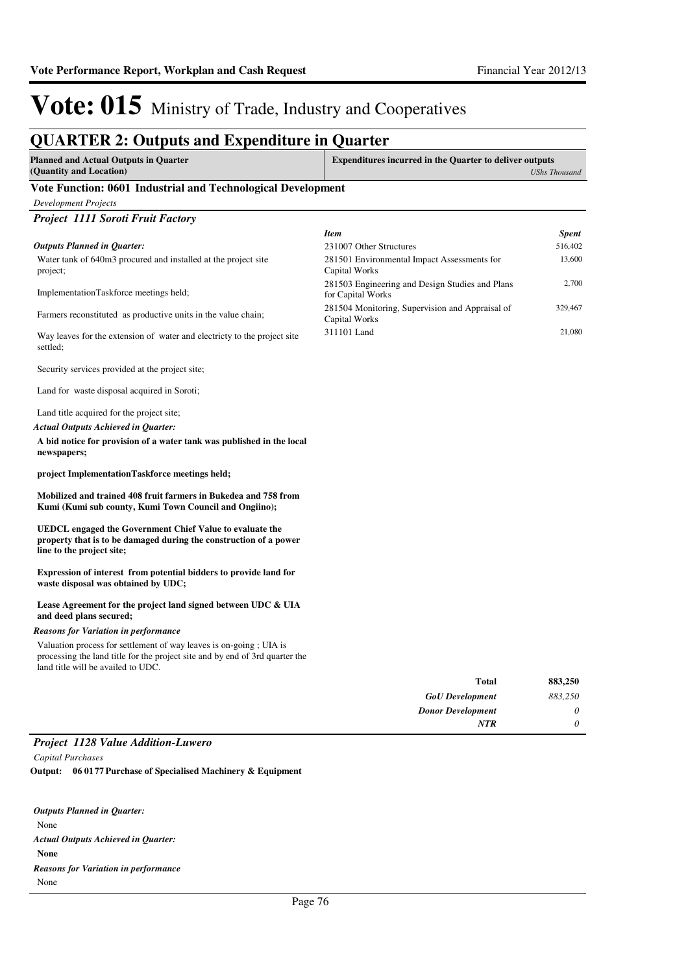### **QUARTER 2: Outputs and Expenditure in Quarter**

| <b>Planned and Actual Outputs in Quarter</b><br>(Quantity and Location) | Expenditures incurred in the Quarter to deliver outputs<br><b>UShs Thousand</b> |
|-------------------------------------------------------------------------|---------------------------------------------------------------------------------|
| Vote Function: 0601 Industrial and Technological Development            |                                                                                 |
| Development Projects                                                    |                                                                                 |
| <b>Project 1111 Soroti Fruit Factory</b>                                |                                                                                 |

Water tank of 640m3 procured and installed at the project site project; ImplementationTaskforce meetings held; Farmers reconstituted as productive units in the value chain; Way leaves for the extension of water and electricty to the project site settled; Security services provided at the project site; Land for waste disposal acquired in Soroti; Land title acquired for the project site; **A bid notice for provision of a water tank was published in the local newspapers; project ImplementationTaskforce meetings held; Mobilized and trained 408 fruit farmers in Bukedea and 758 from Kumi (Kumi sub county, Kumi Town Council and Ongiino); UEDCL engaged the Government Chief Value to evaluate the property that is to be damaged during the construction of a power line to the project site; Expression of interest from potential bidders to provide land for waste disposal was obtained by UDC; Lease Agreement for the project land signed between UDC & UIA and deed plans secured; Total 883,250** *Actual Outputs Achieved in Quarter: Outputs Planned in Quarter:* Valuation process for settlement of way leaves is on-going ; UIA is processing the land title for the project site and by end of 3rd quarter the land title will be availed to UDC. *Reasons for Variation in performance Item Spent* 231007 Other Structures 516,402 281501 Environmental Impact Assessments for Capital Works 13,600 281503 Engineering and Design Studies and Plans for Capital Works 2,700 281504 Monitoring, Supervision and Appraisal of Capital Works 329,467 311101 Land 21,080

| --------<br>$ -$         |         |
|--------------------------|---------|
| <b>NTR</b>               | 0       |
| <b>Donor Development</b> | 0       |
| <b>GoU</b> Development   | 883,250 |
| TULAI                    | 00J,4JU |

#### *Project 1128 Value Addition-Luwero*

*Capital Purchases* **06 0177 Purchase of Specialised Machinery & Equipment Output:**

| <b>Outputs Planned in Ouarter:</b>          |  |
|---------------------------------------------|--|
| None                                        |  |
| <b>Actual Outputs Achieved in Ouarter:</b>  |  |
| <b>None</b>                                 |  |
| <b>Reasons for Variation in performance</b> |  |
| None                                        |  |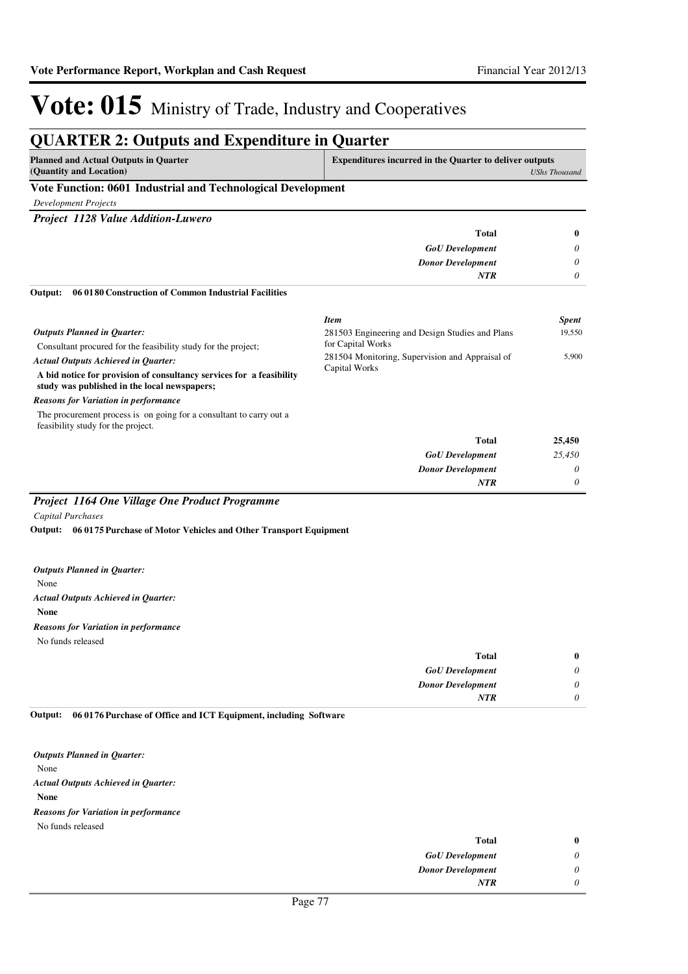#### **QUARTER 2: Outputs and Expenditure in Quarter Planned and Actual Outputs in Quarter (Quantity and Location) Expenditures incurred in the Quarter to deliver outputs**  *UShs Thousand* **Vote Function: 0601 Industrial and Technological Development** *Development Projects Project 1128 Value Addition-Luwero GoU Development Donor Development* **Total** *0 0 0* **0** *NTR* Consultant procured for the feasibility study for the project; **A bid notice for provision of consultancy services for a feasibility study was published in the local newspapers; 06 0180 Construction of Common Industrial Facilities**  *GoU Development Donor Development* **Total** *25,450 0 0* **25,450** *Actual Outputs Achieved in Quarter: Outputs Planned in Quarter:* **Output:** *NTR* The procurement process is on going for a consultant to carry out a feasibility study for the project. *Reasons for Variation in performance Item Spent* 281503 Engineering and Design Studies and Plans for Capital Works 19,550 281504 Monitoring, Supervision and Appraisal of Capital Works 5,900 *Project 1164 One Village One Product Programme*

#### *Capital Purchases*

**06 0175 Purchase of Motor Vehicles and Other Transport Equipment Output:**

None **None** *Actual Outputs Achieved in Quarter: Outputs Planned in Quarter:* No funds released *Reasons for Variation in performance*

| <b>Total</b>             | $\bf{0}$ |
|--------------------------|----------|
| <b>GoU</b> Development   | 0        |
| <b>Donor Development</b> | 0        |
| <b>NTR</b>               | 0        |

**06 0176 Purchase of Office and ICT Equipment, including Software Output:**

None **None** *Actual Outputs Achieved in Quarter: Outputs Planned in Quarter:* No funds released *Reasons for Variation in performance*

| <b>Total</b>             | $\bf{0}$ |
|--------------------------|----------|
| <b>GoU</b> Development   | $\theta$ |
| <b>Donor Development</b> | $\theta$ |
| <b>NTR</b>               | 0        |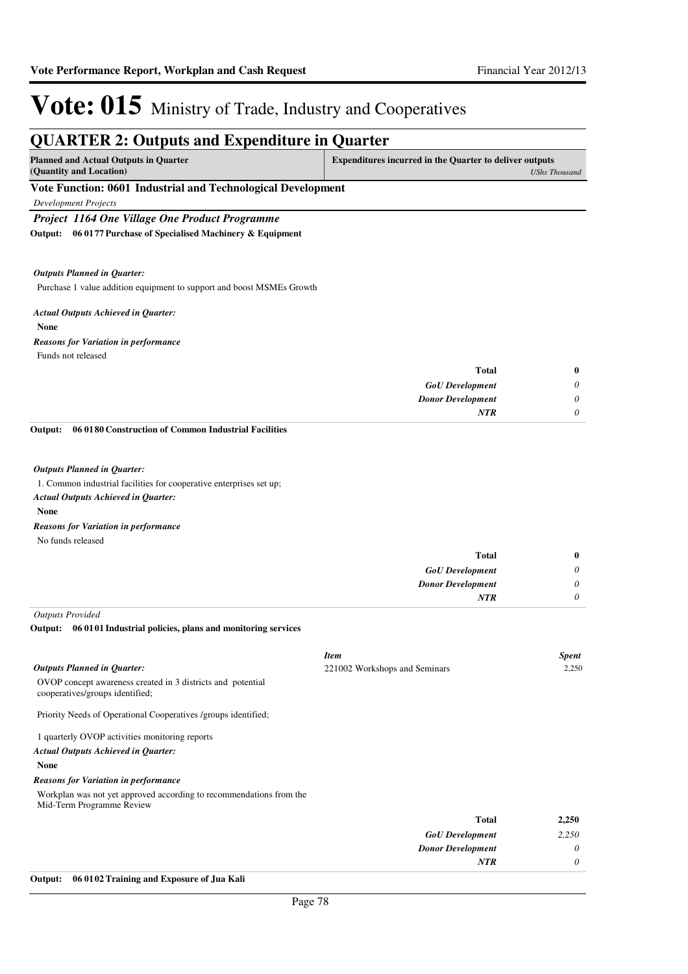| <b>QUARTER 2: Outputs and Expenditure in Quarter</b>                                                                                                    |                                                                |                      |
|---------------------------------------------------------------------------------------------------------------------------------------------------------|----------------------------------------------------------------|----------------------|
| <b>Planned and Actual Outputs in Quarter</b><br>(Quantity and Location)                                                                                 | <b>Expenditures incurred in the Quarter to deliver outputs</b> | <b>UShs Thousand</b> |
| Vote Function: 0601 Industrial and Technological Development                                                                                            |                                                                |                      |
| <b>Development Projects</b>                                                                                                                             |                                                                |                      |
| Project 1164 One Village One Product Programme                                                                                                          |                                                                |                      |
| Output: 06 0177 Purchase of Specialised Machinery & Equipment                                                                                           |                                                                |                      |
| <b>Outputs Planned in Quarter:</b>                                                                                                                      |                                                                |                      |
| Purchase 1 value addition equipment to support and boost MSMEs Growth                                                                                   |                                                                |                      |
| <b>Actual Outputs Achieved in Quarter:</b><br><b>None</b>                                                                                               |                                                                |                      |
| <b>Reasons for Variation in performance</b>                                                                                                             |                                                                |                      |
| Funds not released                                                                                                                                      |                                                                |                      |
|                                                                                                                                                         | <b>Total</b>                                                   | $\bf{0}$             |
|                                                                                                                                                         | <b>GoU</b> Development                                         | 0                    |
|                                                                                                                                                         | <b>Donor Development</b>                                       | 0                    |
|                                                                                                                                                         | <b>NTR</b>                                                     | 0                    |
| 06 0180 Construction of Common Industrial Facilities<br>Output:                                                                                         |                                                                |                      |
| <b>Outputs Planned in Quarter:</b><br>1. Common industrial facilities for cooperative enterprises set up;<br><b>Actual Outputs Achieved in Quarter:</b> |                                                                |                      |
| <b>None</b>                                                                                                                                             |                                                                |                      |
| <b>Reasons for Variation in performance</b>                                                                                                             |                                                                |                      |
| No funds released                                                                                                                                       |                                                                |                      |
|                                                                                                                                                         | <b>Total</b>                                                   | $\bf{0}$             |
|                                                                                                                                                         | <b>GoU</b> Development                                         | 0                    |
|                                                                                                                                                         | <b>Donor Development</b><br><b>NTR</b>                         | $\theta$<br>0        |
|                                                                                                                                                         |                                                                |                      |
| <b>Outputs Provided</b><br>06 0101 Industrial policies, plans and monitoring services<br>Output:                                                        |                                                                |                      |
|                                                                                                                                                         | <b>Item</b>                                                    | <b>Spent</b>         |
| <b>Outputs Planned in Quarter:</b>                                                                                                                      | 221002 Workshops and Seminars                                  | 2,250                |
| OVOP concept awareness created in 3 districts and potential<br>cooperatives/groups identified;                                                          |                                                                |                      |
| Priority Needs of Operational Cooperatives /groups identified;                                                                                          |                                                                |                      |
| 1 quarterly OVOP activities monitoring reports                                                                                                          |                                                                |                      |
| <b>Actual Outputs Achieved in Quarter:</b>                                                                                                              |                                                                |                      |
| <b>None</b>                                                                                                                                             |                                                                |                      |
| <b>Reasons for Variation in performance</b>                                                                                                             |                                                                |                      |
| Workplan was not yet approved according to recommendations from the<br>Mid-Term Programme Review                                                        |                                                                |                      |
|                                                                                                                                                         | <b>Total</b>                                                   | 2,250                |
|                                                                                                                                                         | <b>GoU</b> Development<br><b>Donor Development</b>             | 2,250<br>0           |
|                                                                                                                                                         | <b>NTR</b>                                                     | $\theta$             |

#### **Output: 06 0102 Training and Exposure of Jua Kali**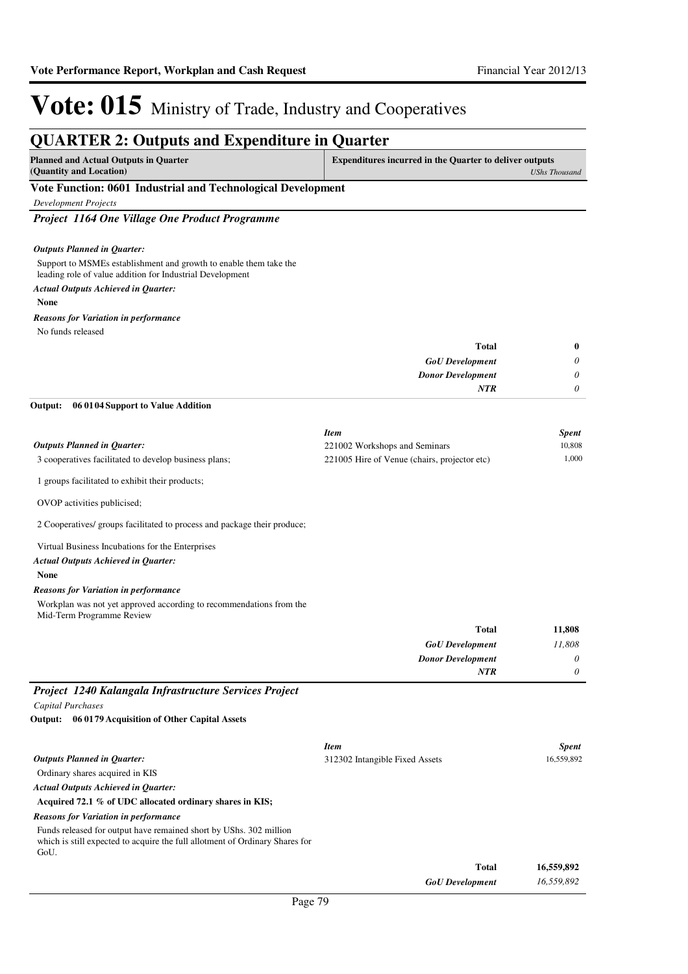#### **QUARTER 2: Outputs and Expenditure in Quarter Planned and Actual Outputs in Quarter (Quantity and Location) Expenditures incurred in the Quarter to deliver outputs**  *UShs Thousand* **Vote Function: 0601 Industrial and Technological Development** *Development Projects Project 1164 One Village One Product Programme* Support to MSMEs establishment and growth to enable them take the leading role of value addition for Industrial Development **None** *GoU Development Donor Development* **Total** *0 0 0* **0** *Actual Outputs Achieved in Quarter: Outputs Planned in Quarter: NTR* No funds released *Reasons for Variation in performance* 3 cooperatives facilitated to develop business plans; 1 groups facilitated to exhibit their products; OVOP activities publicised; 2 Cooperatives/ groups facilitated to process and package their produce; Virtual Business Incubations for the Enterprises **None 06 0104 Support to Value Addition** *GoU Development Donor Development* **Total** *11,808 0 0* **11,808** *Actual Outputs Achieved in Quarter: Outputs Planned in Quarter:* **Output:** *NTR* Workplan was not yet approved according to recommendations from the Mid-Term Programme Review *Reasons for Variation in performance Item Spent* 221002 Workshops and Seminars 10,808 221005 Hire of Venue (chairs, projector etc) 1,000 *Project 1240 Kalangala Infrastructure Services Project Capital Purchases* Ordinary shares acquired in KIS **Acquired 72.1 % of UDC allocated ordinary shares in KIS; 06 0179 Acquisition of Other Capital Assets Output:** *Actual Outputs Achieved in Quarter: Outputs Planned in Quarter: Reasons for Variation in performance Item Spent* 312302 Intangible Fixed Assets 16,559,892

Funds released for output have remained short by UShs. 302 million which is still expected to acquire the full allotment of Ordinary Shares for GoU.

| Total                  | 16,559,892 |
|------------------------|------------|
| <b>GoU</b> Development | 16,559,892 |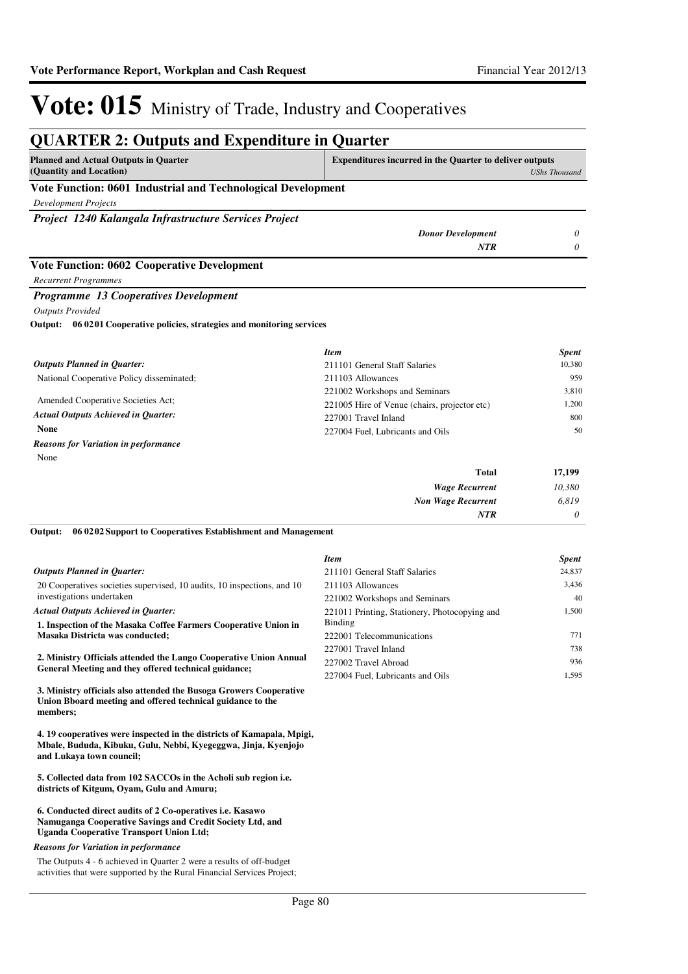| <b>Planned and Actual Outputs in Quarter</b>                                | <b>Expenditures incurred in the Quarter to deliver outputs</b> |                      |
|-----------------------------------------------------------------------------|----------------------------------------------------------------|----------------------|
| (Quantity and Location)                                                     |                                                                | <b>UShs Thousand</b> |
| Vote Function: 0601 Industrial and Technological Development                |                                                                |                      |
| <b>Development Projects</b>                                                 |                                                                |                      |
| Project 1240 Kalangala Infrastructure Services Project                      |                                                                |                      |
|                                                                             | <b>Donor Development</b>                                       | 0                    |
|                                                                             | <b>NTR</b>                                                     | 0                    |
| <b>Vote Function: 0602 Cooperative Development</b>                          |                                                                |                      |
| <b>Recurrent Programmes</b>                                                 |                                                                |                      |
| Programme 13 Cooperatives Development                                       |                                                                |                      |
| <b>Outputs Provided</b>                                                     |                                                                |                      |
| 06 0201 Cooperative policies, strategies and monitoring services<br>Output: |                                                                |                      |
|                                                                             | <b>Item</b>                                                    | <b>Spent</b>         |
| <b>Outputs Planned in Quarter:</b>                                          | 211101 General Staff Salaries                                  | 10,380               |
| National Cooperative Policy disseminated;                                   | 211103 Allowances                                              | 959                  |
|                                                                             | 221002 Workshops and Seminars                                  | 3,810                |
| Amended Cooperative Societies Act;                                          | 221005 Hire of Venue (chairs, projector etc)                   | 1,200                |
| <b>Actual Outputs Achieved in Quarter:</b>                                  | 227001 Travel Inland                                           | 800                  |
| <b>None</b>                                                                 | 227004 Fuel, Lubricants and Oils                               | 50                   |
| <b>Reasons for Variation in performance</b>                                 |                                                                |                      |
| None                                                                        |                                                                |                      |
|                                                                             | <b>Total</b>                                                   | 17,199               |
|                                                                             | <b>Wage Recurrent</b>                                          | 10,380               |
|                                                                             | <b>Non Wage Recurrent</b>                                      | 6,819                |
|                                                                             | <b>NTR</b>                                                     | 0                    |

|                                                                                                                                  | <b>Item</b>                                   | <b>Spent</b> |
|----------------------------------------------------------------------------------------------------------------------------------|-----------------------------------------------|--------------|
| <b>Outputs Planned in Quarter:</b>                                                                                               | 211101 General Staff Salaries                 | 24,837       |
| 20 Cooperatives societies supervised, 10 audits, 10 inspections, and 10                                                          | 211103 Allowances                             | 3.436        |
| investigations undertaken                                                                                                        | 221002 Workshops and Seminars                 | 40           |
| <b>Actual Outputs Achieved in Ouarter:</b>                                                                                       | 221011 Printing, Stationery, Photocopying and | 1,500        |
| 1. Inspection of the Masaka Coffee Farmers Cooperative Union in                                                                  | <b>Binding</b>                                |              |
| Masaka Districta was conducted;                                                                                                  | 222001 Telecommunications                     | 771          |
|                                                                                                                                  | 227001 Travel Inland                          | 738          |
| 2. Ministry Officials attended the Lango Cooperative Union Annual                                                                | 227002 Travel Abroad                          | 936          |
| General Meeting and they offered technical guidance;                                                                             | 227004 Fuel. Lubricants and Oils              | 1.595        |
| 3. Ministry officials also attended the Busoga Growers Cooperative<br>Union Bboard meeting and offered technical guidance to the |                                               |              |

**4. 19 cooperatives were inspected in the districts of Kamapala, Mpigi, Mbale, Bududa, Kibuku, Gulu, Nebbi, Kyegeggwa, Jinja, Kyenjojo and Lukaya town council;** 

**5. Collected data from 102 SACCOs in the Acholi sub region i.e. districts of Kitgum, Oyam, Gulu and Amuru;**

#### **6. Conducted direct audits of 2 Co-operatives i.e. Kasawo Namuganga Cooperative Savings and Credit Society Ltd, and Uganda Cooperative Transport Union Ltd;**

#### *Reasons for Variation in performance*

**members;** 

The Outputs 4 - 6 achieved in Quarter 2 were a results of off-budget activities that were supported by the Rural Financial Services Project;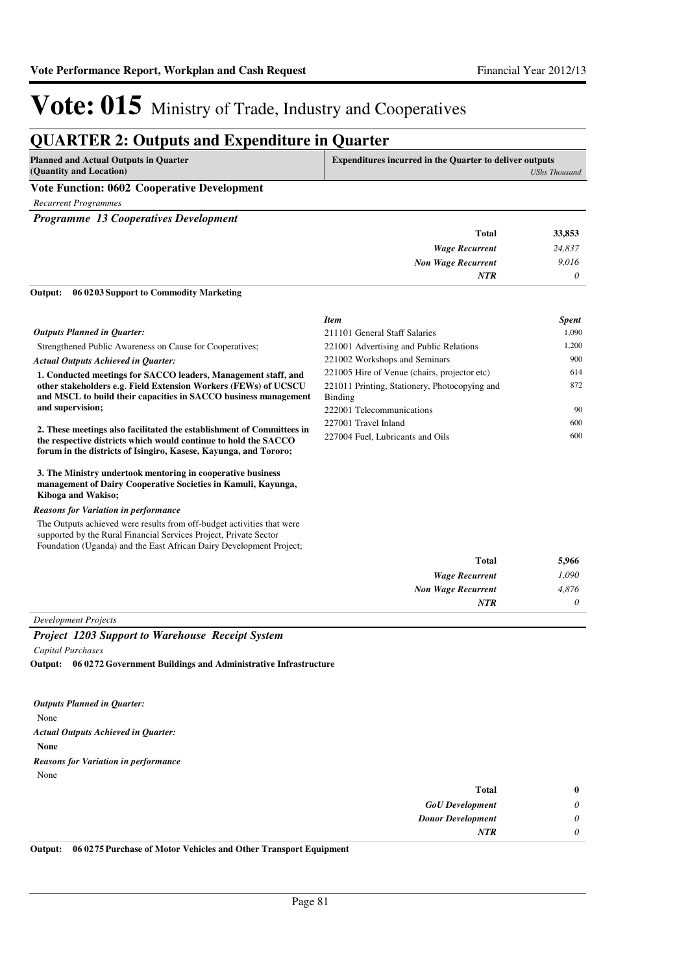### **QUARTER 2: Outputs and Expenditure in Quarter**

| Planned and Actual Outputs in Quarter       | <b>Expenditures incurred in the Quarter to deliver outputs</b> |  |
|---------------------------------------------|----------------------------------------------------------------|--|
| (Quantity and Location)                     | UShs Thousand                                                  |  |
| Vote Function: 0602 Cooperative Development |                                                                |  |

*Recurrent Programmes*

*Programme 13 Cooperatives Development*

| 33,853   | <b>Total</b>              |
|----------|---------------------------|
| 24,837   | <b>Wage Recurrent</b>     |
| 9,016    | <b>Non Wage Recurrent</b> |
| $\theta$ | <b>NTR</b>                |
|          |                           |

**06 0203 Support to Commodity Marketing Output:**

|                                                                                                                                                    | <b>Item</b>                                              | <i>Spent</i> |
|----------------------------------------------------------------------------------------------------------------------------------------------------|----------------------------------------------------------|--------------|
| <b>Outputs Planned in Ouarter:</b>                                                                                                                 | 211101 General Staff Salaries                            | 1.090        |
| Strengthened Public Awareness on Cause for Cooperatives;                                                                                           | 221001 Advertising and Public Relations                  | 1,200        |
| <b>Actual Outputs Achieved in Ouarter:</b>                                                                                                         | 221002 Workshops and Seminars                            | 900          |
| 1. Conducted meetings for SACCO leaders, Management staff, and                                                                                     | 221005 Hire of Venue (chairs, projector etc)             | 614          |
| other stakeholders e.g. Field Extension Workers (FEWs) of UCSCU<br>and MSCL to build their capacities in SACCO business management                 | 221011 Printing, Stationery, Photocopying and<br>Binding | 872          |
| and supervision;                                                                                                                                   | 222001 Telecommunications                                | 90           |
| 2. These meetings also facilitated the establishment of Committees in                                                                              | 227001 Travel Inland                                     | 600          |
| the respective districts which would continue to hold the SACCO<br>forum in the districts of Isingiro, Kasese, Kayunga, and Tororo;                | 227004 Fuel. Lubricants and Oils                         | 600          |
| 3. The Ministry undertook mentoring in cooperative business<br>management of Dairy Cooperative Societies in Kamuli, Kayunga,<br>Kiboga and Wakiso; |                                                          |              |

#### *Reasons for Variation in performance*

The Outputs achieved were results from off-budget activities that were supported by the Rural Financial Services Project, Private Sector Foundation (Uganda) and the East African Dairy Development Project;

| 5,966 | <b>Total</b>              |
|-------|---------------------------|
| 1,090 | <b>Wage Recurrent</b>     |
| 4,876 | <b>Non Wage Recurrent</b> |
| 0     | <b>NTR</b>                |
|       |                           |

*Development Projects*

#### *Project 1203 Support to Warehouse Receipt System*

*Capital Purchases*

**06 0272 Government Buildings and Administrative Infrastructure Output:**

*Outputs Planned in Quarter:*

None

*Actual Outputs Achieved in Quarter:*

**None**

*Reasons for Variation in performance*

None

| $\bf{0}$ | <b>Total</b>             |
|----------|--------------------------|
| $\theta$ | <b>GoU</b> Development   |
| $\theta$ | <b>Donor Development</b> |
| $\theta$ | <b>NTR</b>               |
|          |                          |

**Output: 06 0275 Purchase of Motor Vehicles and Other Transport Equipment**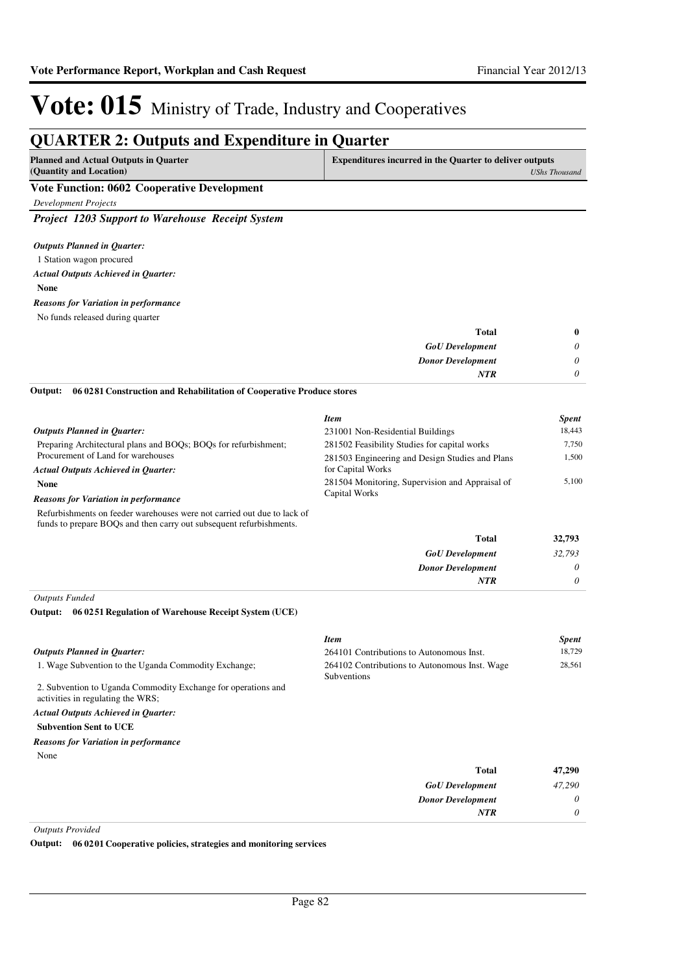*0 0*

# Vote: 015 Ministry of Trade, Industry and Cooperatives

### **QUARTER 2: Outputs and Expenditure in Quarter**

| Planned and Actual Outputs in Quarter              | <b>Expenditures incurred in the Quarter to deliver outputs</b> |
|----------------------------------------------------|----------------------------------------------------------------|
| (Quantity and Location)                            | UShs Thousand                                                  |
| <b>Vote Function: 0602 Cooperative Development</b> |                                                                |

*Development Projects*

*Project 1203 Support to Warehouse Receipt System*

### *Outputs Planned in Quarter:*

- 1 Station wagon procured
- *Actual Outputs Achieved in Quarter:*

#### **None**

- *Reasons for Variation in performance*
- No funds released during quarter

| $\bf{0}$ |
|----------|
| $\theta$ |
| $\theta$ |
| 0        |
|          |

**06 0281 Construction and Rehabilitation of Cooperative Produce stores Output:**

|                                                                                                                                                | <b>Item</b>                                     | <b>Spent</b> |
|------------------------------------------------------------------------------------------------------------------------------------------------|-------------------------------------------------|--------------|
| <b>Outputs Planned in Ouarter:</b>                                                                                                             | 231001 Non-Residential Buildings                | 18,443       |
| Preparing Architectural plans and BOQs; BOQs for refurbishment;                                                                                | 281502 Feasibility Studies for capital works    | 7.750        |
| Procurement of Land for warehouses                                                                                                             | 281503 Engineering and Design Studies and Plans | 1,500        |
| <b>Actual Outputs Achieved in Ouarter:</b>                                                                                                     | for Capital Works                               |              |
| <b>None</b>                                                                                                                                    | 281504 Monitoring, Supervision and Appraisal of |              |
| <b>Reasons for Variation in performance</b>                                                                                                    | Capital Works                                   |              |
| Refurbishments on feeder warehouses were not carried out due to lack of<br>funds to prepare BOQs and then carry out subsequent refurbishments. |                                                 |              |
|                                                                                                                                                | <b>Total</b>                                    | 32,793       |
|                                                                                                                                                | <b>GoU</b> Development                          | 32.793       |

| <b>GoU</b> Development   |
|--------------------------|
| <b>Donor Development</b> |
| <b>NTR</b>               |
|                          |

*Outputs Funded*

#### **06 0251 Regulation of Warehouse Receipt System (UCE) Output:**

|                                                                                                    | <b>Item</b>                                                  | <b>Spent</b> |
|----------------------------------------------------------------------------------------------------|--------------------------------------------------------------|--------------|
| <b>Outputs Planned in Quarter:</b>                                                                 | 264101 Contributions to Autonomous Inst.                     | 18,729       |
| 1. Wage Subvention to the Uganda Commodity Exchange;                                               | 264102 Contributions to Autonomous Inst. Wage<br>Subventions | 28,561       |
| 2. Subvention to Uganda Commodity Exchange for operations and<br>activities in regulating the WRS; |                                                              |              |
| <b>Actual Outputs Achieved in Ouarter:</b>                                                         |                                                              |              |
| <b>Subvention Sent to UCE</b>                                                                      |                                                              |              |
| <b>Reasons for Variation in performance</b>                                                        |                                                              |              |
| None                                                                                               |                                                              |              |
|                                                                                                    | <b>Total</b>                                                 | 47,290       |
|                                                                                                    | <b>GoU</b> Development                                       | 47,290       |
|                                                                                                    | <b>Donor Development</b>                                     | $\theta$     |
|                                                                                                    | <b>NTR</b>                                                   | $\theta$     |

*Outputs Provided*

**Output: 06 0201 Cooperative policies, strategies and monitoring services**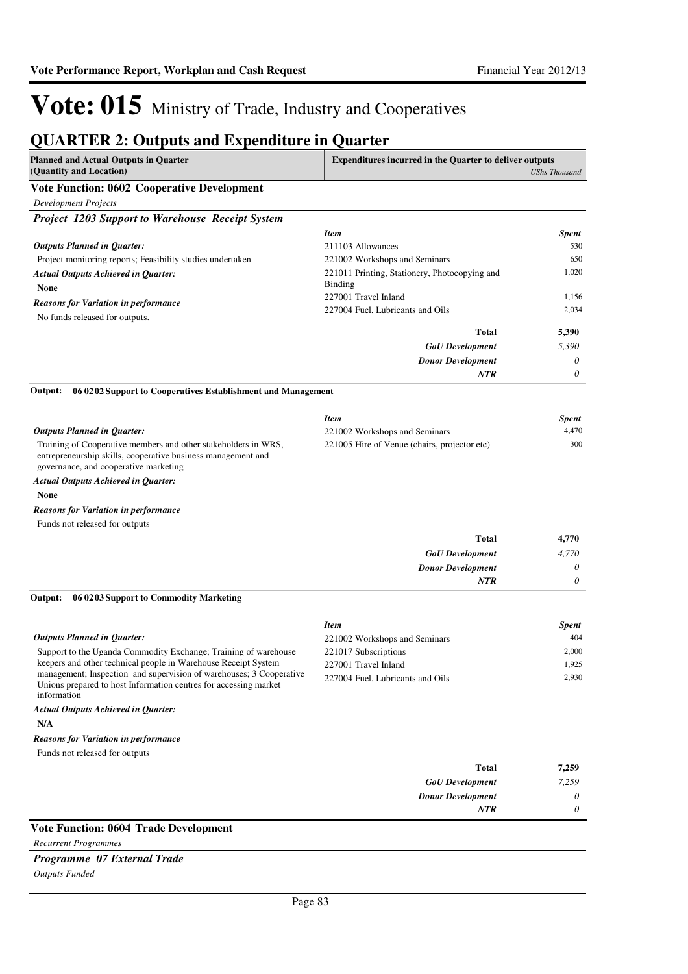### **QUARTER 2: Outputs and Expenditure in Quarter**

| Planned and Actual Outputs in Ouarter              | <b>Expenditures incurred in the Quarter to deliver outputs</b> |
|----------------------------------------------------|----------------------------------------------------------------|
| (Quantity and Location)                            | UShs Thousand                                                  |
| <b>Vote Function: 0602 Cooperative Development</b> |                                                                |

*Development Projects*

*Project 1203 Support to Warehouse Receipt System*

|                                                                               | <b>Item</b>                                              | <b>Spent</b> |
|-------------------------------------------------------------------------------|----------------------------------------------------------|--------------|
| <b>Outputs Planned in Quarter:</b>                                            | 211103 Allowances                                        | 530          |
| Project monitoring reports; Feasibility studies undertaken                    | 221002 Workshops and Seminars                            | 650          |
| <b>Actual Outputs Achieved in Quarter:</b><br><b>None</b>                     | 221011 Printing, Stationery, Photocopying and<br>Binding | 1.020        |
| <b>Reasons for Variation in performance</b><br>No funds released for outputs. | 227001 Travel Inland                                     | 1.156        |
|                                                                               | 227004 Fuel, Lubricants and Oils                         | 2.034        |
|                                                                               | Total                                                    | 5,390        |
|                                                                               | <b>GoU</b> Development                                   | 5,390        |
|                                                                               | <b>Donor Development</b>                                 | $\theta$     |
|                                                                               | <b>NTR</b>                                               | 0            |

**06 0202 Support to Cooperatives Establishment and Management Output:**

|                                                                | <b>Item</b>                                  | <b>Spent</b> |
|----------------------------------------------------------------|----------------------------------------------|--------------|
| <b>Outputs Planned in Ouarter:</b>                             | 221002 Workshops and Seminars                | 4.470        |
| Training of Cooperative members and other stakeholders in WRS, | 221005 Hire of Venue (chairs, projector etc) | 300          |
| entrepreneurship skills, cooperative business management and   |                                              |              |
| governance, and cooperative marketing                          |                                              |              |

#### *Actual Outputs Achieved in Quarter:*

**None**

#### *Reasons for Variation in performance*

Funds not released for outputs

| 4,770 | <b>Total</b>             |
|-------|--------------------------|
| 4,770 | <b>GoU</b> Development   |
| 0     | <b>Donor Development</b> |
| 0     | <b>NTR</b>               |

**06 0203 Support to Commodity Marketing Output:**

|                                                                                                                                                        | <b>Item</b>                      | <b>Spent</b> |
|--------------------------------------------------------------------------------------------------------------------------------------------------------|----------------------------------|--------------|
| Outputs Planned in Ouarter:                                                                                                                            | 221002 Workshops and Seminars    | 404          |
| Support to the Uganda Commodity Exchange; Training of warehouse                                                                                        | 221017 Subscriptions             | 2.000        |
| keepers and other technical people in Warehouse Receipt System                                                                                         | 227001 Travel Inland             | 1.925        |
| management; Inspection and supervision of warehouses; 3 Cooperative<br>Unions prepared to host Information centres for accessing market<br>information | 227004 Fuel. Lubricants and Oils | 2.930        |

#### *Actual Outputs Achieved in Quarter:*

**N/A**

#### *Reasons for Variation in performance*

Funds not released for outputs

| 7,259 | <b>Total</b>             |  |                                                  |   |
|-------|--------------------------|--|--------------------------------------------------|---|
| 7,259 | <b>GoU</b> Development   |  |                                                  |   |
| 0     | <b>Donor Development</b> |  |                                                  |   |
| 0     | <b>NTR</b>               |  |                                                  |   |
|       |                          |  | $\sim$ $\sim$ $\sim$ $\sim$ $\sim$ $\sim$ $\sim$ | . |

### **Vote Function: 0604 Trade Development**

*Recurrent Programmes*

#### *Programme 07 External Trade*

*Outputs Funded*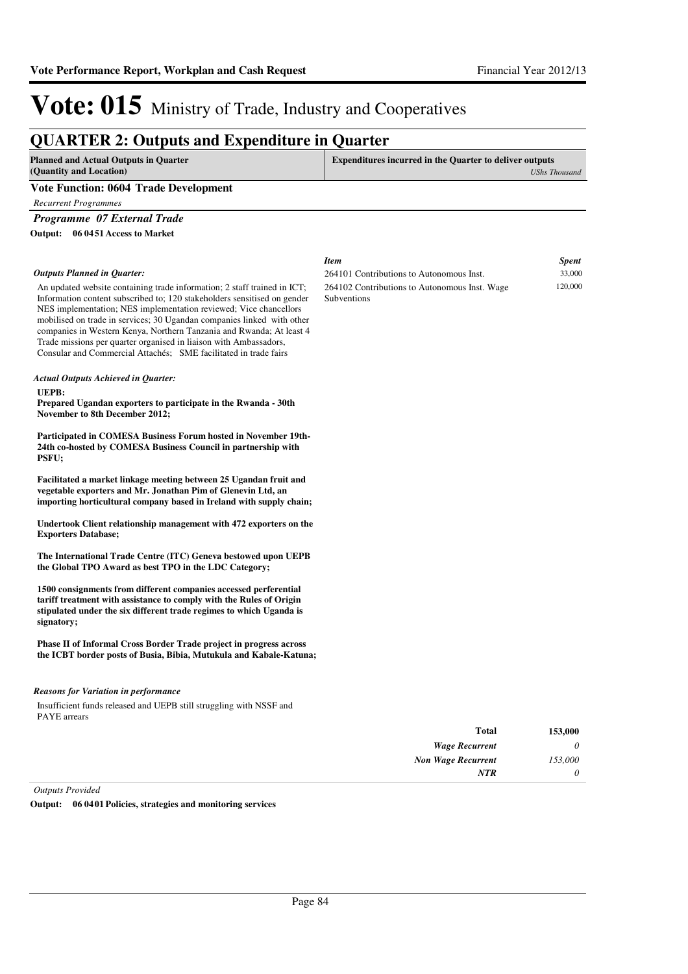### **QUARTER 2: Outputs and Expenditure in Quarter**

| <b>Planned and Actual Outputs in Quarter</b><br>(Quantity and Location) | <b>Expenditures incurred in the Quarter to deliver outputs</b><br><b>UShs Thousand</b> |
|-------------------------------------------------------------------------|----------------------------------------------------------------------------------------|
| <b>Vote Function: 0604 Trade Development</b>                            |                                                                                        |
| Recurrent Programmes                                                    |                                                                                        |

*Programme 07 External Trade*

**06 0451 Access to Market Output:**

|                                                                                                                                                                                                                                                                                                                                                                                                                                                                                                                      | <b>Item</b>                                                         | <b>Spent</b> |
|----------------------------------------------------------------------------------------------------------------------------------------------------------------------------------------------------------------------------------------------------------------------------------------------------------------------------------------------------------------------------------------------------------------------------------------------------------------------------------------------------------------------|---------------------------------------------------------------------|--------------|
| <b>Outputs Planned in Ouarter:</b>                                                                                                                                                                                                                                                                                                                                                                                                                                                                                   | 264101 Contributions to Autonomous Inst.                            | 33,000       |
| An updated website containing trade information; 2 staff trained in ICT;<br>Information content subscribed to; 120 stakeholders sensitised on gender<br>NES implementation; NES implementation reviewed; Vice chancellors<br>mobilised on trade in services; 30 Ugandan companies linked with other<br>companies in Western Kenya, Northern Tanzania and Rwanda; At least 4<br>Trade missions per quarter organised in liaison with Ambassadors,<br>Consular and Commercial Attachés; SME facilitated in trade fairs | 264102 Contributions to Autonomous Inst. Wage<br><b>Subventions</b> | 120,000      |
| <b>Actual Outputs Achieved in Quarter:</b>                                                                                                                                                                                                                                                                                                                                                                                                                                                                           |                                                                     |              |
| UEPB:                                                                                                                                                                                                                                                                                                                                                                                                                                                                                                                |                                                                     |              |
| Prepared Ugandan exporters to participate in the Rwanda - 30th<br>November to 8th December 2012;                                                                                                                                                                                                                                                                                                                                                                                                                     |                                                                     |              |
| Participated in COMESA Business Forum hosted in November 19th-                                                                                                                                                                                                                                                                                                                                                                                                                                                       |                                                                     |              |
| 24th co-hosted by COMESA Business Council in partnership with<br>PSFU;                                                                                                                                                                                                                                                                                                                                                                                                                                               |                                                                     |              |
| Facilitated a market linkage meeting between 25 Ugandan fruit and                                                                                                                                                                                                                                                                                                                                                                                                                                                    |                                                                     |              |
| vegetable exporters and Mr. Jonathan Pim of Glenevin Ltd, an<br>importing horticultural company based in Ireland with supply chain;                                                                                                                                                                                                                                                                                                                                                                                  |                                                                     |              |
| Undertook Client relationship management with 472 exporters on the<br><b>Exporters Database;</b>                                                                                                                                                                                                                                                                                                                                                                                                                     |                                                                     |              |
| The International Trade Centre (ITC) Geneva bestowed upon UEPB<br>the Global TPO Award as best TPO in the LDC Category;                                                                                                                                                                                                                                                                                                                                                                                              |                                                                     |              |
| 1500 consignments from different companies accessed perferential                                                                                                                                                                                                                                                                                                                                                                                                                                                     |                                                                     |              |
| tariff treatment with assistance to comply with the Rules of Origin<br>stipulated under the six different trade regimes to which Uganda is<br>signatory;                                                                                                                                                                                                                                                                                                                                                             |                                                                     |              |
|                                                                                                                                                                                                                                                                                                                                                                                                                                                                                                                      |                                                                     |              |
| Phase II of Informal Cross Border Trade project in progress across<br>the ICBT border posts of Busia, Bibia, Mutukula and Kabale-Katuna;                                                                                                                                                                                                                                                                                                                                                                             |                                                                     |              |
| <b>Reasons for Variation in performance</b>                                                                                                                                                                                                                                                                                                                                                                                                                                                                          |                                                                     |              |
| Insufficient funds released and UEPB still struggling with NSSF and<br><b>PAYE</b> arrears                                                                                                                                                                                                                                                                                                                                                                                                                           |                                                                     |              |
|                                                                                                                                                                                                                                                                                                                                                                                                                                                                                                                      | Tatal                                                               | 152.000      |

| 153,000  | Total                     |
|----------|---------------------------|
| 0        | <b>Wage Recurrent</b>     |
| 153,000  | <b>Non Wage Recurrent</b> |
| $\theta$ | <b>NTR</b>                |
|          |                           |

*Outputs Provided*

**Output: 06 0401 Policies, strategies and monitoring services**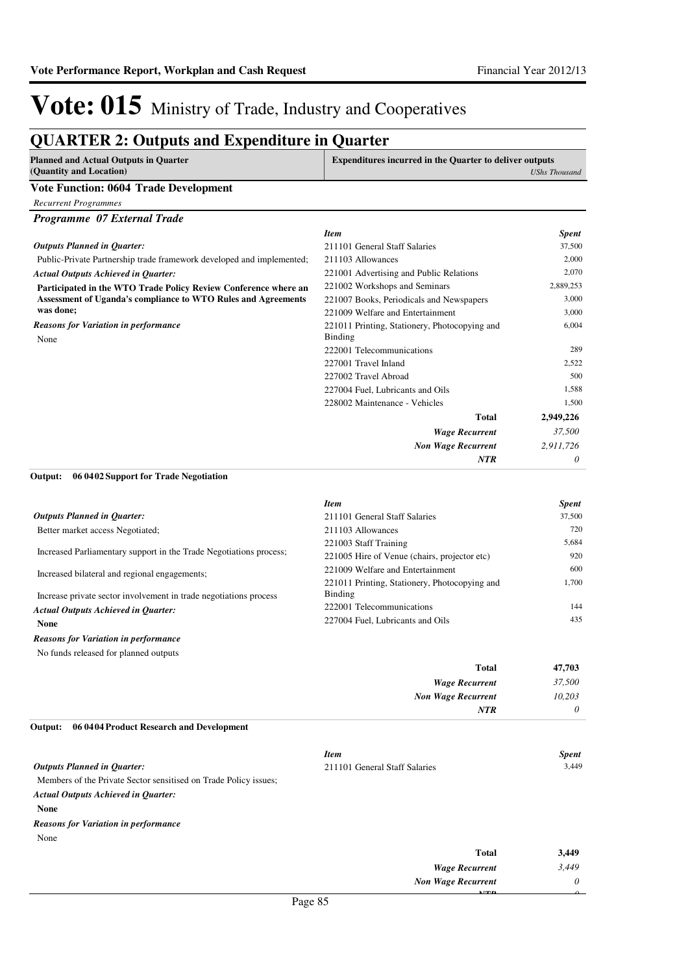*0*

*NTR*

# Vote: 015 Ministry of Trade, Industry and Cooperatives

### **QUARTER 2: Outputs and Expenditure in Quarter**

| <b>Planned and Actual Outputs in Quarter</b><br>(Quantity and Location) | <b>Expenditures incurred in the Quarter to deliver outputs</b><br><b>UShs Thousand</b> |
|-------------------------------------------------------------------------|----------------------------------------------------------------------------------------|
| <b>Vote Function: 0604 Trade Development</b>                            |                                                                                        |
| Recurrent Programmes                                                    |                                                                                        |
| Programme 07 External Trade                                             |                                                                                        |
|                                                                         | <b>Spent</b><br><b>Item</b>                                                            |

| <b>Outputs Planned in Ouarter:</b>                                    | 211101 General Staff Salaries                 | 37,500    |
|-----------------------------------------------------------------------|-----------------------------------------------|-----------|
| Public-Private Partnership trade framework developed and implemented; | 211103 Allowances                             | 2,000     |
| <b>Actual Outputs Achieved in Ouarter:</b>                            | 221001 Advertising and Public Relations       | 2,070     |
| Participated in the WTO Trade Policy Review Conference where an       | 221002 Workshops and Seminars                 | 2,889,253 |
| Assessment of Uganda's compliance to WTO Rules and Agreements         | 221007 Books, Periodicals and Newspapers      | 3,000     |
| was done;                                                             | 221009 Welfare and Entertainment              | 3,000     |
| <b>Reasons for Variation in performance</b>                           | 221011 Printing, Stationery, Photocopying and | 6,004     |
| None                                                                  | Binding                                       |           |
|                                                                       | 222001 Telecommunications                     | 289       |
|                                                                       | 227001 Travel Inland                          | 2,522     |
|                                                                       | 227002 Travel Abroad                          | 500       |
|                                                                       | 227004 Fuel, Lubricants and Oils              | 1,588     |
|                                                                       | 228002 Maintenance - Vehicles                 | 1,500     |
|                                                                       | Total                                         | 2,949,226 |
|                                                                       | <b>Wage Recurrent</b>                         | 37,500    |
|                                                                       | <b>Non Wage Recurrent</b>                     | 2,911,726 |
|                                                                       | NTR                                           | 0         |

#### **06 0402 Support for Trade Negotiation Output:**

|                                                                    | <b>Item</b>                                   | <b>Spent</b> |
|--------------------------------------------------------------------|-----------------------------------------------|--------------|
| <b>Outputs Planned in Quarter:</b>                                 | 211101 General Staff Salaries                 | 37,500       |
| Better market access Negotiated;                                   | 211103 Allowances                             | 720          |
|                                                                    | 221003 Staff Training                         | 5.684        |
| Increased Parliamentary support in the Trade Negotiations process; | 221005 Hire of Venue (chairs, projector etc)  | 920          |
| Increased bilateral and regional engagements;                      | 221009 Welfare and Entertainment              | 600          |
|                                                                    | 221011 Printing, Stationery, Photocopying and | 1.700        |
| Increase private sector involvement in trade negotiations process  | Binding                                       |              |
| <b>Actual Outputs Achieved in Ouarter:</b>                         | 222001 Telecommunications                     | 144          |
| <b>None</b>                                                        | 227004 Fuel. Lubricants and Oils              | 435          |

#### *Reasons for Variation in performance*

No funds released for planned outputs

| 47,703 | <b>Total</b>              |
|--------|---------------------------|
| 37,500 | <b>Wage Recurrent</b>     |
| 10,203 | <b>Non Wage Recurrent</b> |
| 0      | NTR                       |

#### **06 0404 Product Research and Development Output:**

|                                                                  | <b>Item</b>                   | <b>Spent</b> |
|------------------------------------------------------------------|-------------------------------|--------------|
| <b>Outputs Planned in Quarter:</b>                               | 211101 General Staff Salaries | 3.449        |
| Members of the Private Sector sensitised on Trade Policy issues; |                               |              |
| <b>Actual Outputs Achieved in Quarter:</b>                       |                               |              |
| <b>None</b>                                                      |                               |              |
| <b>Reasons for Variation in performance</b>                      |                               |              |
| None                                                             |                               |              |
|                                                                  | <b>Total</b>                  | 3,449        |
|                                                                  | <b>Wage Recurrent</b>         | 3,449        |
|                                                                  | <b>Non Wage Recurrent</b>     | $\theta$     |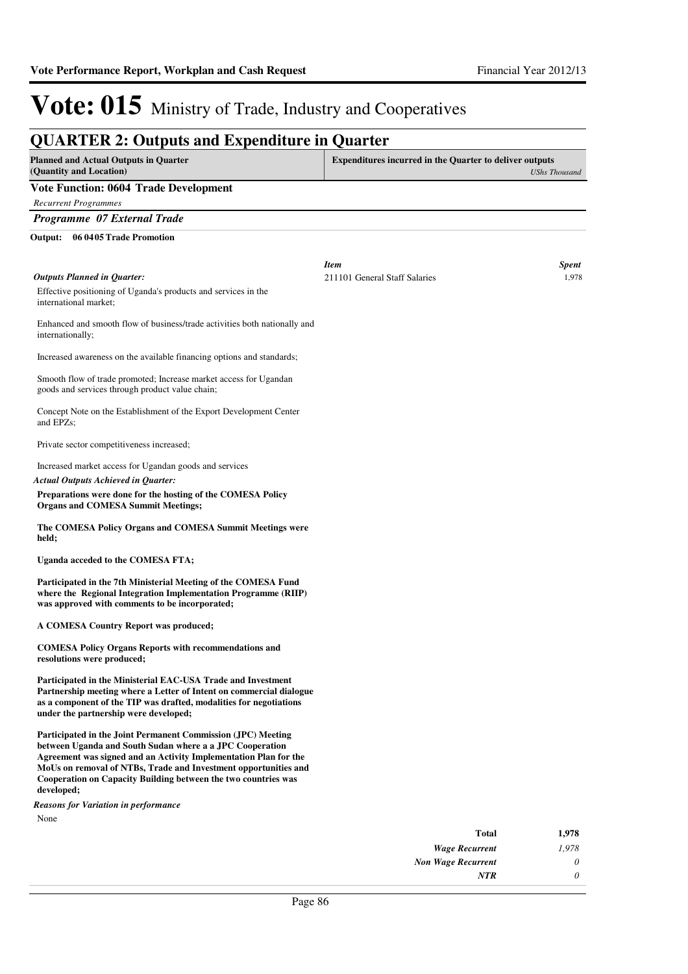*0*

*NTR*

# Vote: 015 Ministry of Trade, Industry and Cooperatives

| <b>QUARTER 2: Outputs and Expenditure in Quarter</b>                                                                                                                                                                                                                                                                                            |                                                         |                      |
|-------------------------------------------------------------------------------------------------------------------------------------------------------------------------------------------------------------------------------------------------------------------------------------------------------------------------------------------------|---------------------------------------------------------|----------------------|
| <b>Planned and Actual Outputs in Quarter</b><br>(Quantity and Location)                                                                                                                                                                                                                                                                         | Expenditures incurred in the Quarter to deliver outputs | <b>UShs Thousand</b> |
| <b>Vote Function: 0604 Trade Development</b>                                                                                                                                                                                                                                                                                                    |                                                         |                      |
| <b>Recurrent Programmes</b>                                                                                                                                                                                                                                                                                                                     |                                                         |                      |
| Programme 07 External Trade                                                                                                                                                                                                                                                                                                                     |                                                         |                      |
| 06 04 05 Trade Promotion<br>Output:                                                                                                                                                                                                                                                                                                             |                                                         |                      |
|                                                                                                                                                                                                                                                                                                                                                 |                                                         |                      |
|                                                                                                                                                                                                                                                                                                                                                 | <b>Item</b>                                             | <b>Spent</b>         |
| <b>Outputs Planned in Quarter:</b>                                                                                                                                                                                                                                                                                                              | 211101 General Staff Salaries                           | 1,978                |
| Effective positioning of Uganda's products and services in the<br>international market;                                                                                                                                                                                                                                                         |                                                         |                      |
| Enhanced and smooth flow of business/trade activities both nationally and<br>internationally;                                                                                                                                                                                                                                                   |                                                         |                      |
| Increased awareness on the available financing options and standards;                                                                                                                                                                                                                                                                           |                                                         |                      |
| Smooth flow of trade promoted; Increase market access for Ugandan<br>goods and services through product value chain;                                                                                                                                                                                                                            |                                                         |                      |
| Concept Note on the Establishment of the Export Development Center<br>and EPZs;                                                                                                                                                                                                                                                                 |                                                         |                      |
| Private sector competitiveness increased;                                                                                                                                                                                                                                                                                                       |                                                         |                      |
| Increased market access for Ugandan goods and services                                                                                                                                                                                                                                                                                          |                                                         |                      |
| <b>Actual Outputs Achieved in Quarter:</b>                                                                                                                                                                                                                                                                                                      |                                                         |                      |
| Preparations were done for the hosting of the COMESA Policy<br><b>Organs and COMESA Summit Meetings;</b>                                                                                                                                                                                                                                        |                                                         |                      |
| The COMESA Policy Organs and COMESA Summit Meetings were<br>held;                                                                                                                                                                                                                                                                               |                                                         |                      |
| Uganda acceded to the COMESA FTA;                                                                                                                                                                                                                                                                                                               |                                                         |                      |
| Participated in the 7th Ministerial Meeting of the COMESA Fund<br>where the Regional Integration Implementation Programme (RIIP)<br>was approved with comments to be incorporated;                                                                                                                                                              |                                                         |                      |
| A COMESA Country Report was produced;                                                                                                                                                                                                                                                                                                           |                                                         |                      |
| <b>COMESA Policy Organs Reports with recommendations and</b><br>resolutions were produced;                                                                                                                                                                                                                                                      |                                                         |                      |
| Participated in the Ministerial EAC-USA Trade and Investment<br>Partnership meeting where a Letter of Intent on commercial dialogue<br>as a component of the TIP was drafted, modalities for negotiations<br>under the partnership were developed;                                                                                              |                                                         |                      |
| Participated in the Joint Permanent Commission (JPC) Meeting<br>between Uganda and South Sudan where a a JPC Cooperation<br>Agreement was signed and an Activity Implementation Plan for the<br>MoUs on removal of NTBs, Trade and Investment opportunities and<br>Cooperation on Capacity Building between the two countries was<br>developed; |                                                         |                      |
| <b>Reasons for Variation in performance</b>                                                                                                                                                                                                                                                                                                     |                                                         |                      |
| None                                                                                                                                                                                                                                                                                                                                            |                                                         |                      |
|                                                                                                                                                                                                                                                                                                                                                 | <b>Total</b>                                            | 1,978                |
|                                                                                                                                                                                                                                                                                                                                                 | <b>Wage Recurrent</b>                                   | 1,978                |
|                                                                                                                                                                                                                                                                                                                                                 | <b>Non Wage Recurrent</b>                               | 0                    |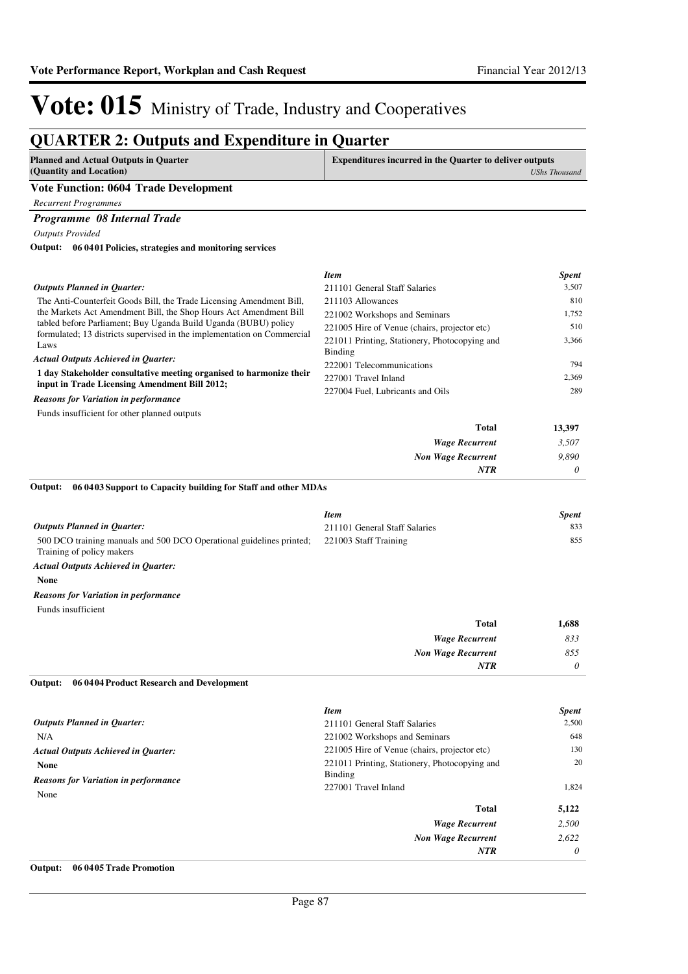### **QUARTER 2: Outputs and Expenditure in Quarter**

| QUANTER 2. Outputs and Expenditure in Quarter                                                                                              |                                                                |                      |
|--------------------------------------------------------------------------------------------------------------------------------------------|----------------------------------------------------------------|----------------------|
| <b>Planned and Actual Outputs in Quarter</b><br>(Quantity and Location)                                                                    | <b>Expenditures incurred in the Quarter to deliver outputs</b> | <b>UShs Thousand</b> |
| <b>Vote Function: 0604 Trade Development</b>                                                                                               |                                                                |                      |
|                                                                                                                                            |                                                                |                      |
| <b>Recurrent Programmes</b>                                                                                                                |                                                                |                      |
| Programme 08 Internal Trade                                                                                                                |                                                                |                      |
| <b>Outputs Provided</b>                                                                                                                    |                                                                |                      |
| Output: 06 0401 Policies, strategies and monitoring services                                                                               |                                                                |                      |
|                                                                                                                                            | <b>Item</b>                                                    | <b>Spent</b>         |
| <b>Outputs Planned in Ouarter:</b>                                                                                                         | 211101 General Staff Salaries                                  | 3,507                |
| The Anti-Counterfeit Goods Bill, the Trade Licensing Amendment Bill,                                                                       | 211103 Allowances                                              | 810                  |
| the Markets Act Amendment Bill, the Shop Hours Act Amendment Bill                                                                          | 221002 Workshops and Seminars                                  | 1,752                |
| tabled before Parliament; Buy Uganda Build Uganda (BUBU) policy<br>formulated; 13 districts supervised in the implementation on Commercial | 221005 Hire of Venue (chairs, projector etc)                   | 510                  |
| Laws                                                                                                                                       | 221011 Printing, Stationery, Photocopying and                  | 3,366                |
| <b>Actual Outputs Achieved in Quarter:</b>                                                                                                 | Binding                                                        |                      |
| 1 day Stakeholder consultative meeting organised to harmonize their                                                                        | 222001 Telecommunications                                      | 794                  |
| input in Trade Licensing Amendment Bill 2012;                                                                                              | 227001 Travel Inland                                           | 2,369                |
| <b>Reasons for Variation in performance</b>                                                                                                | 227004 Fuel, Lubricants and Oils                               | 289                  |
| Funds insufficient for other planned outputs                                                                                               |                                                                |                      |
|                                                                                                                                            | <b>Total</b>                                                   | 13,397               |
|                                                                                                                                            | <b>Wage Recurrent</b>                                          | 3,507                |
|                                                                                                                                            | <b>Non Wage Recurrent</b>                                      | 9,890                |
|                                                                                                                                            | NTR                                                            | 0                    |
| Output:<br>06 04 03 Support to Capacity building for Staff and other MDAs                                                                  |                                                                |                      |
|                                                                                                                                            | <b>Item</b>                                                    | <b>Spent</b>         |
| <b>Outputs Planned in Ouarter:</b>                                                                                                         | 211101 General Staff Salaries                                  | 833                  |
| 500 DCO training manuals and 500 DCO Operational guidelines printed;<br>Training of policy makers                                          | 221003 Staff Training                                          | 855                  |

*Actual Outputs Achieved in Quarter:*

**None**

*Reasons for Variation in performance*

Funds insufficient

| 1,688 | <b>Total</b>              |
|-------|---------------------------|
| 833   | <b>Wage Recurrent</b>     |
| 855   | <b>Non Wage Recurrent</b> |
| 0     | <b>NTR</b>                |
|       |                           |

#### **06 0404 Product Research and Development Output:**

|                                                            | <b>Item</b>                                              | <b>Spent</b> |
|------------------------------------------------------------|----------------------------------------------------------|--------------|
| <b>Outputs Planned in Quarter:</b>                         | 211101 General Staff Salaries                            | 2,500        |
| N/A                                                        | 221002 Workshops and Seminars                            | 648          |
| <b>Actual Outputs Achieved in Quarter:</b>                 | 221005 Hire of Venue (chairs, projector etc)             | 130          |
| <b>None</b><br><b>Reasons for Variation in performance</b> | 221011 Printing, Stationery, Photocopying and<br>Binding | 20           |
| None                                                       | 227001 Travel Inland                                     | 1,824        |
|                                                            | <b>Total</b>                                             | 5,122        |
|                                                            | <b>Wage Recurrent</b>                                    | 2,500        |
|                                                            | <b>Non Wage Recurrent</b>                                | 2.622        |
|                                                            | <b>NTR</b>                                               | $\theta$     |

#### **Output: 06 0405 Trade Promotion**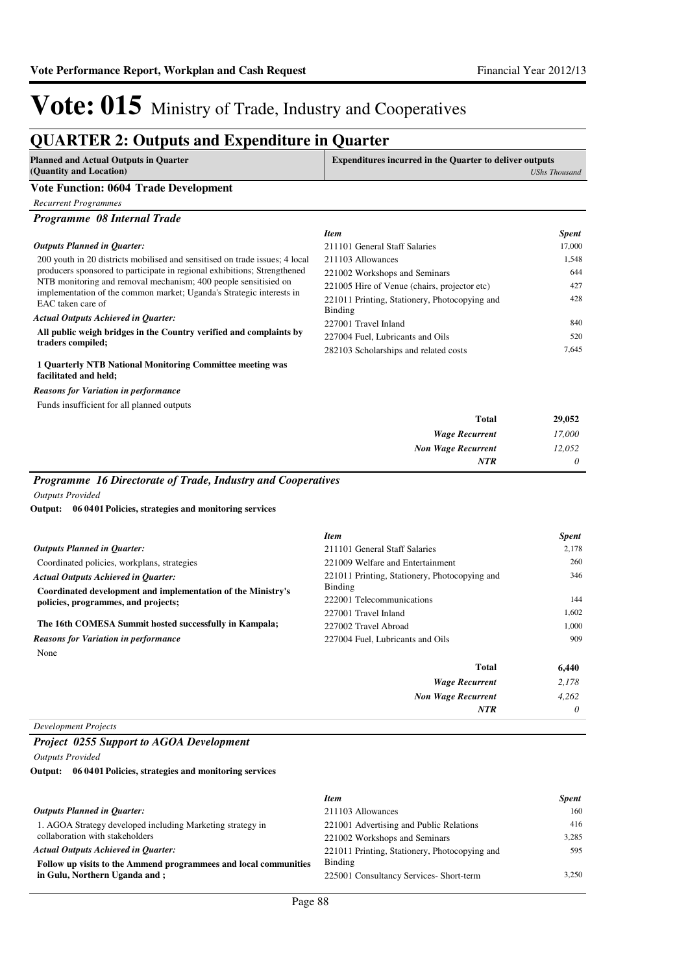### **QUARTER 2: Outputs and Expenditure in Quarter**

| Planned and Actual Outputs in Quarter<br>(Quantity and Location) | <b>Expenditures incurred in the Quarter to deliver outputs</b><br><b>UShs Thousand</b> |
|------------------------------------------------------------------|----------------------------------------------------------------------------------------|
| <b>Vote Function: 0604 Trade Development</b>                     |                                                                                        |
| Recurrent Programmes                                             |                                                                                        |

| Programme 08 Internal Trade |  |  |
|-----------------------------|--|--|
|-----------------------------|--|--|

#### 200 youth in 20 districts mobilised and sensitised on trade issues; 4 local producers sponsored to participate in regional exhibitions; Strengthened NTB monitoring and removal mechanism; 400 people sensitisied on implementation of the common market; Uganda's Strategic interests in EAC taken care of **All public weigh bridges in the Country verified and complaints by traders compiled; 1 Quarterly NTB National Monitoring Committee meeting was**  *Actual Outputs Achieved in Quarter: Outputs Planned in Quarter: Item Spent* 211101 General Staff Salaries 17,000 211103 Allowances 1,548 221002 Workshops and Seminars 644 221005 Hire of Venue (chairs, projector etc) 427 221011 Printing, Stationery, Photocopying and Binding 428 227001 Travel Inland 840 227004 Fuel, Lubricants and Oils 520 282103 Scholarships and related costs 7,645

### **facilitated and held;**

*Reasons for Variation in performance*

|  |  |  | Funds insufficient for all planned outputs |
|--|--|--|--------------------------------------------|
|--|--|--|--------------------------------------------|

| Total                     | 29,052   |
|---------------------------|----------|
| <b>Wage Recurrent</b>     | 17,000   |
| <b>Non Wage Recurrent</b> | 12,052   |
| <b>NTR</b>                | $\theta$ |

#### *Programme 16 Directorate of Trade, Industry and Cooperatives*

*Outputs Provided*

#### **06 0401 Policies, strategies and monitoring services Output:**

|                                                                                                     | <b>Item</b>                                              | <b>Spent</b> |
|-----------------------------------------------------------------------------------------------------|----------------------------------------------------------|--------------|
| <b>Outputs Planned in Quarter:</b>                                                                  | 211101 General Staff Salaries                            | 2,178        |
| Coordinated policies, workplans, strategies                                                         | 221009 Welfare and Entertainment                         | 260          |
| <b>Actual Outputs Achieved in Ouarter:</b>                                                          | 221011 Printing, Stationery, Photocopying and<br>Binding | 346          |
| Coordinated development and implementation of the Ministry's<br>policies, programmes, and projects; | 222001 Telecommunications                                | 144          |
|                                                                                                     | 227001 Travel Inland                                     | 1,602        |
| The 16th COMESA Summit hosted successfully in Kampala;                                              | 227002 Travel Abroad                                     | 1,000        |
| <b>Reasons for Variation in performance</b>                                                         | 227004 Fuel, Lubricants and Oils                         | 909          |
| None                                                                                                |                                                          |              |
|                                                                                                     | <b>Total</b>                                             | 6,440        |
|                                                                                                     | <b>Wage Recurrent</b>                                    | 2.178        |
|                                                                                                     | <b>Non Wage Recurrent</b>                                | 4.262        |
|                                                                                                     | <b>NTR</b>                                               | 0            |

#### *Development Projects*

#### *Project 0255 Support to AGOA Development*

*Outputs Provided*

#### **06 0401 Policies, strategies and monitoring services Output:**

|                                                                  | <b>Item</b>                                   | <b>Spent</b> |
|------------------------------------------------------------------|-----------------------------------------------|--------------|
| <b>Outputs Planned in Ouarter:</b>                               | 211103 Allowances                             | 160          |
| 1. AGOA Strategy developed including Marketing strategy in       | 221001 Advertising and Public Relations       | 416          |
| collaboration with stakeholders                                  | 221002 Workshops and Seminars                 | 3.285        |
| <b>Actual Outputs Achieved in Ouarter:</b>                       | 221011 Printing, Stationery, Photocopying and | 595          |
| Follow up visits to the Ammend programmees and local communities | Binding                                       |              |
| in Gulu, Northern Uganda and:                                    | 225001 Consultancy Services- Short-term       | 3.250        |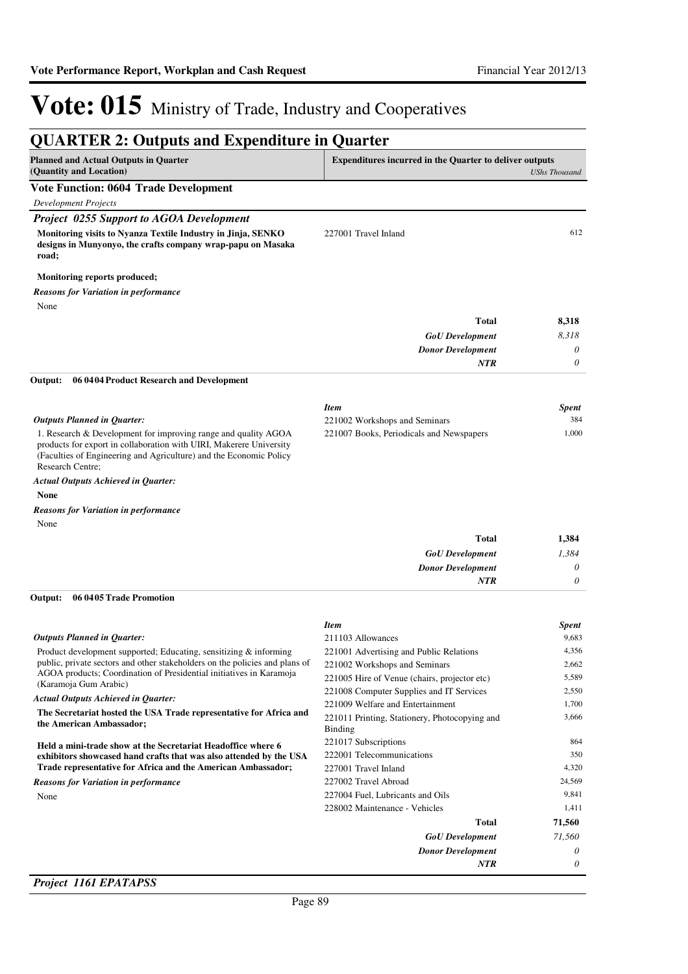| <b>Planned and Actual Outputs in Quarter</b>                                                                                                                                                                                    | <b>Expenditures incurred in the Quarter to deliver outputs</b>    |                      |
|---------------------------------------------------------------------------------------------------------------------------------------------------------------------------------------------------------------------------------|-------------------------------------------------------------------|----------------------|
| (Quantity and Location)                                                                                                                                                                                                         |                                                                   | <b>UShs Thousand</b> |
| <b>Vote Function: 0604 Trade Development</b>                                                                                                                                                                                    |                                                                   |                      |
| <b>Development Projects</b>                                                                                                                                                                                                     |                                                                   |                      |
| <b>Project 0255 Support to AGOA Development</b>                                                                                                                                                                                 |                                                                   |                      |
| Monitoring visits to Nyanza Textile Industry in Jinja, SENKO<br>designs in Munyonyo, the crafts company wrap-papu on Masaka<br>road;                                                                                            | 227001 Travel Inland                                              | 612                  |
| Monitoring reports produced;                                                                                                                                                                                                    |                                                                   |                      |
| <b>Reasons for Variation in performance</b>                                                                                                                                                                                     |                                                                   |                      |
| None                                                                                                                                                                                                                            |                                                                   |                      |
|                                                                                                                                                                                                                                 | <b>Total</b>                                                      | 8,318                |
|                                                                                                                                                                                                                                 | <b>GoU</b> Development                                            | 8,318                |
|                                                                                                                                                                                                                                 | <b>Donor Development</b>                                          | 0                    |
|                                                                                                                                                                                                                                 | <b>NTR</b>                                                        | 0                    |
| Output:<br>06 0404 Product Research and Development                                                                                                                                                                             |                                                                   |                      |
|                                                                                                                                                                                                                                 | <b>Item</b>                                                       | <b>Spent</b>         |
| Outputs Planned in Quarter:                                                                                                                                                                                                     | 221002 Workshops and Seminars                                     | 384                  |
| 1. Research & Development for improving range and quality AGOA<br>products for export in collaboration with UIRI, Makerere University<br>(Faculties of Engineering and Agriculture) and the Economic Policy<br>Research Centre; | 221007 Books, Periodicals and Newspapers                          | 1,000                |
| <b>Actual Outputs Achieved in Quarter:</b>                                                                                                                                                                                      |                                                                   |                      |
| <b>None</b>                                                                                                                                                                                                                     |                                                                   |                      |
| <b>Reasons for Variation in performance</b>                                                                                                                                                                                     |                                                                   |                      |
| None                                                                                                                                                                                                                            |                                                                   |                      |
|                                                                                                                                                                                                                                 | <b>Total</b>                                                      | 1,384                |
|                                                                                                                                                                                                                                 | <b>GoU</b> Development                                            | 1,384                |
|                                                                                                                                                                                                                                 | <b>Donor Development</b>                                          | 0                    |
|                                                                                                                                                                                                                                 | <b>NTR</b>                                                        | $\theta$             |
| Output:<br>06 0405 Trade Promotion                                                                                                                                                                                              |                                                                   |                      |
|                                                                                                                                                                                                                                 | <b>Item</b>                                                       | <b>Spent</b>         |
| <b>Outputs Planned in Quarter:</b>                                                                                                                                                                                              | 211103 Allowances                                                 | 9,683                |
| Product development supported; Educating, sensitizing & informing                                                                                                                                                               | 221001 Advertising and Public Relations                           | 4,356                |
| public, private sectors and other stakeholders on the policies and plans of<br>AGOA products; Coordination of Presidential initiatives in Karamoja                                                                              | 221002 Workshops and Seminars                                     | 2,662                |
| (Karamoja Gum Arabic)                                                                                                                                                                                                           | 221005 Hire of Venue (chairs, projector etc)                      | 5,589                |
| <b>Actual Outputs Achieved in Quarter:</b>                                                                                                                                                                                      | 221008 Computer Supplies and IT Services                          | 2,550                |
| The Secretariat hosted the USA Trade representative for Africa and                                                                                                                                                              | 221009 Welfare and Entertainment                                  | 1,700                |
| the American Ambassador;                                                                                                                                                                                                        | 221011 Printing, Stationery, Photocopying and<br><b>Binding</b>   | 3,666                |
| Held a mini-trade show at the Secretariat Headoffice where 6                                                                                                                                                                    | 221017 Subscriptions                                              | 864                  |
| exhibitors showcased hand crafts that was also attended by the USA                                                                                                                                                              | 222001 Telecommunications                                         | 350                  |
| Trade representative for Africa and the American Ambassador;                                                                                                                                                                    | 227001 Travel Inland                                              | 4,320                |
| <b>Reasons for Variation in performance</b>                                                                                                                                                                                     | 227002 Travel Abroad                                              | 24,569               |
| None                                                                                                                                                                                                                            | 227004 Fuel, Lubricants and Oils<br>228002 Maintenance - Vehicles | 9,841<br>1,411       |
|                                                                                                                                                                                                                                 | <b>Total</b>                                                      | 71,560               |
|                                                                                                                                                                                                                                 |                                                                   | 71,560               |
|                                                                                                                                                                                                                                 | <b>GoU</b> Development<br><b>Donor Development</b>                | 0                    |
|                                                                                                                                                                                                                                 |                                                                   |                      |

### *Project 1161 EPATAPSS*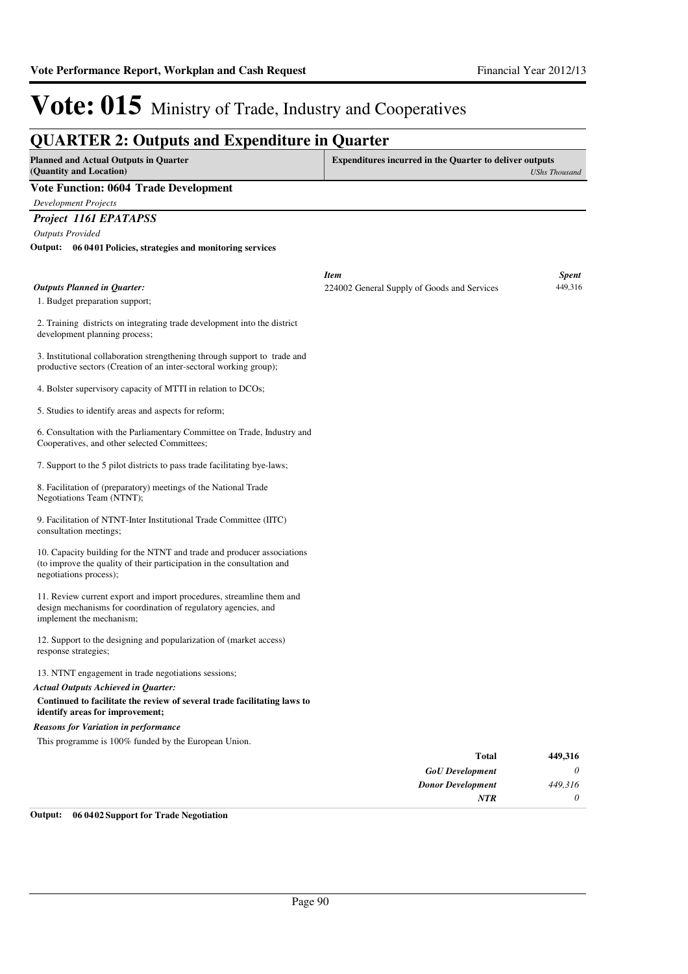*0*

*NTR*

# Vote: 015 Ministry of Trade, Industry and Cooperatives

|                                                                                                                                                                            | <b>QUARTER 2: Outputs and Expenditure in Quarter</b>                                   |                         |
|----------------------------------------------------------------------------------------------------------------------------------------------------------------------------|----------------------------------------------------------------------------------------|-------------------------|
| <b>Planned and Actual Outputs in Quarter</b><br>(Quantity and Location)                                                                                                    | <b>Expenditures incurred in the Quarter to deliver outputs</b><br><b>UShs Thousand</b> |                         |
| <b>Vote Function: 0604 Trade Development</b>                                                                                                                               |                                                                                        |                         |
| <b>Development Projects</b>                                                                                                                                                |                                                                                        |                         |
| Project 1161 EPATAPSS                                                                                                                                                      |                                                                                        |                         |
| <b>Outputs Provided</b>                                                                                                                                                    |                                                                                        |                         |
| Output: 06 0401 Policies, strategies and monitoring services                                                                                                               |                                                                                        |                         |
|                                                                                                                                                                            |                                                                                        |                         |
| <b>Outputs Planned in Quarter:</b>                                                                                                                                         | <b>Item</b><br>224002 General Supply of Goods and Services                             | <b>Spent</b><br>449,316 |
| 1. Budget preparation support;                                                                                                                                             |                                                                                        |                         |
|                                                                                                                                                                            |                                                                                        |                         |
| 2. Training districts on integrating trade development into the district<br>development planning process;                                                                  |                                                                                        |                         |
| 3. Institutional collaboration strengthening through support to trade and<br>productive sectors (Creation of an inter-sectoral working group);                             |                                                                                        |                         |
| 4. Bolster supervisory capacity of MTTI in relation to DCOs;                                                                                                               |                                                                                        |                         |
| 5. Studies to identify areas and aspects for reform;                                                                                                                       |                                                                                        |                         |
| 6. Consultation with the Parliamentary Committee on Trade, Industry and<br>Cooperatives, and other selected Committees;                                                    |                                                                                        |                         |
| 7. Support to the 5 pilot districts to pass trade facilitating bye-laws;                                                                                                   |                                                                                        |                         |
| 8. Facilitation of (preparatory) meetings of the National Trade<br>Negotiations Team (NTNT);                                                                               |                                                                                        |                         |
| 9. Facilitation of NTNT-Inter Institutional Trade Committee (IITC)<br>consultation meetings;                                                                               |                                                                                        |                         |
| 10. Capacity building for the NTNT and trade and producer associations<br>(to improve the quality of their participation in the consultation and<br>negotiations process); |                                                                                        |                         |
| 11. Review current export and import procedures, streamline them and<br>design mechanisms for coordination of regulatory agencies, and<br>implement the mechanism;         |                                                                                        |                         |
| 12. Support to the designing and popularization of (market access)<br>response strategies;                                                                                 |                                                                                        |                         |
| 13. NTNT engagement in trade negotiations sessions;                                                                                                                        |                                                                                        |                         |
| <b>Actual Outputs Achieved in Quarter:</b>                                                                                                                                 |                                                                                        |                         |
| Continued to facilitate the review of several trade facilitating laws to<br>identify areas for improvement;                                                                |                                                                                        |                         |
| <b>Reasons for Variation in performance</b>                                                                                                                                |                                                                                        |                         |
| This programme is 100% funded by the European Union.                                                                                                                       |                                                                                        |                         |
|                                                                                                                                                                            | <b>Total</b>                                                                           | 449,316                 |
|                                                                                                                                                                            | <b>GoU</b> Development                                                                 | 0                       |
|                                                                                                                                                                            | <b>Donor Development</b>                                                               | 449,316                 |

**Output: 06 0402 Support for Trade Negotiation**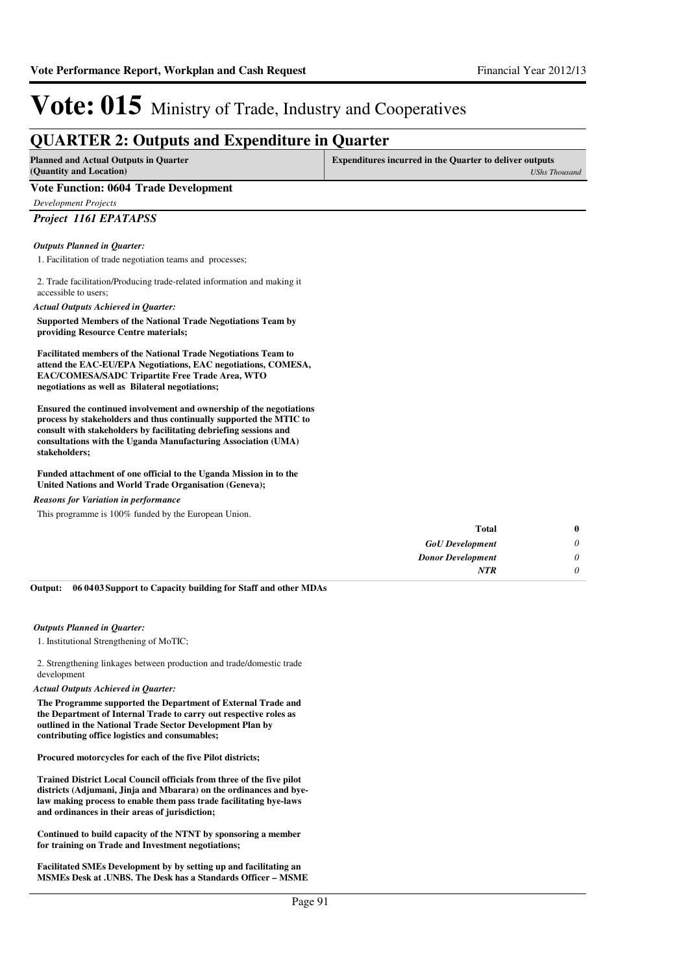### **QUARTER 2: Outputs and Expenditure in Quarter**

| QUARTER 2: Outputs and Expenditure in Quarter                                                                                                                                                                                                                                                    |                                                                                        |  |
|--------------------------------------------------------------------------------------------------------------------------------------------------------------------------------------------------------------------------------------------------------------------------------------------------|----------------------------------------------------------------------------------------|--|
| <b>Planned and Actual Outputs in Quarter</b><br>(Quantity and Location)                                                                                                                                                                                                                          | <b>Expenditures incurred in the Quarter to deliver outputs</b><br><b>UShs Thousand</b> |  |
| <b>Vote Function: 0604 Trade Development</b>                                                                                                                                                                                                                                                     |                                                                                        |  |
| <b>Development Projects</b>                                                                                                                                                                                                                                                                      |                                                                                        |  |
| Project 1161 EPATAPSS                                                                                                                                                                                                                                                                            |                                                                                        |  |
| <b>Outputs Planned in Ouarter:</b>                                                                                                                                                                                                                                                               |                                                                                        |  |
| 1. Facilitation of trade negotiation teams and processes;                                                                                                                                                                                                                                        |                                                                                        |  |
| 2. Trade facilitation/Producing trade-related information and making it<br>accessible to users:                                                                                                                                                                                                  |                                                                                        |  |
| <b>Actual Outputs Achieved in Quarter:</b>                                                                                                                                                                                                                                                       |                                                                                        |  |
| Supported Members of the National Trade Negotiations Team by<br>providing Resource Centre materials;                                                                                                                                                                                             |                                                                                        |  |
| <b>Facilitated members of the National Trade Negotiations Team to</b><br>attend the EAC-EU/EPA Negotiations, EAC negotiations, COMESA,<br>EAC/COMESA/SADC Tripartite Free Trade Area, WTO<br>negotiations as well as Bilateral negotiations;                                                     |                                                                                        |  |
| Ensured the continued involvement and ownership of the negotiations<br>process by stakeholders and thus continually supported the MTIC to<br>consult with stakeholders by facilitating debriefing sessions and<br>consultations with the Uganda Manufacturing Association (UMA)<br>stakeholders; |                                                                                        |  |

**Funded attachment of one official to the Uganda Mission in to the United Nations and World Trade Organisation (Geneva);**

*Reasons for Variation in performance*

This programme is 100% funded by the European Union.

| $\bf{0}$ | <b>Total</b>             |
|----------|--------------------------|
| 0        | <b>GoU</b> Development   |
| 0        | <b>Donor Development</b> |
|          | <b>NTR</b>               |
|          |                          |

**06 0403 Support to Capacity building for Staff and other MDAs Output:**

#### *Outputs Planned in Quarter:*

1. Institutional Strengthening of MoTIC;

2. Strengthening linkages between production and trade/domestic trade development

*Actual Outputs Achieved in Quarter:*

**The Programme supported the Department of External Trade and the Department of Internal Trade to carry out respective roles as outlined in the National Trade Sector Development Plan by contributing office logistics and consumables;**

**Procured motorcycles for each of the five Pilot districts;**

**Trained District Local Council officials from three of the five pilot districts (Adjumani, Jinja and Mbarara) on the ordinances and byelaw making process to enable them pass trade facilitating bye-laws and ordinances in their areas of jurisdiction;**

**Continued to build capacity of the NTNT by sponsoring a member for training on Trade and Investment negotiations;**

**Facilitated SMEs Development by by setting up and facilitating an MSMEs Desk at .UNBS. The Desk has a Standards Officer – MSME**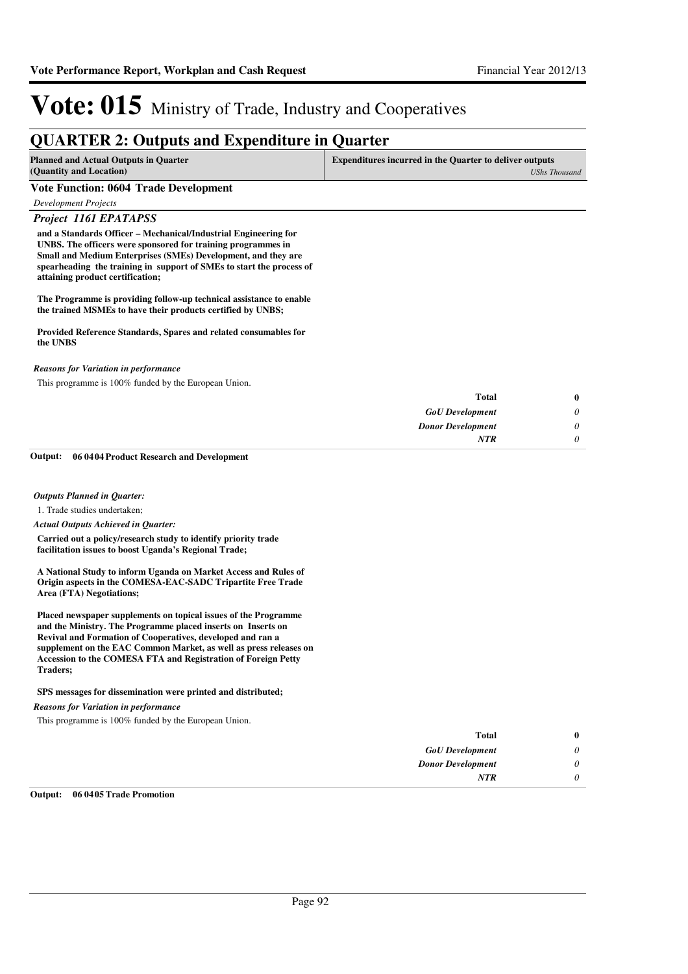### **QUARTER 2: Outputs and Expenditure in Quarter**

| <b>Planned and Actual Outputs in Quarter</b> | <b>Expenditures incurred in the Quarter to deliver outputs</b> |
|----------------------------------------------|----------------------------------------------------------------|
| (Quantity and Location)                      | UShs Thousand                                                  |
| ___<br>---------                             |                                                                |

#### **Vote Function: 0604 Trade Development**

*Development Projects*

*Project 1161 EPATAPSS*

**and a Standards Officer – Mechanical/Industrial Engineering for UNBS. The officers were sponsored for training programmes in Small and Medium Enterprises (SMEs) Development, and they are spearheading the training in support of SMEs to start the process of attaining product certification;**

**The Programme is providing follow-up technical assistance to enable the trained MSMEs to have their products certified by UNBS;**

#### **Provided Reference Standards, Spares and related consumables for the UNBS**

#### *Reasons for Variation in performance*

This programme is 100% funded by the European Union.

| $\bf{0}$ | <b>Total</b>             |
|----------|--------------------------|
|          | <b>GoU</b> Development   |
|          | <b>Donor Development</b> |
|          | <b>NTR</b>               |
|          |                          |

**06 0404 Product Research and Development Output:**

#### *Outputs Planned in Quarter:*

1. Trade studies undertaken;

#### *Actual Outputs Achieved in Quarter:*

**Carried out a policy/research study to identify priority trade facilitation issues to boost Uganda's Regional Trade;**

**A National Study to inform Uganda on Market Access and Rules of Origin aspects in the COMESA-EAC-SADC Tripartite Free Trade Area (FTA) Negotiations;**

**Placed newspaper supplements on topical issues of the Programme and the Ministry. The Programme placed inserts on Inserts on Revival and Formation of Cooperatives, developed and ran a supplement on the EAC Common Market, as well as press releases on Accession to the COMESA FTA and Registration of Foreign Petty Traders;**

#### **SPS messages for dissemination were printed and distributed;**

*Reasons for Variation in performance*

This programme is 100% funded by the European Union.

| Total                    |
|--------------------------|
| <b>GoU</b> Development   |
| <b>Donor Development</b> |
| <b>NTR</b>               |

#### **Output: 06 0405 Trade Promotion**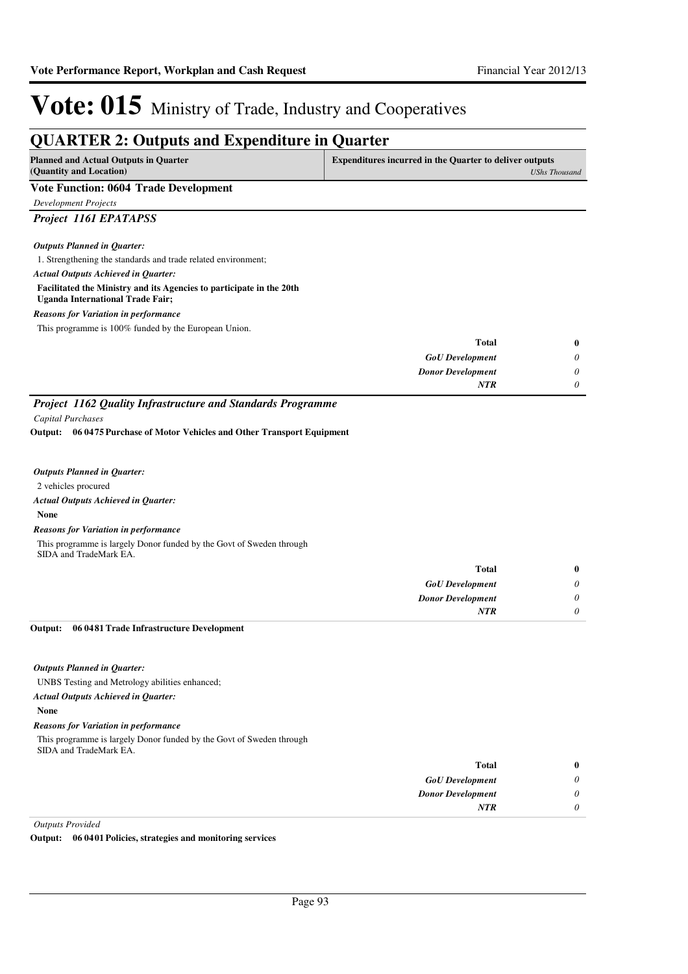| <b>QUARTER 2: Outputs and Expenditure in Quarter</b>                                                        |                                                                |                      |
|-------------------------------------------------------------------------------------------------------------|----------------------------------------------------------------|----------------------|
| <b>Planned and Actual Outputs in Quarter</b><br>(Quantity and Location)                                     | <b>Expenditures incurred in the Quarter to deliver outputs</b> | <b>UShs Thousand</b> |
| <b>Vote Function: 0604 Trade Development</b>                                                                |                                                                |                      |
| <b>Development Projects</b>                                                                                 |                                                                |                      |
| Project 1161 EPATAPSS                                                                                       |                                                                |                      |
|                                                                                                             |                                                                |                      |
| <b>Outputs Planned in Quarter:</b>                                                                          |                                                                |                      |
| 1. Strengthening the standards and trade related environment;<br><b>Actual Outputs Achieved in Quarter:</b> |                                                                |                      |
| Facilitated the Ministry and its Agencies to participate in the 20th                                        |                                                                |                      |
| <b>Uganda International Trade Fair;</b>                                                                     |                                                                |                      |
| <b>Reasons for Variation in performance</b>                                                                 |                                                                |                      |
| This programme is 100% funded by the European Union.                                                        |                                                                |                      |
|                                                                                                             | <b>Total</b>                                                   | $\bf{0}$             |
|                                                                                                             | <b>GoU</b> Development                                         | 0                    |
|                                                                                                             | <b>Donor Development</b>                                       | 0                    |
|                                                                                                             | NTR                                                            | $\theta$             |
| Project 1162 Quality Infrastructure and Standards Programme                                                 |                                                                |                      |
| Capital Purchases                                                                                           |                                                                |                      |
| Output: 06 0475 Purchase of Motor Vehicles and Other Transport Equipment                                    |                                                                |                      |
| <b>Outputs Planned in Quarter:</b>                                                                          |                                                                |                      |
| 2 vehicles procured                                                                                         |                                                                |                      |
| <b>Actual Outputs Achieved in Quarter:</b>                                                                  |                                                                |                      |
| <b>None</b>                                                                                                 |                                                                |                      |
| <b>Reasons for Variation in performance</b>                                                                 |                                                                |                      |
| This programme is largely Donor funded by the Govt of Sweden through<br>SIDA and TradeMark EA.              |                                                                |                      |
|                                                                                                             | <b>Total</b>                                                   | $\bf{0}$             |
|                                                                                                             | <b>GoU</b> Development                                         | 0                    |
|                                                                                                             | <b>Donor Development</b><br>NTR                                | 0<br>0               |
|                                                                                                             |                                                                |                      |
| 06 0481 Trade Infrastructure Development<br>Output:                                                         |                                                                |                      |
| <b>Outputs Planned in Quarter:</b>                                                                          |                                                                |                      |
| UNBS Testing and Metrology abilities enhanced;                                                              |                                                                |                      |
| <b>Actual Outputs Achieved in Quarter:</b>                                                                  |                                                                |                      |
| <b>None</b>                                                                                                 |                                                                |                      |
| <b>Reasons for Variation in performance</b>                                                                 |                                                                |                      |
| This programme is largely Donor funded by the Govt of Sweden through<br>SIDA and TradeMark EA.              |                                                                |                      |
|                                                                                                             | <b>Total</b>                                                   | $\bf{0}$             |
|                                                                                                             | <b>GoU</b> Development                                         | 0                    |
|                                                                                                             | <b>Donor Development</b>                                       | 0                    |
|                                                                                                             | NTR                                                            | 0                    |
|                                                                                                             |                                                                |                      |

*Outputs Provided*

**Output: 06 0401 Policies, strategies and monitoring services**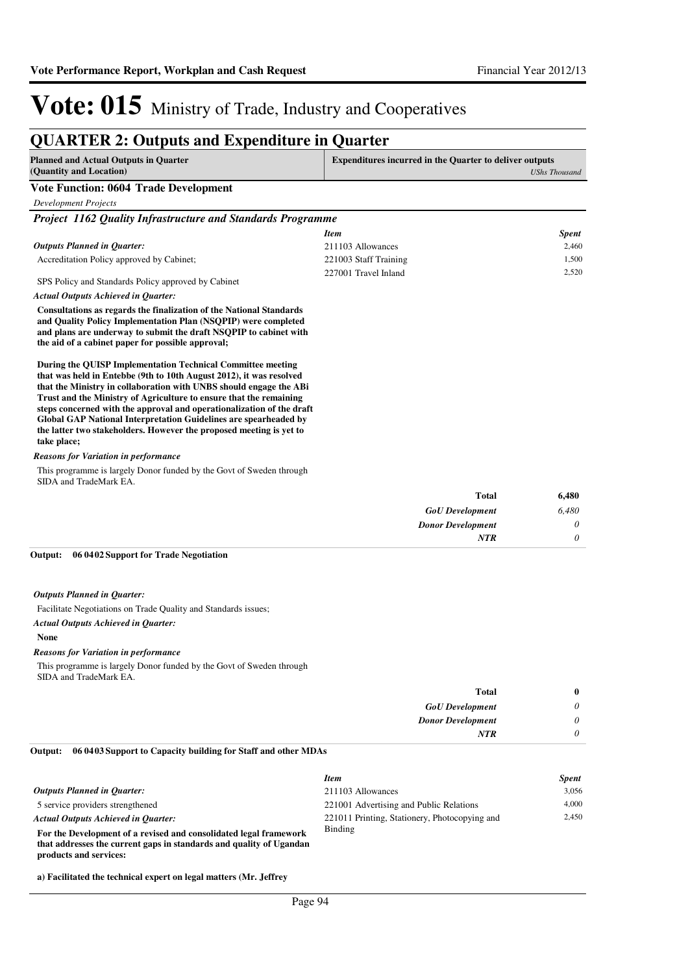### **QUARTER 2: Outputs and Expenditure in Quarter**

| <b>Planned and Actual Outputs in Quarter</b><br>(Quantity and Location)                                                                                                                                                                                                                                                                                                                                                                                                                                                  | <b>Expenditures incurred in the Quarter to deliver outputs</b> | <b>UShs Thousand</b> |
|--------------------------------------------------------------------------------------------------------------------------------------------------------------------------------------------------------------------------------------------------------------------------------------------------------------------------------------------------------------------------------------------------------------------------------------------------------------------------------------------------------------------------|----------------------------------------------------------------|----------------------|
| <b>Vote Function: 0604 Trade Development</b>                                                                                                                                                                                                                                                                                                                                                                                                                                                                             |                                                                |                      |
| <b>Development Projects</b>                                                                                                                                                                                                                                                                                                                                                                                                                                                                                              |                                                                |                      |
| Project 1162 Quality Infrastructure and Standards Programme                                                                                                                                                                                                                                                                                                                                                                                                                                                              |                                                                |                      |
|                                                                                                                                                                                                                                                                                                                                                                                                                                                                                                                          | <b>Item</b>                                                    | <b>Spent</b>         |
| <b>Outputs Planned in Quarter:</b>                                                                                                                                                                                                                                                                                                                                                                                                                                                                                       | 211103 Allowances                                              | 2,460                |
| Accreditation Policy approved by Cabinet;                                                                                                                                                                                                                                                                                                                                                                                                                                                                                | 221003 Staff Training                                          | 1,500                |
| SPS Policy and Standards Policy approved by Cabinet                                                                                                                                                                                                                                                                                                                                                                                                                                                                      | 227001 Travel Inland                                           | 2,520                |
| <b>Actual Outputs Achieved in Quarter:</b>                                                                                                                                                                                                                                                                                                                                                                                                                                                                               |                                                                |                      |
| <b>Consultations as regards the finalization of the National Standards</b><br>and Quality Policy Implementation Plan (NSQPIP) were completed<br>and plans are underway to submit the draft NSQPIP to cabinet with<br>the aid of a cabinet paper for possible approval;                                                                                                                                                                                                                                                   |                                                                |                      |
| During the QUISP Implementation Technical Committee meeting<br>that was held in Entebbe (9th to 10th August 2012), it was resolved<br>that the Ministry in collaboration with UNBS should engage the ABi<br>Trust and the Ministry of Agriculture to ensure that the remaining<br>steps concerned with the approval and operationalization of the draft<br><b>Global GAP National Interpretation Guidelines are spearheaded by</b><br>the latter two stakeholders. However the proposed meeting is yet to<br>take place; |                                                                |                      |
| <b>Reasons for Variation in performance</b>                                                                                                                                                                                                                                                                                                                                                                                                                                                                              |                                                                |                      |
| This programme is largely Donor funded by the Govt of Sweden through<br>SIDA and TradeMark EA.                                                                                                                                                                                                                                                                                                                                                                                                                           |                                                                |                      |
|                                                                                                                                                                                                                                                                                                                                                                                                                                                                                                                          | <b>Total</b>                                                   | 6,480                |
|                                                                                                                                                                                                                                                                                                                                                                                                                                                                                                                          | <b>GoU</b> Development                                         | 6,480                |
|                                                                                                                                                                                                                                                                                                                                                                                                                                                                                                                          | <b>Donor Development</b>                                       | 0                    |
|                                                                                                                                                                                                                                                                                                                                                                                                                                                                                                                          | <b>NTR</b>                                                     | $\theta$             |
| Output:<br>06 04 02 Support for Trade Negotiation<br><b>Outputs Planned in Quarter:</b>                                                                                                                                                                                                                                                                                                                                                                                                                                  |                                                                |                      |

Facilitate Negotiations on Trade Quality and Standards issues;

#### *Actual Outputs Achieved in Quarter:*

**products and services:**

#### **None**

#### *Reasons for Variation in performance*

This programme is largely Donor funded by the Govt of Sweden through SIDA and TradeMark EA.

| 0                         | <b>Total</b>             |
|---------------------------|--------------------------|
| $\boldsymbol{\mathsf{U}}$ | <b>GoU</b> Development   |
| $\upsilon$                | <b>Donor Development</b> |
| $\boldsymbol{\theta}$     | <b>NTR</b>               |
|                           |                          |

#### **06 0403 Support to Capacity building for Staff and other MDAs Output:**

|                                                                     | <b>Item</b>                                   | <b>Spent</b> |
|---------------------------------------------------------------------|-----------------------------------------------|--------------|
| <b>Outputs Planned in Ouarter:</b>                                  | 211103 Allowances                             | 3.056        |
| 5 service providers strengthened                                    | 221001 Advertising and Public Relations       | 4.000        |
| <b>Actual Outputs Achieved in Ouarter:</b>                          | 221011 Printing, Stationery, Photocopying and | 2.450        |
| For the Development of a revised and consolidated legal framework   | Binding                                       |              |
| that addresses the current gaps in standards and quality of Ugandan |                                               |              |

**a) Facilitated the technical expert on legal matters (Mr. Jeffrey**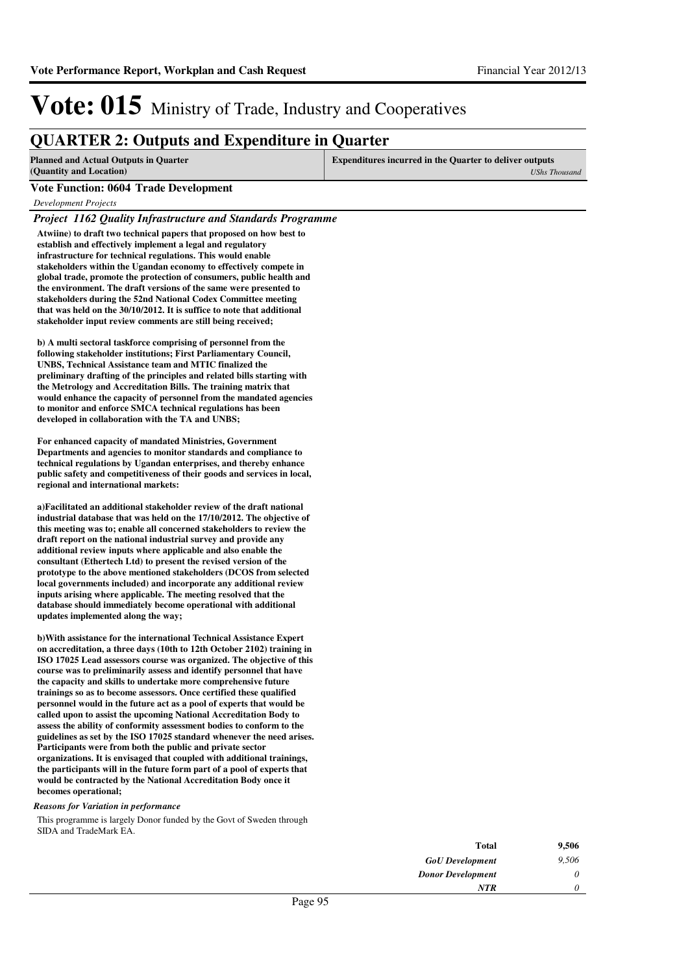### **QUARTER 2: Outputs and Expenditure in Quarter**

| Planned and Actual Outputs in Quarter  | Expenditures incurred in the Quarter to deliver outputs |
|----------------------------------------|---------------------------------------------------------|
| (Quantity and Location)                | UShs Thousand                                           |
| Vete E-mether: 0604 Tue de Development |                                                         |

#### **Vote Function: 0604 Trade Development**

*Development Projects*

*Project 1162 Quality Infrastructure and Standards Programme*

**Atwiine) to draft two technical papers that proposed on how best to establish and effectively implement a legal and regulatory infrastructure for technical regulations. This would enable stakeholders within the Ugandan economy to effectively compete in global trade, promote the protection of consumers, public health and the environment. The draft versions of the same were presented to stakeholders during the 52nd National Codex Committee meeting that was held on the 30/10/2012. It is suffice to note that additional stakeholder input review comments are still being received;** 

**b) A multi sectoral taskforce comprising of personnel from the following stakeholder institutions; First Parliamentary Council, UNBS, Technical Assistance team and MTIC finalized the preliminary drafting of the principles and related bills starting with the Metrology and Accreditation Bills. The training matrix that would enhance the capacity of personnel from the mandated agencies to monitor and enforce SMCA technical regulations has been developed in collaboration with the TA and UNBS;**

**For enhanced capacity of mandated Ministries, Government Departments and agencies to monitor standards and compliance to technical regulations by Ugandan enterprises, and thereby enhance public safety and competitiveness of their goods and services in local, regional and international markets:**

a)Facilitated an additional stakeholder review of the draft national **industrial database that was held on the 17/10/2012. The objective of this meeting was to; enable all concerned stakeholders to review the draft report on the national industrial survey and provide any additional review inputs where applicable and also enable the consultant (Ethertech Ltd) to present the revised version of the prototype to the above mentioned stakeholders (DCOS from selected local governments included) and incorporate any additional review inputs arising where applicable. The meeting resolved that the database should immediately become operational with additional updates implemented along the way;**

**b)With assistance for the international Technical A ssistance Expert on accreditation, a three days (10th to 12th October 2102) training in ISO 17025 Lead assessors course was organized. The objective of this course was to preliminarily assess and identify personnel that have the capacity and skills to undertake more comprehensive future trainings so as to become assessors. Once certified these qualified personnel would in the future act as a pool of experts that would be called upon to assist the upcoming National Accreditation Body to assess the ability of conformity assessment bodies to conform to the guidelines as set by the ISO 17025 standard whenever the need arises. Participants were from both the public and private sector organizations. It is envisaged that coupled with additional trainings, the participants will in the future form part of a pool of experts that would be contracted by the National Accreditation Body once it becomes operational;**

#### *Reasons for Variation in performance*

This programme is largely Donor funded by the Govt of Sweden through SIDA and TradeMark EA.

| Total                    | 9,506 |
|--------------------------|-------|
| <b>GoU</b> Development   | 9,506 |
| <b>Donor Development</b> | 0     |
| NTR                      | 0     |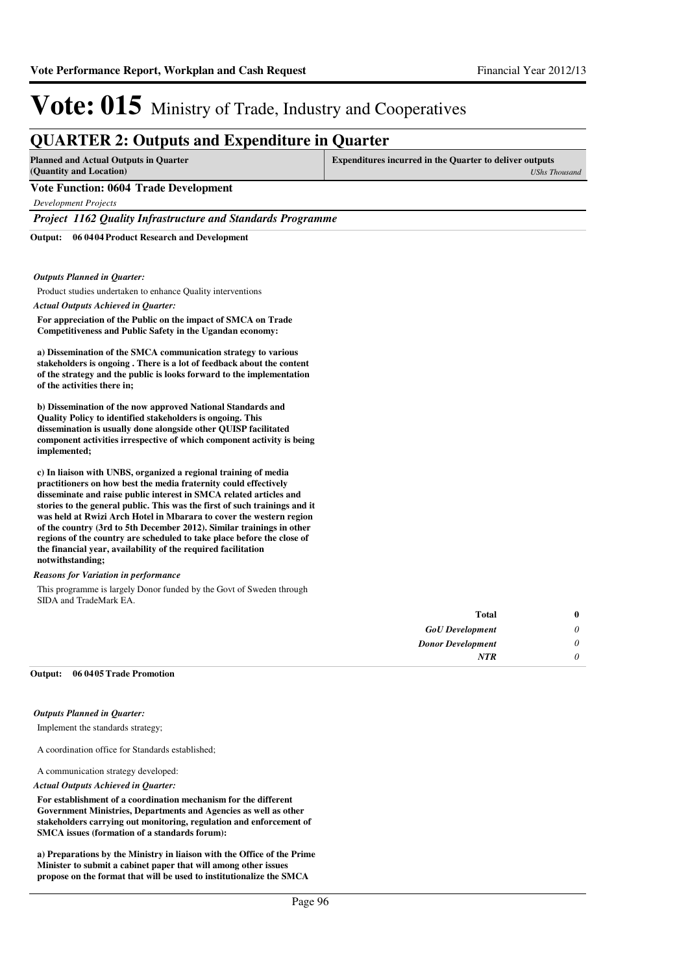### **QUARTER 2: Outputs and Expenditure in Quarter**

| Planned and Actual Outputs in Quarter        | <b>Expenditures incurred in the Quarter to deliver outputs</b> |  |
|----------------------------------------------|----------------------------------------------------------------|--|
| (Quantity and Location)                      | UShs Thousand                                                  |  |
| <b>Vote Function: 0604 Trade Development</b> |                                                                |  |

*Development Projects*

*Project 1162 Quality Infrastructure and Standards Programme*

**06 0404 Product Research and Development Output:**

#### *Outputs Planned in Quarter:*

Product studies undertaken to enhance Quality interventions

*Actual Outputs Achieved in Quarter:*

**For appreciation of the Public on the impact of SMCA on Trade Competitiveness and Public Safety in the Ugandan economy:**

**a) Dissemination of the SMCA communication strategy to various stakeholders is ongoing . There is a lot of feedback about the content of the strategy and the public is looks forward to the implementation of the activities there in;**

**b) Dissemination of the now approved National Standards and Quality Policy to identified stakeholders is ongoing. This dissemination is usually done alongside other QUISP facilitated component activities irrespective of which component activity is being implemented;**

**c) In liaison with UNBS, organized a regional training of media practitioners on how best the media fraternity could effectively disseminate and raise public interest in SMCA related articles and stories to the general public. This was the first of such trainings and it was held at Rwizi Arch Hotel in Mbarara to cover the western region of the country (3rd to 5th December 2012). Similar trainings in other regions of the country are scheduled to take place before the close of the financial year, availability of the required facilitation notwithstanding;**

#### *Reasons for Variation in performance*

This programme is largely Donor funded by the Govt of Sweden through SIDA and TradeMark EA.

| 0 | <b>Total</b>             |
|---|--------------------------|
|   | <b>GoU</b> Development   |
|   | <b>Donor Development</b> |
|   | <b>NTR</b>               |
|   |                          |

#### **06 0405 Trade Promotion Output:**

#### *Outputs Planned in Quarter:*

Implement the standards strategy;

A coordination office for Standards established;

A communication strategy developed:

#### *Actual Outputs Achieved in Quarter:*

**For establishment of a coordination mechanism for the different Government Ministries, Departments and Agencies as well as other stakeholders carrying out monitoring, regulation and enforcement of SMCA issues (formation of a standards forum):**

**a) Preparations by the Ministry in liaison with the Office of the Prime Minister to submit a cabinet paper that will among other issues propose on the format that will be used to institutionalize the SMCA**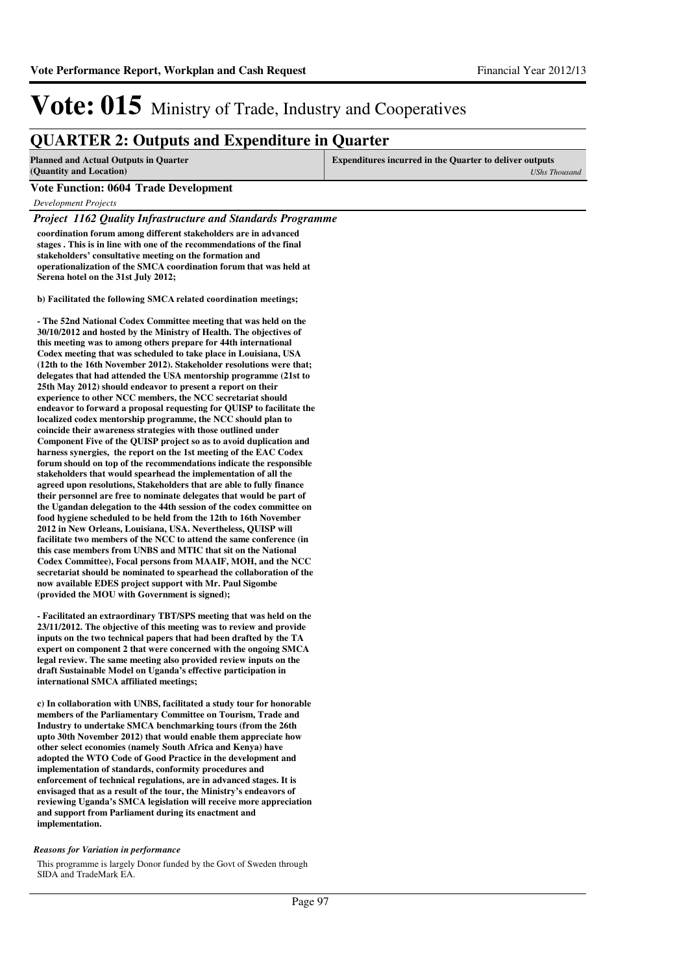### **QUARTER 2: Outputs and Expenditure in Quarter**

| <b>Planned and Actual Outputs in Quarter</b>                  | Expenditures incurred in the Quarter to deliver outputs |  |
|---------------------------------------------------------------|---------------------------------------------------------|--|
| (Quantity and Location)                                       | UShs Thousand                                           |  |
| $\mathbf{v}$ is $\mathbf{v}$ and $\mathbf{v}$ is $\mathbf{v}$ |                                                         |  |

#### **Vote Function: 0604 Trade Development**

*Development Projects*

*Project 1162 Quality Infrastructure and Standards Programme*

**coordination forum among different stakeholders are in advanced stages . This is in line with one of the recommendations of the final stakeholders' consultative meeting on the formation and operationalization of the SMCA coordination forum that was held at Serena hotel on the 31st July 2012;**

**b)** Facilitated the following SMCA related coordination meetings;

**- The 52nd National Codex Committee meeting that was held on the 30/10/2012 and hosted by the Ministry of Health. The objectives of this meeting was to among others prepare for 44th international Codex meeting that was scheduled to take place in Louisiana, USA (12th to the 16th November 2012). Stakeholder resolutions were that; delegates that had attended the USA mentorship programme (21st to 25th May 2012) should endeavor to present a report on their experience to other NCC members, the NCC secretariat should endeavor to forward a proposal requesting for QUISP to facilitate the localized codex mentorship programme, the NCC should plan to coincide their awareness strategies with those outlined under Component Five of the QUISP project so as to avoid duplication and harness synergies, the report on the 1st meeting of the EAC Codex forum should on top of the recommendations indicate the responsible stakeholders that would spearhead the implementation of all the agreed upon resolutions, Stakeholders that are able to fully finance their personnel are free to nominate delegates that would be part of the Ugandan delegation to the 44th session of the codex committee on food hygiene scheduled to be held from the 12th to 16th November 2012 in New Orleans, Louisiana, USA. Nevertheless, QUISP will facilitate two members of the NCC to attend the same conference (in this case members from UNBS and MTIC that sit on the National Codex Committee), Focal persons from MAAIF, MOH, and the NCC secretariat should be nominated to spearhead the collaboration of the now available EDES project support with Mr. Paul Sigombe (provided the MOU with Government is signed);**

**- Facilitated an extraordinary TBT/SPS meeting that was held on the 23/11/2012. The objective of this meeting was to review and provide inputs on the two technical papers that had been drafted by the TA expert on component 2 that were concerned with the ongoing SMCA legal review. The same meeting also provided review inputs on the draft Sustainable Model on Uganda's effective participation in international SMCA affiliated meetings;** 

**c) In collaboration with UNBS, facilitated a study tour for honorable members of the Parliamentary Committee on Tourism, Trade and Industry to undertake SMCA benchmarking tours (from the 26th upto 30th November 2012) that would enable them appreciate how other select economies (namely South Africa and Kenya) have adopted the WTO Code of Good Practice in the development and implementation of standards, conformity procedures and enforcement of technical regulations, are in advanced stages. It is envisaged that as a result of the tour, the Ministry's endeavors of reviewing Uganda's SMCA legislation will receive more appreciation and support from Parliament during its enactment and implementation.**

#### *Reasons for Variation in performance*

This programme is largely Donor funded by the Govt of Sweden through SIDA and TradeMark EA.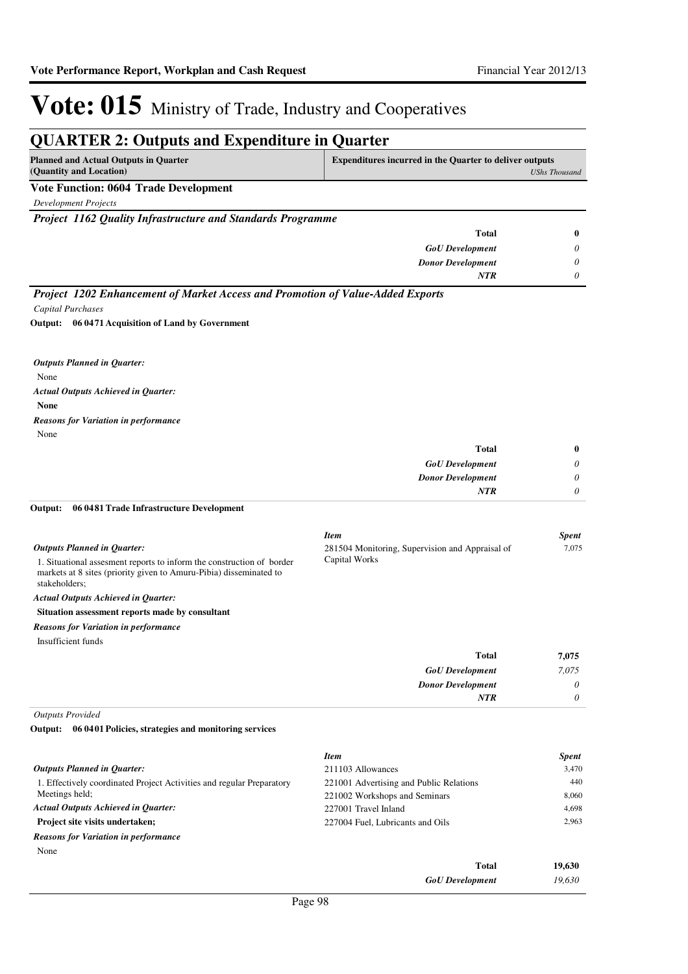*0*

*NTR*

# Vote: 015 Ministry of Trade, Industry and Cooperatives

#### **QUARTER 2: Outputs and Expenditure in Quarter Planned and Actual Outputs in Quarter (Quantity and Location) Expenditures incurred in the Quarter to deliver outputs**  *UShs Thousand* **Vote Function: 0604 Trade Development** *Development Projects Project 1162 Quality Infrastructure and Standards Programme GoU Development Donor Development* **Total** *0 0 0* **0** *NTR Project 1202 Enhancement of Market Access and Promotion of Value-Added Exports Capital Purchases* None **06 0471 Acquisition of Land by Government Output:** *Outputs Planned in Quarter:*

*Actual Outputs Achieved in Quarter:*

**None**

None *Reasons for Variation in performance*

| <b>Total</b>             | $\bf{0}$ |
|--------------------------|----------|
| <b>GoU</b> Development   | $\theta$ |
| <b>Donor Development</b> | $\theta$ |
| <b>NTR</b>               | 0        |
|                          |          |

#### **06 0481 Trade Infrastructure Development Output:**

|                                                                                                                                                               | <b>Item</b>                                                      | <b>Spent</b> |
|---------------------------------------------------------------------------------------------------------------------------------------------------------------|------------------------------------------------------------------|--------------|
| <b>Outputs Planned in Ouarter:</b>                                                                                                                            | 281504 Monitoring, Supervision and Appraisal of<br>Capital Works | 7.075        |
| 1. Situational assessment reports to inform the construction of border<br>markets at 8 sites (priority given to Amuru-Pibia) disseminated to<br>stakeholders; |                                                                  |              |
| <b>Actual Outputs Achieved in Ouarter:</b>                                                                                                                    |                                                                  |              |
| Situation assessment reports made by consultant                                                                                                               |                                                                  |              |
| <b>Reasons for Variation in performance</b>                                                                                                                   |                                                                  |              |
| Insufficient funds                                                                                                                                            |                                                                  |              |
|                                                                                                                                                               | <b>Total</b>                                                     | 7.075        |
|                                                                                                                                                               | <b>GoU</b> Development                                           | 7.075        |
|                                                                                                                                                               | <b>Donor Development</b>                                         | 0            |

*Outputs Provided*

**06 0401 Policies, strategies and monitoring services Output:**

|                                                                       | <b>Item</b>                             | <b>Spent</b> |
|-----------------------------------------------------------------------|-----------------------------------------|--------------|
| <b>Outputs Planned in Ouarter:</b>                                    | 211103 Allowances                       | 3,470        |
| 1. Effectively coordinated Project Activities and regular Preparatory | 221001 Advertising and Public Relations | 440          |
| Meetings held;                                                        | 221002 Workshops and Seminars           | 8,060        |
| <b>Actual Outputs Achieved in Ouarter:</b>                            | 227001 Travel Inland                    | 4.698        |
| <b>Project site visits undertaken:</b>                                | 227004 Fuel, Lubricants and Oils        | 2.963        |
| <b>Reasons for Variation in performance</b>                           |                                         |              |
| None                                                                  |                                         |              |
|                                                                       | <b>Total</b>                            | 19,630       |
|                                                                       | <b>GoU</b> Development                  | 19.630       |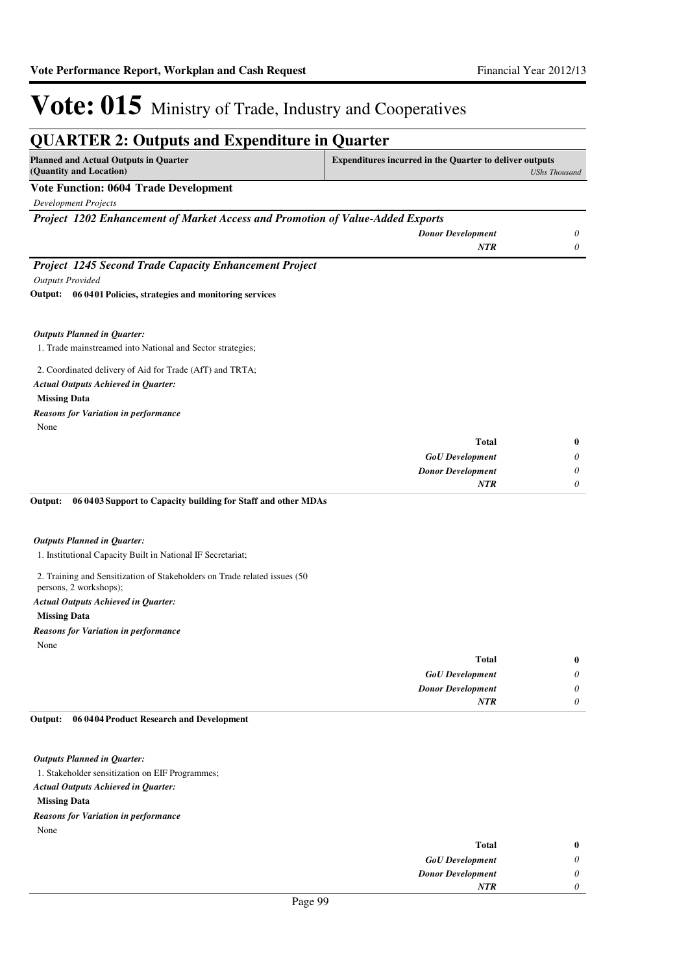| <b>QUARTER 2: Outputs and Expenditure in Quarter</b>                                                 |                                                                |                      |
|------------------------------------------------------------------------------------------------------|----------------------------------------------------------------|----------------------|
| <b>Planned and Actual Outputs in Quarter</b><br>(Quantity and Location)                              | <b>Expenditures incurred in the Quarter to deliver outputs</b> | <b>UShs Thousand</b> |
| <b>Vote Function: 0604 Trade Development</b>                                                         |                                                                |                      |
| <b>Development Projects</b>                                                                          |                                                                |                      |
| Project 1202 Enhancement of Market Access and Promotion of Value-Added Exports                       |                                                                |                      |
|                                                                                                      | <b>Donor Development</b>                                       | 0                    |
|                                                                                                      | <b>NTR</b>                                                     | $\theta$             |
| Project 1245 Second Trade Capacity Enhancement Project                                               |                                                                |                      |
| <b>Outputs Provided</b>                                                                              |                                                                |                      |
| Output: 06 0401 Policies, strategies and monitoring services                                         |                                                                |                      |
|                                                                                                      |                                                                |                      |
|                                                                                                      |                                                                |                      |
| <b>Outputs Planned in Quarter:</b><br>1. Trade mainstreamed into National and Sector strategies;     |                                                                |                      |
|                                                                                                      |                                                                |                      |
| 2. Coordinated delivery of Aid for Trade (AfT) and TRTA;                                             |                                                                |                      |
| Actual Outputs Achieved in Quarter:                                                                  |                                                                |                      |
| <b>Missing Data</b>                                                                                  |                                                                |                      |
| <b>Reasons for Variation in performance</b>                                                          |                                                                |                      |
| None                                                                                                 |                                                                |                      |
|                                                                                                      | <b>Total</b>                                                   | $\bf{0}$             |
|                                                                                                      | <b>GoU</b> Development                                         | $\theta$             |
|                                                                                                      | <b>Donor Development</b>                                       | $\theta$             |
|                                                                                                      | <b>NTR</b>                                                     | $\theta$             |
| Output:<br>06 0403 Support to Capacity building for Staff and other MDAs                             |                                                                |                      |
|                                                                                                      |                                                                |                      |
| <b>Outputs Planned in Quarter:</b>                                                                   |                                                                |                      |
| 1. Institutional Capacity Built in National IF Secretariat;                                          |                                                                |                      |
| 2. Training and Sensitization of Stakeholders on Trade related issues (50)<br>persons, 2 workshops); |                                                                |                      |
| Actual Outputs Achieved in Quarter:                                                                  |                                                                |                      |
| <b>Missing Data</b>                                                                                  |                                                                |                      |
| <b>Reasons for Variation in performance</b>                                                          |                                                                |                      |
| None                                                                                                 |                                                                |                      |
|                                                                                                      | <b>Total</b>                                                   | $\bf{0}$             |
|                                                                                                      | <b>GoU</b> Development                                         | $\theta$             |

#### **06 0404 Product Research and Development Output:**

*Outputs Planned in Quarter:*

1. Stakeholder sensitization on EIF Programmes;

*Actual Outputs Achieved in Quarter:*

**Missing Data**

None *Reasons for Variation in performance*

| $\bf{0}$ | <b>Total</b>             |
|----------|--------------------------|
| 0        | <b>GoU</b> Development   |
| 0        | <b>Donor Development</b> |
| 0        | <b>NTR</b>               |
|          |                          |

*Donor Development*

*NTR*

*0 0*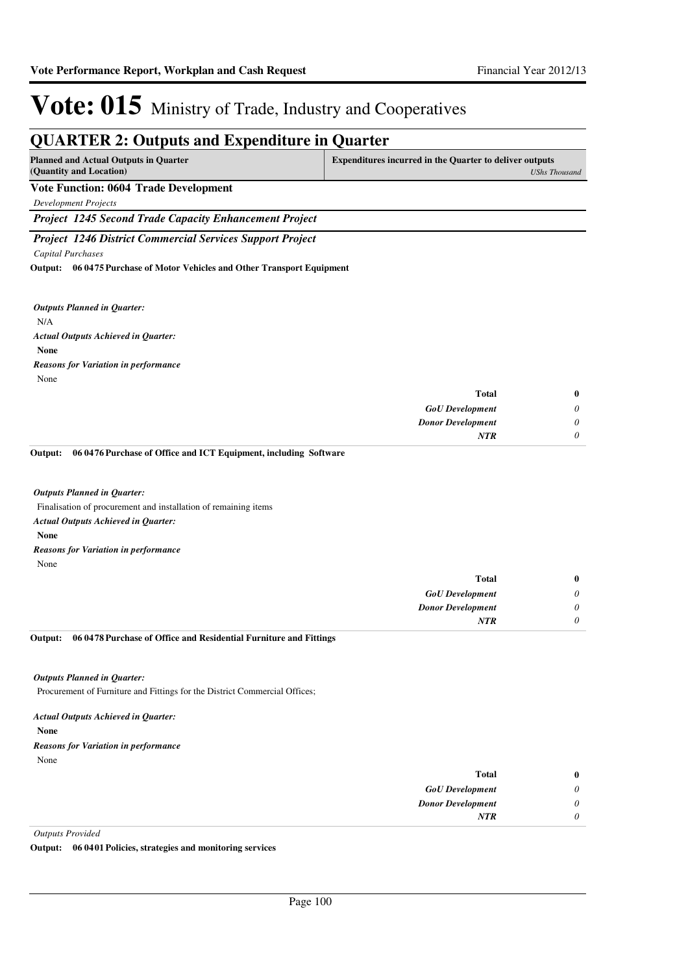### **QUARTER 2: Outputs and Expenditure in Quarter**

| <b>Planned and Actual Outputs in Quarter</b><br>(Quantity and Location) | <b>Expenditures incurred in the Quarter to deliver outputs</b><br>UShs Thousand |
|-------------------------------------------------------------------------|---------------------------------------------------------------------------------|
| <b>Vote Function: 0604 Trade Development</b>                            |                                                                                 |
| Development Projects                                                    |                                                                                 |

*Project 1245 Second Trade Capacity Enhancement Project*

*Project 1246 District Commercial Services Support Project*

*Capital Purchases*

**06 0475 Purchase of Motor Vehicles and Other Transport Equipment Output:**

N/A **None** *Actual Outputs Achieved in Quarter: Outputs Planned in Quarter:* None *Reasons for Variation in performance*

| $\bf{0}$ | <b>Total</b>             |
|----------|--------------------------|
| U        | <b>GoU</b> Development   |
|          | <b>Donor Development</b> |
|          | <b>NTR</b>               |

#### **06 0476 Purchase of Office and ICT Equipment, including Software Output:**

#### *Outputs Planned in Quarter:*

Finalisation of procurement and installation of remaining items

- *Actual Outputs Achieved in Quarter:*
- **None**

*Reasons for Variation in performance*

| $\bf{0}$ | <b>Total</b>             |
|----------|--------------------------|
| 0        | <b>GoU</b> Development   |
| $\theta$ | <b>Donor Development</b> |
|          | <b>NTR</b>               |
|          |                          |

#### **06 0478 Purchase of Office and Residential Furniture and Fittings Output:**

#### *Outputs Planned in Quarter:*

Procurement of Furniture and Fittings for the District Commercial Offices;

#### *Actual Outputs Achieved in Quarter:*

**None**

None *Reasons for Variation in performance*

| $\bf{0}$ | Total                               |
|----------|-------------------------------------|
| 0        | <b>GoU</b> Development              |
| 0        | <b>Donor Development</b>            |
|          | <b>NTR</b>                          |
|          | the contract of the contract of the |

*Outputs Provided*

**Output: 06 0401 Policies, strategies and monitoring services**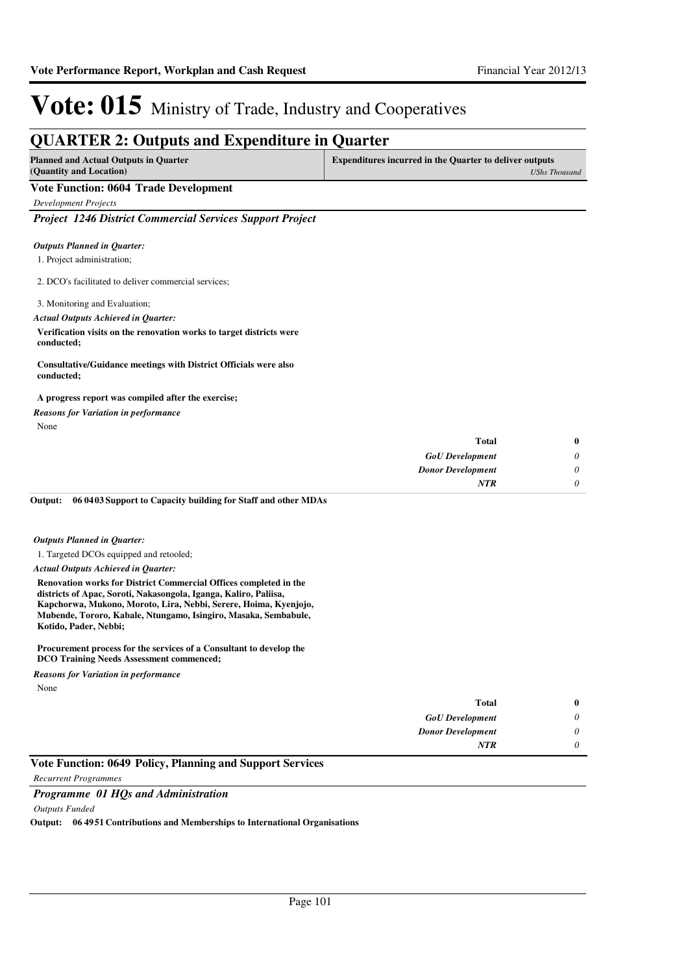| <b>QUARTER 2: Outputs and Expenditure in Quarter</b><br><b>Planned and Actual Outputs in Quarter</b> | <b>Expenditures incurred in the Quarter to deliver outputs</b> |                      |
|------------------------------------------------------------------------------------------------------|----------------------------------------------------------------|----------------------|
| (Quantity and Location)                                                                              |                                                                | <b>UShs Thousand</b> |
| <b>Vote Function: 0604 Trade Development</b>                                                         |                                                                |                      |
| <b>Development Projects</b>                                                                          |                                                                |                      |
| <b>Project 1246 District Commercial Services Support Project</b>                                     |                                                                |                      |
| <b>Outputs Planned in Quarter:</b>                                                                   |                                                                |                      |
| 1. Project administration;                                                                           |                                                                |                      |
| 2. DCO's facilitated to deliver commercial services;                                                 |                                                                |                      |
| 3. Monitoring and Evaluation;                                                                        |                                                                |                      |
| <b>Actual Outputs Achieved in Quarter:</b>                                                           |                                                                |                      |
| Verification visits on the renovation works to target districts were<br>conducted;                   |                                                                |                      |
| Consultative/Guidance meetings with District Officials were also<br>conducted;                       |                                                                |                      |
| A progress report was compiled after the exercise;                                                   |                                                                |                      |
| <b>Reasons for Variation in performance</b>                                                          |                                                                |                      |
| None                                                                                                 |                                                                |                      |
|                                                                                                      | <b>Total</b>                                                   | $\mathbf{0}$         |
|                                                                                                      | <b>GoU</b> Development                                         | 0                    |
|                                                                                                      | <b>Donor Development</b>                                       | $\theta$             |
|                                                                                                      | NTR                                                            | 0                    |
| 06 04 03 Support to Capacity building for Staff and other MDAs<br>Output:                            |                                                                |                      |
|                                                                                                      |                                                                |                      |
| <b>Outputs Planned in Quarter:</b>                                                                   |                                                                |                      |
| 1. Targeted DCOs equipped and retooled;                                                              |                                                                |                      |

*Actual Outputs Achieved in Quarter:*

**Renovation works for District Commercial Offices completed in the districts of Apac, Soroti, Nakasongola, Iganga, Kaliro, Paliisa, Kapchorwa, Mukono, Moroto, Lira, Nebbi, Serere, Hoima, Kyenjojo, Mubende, Tororo, Kabale, Ntungamo, Isingiro, Masaka, Sembabule, Kotido, Pader, Nebbi;**

**Procurement process for the services of a Consultant to develop the DCO Training Needs Assessment commenced;**

None *Reasons for Variation in performance*

| $\bf{0}$ | <b>Total</b>             |
|----------|--------------------------|
| 0        | <b>GoU</b> Development   |
| 0        | <b>Donor Development</b> |
| 0        | <b>NTR</b>               |
|          |                          |

### **Vote Function: 0649 Policy, Planning and Support Services**

*Recurrent Programmes*

#### *Programme 01 HQs and Administration*

#### *Outputs Funded*

**Output: 06 4951 Contributions and Memberships to International Organisations**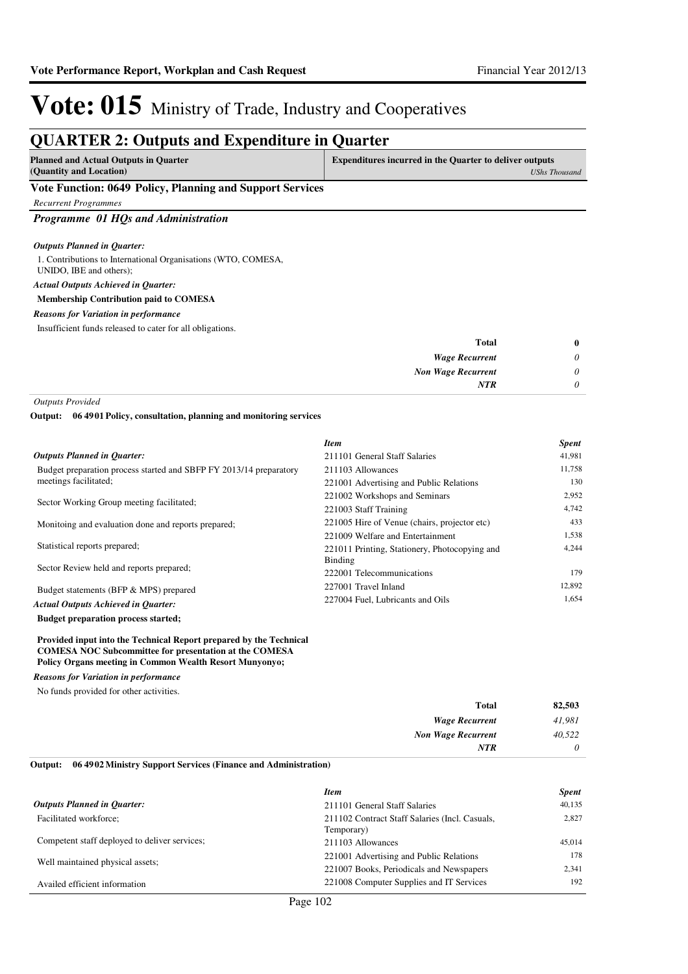### **QUARTER 2: Outputs and Expenditure in Quarter**

| <b>Planned and Actual Outputs in Quarter</b>                                                                       | Expenditures incurred in the Quarter to deliver outputs |
|--------------------------------------------------------------------------------------------------------------------|---------------------------------------------------------|
| (Quantity and Location)                                                                                            | UShs Thousand                                           |
| $\mathbf{v}$ and $\mathbf{v}$ and $\mathbf{v}$ and $\mathbf{v}$ and $\mathbf{v}$ and $\mathbf{v}$ and $\mathbf{v}$ |                                                         |

#### **Vote Function: 0649 Policy, Planning and Support Services**

*Recurrent Programmes*

#### *Programme 01 HQs and Administration*

#### *Outputs Planned in Quarter:*

1. Contributions to International Organisations (WTO, COMESA, UNIDO, IBE and others); **Membership Contribution paid to COMESA** *Actual Outputs Achieved in Quarter: Reasons for Variation in performance*

Insufficient funds released to cater for all obligations.

| $\bf{0}$ | <b>Total</b>              |
|----------|---------------------------|
| 0        | <b>Wage Recurrent</b>     |
| 0        | <b>Non Wage Recurrent</b> |
| 0        | <b>NTR</b>                |
|          |                           |

*Outputs Provided*

**06 4901 Policy, consultation, planning and monitoring services Output:**

|                                                                                      | <b>Item</b>                                   | <b>Spent</b> |
|--------------------------------------------------------------------------------------|-----------------------------------------------|--------------|
| <b>Outputs Planned in Ouarter:</b>                                                   | 211101 General Staff Salaries                 | 41,981       |
| Budget preparation process started and SBFP FY 2013/14 preparatory                   | 211103 Allowances                             | 11,758       |
| meetings facilitated;                                                                | 221001 Advertising and Public Relations       | 130          |
| Sector Working Group meeting facilitated:                                            | 221002 Workshops and Seminars                 | 2,952        |
|                                                                                      | 221003 Staff Training                         | 4,742        |
| Monitoing and evaluation done and reports prepared;                                  | 221005 Hire of Venue (chairs, projector etc)  | 433          |
|                                                                                      | 221009 Welfare and Entertainment              | 1,538        |
| Statistical reports prepared;                                                        | 221011 Printing, Stationery, Photocopying and | 4.244        |
| Sector Review held and reports prepared;                                             | Binding                                       |              |
|                                                                                      | 222001 Telecommunications                     | 179          |
| Budget statements (BFP & MPS) prepared<br><b>Actual Outputs Achieved in Ouarter:</b> | 227001 Travel Inland                          | 12,892       |
|                                                                                      | 227004 Fuel, Lubricants and Oils              | 1,654        |

**Budget preparation process started;**

#### **Provided input into the Technical Report prepared by the Technical COMESA NOC Subcommittee for presentation at the COMESA Policy Organs meeting in Common Wealth Resort Munyonyo;**

*Reasons for Variation in performance*

No funds provided for other activities.

| 82,503   | <b>Total</b>              |
|----------|---------------------------|
| 41,981   | <b>Wage Recurrent</b>     |
| 40,522   | <b>Non Wage Recurrent</b> |
| $\theta$ | <b>NTR</b>                |
|          |                           |

#### **06 4902 Ministry Support Services (Finance and Administration) Output:**

|                                               | <b>Item</b>                                                  | <b>Spent</b> |
|-----------------------------------------------|--------------------------------------------------------------|--------------|
| <b>Outputs Planned in Ouarter:</b>            | 211101 General Staff Salaries                                | 40,135       |
| Facilitated workforce;                        | 211102 Contract Staff Salaries (Incl. Casuals,<br>Temporary) | 2.827        |
| Competent staff deployed to deliver services; | 211103 Allowances                                            | 45.014       |
| Well maintained physical assets;              | 221001 Advertising and Public Relations                      | 178          |
|                                               | 221007 Books, Periodicals and Newspapers                     | 2.341        |
| Availed efficient information                 | 221008 Computer Supplies and IT Services                     | 192          |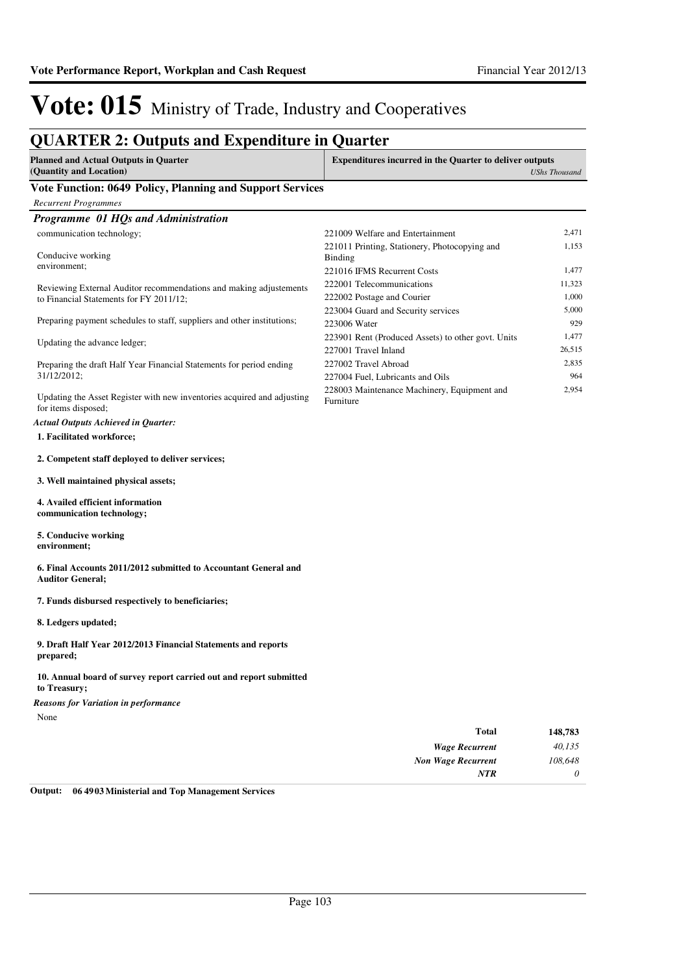### **QUARTER 2: Outputs and Expenditure in Quarter**

| <b>Planned and Actual Outputs in Quarter</b>            | <b>Expenditures incurred in the Quarter to deliver outputs</b> |
|---------------------------------------------------------|----------------------------------------------------------------|
| (Quantity and Location)                                 | UShs Thousand                                                  |
| $0.640$ m $10$<br>$\mathbf{v}$ , $\mathbf{v}$<br>$\sim$ |                                                                |

#### **Vote Function: 0649 Policy, Planning and Support Services**

| <b>Recurrent Programmes</b> |  |
|-----------------------------|--|
|-----------------------------|--|

| Programme 01 HQs and Administration                                                            |                                                                 |        |
|------------------------------------------------------------------------------------------------|-----------------------------------------------------------------|--------|
| communication technology;                                                                      | 221009 Welfare and Entertainment                                | 2,471  |
| Conducive working                                                                              | 221011 Printing, Stationery, Photocopying and<br><b>Binding</b> | 1,153  |
| environment;                                                                                   | 221016 IFMS Recurrent Costs                                     | 1,477  |
| Reviewing External Auditor recommendations and making adjustements                             | 222001 Telecommunications                                       | 11,323 |
| to Financial Statements for FY 2011/12;                                                        | 222002 Postage and Courier                                      | 1,000  |
|                                                                                                | 223004 Guard and Security services                              | 5,000  |
| Preparing payment schedules to staff, suppliers and other institutions;                        | 223006 Water                                                    | 929    |
| Updating the advance ledger;                                                                   | 223901 Rent (Produced Assets) to other govt. Units              | 1,477  |
|                                                                                                | 227001 Travel Inland                                            | 26,515 |
| Preparing the draft Half Year Financial Statements for period ending                           | 227002 Travel Abroad                                            | 2,835  |
| 31/12/2012;                                                                                    | 227004 Fuel, Lubricants and Oils                                | 964    |
| Updating the Asset Register with new inventories acquired and adjusting<br>for items disposed; | 228003 Maintenance Machinery, Equipment and<br>Furniture        | 2.954  |
| <b>Actual Outputs Achieved in Quarter:</b>                                                     |                                                                 |        |

### **1. Facilitated workforce;**

#### **2. Competent staff deployed to deliver services;**

#### **3. Well maintained physical assets;**

- **4. Availed efficient information communication technology;**
- **5. Conducive working environment;**

#### **6. Final Accounts 2011/2012 submitted to Accountant General and Auditor General;**

#### **7. Funds disbursed respectively to beneficiaries;**

**8. Ledgers updated;**

**9. Draft Half Year 2012/2013 Financial Statements and reports prepared;**

#### **10. Annual board of survey report carried out and report submitted to Treasury;**

*Reasons for Variation in performance*

None

| 148,783  | <b>Total</b>              |
|----------|---------------------------|
| 40,135   | <b>Wage Recurrent</b>     |
| 108,648  | <b>Non Wage Recurrent</b> |
| $\theta$ | <b>NTR</b>                |
|          |                           |

**Output: 06 4903 Ministerial and Top Management Services**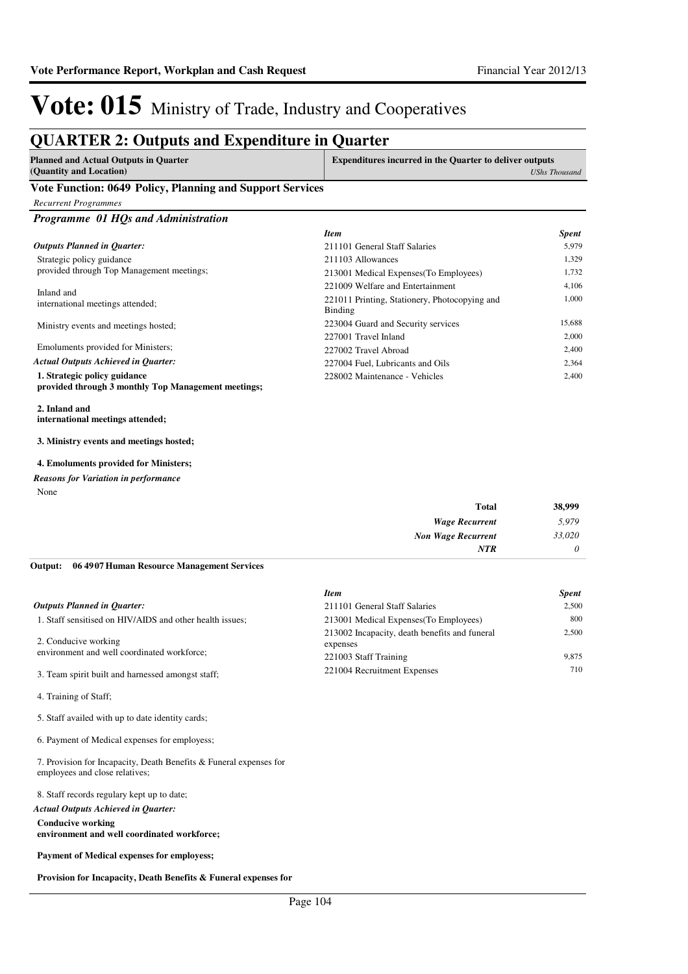### **QUARTER 2: Outputs and Expenditure in Quarter**

| Planned and Actual Outputs in Quarter | <b>Expenditures incurred in the Quarter to deliver outputs</b> |
|---------------------------------------|----------------------------------------------------------------|
| (Quantity and Location)               | <b>UShs Thousand</b>                                           |
| $\sim$<br>-- - -                      |                                                                |

#### **Vote Function: 0649 Policy, Planning and Support Services**

|  | <b>Recurrent Programmes</b> |
|--|-----------------------------|
|--|-----------------------------|

*Programme 01 HQs and Administration*

|                                                                                     | <b>Item</b>                                              | <b>Spent</b> |
|-------------------------------------------------------------------------------------|----------------------------------------------------------|--------------|
| <b>Outputs Planned in Ouarter:</b>                                                  | 211101 General Staff Salaries                            | 5.979        |
| Strategic policy guidance                                                           | 211103 Allowances                                        | 1,329        |
| provided through Top Management meetings;                                           | 213001 Medical Expenses (To Employees)                   | 1,732        |
| Inland and                                                                          | 221009 Welfare and Entertainment                         | 4.106        |
| international meetings attended;                                                    | 221011 Printing, Stationery, Photocopying and<br>Binding | 1.000        |
| Ministry events and meetings hosted;                                                | 223004 Guard and Security services                       | 15.688       |
|                                                                                     | 227001 Travel Inland                                     | 2.000        |
| Emoluments provided for Ministers;                                                  | 227002 Travel Abroad                                     | 2.400        |
| <b>Actual Outputs Achieved in Ouarter:</b>                                          | 227004 Fuel. Lubricants and Oils                         | 2.364        |
| 1. Strategic policy guidance<br>provided through 3 monthly Top Management meetings; | 228002 Maintenance - Vehicles                            | 2.400        |

**2. Inland and international meetings attended;**

**3. Ministry events and meetings hosted;**

#### **4. Emoluments provided for Ministers;**

*Reasons for Variation in performance*

None

| <b>Total</b>              | 38,999   |
|---------------------------|----------|
| <b>Wage Recurrent</b>     | 5,979    |
| <b>Non Wage Recurrent</b> | 33,020   |
| NTR                       | $\theta$ |

#### **06 4907 Human Resource Management Services Output:**

|                                                          | <b>Item</b>                                               | <b>Spent</b> |
|----------------------------------------------------------|-----------------------------------------------------------|--------------|
| <b>Outputs Planned in Ouarter:</b>                       | 211101 General Staff Salaries                             | 2.500        |
| 1. Staff sensitised on HIV/AIDS and other health issues; | 213001 Medical Expenses (To Employees)                    | 800          |
| 2. Conducive working                                     | 213002 Incapacity, death benefits and funeral<br>expenses | 2.500        |
| environment and well coordinated workforce;              | 221003 Staff Training                                     | 9.875        |
| 3. Team spirit built and harnessed amongst staff;        | 221004 Recruitment Expenses                               | 710          |

4. Training of Staff;

5. Staff availed with up to date identity cards;

6. Payment of Medical expenses for employess;

7. Provision for Incapacity, Death Benefits & Funeral expenses for employees and close relatives;

8. Staff records regulary kept up to date;

**Conducive working environment and well coordinated workforce;** *Actual Outputs Achieved in Quarter:*

**Payment of Medical expenses for employess;**

**Provision for Incapacity, Death Benefits & Funeral expenses for**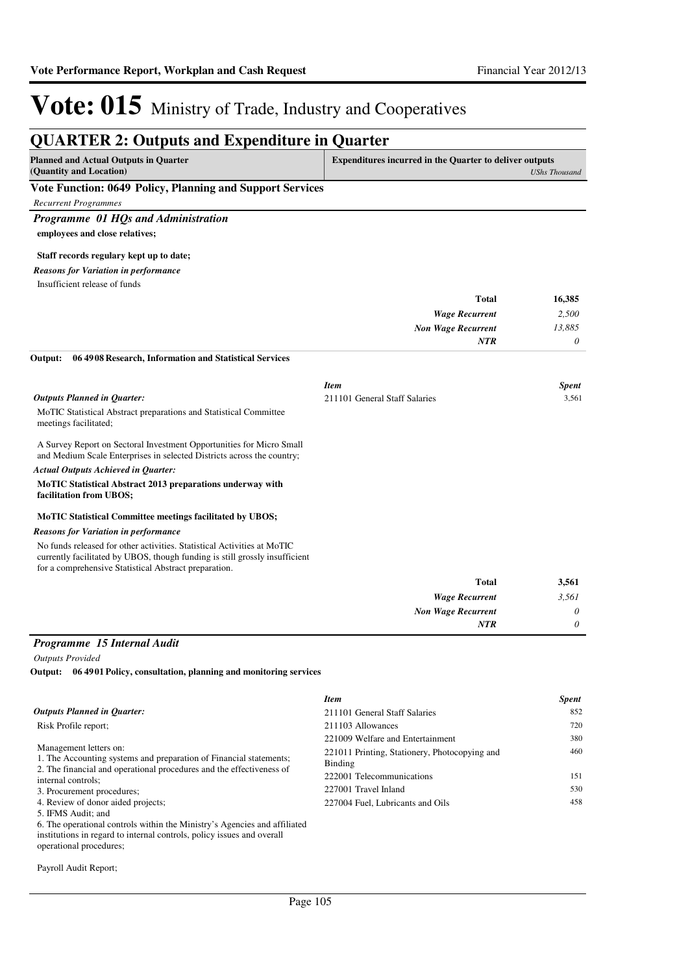| <b>Planned and Actual Outputs in Quarter</b>                                                                                                                                                                    | <b>Expenditures incurred in the Quarter to deliver outputs</b> |                       |
|-----------------------------------------------------------------------------------------------------------------------------------------------------------------------------------------------------------------|----------------------------------------------------------------|-----------------------|
| (Quantity and Location)                                                                                                                                                                                         |                                                                | <b>UShs Thousand</b>  |
| Vote Function: 0649 Policy, Planning and Support Services                                                                                                                                                       |                                                                |                       |
| <b>Recurrent Programmes</b>                                                                                                                                                                                     |                                                                |                       |
| Programme 01 HQs and Administration                                                                                                                                                                             |                                                                |                       |
| employees and close relatives;                                                                                                                                                                                  |                                                                |                       |
| Staff records regulary kept up to date;                                                                                                                                                                         |                                                                |                       |
| <b>Reasons for Variation in performance</b>                                                                                                                                                                     |                                                                |                       |
| Insufficient release of funds                                                                                                                                                                                   |                                                                |                       |
|                                                                                                                                                                                                                 | <b>Total</b>                                                   | 16,385                |
|                                                                                                                                                                                                                 | <b>Wage Recurrent</b>                                          | 2,500                 |
|                                                                                                                                                                                                                 | <b>Non Wage Recurrent</b>                                      | 13,885                |
|                                                                                                                                                                                                                 | <b>NTR</b>                                                     | $\boldsymbol{\theta}$ |
| Output:<br>06 4908 Research, Information and Statistical Services                                                                                                                                               |                                                                |                       |
|                                                                                                                                                                                                                 | <b>Item</b>                                                    | <b>Spent</b>          |
| <b>Outputs Planned in Quarter:</b>                                                                                                                                                                              | 211101 General Staff Salaries                                  | 3,561                 |
| MoTIC Statistical Abstract preparations and Statistical Committee<br>meetings facilitated;                                                                                                                      |                                                                |                       |
| A Survey Report on Sectoral Investment Opportunities for Micro Small<br>and Medium Scale Enterprises in selected Districts across the country;                                                                  |                                                                |                       |
| <b>Actual Outputs Achieved in Quarter:</b>                                                                                                                                                                      |                                                                |                       |
| MoTIC Statistical Abstract 2013 preparations underway with<br>facilitation from UBOS;                                                                                                                           |                                                                |                       |
| <b>MoTIC Statistical Committee meetings facilitated by UBOS;</b>                                                                                                                                                |                                                                |                       |
| <b>Reasons for Variation in performance</b>                                                                                                                                                                     |                                                                |                       |
| No funds released for other activities. Statistical Activities at MoTIC<br>currently facilitated by UBOS, though funding is still grossly insufficient<br>for a comprehensive Statistical Abstract preparation. |                                                                |                       |
|                                                                                                                                                                                                                 | Total                                                          | 3,561                 |
|                                                                                                                                                                                                                 | <b>Wage Recurrent</b>                                          | 3,561                 |
|                                                                                                                                                                                                                 | <b>Non Wage Recurrent</b>                                      | 0                     |
|                                                                                                                                                                                                                 | $\boldsymbol{NTR}$                                             | $\boldsymbol{\theta}$ |

**06 4901 Policy, consultation, planning and monitoring services Output:**

|                                                                                                                                                                                                                                            | <b>Item</b>                                              | <b>Spent</b> |
|--------------------------------------------------------------------------------------------------------------------------------------------------------------------------------------------------------------------------------------------|----------------------------------------------------------|--------------|
| <b>Outputs Planned in Ouarter:</b>                                                                                                                                                                                                         | 211101 General Staff Salaries                            | 852          |
| Risk Profile report;                                                                                                                                                                                                                       | 211103 Allowances                                        | 720          |
|                                                                                                                                                                                                                                            | 221009 Welfare and Entertainment                         | 380          |
| Management letters on:<br>1. The Accounting systems and preparation of Financial statements;                                                                                                                                               | 221011 Printing, Stationery, Photocopying and<br>Binding | 460          |
| 2. The financial and operational procedures and the effectiveness of<br>internal controls;                                                                                                                                                 | 222001 Telecommunications                                | 151          |
| 3. Procurement procedures;                                                                                                                                                                                                                 | 227001 Travel Inland                                     | 530          |
| 4. Review of donor aided projects;<br>5. IFMS Audit; and<br>6. The operational controls within the Ministry's Agencies and affiliated<br>institutions in regard to internal controls, policy issues and overall<br>operational procedures; | 227004 Fuel, Lubricants and Oils                         | 458          |
|                                                                                                                                                                                                                                            |                                                          |              |

#### Payroll Audit Report;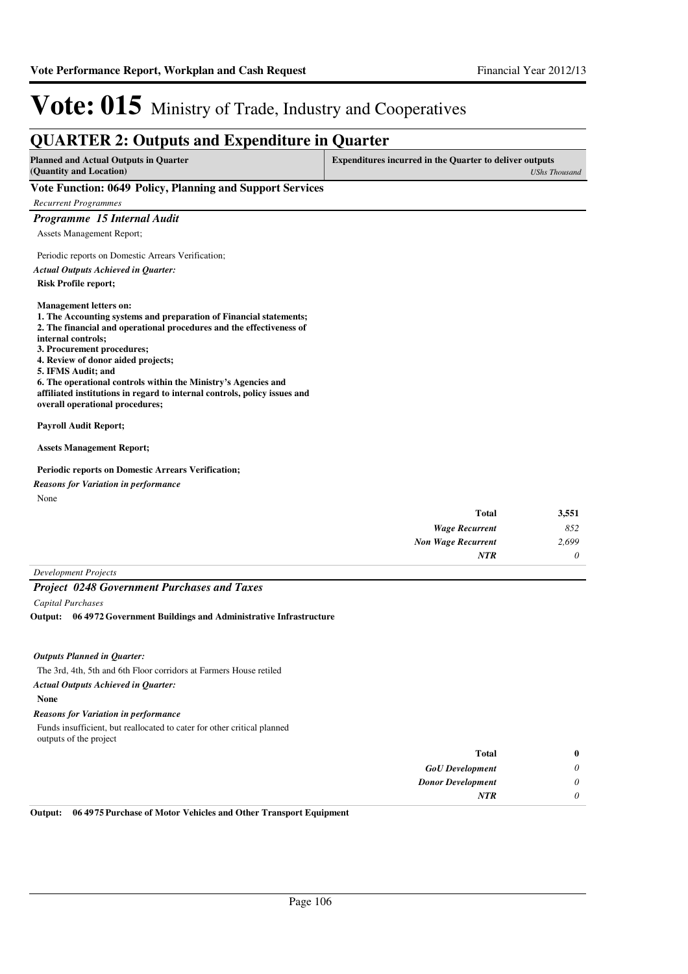#### **QUARTER 2: Outputs and Expenditure in Quarter Planned and Actual Outputs in Quarter (Quantity and Location) Expenditures incurred in the Quarter to deliver outputs**  *UShs Thousand* **Vote Function: 0649 Policy, Planning and Support Services** *Recurrent Programmes Programme 15 Internal Audit* Assets Management Report; Periodic reports on Domestic Arrears Verification; **Risk Profile report; Management letters on: 1. The Accounting systems and preparation of Financial statements; 2. The financial and operational procedures and the effectiveness of internal controls; 3. Procurement procedures; 4. Review of donor aided projects; 5. IFMS Audit; and 6. The operational controls within the Ministry's Agencies and affiliated institutions in regard to internal controls, policy issues and overall operational procedures; Payroll Audit Report; Assets Management Report; Periodic reports on Domestic Arrears Verification;** *Actual Outputs Achieved in Quarter:*

*Reasons for Variation in performance*

None

| 3,551    | <b>Total</b>              |
|----------|---------------------------|
| 852      | <b>Wage Recurrent</b>     |
| 2,699    | <b>Non Wage Recurrent</b> |
| $\theta$ | <b>NTR</b>                |
|          |                           |

*Development Projects*

#### *Project 0248 Government Purchases and Taxes*

*Capital Purchases*

**06 4972 Government Buildings and Administrative Infrastructure Output:**

#### *Outputs Planned in Quarter:*

The 3rd, 4th, 5th and 6th Floor corridors at Farmers House retiled

*Actual Outputs Achieved in Quarter:*

#### **None**

#### *Reasons for Variation in performance*

Funds insufficient, but reallocated to cater for other critical planned outputs of the project

| $\bf{0}$              | <b>Total</b>             |
|-----------------------|--------------------------|
| $\boldsymbol{\omega}$ | <b>GoU</b> Development   |
| $\boldsymbol{U}$      | <b>Donor Development</b> |
| 0                     | <b>NTR</b>               |

**Output: 06 4975 Purchase of Motor Vehicles and Other Transport Equipment**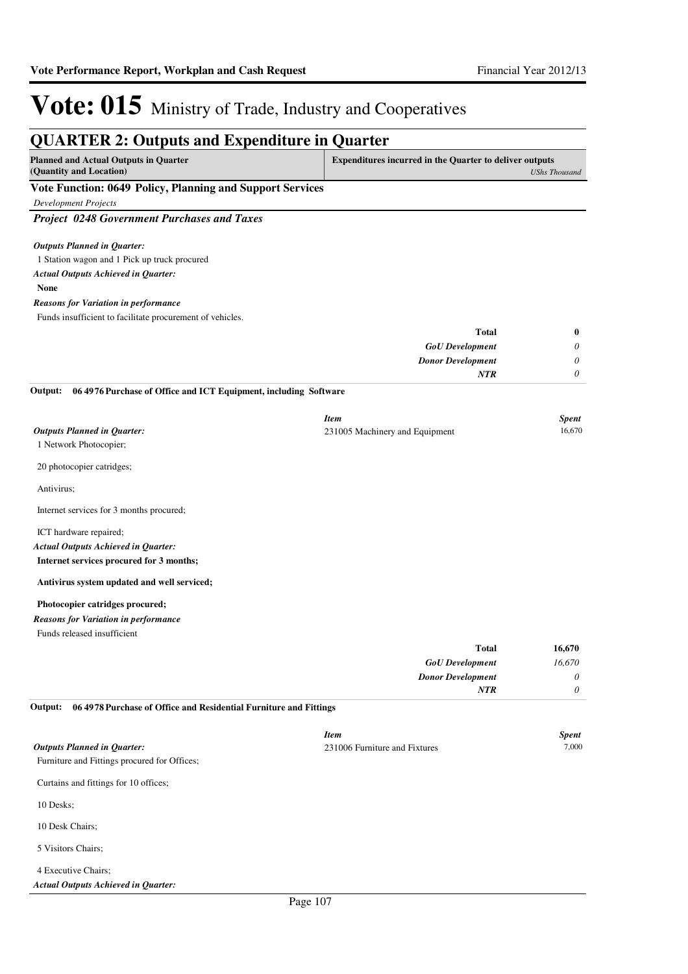| <b>QUARTER 2: Outputs and Expenditure in Quarter</b>                                       |                                                                |                      |
|--------------------------------------------------------------------------------------------|----------------------------------------------------------------|----------------------|
| <b>Planned and Actual Outputs in Quarter</b><br>(Quantity and Location)                    | <b>Expenditures incurred in the Quarter to deliver outputs</b> | <b>UShs Thousand</b> |
| Vote Function: 0649 Policy, Planning and Support Services                                  |                                                                |                      |
| <b>Development Projects</b>                                                                |                                                                |                      |
| <b>Project 0248 Government Purchases and Taxes</b>                                         |                                                                |                      |
| <b>Outputs Planned in Quarter:</b>                                                         |                                                                |                      |
| 1 Station wagon and 1 Pick up truck procured<br><b>Actual Outputs Achieved in Quarter:</b> |                                                                |                      |
| <b>None</b>                                                                                |                                                                |                      |
| <b>Reasons for Variation in performance</b>                                                |                                                                |                      |
| Funds insufficient to facilitate procurement of vehicles.                                  |                                                                |                      |
|                                                                                            | <b>Total</b>                                                   | $\bf{0}$             |
|                                                                                            | <b>GoU</b> Development                                         | 0                    |
|                                                                                            | <b>Donor Development</b>                                       | 0                    |
|                                                                                            | NTR                                                            | 0                    |
| 06 4976 Purchase of Office and ICT Equipment, including Software<br>Output:                |                                                                |                      |
|                                                                                            | <b>Item</b>                                                    | <b>Spent</b>         |
| <b>Outputs Planned in Quarter:</b>                                                         | 231005 Machinery and Equipment                                 | 16,670               |
| 1 Network Photocopier;                                                                     |                                                                |                      |
| 20 photocopier catridges;                                                                  |                                                                |                      |
| Antivirus;                                                                                 |                                                                |                      |
| Internet services for 3 months procured;                                                   |                                                                |                      |
| ICT hardware repaired;                                                                     |                                                                |                      |
| <b>Actual Outputs Achieved in Quarter:</b>                                                 |                                                                |                      |
| Internet services procured for 3 months;                                                   |                                                                |                      |
| Antivirus system updated and well serviced;                                                |                                                                |                      |
| Photocopier catridges procured;                                                            |                                                                |                      |
| <b>Reasons for Variation in performance</b>                                                |                                                                |                      |
| Funds released insufficient                                                                |                                                                |                      |
|                                                                                            | <b>Total</b>                                                   | 16,670               |
|                                                                                            | <b>GoU</b> Development                                         | 16,670               |
|                                                                                            | <b>Donor Development</b>                                       | 0                    |
| 06 4978 Purchase of Office and Residential Furniture and Fittings<br>Output:               | NTR                                                            | 0                    |
|                                                                                            |                                                                |                      |
|                                                                                            | <b>Item</b>                                                    | <b>Spent</b>         |
| <b>Outputs Planned in Quarter:</b>                                                         | 231006 Furniture and Fixtures                                  | 7,000                |
| Furniture and Fittings procured for Offices;                                               |                                                                |                      |
| Curtains and fittings for 10 offices;                                                      |                                                                |                      |
| 10 Desks;                                                                                  |                                                                |                      |
| 10 Desk Chairs;                                                                            |                                                                |                      |
| 5 Visitors Chairs;                                                                         |                                                                |                      |

#### 4 Executive Chairs; *Actual Outputs Achieved in Quarter:*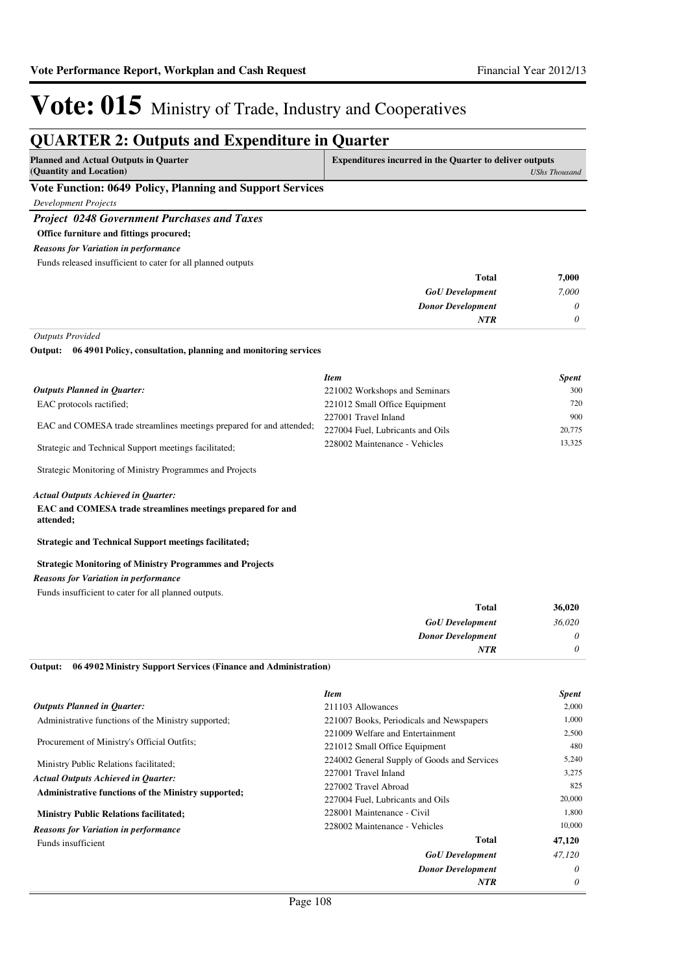### **QUARTER 2: Outputs and Expenditure in Quarter**

| <b>Planned and Actual Outputs in Quarter</b><br>(Quantity and Location) | <b>Expenditures incurred in the Quarter to deliver outputs</b><br>UShs Thousand |
|-------------------------------------------------------------------------|---------------------------------------------------------------------------------|
| Vote Function: 0649 Policy, Planning and Support Services               |                                                                                 |
| <b>Development Projects</b>                                             |                                                                                 |
| <b>Project 0248 Government Purchases and Taxes</b>                      |                                                                                 |
| Office furniture and fittings procured;                                 |                                                                                 |
| <b>Reasons for Variation in performance</b>                             |                                                                                 |
| <b>1</b> 1 1 1 0 0 1 2 0 1 1 1 1 2 2                                    |                                                                                 |

Funds released insufficient to cater for all planned outputs

| 7,000    | <b>Total</b>             |
|----------|--------------------------|
| 7,000    | <b>GoU</b> Development   |
| $\theta$ | <b>Donor Development</b> |
| $\theta$ | <b>NTR</b>               |
|          |                          |

*Outputs Provided*

**06 4901 Policy, consultation, planning and monitoring services Output:**

|                                                                      | <b>Item</b>                      | <b>Spent</b> |
|----------------------------------------------------------------------|----------------------------------|--------------|
| Outputs Planned in Ouarter:                                          | 221002 Workshops and Seminars    | 300          |
| EAC protocols ractified;                                             | 221012 Small Office Equipment    | 720          |
| EAC and COMESA trade streamlines meetings prepared for and attended; | 227001 Travel Inland             | 900          |
|                                                                      | 227004 Fuel, Lubricants and Oils | 20,775       |
| Strategic and Technical Support meetings facilitated;                | 228002 Maintenance - Vehicles    | 13.325       |

Strategic Monitoring of Ministry Programmes and Projects

#### *Actual Outputs Achieved in Quarter:*

#### **EAC and COMESA trade streamlines meetings prepared for and attended;**

**Strategic and Technical Support meetings facilitated;**

#### **Strategic Monitoring of Ministry Programmes and Projects**

*Reasons for Variation in performance*

Funds insufficient to cater for all planned outputs.

| <b>Total</b>             | 36,020   |
|--------------------------|----------|
| <b>GoU</b> Development   | 36,020   |
| <b>Donor Development</b> | $\theta$ |
| <b>NTR</b>               | 0        |

**06 4902 Ministry Support Services (Finance and Administration) Output:**

| <b>Outputs Planned in Ouarter:</b><br>211103 Allowances                                         | 2,000    |
|-------------------------------------------------------------------------------------------------|----------|
|                                                                                                 |          |
| Administrative functions of the Ministry supported;<br>221007 Books, Periodicals and Newspapers | 1,000    |
| 221009 Welfare and Entertainment                                                                | 2,500    |
| Procurement of Ministry's Official Outfits;<br>221012 Small Office Equipment                    | 480      |
| 224002 General Supply of Goods and Services<br>Ministry Public Relations facilitated;           | 5,240    |
| 227001 Travel Inland<br><b>Actual Outputs Achieved in Quarter:</b>                              | 3,275    |
| 227002 Travel Abroad<br><b>Administrative functions of the Ministry supported;</b>              | 825      |
| 227004 Fuel, Lubricants and Oils                                                                | 20,000   |
| 228001 Maintenance - Civil<br><b>Ministry Public Relations facilitated;</b>                     | 1,800    |
| 228002 Maintenance - Vehicles<br><b>Reasons for Variation in performance</b>                    | 10,000   |
| Total<br>Funds insufficient                                                                     | 47,120   |
| <b>GoU</b> Development                                                                          | 47.120   |
| <b>Donor Development</b>                                                                        | $\theta$ |
| <b>NTR</b>                                                                                      | $\theta$ |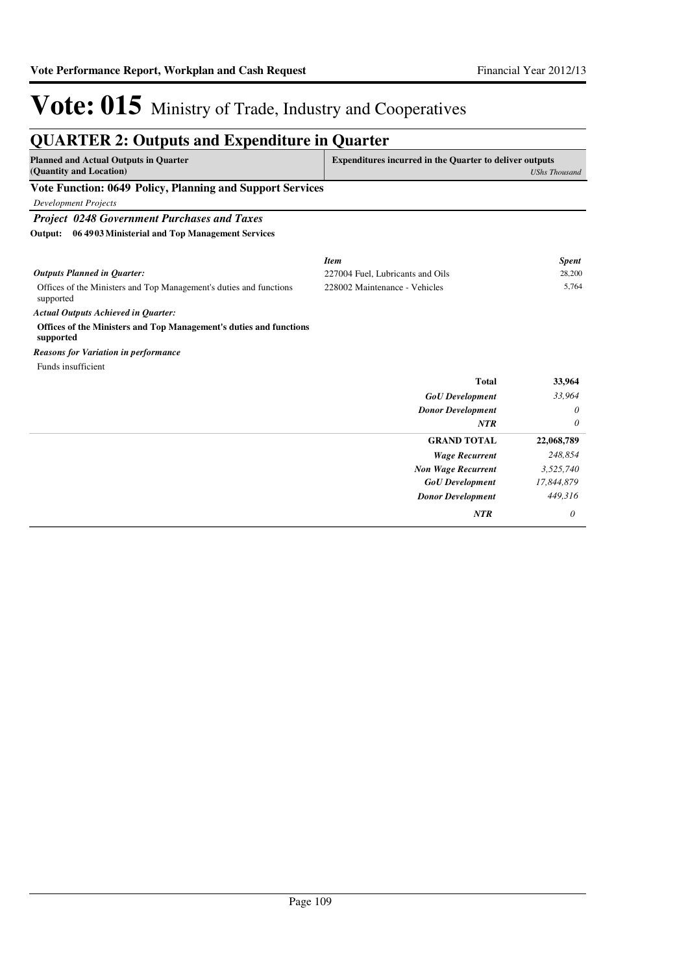| <b>QUARTER 2: Outputs and Expenditure in Quarter</b>                            |                                                                |                      |
|---------------------------------------------------------------------------------|----------------------------------------------------------------|----------------------|
| <b>Planned and Actual Outputs in Ouarter</b>                                    | <b>Expenditures incurred in the Quarter to deliver outputs</b> |                      |
| (Quantity and Location)                                                         |                                                                | <b>UShs Thousand</b> |
| Vote Function: 0649 Policy, Planning and Support Services                       |                                                                |                      |
| <b>Development Projects</b>                                                     |                                                                |                      |
| <b>Project 0248 Government Purchases and Taxes</b>                              |                                                                |                      |
| 06 4903 Ministerial and Top Management Services<br>Output:                      |                                                                |                      |
|                                                                                 | <b>Item</b>                                                    | <b>Spent</b>         |
| <b>Outputs Planned in Quarter:</b>                                              | 227004 Fuel, Lubricants and Oils                               | 28,200               |
| Offices of the Ministers and Top Management's duties and functions<br>supported | 228002 Maintenance - Vehicles                                  | 5,764                |
| <b>Actual Outputs Achieved in Quarter:</b>                                      |                                                                |                      |
| Offices of the Ministers and Top Management's duties and functions<br>supported |                                                                |                      |
| <b>Reasons for Variation in performance</b>                                     |                                                                |                      |
| Funds insufficient                                                              |                                                                |                      |
|                                                                                 | <b>Total</b>                                                   | 33,964               |
|                                                                                 | <b>GoU</b> Development                                         | 33,964               |
|                                                                                 | <b>Donor Development</b>                                       | 0                    |
|                                                                                 | <b>NTR</b>                                                     | 0                    |
|                                                                                 | <b>GRAND TOTAL</b>                                             | 22,068,789           |
|                                                                                 | <b>Wage Recurrent</b>                                          | 248,854              |
|                                                                                 | <b>Non Wage Recurrent</b>                                      | 3,525,740            |
|                                                                                 | <b>GoU</b> Development                                         | 17,844,879           |
|                                                                                 | <b>Donor Development</b>                                       | 449,316              |
|                                                                                 | <b>NTR</b>                                                     | 0                    |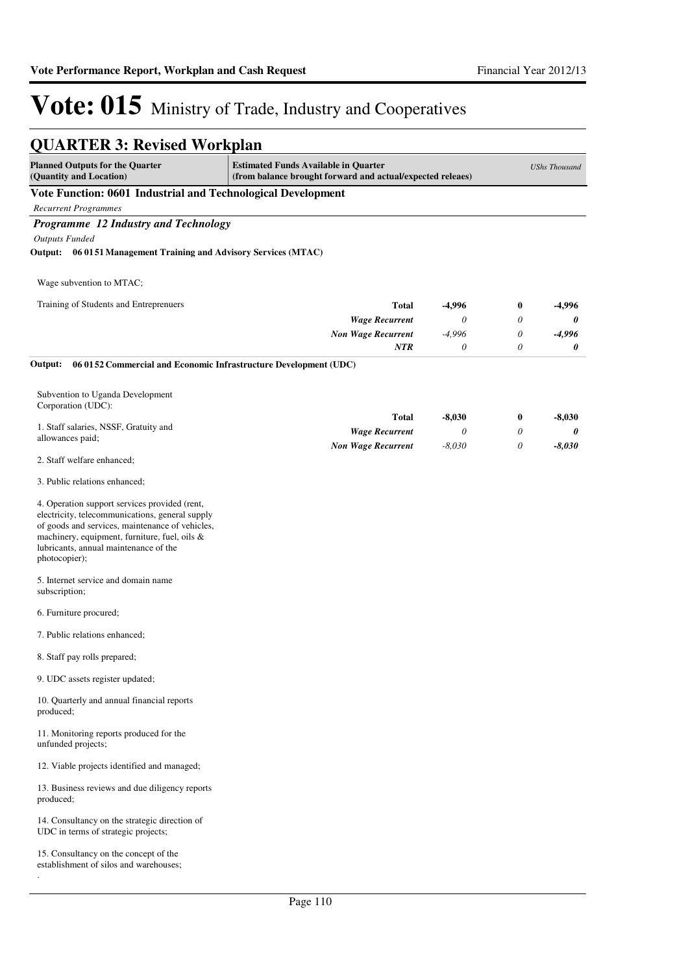| <b>QUARTER 3: Revised Workplan</b> |  |
|------------------------------------|--|
|------------------------------------|--|

| <b>Planned Outputs for the Quarter</b><br>(Quantity and Location)                                                                                                                                                                                              | <b>Estimated Funds Available in Quarter</b><br>(from balance brought forward and actual/expected releaes) |          |                  | <b>UShs Thousand</b> |
|----------------------------------------------------------------------------------------------------------------------------------------------------------------------------------------------------------------------------------------------------------------|-----------------------------------------------------------------------------------------------------------|----------|------------------|----------------------|
| Vote Function: 0601 Industrial and Technological Development                                                                                                                                                                                                   |                                                                                                           |          |                  |                      |
| <b>Recurrent Programmes</b>                                                                                                                                                                                                                                    |                                                                                                           |          |                  |                      |
| Programme 12 Industry and Technology                                                                                                                                                                                                                           |                                                                                                           |          |                  |                      |
| <b>Outputs Funded</b>                                                                                                                                                                                                                                          |                                                                                                           |          |                  |                      |
| Output: 06 0151 Management Training and Advisory Services (MTAC)                                                                                                                                                                                               |                                                                                                           |          |                  |                      |
| Wage subvention to MTAC;                                                                                                                                                                                                                                       |                                                                                                           |          |                  |                      |
| Training of Students and Entreprenuers                                                                                                                                                                                                                         | <b>Total</b>                                                                                              | -4,996   | $\boldsymbol{0}$ | -4,996               |
|                                                                                                                                                                                                                                                                | <b>Wage Recurrent</b>                                                                                     | 0        | $\theta$         | 0                    |
|                                                                                                                                                                                                                                                                | <b>Non Wage Recurrent</b>                                                                                 | $-4,996$ | $\theta$         | $-4,996$             |
|                                                                                                                                                                                                                                                                | NTR                                                                                                       | 0        | 0                | 0                    |
| Output:<br>06 0152 Commercial and Economic Infrastructure Development (UDC)                                                                                                                                                                                    |                                                                                                           |          |                  |                      |
| Subvention to Uganda Development<br>Corporation (UDC):                                                                                                                                                                                                         |                                                                                                           |          |                  |                      |
|                                                                                                                                                                                                                                                                | <b>Total</b>                                                                                              | $-8,030$ | $\bf{0}$         | $-8,030$             |
| 1. Staff salaries, NSSF, Gratuity and<br>allowances paid;                                                                                                                                                                                                      | <b>Wage Recurrent</b>                                                                                     | 0        | 0                | 0                    |
|                                                                                                                                                                                                                                                                | <b>Non Wage Recurrent</b>                                                                                 | $-8,030$ | 0                | $-8,030$             |
| 2. Staff welfare enhanced;                                                                                                                                                                                                                                     |                                                                                                           |          |                  |                      |
| 3. Public relations enhanced;                                                                                                                                                                                                                                  |                                                                                                           |          |                  |                      |
| 4. Operation support services provided (rent,<br>electricity, telecommunications, general supply<br>of goods and services, maintenance of vehicles,<br>machinery, equipment, furniture, fuel, oils &<br>lubricants, annual maintenance of the<br>photocopier); |                                                                                                           |          |                  |                      |
| 5. Internet service and domain name<br>subscription;                                                                                                                                                                                                           |                                                                                                           |          |                  |                      |
| 6. Furniture procured;                                                                                                                                                                                                                                         |                                                                                                           |          |                  |                      |
| 7. Public relations enhanced;                                                                                                                                                                                                                                  |                                                                                                           |          |                  |                      |
| 8. Staff pay rolls prepared;                                                                                                                                                                                                                                   |                                                                                                           |          |                  |                      |
| 9. UDC assets register updated;                                                                                                                                                                                                                                |                                                                                                           |          |                  |                      |
| 10. Quarterly and annual financial reports<br>produced;                                                                                                                                                                                                        |                                                                                                           |          |                  |                      |
| 11. Monitoring reports produced for the<br>unfunded projects;                                                                                                                                                                                                  |                                                                                                           |          |                  |                      |
| 12. Viable projects identified and managed;                                                                                                                                                                                                                    |                                                                                                           |          |                  |                      |
| 13. Business reviews and due diligency reports<br>produced;                                                                                                                                                                                                    |                                                                                                           |          |                  |                      |
| 14. Consultancy on the strategic direction of<br>UDC in terms of strategic projects;                                                                                                                                                                           |                                                                                                           |          |                  |                      |
| 15. Consultancy on the concept of the<br>establishment of silos and warehouses;                                                                                                                                                                                |                                                                                                           |          |                  |                      |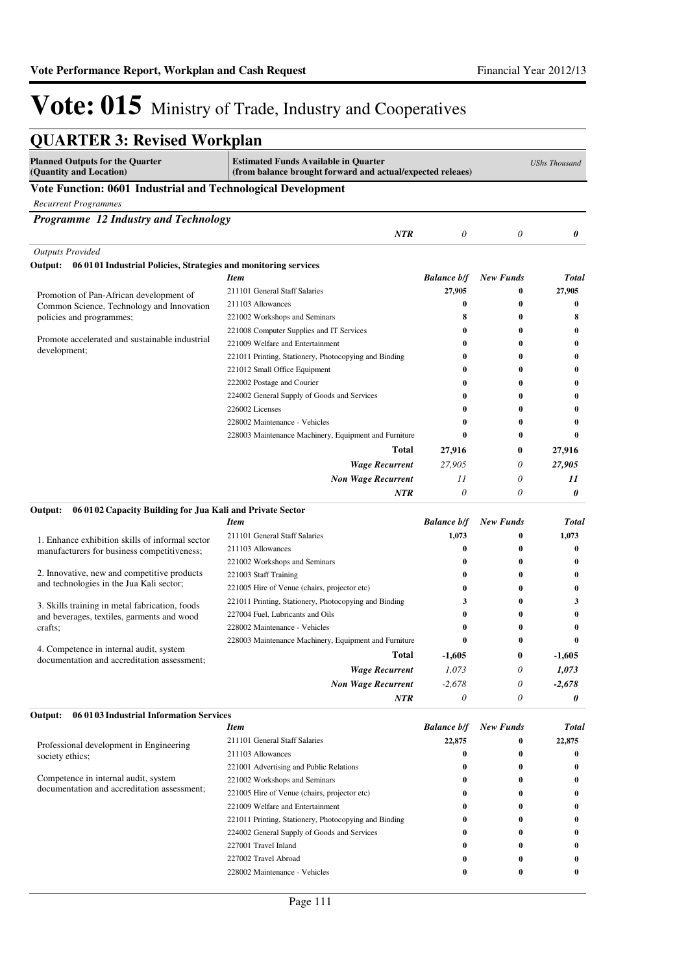| <b>QUARTER 3: Revised Workplan</b>                                                     |                                                                                                           |                    |                  |                      |
|----------------------------------------------------------------------------------------|-----------------------------------------------------------------------------------------------------------|--------------------|------------------|----------------------|
| <b>Planned Outputs for the Quarter</b><br>(Quantity and Location)                      | <b>Estimated Funds Available in Quarter</b><br>(from balance brought forward and actual/expected releaes) |                    |                  | <b>UShs Thousand</b> |
| Vote Function: 0601 Industrial and Technological Development                           |                                                                                                           |                    |                  |                      |
| <b>Recurrent Programmes</b>                                                            |                                                                                                           |                    |                  |                      |
| Programme 12 Industry and Technology                                                   |                                                                                                           |                    |                  |                      |
|                                                                                        | <b>NTR</b>                                                                                                | 0                  | 0                | 0                    |
| <b>Outputs Provided</b>                                                                |                                                                                                           |                    |                  |                      |
| Output: 06 0101 Industrial Policies, Strategies and monitoring services                |                                                                                                           |                    |                  |                      |
|                                                                                        | <b>Item</b>                                                                                               | <b>Balance b/f</b> | <b>New Funds</b> | <b>Total</b>         |
|                                                                                        | 211101 General Staff Salaries                                                                             | 27,905             | $\bf{0}$         | 27,905               |
| Promotion of Pan-African development of<br>Common Science, Technology and Innovation   | 211103 Allowances                                                                                         | 0                  | 0                | $\bf{0}$             |
| policies and programmes;                                                               | 221002 Workshops and Seminars                                                                             | 8                  | $\bf{0}$         | 8                    |
|                                                                                        | 221008 Computer Supplies and IT Services                                                                  | 0                  | $\bf{0}$         | $\bf{0}$             |
| Promote accelerated and sustainable industrial                                         | 221009 Welfare and Entertainment                                                                          | 0                  | 0                | $\bf{0}$             |
| development;                                                                           | 221011 Printing, Stationery, Photocopying and Binding                                                     | 0                  | $\bf{0}$         | $\bf{0}$             |
|                                                                                        | 221012 Small Office Equipment                                                                             | 0                  | $\bf{0}$         | $\bf{0}$             |
|                                                                                        | 222002 Postage and Courier                                                                                | 0                  | 0                | $\bf{0}$             |
|                                                                                        | 224002 General Supply of Goods and Services                                                               | 0                  | 0                | $\bf{0}$             |
|                                                                                        | 226002 Licenses                                                                                           | 0                  | $\bf{0}$         | $\bf{0}$             |
|                                                                                        | 228002 Maintenance - Vehicles                                                                             | 0                  | $\bf{0}$         | $\bf{0}$             |
|                                                                                        | 228003 Maintenance Machinery, Equipment and Furniture                                                     | $\bf{0}$           | $\bf{0}$         | $\bf{0}$             |
|                                                                                        | Total                                                                                                     | 27,916             | 0                | 27,916               |
|                                                                                        | <b>Wage Recurrent</b>                                                                                     | 27.905             | 0                | 27,905               |
|                                                                                        | <b>Non Wage Recurrent</b>                                                                                 | 11                 | 0                | 11                   |
|                                                                                        | NTR                                                                                                       | $\theta$           | 0                | 0                    |
| 06 01 02 Capacity Building for Jua Kali and Private Sector<br>Output:                  |                                                                                                           |                    |                  |                      |
|                                                                                        | <b>Item</b>                                                                                               | <b>Balance b/f</b> | <b>New Funds</b> | <b>Total</b>         |
| 1. Enhance exhibition skills of informal sector                                        | 211101 General Staff Salaries                                                                             | 1,073              | 0                | 1,073                |
| manufacturers for business competitiveness;                                            | 211103 Allowances                                                                                         | 0                  | 0                | $\bf{0}$             |
|                                                                                        | 221002 Workshops and Seminars                                                                             | 0                  | $\bf{0}$         | $\bf{0}$             |
| 2. Innovative, new and competitive products                                            | 221003 Staff Training                                                                                     | 0                  | $\bf{0}$         | $\bf{0}$             |
| and technologies in the Jua Kali sector;                                               | 221005 Hire of Venue (chairs, projector etc)                                                              | $\bf{0}$           | $\bf{0}$         | $\bf{0}$             |
| 3. Skills training in metal fabrication, foods                                         | 221011 Printing, Stationery, Photocopying and Binding                                                     | 3                  | $\bf{0}$         | 3                    |
| and beverages, textiles, garments and wood                                             | 227004 Fuel, Lubricants and Oils                                                                          | 0                  | 0                | $\bf{0}$             |
| crafts;                                                                                | 228002 Maintenance - Vehicles                                                                             | 0                  | 0                | $\bf{0}$             |
|                                                                                        | 228003 Maintenance Machinery, Equipment and Furniture                                                     | $\bf{0}$           | $\bf{0}$         | $\bf{0}$             |
| 4. Competence in internal audit, system<br>documentation and accreditation assessment; | <b>Total</b>                                                                                              | $-1,605$           | $\bf{0}$         | $-1,605$             |
|                                                                                        | <b>Wage Recurrent</b>                                                                                     | 1,073              | 0                | 1,073                |
|                                                                                        | <b>Non Wage Recurrent</b>                                                                                 | $-2,678$           | 0                | $-2,678$             |
|                                                                                        | NTR                                                                                                       | 0                  | 0                | 0                    |
| 06 01 03 Industrial Information Services<br>Output:                                    |                                                                                                           |                    |                  |                      |
|                                                                                        | <b>Item</b>                                                                                               | <b>Balance b/f</b> | <b>New Funds</b> | <b>Total</b>         |
| Professional development in Engineering                                                | 211101 General Staff Salaries                                                                             | 22,875             | 0                | 22,875               |
| society ethics;                                                                        | 211103 Allowances                                                                                         | 0                  | $\bf{0}$         | $\bf{0}$             |
|                                                                                        | 221001 Advertising and Public Relations                                                                   | 0                  | $\bf{0}$         | $\bf{0}$             |
| Competence in internal audit, system                                                   | 221002 Workshops and Seminars                                                                             | 0                  | 0                | $\bf{0}$             |
| documentation and accreditation assessment;                                            | 221005 Hire of Venue (chairs, projector etc)                                                              | 0                  | 0                | $\bf{0}$             |
|                                                                                        | 221009 Welfare and Entertainment                                                                          | 0                  | 0                | 0                    |
|                                                                                        | 221011 Printing, Stationery, Photocopying and Binding                                                     | 0                  | 0                | $\bf{0}$             |
|                                                                                        | 224002 General Supply of Goods and Services                                                               | 0                  | 0                | $\bf{0}$             |
|                                                                                        | 227001 Travel Inland                                                                                      | 0                  | 0                | 0                    |
|                                                                                        | 227002 Travel Abroad                                                                                      | 0                  | $\bf{0}$         | $\bf{0}$             |
|                                                                                        | 228002 Maintenance - Vehicles                                                                             | 0                  | 0                | $\bf{0}$             |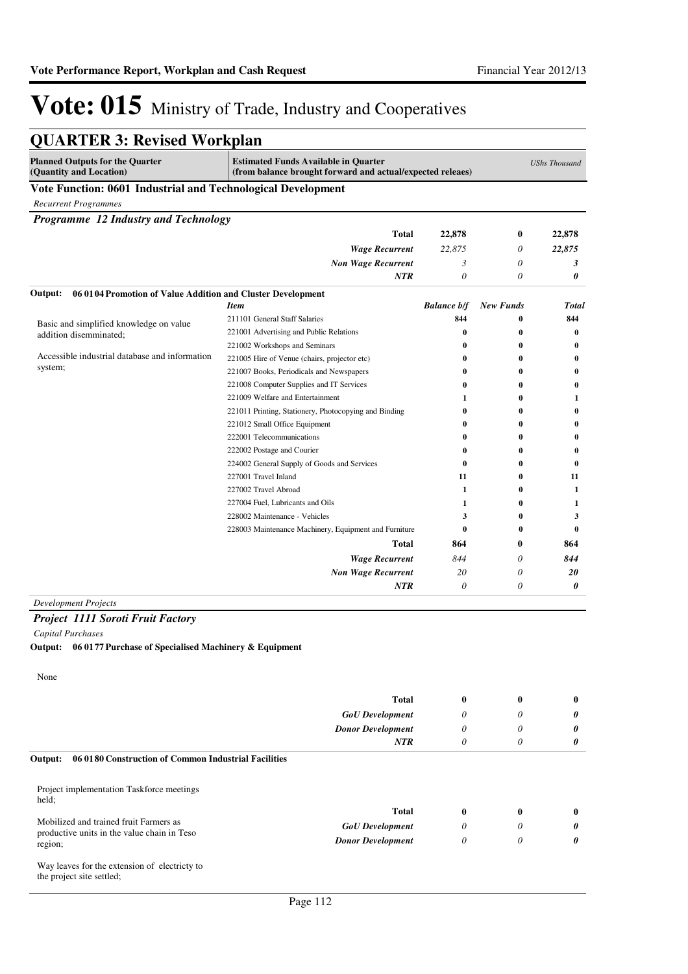| <b>QUARTER 3: Revised Workplan</b>                                      |                                                                                                           |                    |                  |                      |
|-------------------------------------------------------------------------|-----------------------------------------------------------------------------------------------------------|--------------------|------------------|----------------------|
| <b>Planned Outputs for the Quarter</b><br>(Quantity and Location)       | <b>Estimated Funds Available in Quarter</b><br>(from balance brought forward and actual/expected releaes) |                    |                  | <b>UShs Thousand</b> |
| Vote Function: 0601 Industrial and Technological Development            |                                                                                                           |                    |                  |                      |
| <b>Recurrent Programmes</b>                                             |                                                                                                           |                    |                  |                      |
| Programme 12 Industry and Technology                                    |                                                                                                           |                    |                  |                      |
|                                                                         | Total                                                                                                     | 22,878             | 0                | 22,878               |
|                                                                         | <b>Wage Recurrent</b>                                                                                     | 22,875             | 0                | 22,875               |
|                                                                         | <b>Non Wage Recurrent</b>                                                                                 | 3                  | 0                | 3                    |
|                                                                         | NTR                                                                                                       | 0                  | 0                | 0                    |
| 06 01 04 Promotion of Value Addition and Cluster Development<br>Output: |                                                                                                           |                    |                  |                      |
|                                                                         | <b>Item</b>                                                                                               | <b>Balance b/f</b> | <b>New Funds</b> | <b>Total</b>         |
| Basic and simplified knowledge on value                                 | 211101 General Staff Salaries                                                                             | 844                | $\bf{0}$         | 844                  |
| addition disemminated;                                                  | 221001 Advertising and Public Relations                                                                   | $\bf{0}$           | $\bf{0}$         | $\bf{0}$             |
|                                                                         | 221002 Workshops and Seminars                                                                             | 0                  | $\bf{0}$         | $\bf{0}$             |
| Accessible industrial database and information<br>system;               | 221005 Hire of Venue (chairs, projector etc)                                                              | 0                  | $\bf{0}$         | $\bf{0}$             |
|                                                                         | 221007 Books, Periodicals and Newspapers                                                                  | 0                  | $\bf{0}$         | $\bf{0}$             |
|                                                                         | 221008 Computer Supplies and IT Services                                                                  | 0                  | 0                | $\bf{0}$             |
|                                                                         | 221009 Welfare and Entertainment                                                                          | 1                  | 0                | 1                    |
|                                                                         | 221011 Printing, Stationery, Photocopying and Binding                                                     | 0                  | 0                | $\bf{0}$             |
|                                                                         | 221012 Small Office Equipment                                                                             | 0                  | $\bf{0}$         | $\bf{0}$             |
|                                                                         | 222001 Telecommunications                                                                                 | 0                  | $\bf{0}$         | $\bf{0}$             |
|                                                                         | 222002 Postage and Courier                                                                                | 0                  | $\bf{0}$         | $\bf{0}$             |
|                                                                         | 224002 General Supply of Goods and Services                                                               | $\bf{0}$           | $\bf{0}$         | $\mathbf{0}$         |
|                                                                         | 227001 Travel Inland                                                                                      | 11                 | $\bf{0}$         | 11                   |
|                                                                         | 227002 Travel Abroad                                                                                      | 1                  | $\bf{0}$         | 1                    |
|                                                                         | 227004 Fuel, Lubricants and Oils                                                                          | 1                  | 0                | 1                    |
|                                                                         | 228002 Maintenance - Vehicles                                                                             | 3                  | 0                | 3                    |
|                                                                         | 228003 Maintenance Machinery, Equipment and Furniture                                                     | $\bf{0}$           | $\bf{0}$         | $\mathbf{0}$         |
|                                                                         | Total                                                                                                     | 864                | 0                | 864                  |
|                                                                         | <b>Wage Recurrent</b>                                                                                     | 844                | 0                | 844                  |
|                                                                         | <b>Non Wage Recurrent</b>                                                                                 | 20                 | 0                | 20                   |
|                                                                         | <b>NTR</b>                                                                                                | $\theta$           | 0                | 0                    |

*Project 1111 Soroti Fruit Factory*

*Capital Purchases*

**Output: 06 0177 Purchase of Specialised Machinery & Equipment**

None

|                                                                 | <b>Total</b>             | $\bf{0}$ | 0            | 0            |
|-----------------------------------------------------------------|--------------------------|----------|--------------|--------------|
|                                                                 | <b>GoU</b> Development   | $\theta$ | 0            | 0            |
|                                                                 | <b>Donor Development</b> | $\theta$ | 0            | 0            |
|                                                                 | <b>NTR</b>               | $\theta$ | 0            | 0            |
| 06 0180 Construction of Common Industrial Facilities<br>Output: |                          |          |              |              |
| Project implementation Taskforce meetings<br>held;              |                          |          |              |              |
|                                                                 | <b>Total</b>             | $\bf{0}$ | $\mathbf{0}$ | $\mathbf{0}$ |
| Mobilized and trained fruit Farmers as                          | <b>GoU</b> Development   | $\theta$ | 0            | 0            |
| productive units in the value chain in Teso<br>region;          | <b>Donor Development</b> | $\theta$ | 0            | 0            |
| Way leaves for the extension of electricty to                   |                          |          |              |              |

the project site settled;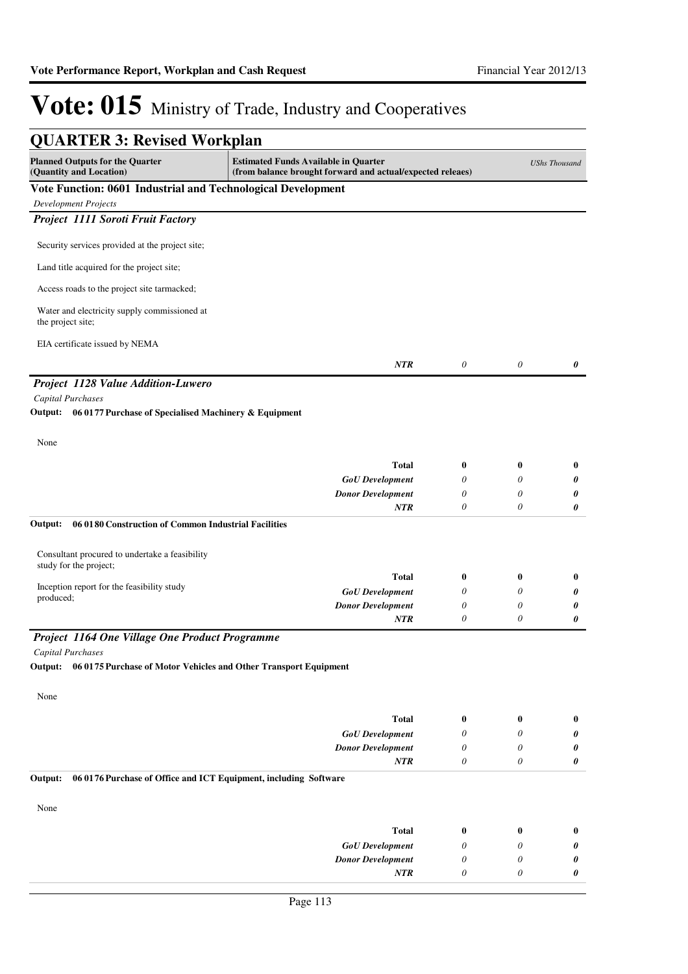| <b>QUARTER 3: Revised Workplan</b>                                          |                                                                                                           |          |          |                      |
|-----------------------------------------------------------------------------|-----------------------------------------------------------------------------------------------------------|----------|----------|----------------------|
| <b>Planned Outputs for the Quarter</b><br>(Quantity and Location)           | <b>Estimated Funds Available in Quarter</b><br>(from balance brought forward and actual/expected releaes) |          |          | <b>UShs Thousand</b> |
| Vote Function: 0601 Industrial and Technological Development                |                                                                                                           |          |          |                      |
| <b>Development Projects</b>                                                 |                                                                                                           |          |          |                      |
| Project 1111 Soroti Fruit Factory                                           |                                                                                                           |          |          |                      |
| Security services provided at the project site;                             |                                                                                                           |          |          |                      |
| Land title acquired for the project site;                                   |                                                                                                           |          |          |                      |
| Access roads to the project site tarmacked;                                 |                                                                                                           |          |          |                      |
| Water and electricity supply commissioned at<br>the project site;           |                                                                                                           |          |          |                      |
| EIA certificate issued by NEMA                                              |                                                                                                           |          |          |                      |
|                                                                             | NTR                                                                                                       | $\theta$ | $\theta$ | 0                    |
| Project 1128 Value Addition-Luwero                                          |                                                                                                           |          |          |                      |
| Capital Purchases                                                           |                                                                                                           |          |          |                      |
| Output:<br>06 0177 Purchase of Specialised Machinery & Equipment            |                                                                                                           |          |          |                      |
| None                                                                        |                                                                                                           |          |          |                      |
|                                                                             | <b>Total</b>                                                                                              | 0        | $\bf{0}$ | $\bf{0}$             |
|                                                                             | <b>GoU</b> Development                                                                                    | 0        | 0        | 0                    |
|                                                                             | <b>Donor Development</b>                                                                                  | 0        | 0        | 0                    |
|                                                                             | NTR                                                                                                       | 0        | 0        | 0                    |
| Output:<br>06 01 80 Construction of Common Industrial Facilities            |                                                                                                           |          |          |                      |
| Consultant procured to undertake a feasibility<br>study for the project;    |                                                                                                           |          |          |                      |
|                                                                             | <b>Total</b>                                                                                              | 0        | 0        | $\bf{0}$             |
| Inception report for the feasibility study                                  | <b>GoU</b> Development                                                                                    | 0        | 0        | 0                    |
| produced;                                                                   | <b>Donor Development</b>                                                                                  | 0        | 0        | 0                    |
|                                                                             | NTR                                                                                                       | 0        | 0        | 0                    |
| Project 1164 One Village One Product Programme                              |                                                                                                           |          |          |                      |
| <b>Capital Purchases</b>                                                    |                                                                                                           |          |          |                      |
| Output: 06 0175 Purchase of Motor Vehicles and Other Transport Equipment    |                                                                                                           |          |          |                      |
| None                                                                        |                                                                                                           |          |          |                      |
|                                                                             | <b>Total</b>                                                                                              | $\bf{0}$ | $\bf{0}$ | $\bf{0}$             |
|                                                                             | <b>GoU</b> Development                                                                                    | 0        | 0        | 0                    |
|                                                                             | <b>Donor Development</b>                                                                                  | 0        | 0        | 0                    |
|                                                                             | <b>NTR</b>                                                                                                | 0        | 0        | 0                    |
| Output:<br>06 0176 Purchase of Office and ICT Equipment, including Software |                                                                                                           |          |          |                      |
| None                                                                        |                                                                                                           |          |          |                      |
|                                                                             | <b>Total</b>                                                                                              | $\bf{0}$ | $\bf{0}$ | $\bf{0}$             |
|                                                                             | <b>GoU</b> Development                                                                                    | 0        | 0        | 0                    |
|                                                                             | <b>Donor Development</b>                                                                                  | 0        | 0        | 0                    |
|                                                                             | NTR                                                                                                       | 0        | 0        | 0                    |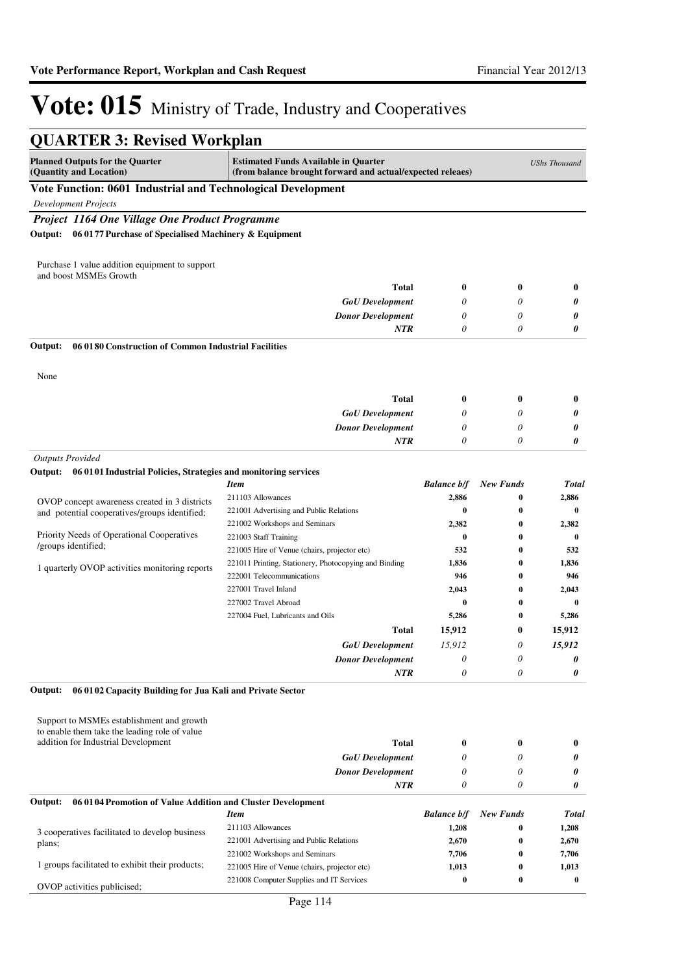| <b>QUARTER 3: Revised Workplan</b>                                                             |                                                                                                           |                    |                  |                      |
|------------------------------------------------------------------------------------------------|-----------------------------------------------------------------------------------------------------------|--------------------|------------------|----------------------|
| <b>Planned Outputs for the Quarter</b><br>(Quantity and Location)                              | <b>Estimated Funds Available in Quarter</b><br>(from balance brought forward and actual/expected releaes) |                    |                  | <b>UShs Thousand</b> |
| Vote Function: 0601 Industrial and Technological Development                                   |                                                                                                           |                    |                  |                      |
| <b>Development Projects</b>                                                                    |                                                                                                           |                    |                  |                      |
| Project 1164 One Village One Product Programme                                                 |                                                                                                           |                    |                  |                      |
| Output: 06 0177 Purchase of Specialised Machinery & Equipment                                  |                                                                                                           |                    |                  |                      |
|                                                                                                |                                                                                                           |                    |                  |                      |
| Purchase 1 value addition equipment to support<br>and boost MSMEs Growth                       |                                                                                                           |                    |                  |                      |
|                                                                                                | <b>Total</b>                                                                                              | $\bf{0}$           | $\bf{0}$         | $\bf{0}$             |
|                                                                                                | <b>GoU</b> Development                                                                                    | 0                  | 0                | 0                    |
|                                                                                                | <b>Donor Development</b>                                                                                  | 0                  | $\theta$         | 0                    |
|                                                                                                | <b>NTR</b>                                                                                                | 0                  | 0                | 0                    |
| Output:<br>06 0180 Construction of Common Industrial Facilities                                |                                                                                                           |                    |                  |                      |
| None                                                                                           |                                                                                                           |                    |                  |                      |
|                                                                                                | <b>Total</b>                                                                                              | 0                  | $\bf{0}$         | $\bf{0}$             |
|                                                                                                | <b>GoU</b> Development                                                                                    | 0                  | 0                | 0                    |
|                                                                                                | <b>Donor Development</b>                                                                                  | 0                  | 0                | 0                    |
|                                                                                                | <b>NTR</b>                                                                                                | 0                  | 0                | 0                    |
| <b>Outputs Provided</b>                                                                        |                                                                                                           |                    |                  |                      |
| Output: 06 0101 Industrial Policies, Strategies and monitoring services                        |                                                                                                           |                    |                  |                      |
|                                                                                                | <b>Item</b>                                                                                               | <b>Balance b/f</b> | <b>New Funds</b> | <b>Total</b>         |
|                                                                                                | 211103 Allowances                                                                                         | 2,886              | 0                | 2,886                |
| OVOP concept awareness created in 3 districts<br>and potential cooperatives/groups identified; | 221001 Advertising and Public Relations                                                                   | $\bf{0}$           | $\bf{0}$         | $\bf{0}$             |
|                                                                                                | 221002 Workshops and Seminars                                                                             | 2,382              | 0                | 2,382                |
| Priority Needs of Operational Cooperatives                                                     | 221003 Staff Training                                                                                     | $\bf{0}$           | 0                | $\bf{0}$             |
| /groups identified;                                                                            | 221005 Hire of Venue (chairs, projector etc)                                                              | 532                | $\bf{0}$         | 532                  |
| 1 quarterly OVOP activities monitoring reports                                                 | 221011 Printing, Stationery, Photocopying and Binding                                                     | 1,836              | $\bf{0}$         | 1,836                |
|                                                                                                | 222001 Telecommunications                                                                                 | 946                | 0                | 946                  |
|                                                                                                | 227001 Travel Inland                                                                                      | 2,043              | $\bf{0}$         | 2,043                |
|                                                                                                | 227002 Travel Abroad                                                                                      | $\bf{0}$           | 0                | $\bf{0}$             |
|                                                                                                | 227004 Fuel, Lubricants and Oils                                                                          | 5,286              | $\bf{0}$         | 5,286                |
|                                                                                                | <b>Total</b>                                                                                              | 15,912             | 0                | 15,912               |
|                                                                                                | <b>GoU</b> Development                                                                                    | 15,912             | 0                | 15,912               |
|                                                                                                | <b>Donor Development</b>                                                                                  | 0                  | 0                | 0                    |
|                                                                                                | <b>NTR</b>                                                                                                | 0                  | 0                | 0                    |
| 06 01 02 Capacity Building for Jua Kali and Private Sector<br>Output:                          |                                                                                                           |                    |                  |                      |
| Support to MSMEs establishment and growth                                                      |                                                                                                           |                    |                  |                      |
| to enable them take the leading role of value                                                  |                                                                                                           |                    |                  |                      |
| addition for Industrial Development                                                            | <b>Total</b>                                                                                              | 0                  | $\bf{0}$         | $\bf{0}$             |
|                                                                                                | <b>GoU</b> Development                                                                                    | 0                  | 0                | 0                    |
|                                                                                                | <b>Donor Development</b>                                                                                  | 0                  | 0                | 0                    |
|                                                                                                | <b>NTR</b>                                                                                                | 0                  | 0                | 0                    |
| 06 01 04 Promotion of Value Addition and Cluster Development<br>Output:                        |                                                                                                           |                    |                  |                      |
|                                                                                                | <b>Item</b>                                                                                               | <b>Balance b/f</b> | <b>New Funds</b> | Total                |
| 3 cooperatives facilitated to develop business                                                 | 211103 Allowances                                                                                         | 1,208              | 0                | 1,208                |
| plans;                                                                                         | 221001 Advertising and Public Relations                                                                   | 2,670              | 0                | 2,670                |
| 1 groups facilitated to exhibit their products;                                                | 221002 Workshops and Seminars                                                                             | 7,706              | $\bf{0}$         | 7,706                |
|                                                                                                | 221005 Hire of Venue (chairs, projector etc)<br>221008 Computer Supplies and IT Services                  | 1,013<br>$\bf{0}$  | 0<br>0           | 1,013<br>$\bf{0}$    |
| OVOP activities publicised;                                                                    |                                                                                                           |                    |                  |                      |
|                                                                                                | Page 114                                                                                                  |                    |                  |                      |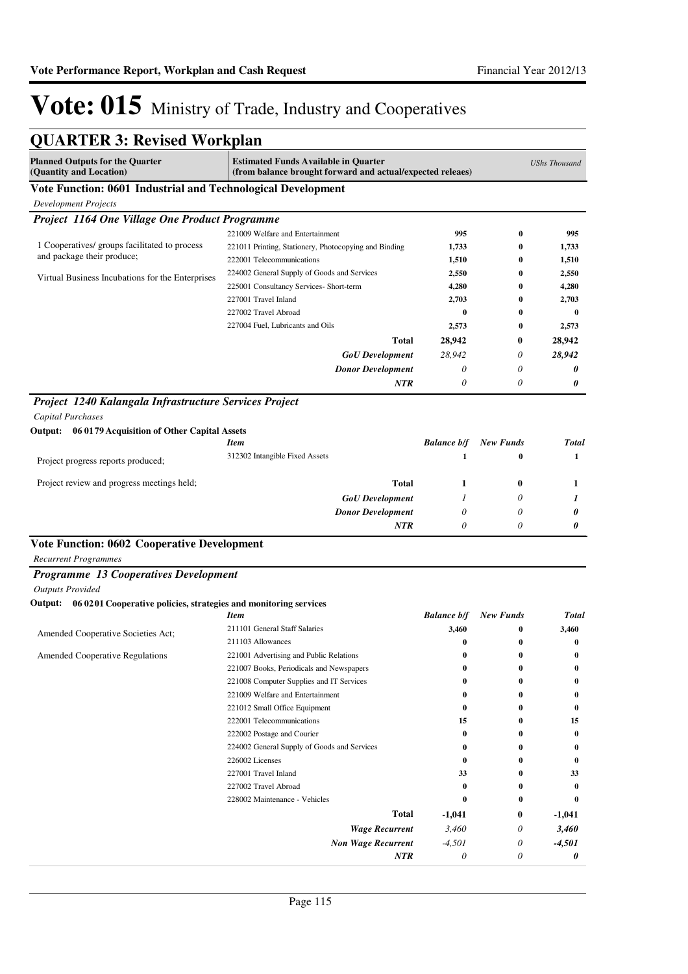| <b>QUARTER 3: Revised Workplan</b>                                       |                                                                                                           |                    |                  |                      |
|--------------------------------------------------------------------------|-----------------------------------------------------------------------------------------------------------|--------------------|------------------|----------------------|
| <b>Planned Outputs for the Quarter</b><br>(Quantity and Location)        | <b>Estimated Funds Available in Quarter</b><br>(from balance brought forward and actual/expected releaes) |                    |                  | <b>UShs Thousand</b> |
| Vote Function: 0601 Industrial and Technological Development             |                                                                                                           |                    |                  |                      |
| Development Projects                                                     |                                                                                                           |                    |                  |                      |
| Project 1164 One Village One Product Programme                           |                                                                                                           |                    |                  |                      |
|                                                                          | 221009 Welfare and Entertainment                                                                          | 995                | $\bf{0}$         | 995                  |
| 1 Cooperatives/ groups facilitated to process                            | 221011 Printing, Stationery, Photocopying and Binding                                                     | 1,733              | $\bf{0}$         | 1,733                |
| and package their produce;                                               | 222001 Telecommunications                                                                                 | 1,510              | $\bf{0}$         | 1,510                |
| Virtual Business Incubations for the Enterprises                         | 224002 General Supply of Goods and Services                                                               | 2,550              | $\bf{0}$         | 2,550                |
|                                                                          | 225001 Consultancy Services- Short-term                                                                   | 4,280              | 0                | 4,280                |
|                                                                          | 227001 Travel Inland                                                                                      | 2,703              | $\bf{0}$         | 2,703                |
|                                                                          | 227002 Travel Abroad                                                                                      | $\bf{0}$           | 0                | 0                    |
|                                                                          | 227004 Fuel, Lubricants and Oils                                                                          | 2,573              | 0                | 2,573                |
|                                                                          | <b>Total</b>                                                                                              | 28,942             | 0                | 28,942               |
|                                                                          | <b>GoU</b> Development                                                                                    | 28,942             | 0                | 28,942               |
|                                                                          | <b>Donor Development</b>                                                                                  | 0                  | $\theta$         | 0                    |
|                                                                          | <b>NTR</b>                                                                                                | $\theta$           | $\theta$         | 0                    |
| Project 1240 Kalangala Infrastructure Services Project                   |                                                                                                           |                    |                  |                      |
| <b>Capital Purchases</b>                                                 |                                                                                                           |                    |                  |                      |
| Output: 06 0179 Acquisition of Other Capital Assets                      |                                                                                                           |                    |                  |                      |
|                                                                          | <b>Item</b>                                                                                               | <b>Balance b/f</b> | <b>New Funds</b> | <b>Total</b>         |
| Project progress reports produced;                                       | 312302 Intangible Fixed Assets                                                                            | 1                  | 0                | 1                    |
| Project review and progress meetings held;                               | <b>Total</b>                                                                                              | 1                  | $\bf{0}$         | 1                    |
|                                                                          | <b>GoU</b> Development                                                                                    | 1                  | 0                | 1                    |
|                                                                          | <b>Donor Development</b>                                                                                  | 0                  | 0                | 0                    |
|                                                                          | NTR                                                                                                       | $\theta$           | $\theta$         | 0                    |
| <b>Vote Function: 0602 Cooperative Development</b>                       |                                                                                                           |                    |                  |                      |
| <b>Recurrent Programmes</b>                                              |                                                                                                           |                    |                  |                      |
| <b>Programme 13 Cooperatives Development</b>                             |                                                                                                           |                    |                  |                      |
| <b>Outputs Provided</b>                                                  |                                                                                                           |                    |                  |                      |
| Output: 06 0201 Cooperative policies, strategies and monitoring services |                                                                                                           |                    |                  |                      |
|                                                                          | <b>Item</b>                                                                                               | <b>Balance b/f</b> | <b>New Funds</b> | <b>Total</b>         |
| Amended Cooperative Societies Act;                                       | 211101 General Staff Salaries                                                                             | 3,460              | 0                | 3,460                |
|                                                                          | 211103 Allowances                                                                                         | 0                  | $\bf{0}$         | 0                    |
| <b>Amended Cooperative Regulations</b>                                   | 221001 Advertising and Public Relations                                                                   | 0                  | 0                | 0                    |
|                                                                          | 221007 Books, Periodicals and Newspapers                                                                  |                    | 0                | 0                    |
|                                                                          | 221008 Computer Supplies and IT Services                                                                  | 0                  | 0<br>0           | 0                    |
|                                                                          | 221009 Welfare and Entertainment<br>221012 Small Office Equipment                                         | 0                  | 0                | 0<br>0               |
|                                                                          | 222001 Telecommunications                                                                                 | 15                 | 0                | 15                   |
|                                                                          | 222002 Postage and Courier                                                                                | 0                  | 0                | 0                    |
|                                                                          | 224002 General Supply of Goods and Services                                                               | 0                  | 0                | 0                    |
|                                                                          | 226002 Licenses                                                                                           | 0                  | 0                | 0                    |
|                                                                          | 227001 Travel Inland                                                                                      | 33                 | 0                | 33                   |
|                                                                          | 227002 Travel Abroad                                                                                      | 0                  | 0                | 0                    |
|                                                                          | 228002 Maintenance - Vehicles                                                                             | 0                  | 0                | $\bf{0}$             |
|                                                                          | <b>Total</b>                                                                                              | -1,041             | $\bf{0}$         | -1,041               |
|                                                                          | <b>Wage Recurrent</b>                                                                                     | 3,460              | 0                | 3,460                |
|                                                                          | <b>Non Wage Recurrent</b>                                                                                 | -4,501             | 0                | $-4,501$             |
|                                                                          | <b>NTR</b>                                                                                                | $\theta$           | 0                | 0                    |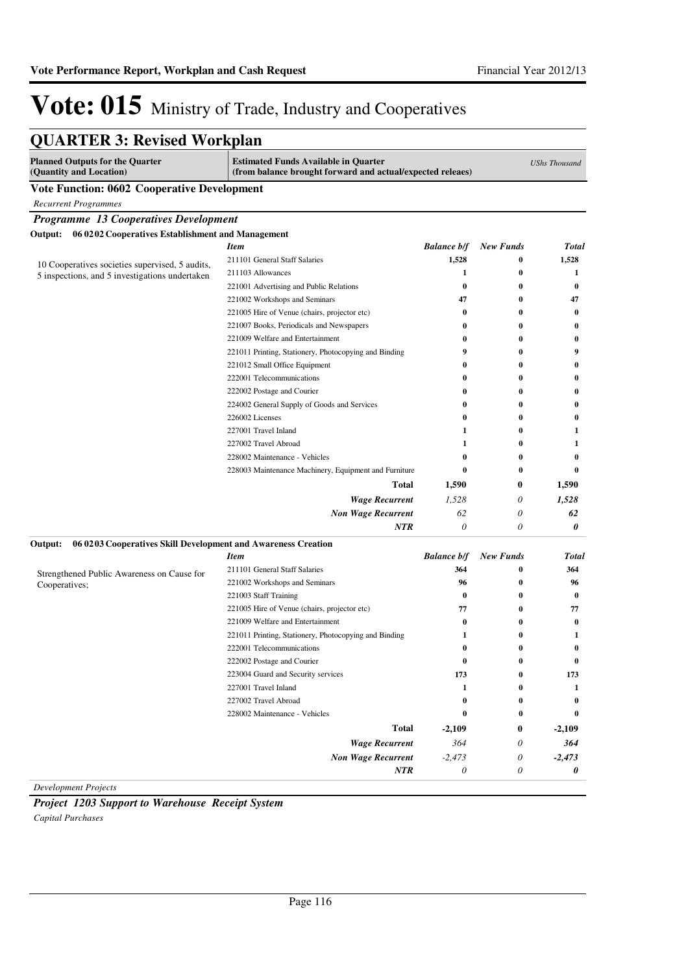*364 -2,473 0*

*0 0 0*

*364 -2,473 0*

# Vote: 015 Ministry of Trade, Industry and Cooperatives

| <b>QUARTER 3: Revised Workplan</b>                                       |                                                                                                           |                    |                  |                      |
|--------------------------------------------------------------------------|-----------------------------------------------------------------------------------------------------------|--------------------|------------------|----------------------|
| <b>Planned Outputs for the Quarter</b><br>(Quantity and Location)        | <b>Estimated Funds Available in Quarter</b><br>(from balance brought forward and actual/expected releaes) |                    |                  | <b>UShs Thousand</b> |
| <b>Vote Function: 0602 Cooperative Development</b>                       |                                                                                                           |                    |                  |                      |
| <b>Recurrent Programmes</b>                                              |                                                                                                           |                    |                  |                      |
| Programme 13 Cooperatives Development                                    |                                                                                                           |                    |                  |                      |
| Output: 06 0202 Cooperatives Establishment and Management                |                                                                                                           |                    |                  |                      |
|                                                                          | <b>Item</b>                                                                                               | <b>Balance b/f</b> | <b>New Funds</b> | <b>Total</b>         |
| 10 Cooperatives societies supervised, 5 audits,                          | 211101 General Staff Salaries                                                                             | 1,528              | 0                | 1,528                |
| 5 inspections, and 5 investigations undertaken                           | 211103 Allowances                                                                                         | 1                  | 0                | 1                    |
|                                                                          | 221001 Advertising and Public Relations                                                                   | $\bf{0}$           | 0                | 0                    |
|                                                                          | 221002 Workshops and Seminars                                                                             | 47                 | 0                | 47                   |
|                                                                          | 221005 Hire of Venue (chairs, projector etc)                                                              | $\bf{0}$           | $\bf{0}$         | 0                    |
|                                                                          | 221007 Books, Periodicals and Newspapers                                                                  | 0                  | $\bf{0}$         | 0                    |
|                                                                          | 221009 Welfare and Entertainment                                                                          | 0                  | 0                | 0                    |
|                                                                          | 221011 Printing, Stationery, Photocopying and Binding                                                     | 9                  | 0                | 9                    |
|                                                                          | 221012 Small Office Equipment                                                                             | 0                  | 0                | 0                    |
|                                                                          | 222001 Telecommunications                                                                                 | 0                  | 0                | 0                    |
|                                                                          | 222002 Postage and Courier                                                                                | 0                  | 0                | 0                    |
|                                                                          | 224002 General Supply of Goods and Services                                                               | 0                  | 0                | 0                    |
|                                                                          | 226002 Licenses                                                                                           | 0                  | 0                | 0                    |
|                                                                          | 227001 Travel Inland                                                                                      | 1                  | $\bf{0}$         | 1                    |
|                                                                          | 227002 Travel Abroad                                                                                      | 1                  | $\bf{0}$         | 1                    |
|                                                                          | 228002 Maintenance - Vehicles                                                                             | $\bf{0}$           | 0                | 0                    |
|                                                                          | 228003 Maintenance Machinery, Equipment and Furniture                                                     | $\bf{0}$           | $\bf{0}$         | $\bf{0}$             |
|                                                                          | <b>Total</b>                                                                                              | 1,590              | $\bf{0}$         | 1,590                |
|                                                                          | <b>Wage Recurrent</b>                                                                                     | 1,528              | 0                | 1,528                |
|                                                                          | <b>Non Wage Recurrent</b>                                                                                 | 62                 | 0                | 62                   |
|                                                                          | NTR                                                                                                       | $\theta$           | 0                | 0                    |
| 06 0203 Cooperatives Skill Development and Awareness Creation<br>Output: |                                                                                                           |                    |                  |                      |
|                                                                          | <b>Item</b>                                                                                               | <b>Balance b/f</b> | <b>New Funds</b> | Total                |
| Strengthened Public Awareness on Cause for                               | 211101 General Staff Salaries                                                                             | 364                | 0                | 364                  |
| Cooperatives;                                                            | 221002 Workshops and Seminars                                                                             | 96                 | $\bf{0}$         | 96                   |
|                                                                          | 221003 Staff Training                                                                                     | $\bf{0}$           | $\bf{0}$         | $\bf{0}$             |
|                                                                          | 221005 Hire of Venue (chairs, projector etc)                                                              | 77                 | $\bf{0}$         | 77                   |
|                                                                          | 221009 Welfare and Entertainment                                                                          | $\bf{0}$           | 0                | 0                    |
|                                                                          | 221011 Printing, Stationery, Photocopying and Binding                                                     | 1                  | 0                | 1                    |
|                                                                          | 222001 Telecommunications                                                                                 | 0                  | 0                | 0                    |
|                                                                          | 222002 Postage and Courier                                                                                | $\bf{0}$           | 0                | $\bf{0}$             |
|                                                                          | 223004 Guard and Security services                                                                        | 173                | 0                | 173                  |
|                                                                          | 227001 Travel Inland                                                                                      | 1                  | 0                | 1                    |
|                                                                          | 227002 Travel Abroad                                                                                      | $\bf{0}$           | 0                | $\bf{0}$             |
|                                                                          | 228002 Maintenance - Vehicles                                                                             | $\bf{0}$           | 0                | 0                    |
|                                                                          | Total                                                                                                     | $-2,109$           | 0                | $-2,109$             |

*Development Projects*

*Project 1203 Support to Warehouse Receipt System Capital Purchases*

*Wage Recurrent Non Wage Recurrent*

*NTR*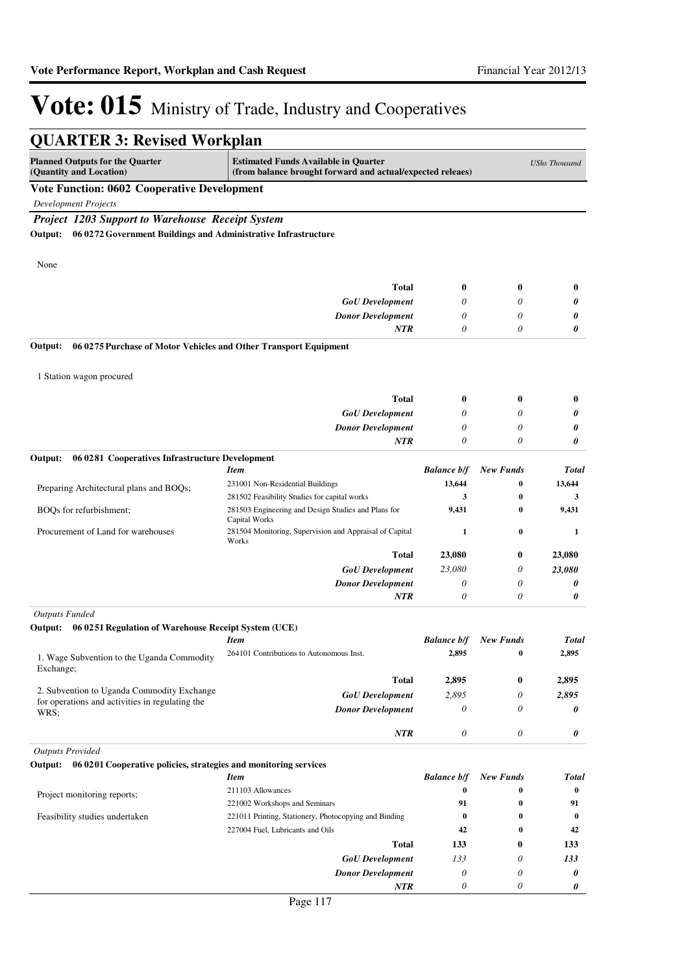| <b>QUARTER 3: Revised Workplan</b>                                                                  |                                                                                                           |                       |                  |                      |
|-----------------------------------------------------------------------------------------------------|-----------------------------------------------------------------------------------------------------------|-----------------------|------------------|----------------------|
| <b>Planned Outputs for the Quarter</b><br>(Quantity and Location)                                   | <b>Estimated Funds Available in Quarter</b><br>(from balance brought forward and actual/expected releaes) |                       |                  | <b>UShs Thousand</b> |
| <b>Vote Function: 0602 Cooperative Development</b>                                                  |                                                                                                           |                       |                  |                      |
| <b>Development Projects</b>                                                                         |                                                                                                           |                       |                  |                      |
| <b>Project 1203 Support to Warehouse Receipt System</b>                                             |                                                                                                           |                       |                  |                      |
| 06 0272 Government Buildings and Administrative Infrastructure<br>Output:                           |                                                                                                           |                       |                  |                      |
|                                                                                                     |                                                                                                           |                       |                  |                      |
| None                                                                                                |                                                                                                           |                       |                  |                      |
|                                                                                                     | <b>Total</b>                                                                                              |                       |                  |                      |
|                                                                                                     |                                                                                                           | 0                     | 0                | $\bf{0}$             |
|                                                                                                     | <b>GoU</b> Development                                                                                    | 0                     | 0                | 0                    |
|                                                                                                     | <b>Donor Development</b><br><b>NTR</b>                                                                    | 0<br>0                | 0<br>0           | 0<br>0               |
|                                                                                                     |                                                                                                           |                       |                  |                      |
| Output:<br>06 0275 Purchase of Motor Vehicles and Other Transport Equipment                         |                                                                                                           |                       |                  |                      |
|                                                                                                     |                                                                                                           |                       |                  |                      |
| 1 Station wagon procured                                                                            |                                                                                                           |                       |                  |                      |
|                                                                                                     | <b>Total</b>                                                                                              | 0                     | 0                | $\bf{0}$             |
|                                                                                                     | <b>GoU</b> Development                                                                                    | 0                     | 0                | 0                    |
|                                                                                                     | <b>Donor Development</b>                                                                                  | 0                     | 0                | 0                    |
|                                                                                                     | NTR                                                                                                       | 0                     | 0                | 0                    |
| Output:<br>06 0281 Cooperatives Infrastructure Development                                          |                                                                                                           |                       |                  |                      |
|                                                                                                     | <b>Item</b>                                                                                               | <b>Balance b/f</b>    | <b>New Funds</b> | <b>Total</b>         |
| Preparing Architectural plans and BOQs;                                                             | 231001 Non-Residential Buildings                                                                          | 13,644                | $\bf{0}$         | 13,644               |
|                                                                                                     | 281502 Feasibility Studies for capital works                                                              | 3                     | 0                | 3                    |
| BOQs for refurbishment;                                                                             | 281503 Engineering and Design Studies and Plans for<br>Capital Works                                      | 9,431                 | $\bf{0}$         | 9,431                |
| Procurement of Land for warehouses                                                                  | 281504 Monitoring, Supervision and Appraisal of Capital<br>Works                                          | $\mathbf{1}$          | $\bf{0}$         | 1                    |
|                                                                                                     | <b>Total</b>                                                                                              | 23,080                | 0                | 23,080               |
|                                                                                                     | <b>GoU</b> Development                                                                                    | 23,080                | 0                | 23,080               |
|                                                                                                     | <b>Donor Development</b>                                                                                  | 0                     | 0                | 0                    |
|                                                                                                     | NTR                                                                                                       | $\theta$              | $\theta$         | 0                    |
| <b>Outputs Funded</b>                                                                               |                                                                                                           |                       |                  |                      |
| 06 0251 Regulation of Warehouse Receipt System (UCE)<br>Output:                                     |                                                                                                           |                       |                  |                      |
|                                                                                                     | <b>Item</b>                                                                                               | <b>Balance b/f</b>    | New Funds        | <b>Total</b>         |
| 1. Wage Subvention to the Uganda Commodity                                                          | 264101 Contributions to Autonomous Inst.                                                                  | 2,895                 | $\bf{0}$         | 2,895                |
| Exchange;                                                                                           |                                                                                                           |                       |                  |                      |
|                                                                                                     | <b>Total</b>                                                                                              | 2,895                 | 0                | 2,895                |
| 2. Subvention to Uganda Commodity Exchange<br>for operations and activities in regulating the       | <b>GoU</b> Development                                                                                    | 2,895                 | 0                | 2,895                |
| WRS;                                                                                                | <b>Donor Development</b>                                                                                  | $\boldsymbol{\theta}$ | 0                | 0                    |
|                                                                                                     | NTR                                                                                                       | $\boldsymbol{\theta}$ | 0                | 0                    |
|                                                                                                     |                                                                                                           |                       |                  |                      |
| <b>Outputs Provided</b><br>Output: 06 0201 Cooperative policies, strategies and monitoring services |                                                                                                           |                       |                  |                      |
|                                                                                                     | <b>Item</b>                                                                                               | <b>Balance b/f</b>    | <b>New Funds</b> | <b>Total</b>         |
|                                                                                                     | 211103 Allowances                                                                                         | $\bf{0}$              | $\bf{0}$         | $\bf{0}$             |
| Project monitoring reports;                                                                         | 221002 Workshops and Seminars                                                                             | 91                    | $\bf{0}$         | 91                   |
| Feasibility studies undertaken                                                                      | 221011 Printing, Stationery, Photocopying and Binding                                                     | $\bf{0}$              | $\bf{0}$         | $\bf{0}$             |
|                                                                                                     | 227004 Fuel, Lubricants and Oils                                                                          | 42                    | $\bf{0}$         | 42                   |
|                                                                                                     | <b>Total</b>                                                                                              | 133                   | 0                | 133                  |
|                                                                                                     | <b>GoU</b> Development                                                                                    | 133                   | 0                | 133                  |
|                                                                                                     | <b>Donor Development</b>                                                                                  | 0                     | 0                | 0                    |
|                                                                                                     | NTR                                                                                                       | 0                     | 0                | 0                    |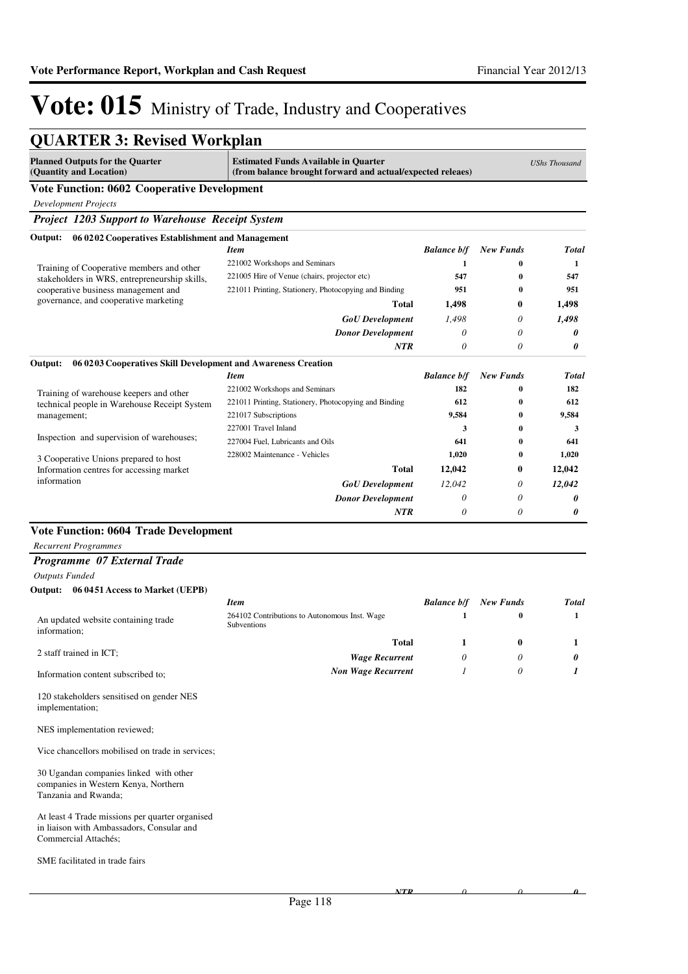*0*

*0*

*0*

# Vote: 015 Ministry of Trade, Industry and Cooperatives

| <b>QUARTER 3: Revised Workplan</b>                                                                                   |                                                                                                           |                    |                  |                      |
|----------------------------------------------------------------------------------------------------------------------|-----------------------------------------------------------------------------------------------------------|--------------------|------------------|----------------------|
| <b>Planned Outputs for the Quarter</b><br>(Quantity and Location)                                                    | <b>Estimated Funds Available in Quarter</b><br>(from balance brought forward and actual/expected releaes) |                    |                  | <b>UShs Thousand</b> |
| <b>Vote Function: 0602 Cooperative Development</b>                                                                   |                                                                                                           |                    |                  |                      |
| <b>Development Projects</b>                                                                                          |                                                                                                           |                    |                  |                      |
| <b>Project 1203 Support to Warehouse Receipt System</b>                                                              |                                                                                                           |                    |                  |                      |
| Output:<br>06 02 02 Cooperatives Establishment and Management                                                        |                                                                                                           |                    |                  |                      |
|                                                                                                                      | <b>Item</b>                                                                                               | <b>Balance b/f</b> | <b>New Funds</b> | <b>Total</b>         |
|                                                                                                                      | 221002 Workshops and Seminars                                                                             | 1                  | 0                | 1                    |
| Training of Cooperative members and other<br>stakeholders in WRS, entrepreneurship skills,                           | 221005 Hire of Venue (chairs, projector etc)                                                              | 547                | 0                | 547                  |
| cooperative business management and                                                                                  | 221011 Printing, Stationery, Photocopying and Binding                                                     | 951                | 0                | 951                  |
| governance, and cooperative marketing                                                                                | Total                                                                                                     | 1,498              | 0                | 1,498                |
|                                                                                                                      | <b>GoU</b> Development                                                                                    | 1,498              | 0                | 1,498                |
|                                                                                                                      | <b>Donor Development</b>                                                                                  | $\theta$           | $\theta$         | 0                    |
|                                                                                                                      | <b>NTR</b>                                                                                                | $\theta$           | $\theta$         | 0                    |
| 06 0203 Cooperatives Skill Development and Awareness Creation<br>Output:                                             |                                                                                                           |                    |                  |                      |
|                                                                                                                      | <b>Item</b>                                                                                               | <b>Balance b/f</b> | <b>New Funds</b> | Total                |
|                                                                                                                      | 221002 Workshops and Seminars                                                                             | 182                | 0                | 182                  |
| Training of warehouse keepers and other<br>technical people in Warehouse Receipt System                              | 221011 Printing, Stationery, Photocopying and Binding                                                     | 612                | 0                | 612                  |
| management;                                                                                                          | 221017 Subscriptions                                                                                      | 9,584              | 0                | 9,584                |
|                                                                                                                      | 227001 Travel Inland                                                                                      | 3                  | 0                | 3                    |
| Inspection and supervision of warehouses;                                                                            | 227004 Fuel, Lubricants and Oils                                                                          | 641                | 0                | 641                  |
| 3 Cooperative Unions prepared to host                                                                                | 228002 Maintenance - Vehicles                                                                             | 1,020              | 0                | 1,020                |
| Information centres for accessing market                                                                             | <b>Total</b>                                                                                              | 12,042             | 0                | 12,042               |
| information                                                                                                          | <b>GoU</b> Development                                                                                    | 12,042             | 0                | 12,042               |
|                                                                                                                      | <b>Donor Development</b>                                                                                  | $\theta$           | 0                | 0                    |
|                                                                                                                      | <b>NTR</b>                                                                                                | $\theta$           | 0                | 0                    |
| <b>Vote Function: 0604 Trade Development</b>                                                                         |                                                                                                           |                    |                  |                      |
| <b>Recurrent Programmes</b>                                                                                          |                                                                                                           |                    |                  |                      |
| Programme 07 External Trade                                                                                          |                                                                                                           |                    |                  |                      |
| <b>Outputs Funded</b>                                                                                                |                                                                                                           |                    |                  |                      |
| Output: 06 0451 Access to Market (UEPB)                                                                              |                                                                                                           |                    |                  |                      |
|                                                                                                                      | <b>Item</b>                                                                                               | <b>Balance b/f</b> | <b>New Funds</b> | <b>Total</b>         |
|                                                                                                                      | 264102 Contributions to Autonomous Inst. Wage                                                             | 1                  | $\bf{0}$         | 1                    |
| An updated website containing trade<br>information;                                                                  | Subventions                                                                                               |                    |                  |                      |
|                                                                                                                      | Total                                                                                                     | 1                  | $\bf{0}$         | 1                    |
| 2 staff trained in ICT;                                                                                              | <b>Wage Recurrent</b>                                                                                     | 0                  | 0                | 0                    |
| Information content subscribed to;                                                                                   | <b>Non Wage Recurrent</b>                                                                                 | 1                  | 0                | 1                    |
|                                                                                                                      |                                                                                                           |                    |                  |                      |
| 120 stakeholders sensitised on gender NES<br>implementation;                                                         |                                                                                                           |                    |                  |                      |
| NES implementation reviewed;                                                                                         |                                                                                                           |                    |                  |                      |
| Vice chancellors mobilised on trade in services;                                                                     |                                                                                                           |                    |                  |                      |
| 30 Ugandan companies linked with other<br>companies in Western Kenya, Northern<br>Tanzania and Rwanda;               |                                                                                                           |                    |                  |                      |
| At least 4 Trade missions per quarter organised<br>in liaison with Ambassadors, Consular and<br>Commercial Attachés; |                                                                                                           |                    |                  |                      |
| SME facilitated in trade fairs                                                                                       |                                                                                                           |                    |                  |                      |

*NTR*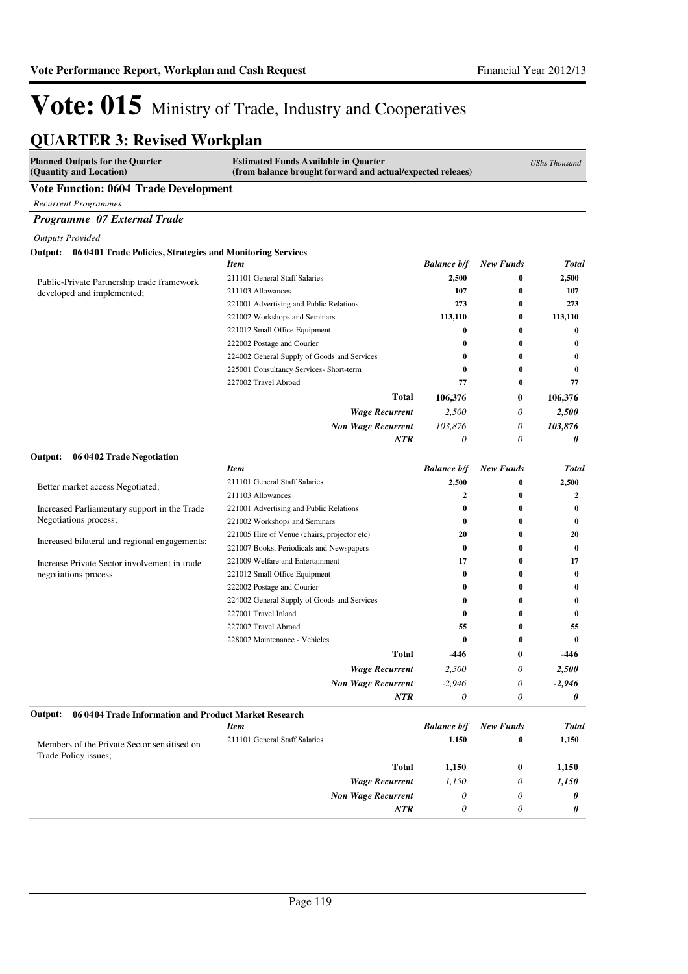| <b>QUARTER 3: Revised Workplan</b>                                  |                                                                                                           |                           |                  |                      |
|---------------------------------------------------------------------|-----------------------------------------------------------------------------------------------------------|---------------------------|------------------|----------------------|
| <b>Planned Outputs for the Quarter</b><br>(Quantity and Location)   | <b>Estimated Funds Available in Quarter</b><br>(from balance brought forward and actual/expected releaes) |                           |                  | <b>UShs Thousand</b> |
| <b>Vote Function: 0604 Trade Development</b>                        |                                                                                                           |                           |                  |                      |
| <b>Recurrent Programmes</b>                                         |                                                                                                           |                           |                  |                      |
| Programme 07 External Trade                                         |                                                                                                           |                           |                  |                      |
| <b>Outputs Provided</b>                                             |                                                                                                           |                           |                  |                      |
| Output: 06 0401 Trade Policies, Strategies and Monitoring Services  |                                                                                                           |                           |                  |                      |
|                                                                     | <b>Item</b>                                                                                               | <b>Balance b/f</b>        | <b>New Funds</b> | <b>Total</b>         |
| Public-Private Partnership trade framework                          | 211101 General Staff Salaries                                                                             | 2,500                     | $\bf{0}$         | 2,500                |
| developed and implemented;                                          | 211103 Allowances                                                                                         | 107                       | $\bf{0}$         | 107                  |
|                                                                     | 221001 Advertising and Public Relations                                                                   | 273                       | $\bf{0}$         | 273                  |
|                                                                     | 221002 Workshops and Seminars                                                                             | 113,110                   | 0                | 113,110              |
|                                                                     | 221012 Small Office Equipment                                                                             | $\bf{0}$                  | 0                | $\bf{0}$             |
|                                                                     | 222002 Postage and Courier                                                                                | $\bf{0}$                  | 0                | $\bf{0}$             |
|                                                                     | 224002 General Supply of Goods and Services                                                               | $\bf{0}$                  | 0                | $\bf{0}$             |
|                                                                     | 225001 Consultancy Services- Short-term                                                                   | $\bf{0}$                  | $\bf{0}$         | $\bf{0}$             |
|                                                                     | 227002 Travel Abroad                                                                                      | 77                        | $\bf{0}$         | 77                   |
|                                                                     | Total                                                                                                     | 106,376                   | 0                | 106,376              |
|                                                                     | <b>Wage Recurrent</b>                                                                                     | 2,500                     | 0                | 2,500                |
|                                                                     | <b>Non Wage Recurrent</b>                                                                                 | 103,876                   | 0                | 103,876              |
|                                                                     | NTR                                                                                                       | 0                         | 0                | 0                    |
| 06 0402 Trade Negotiation<br>Output:                                | <b>Item</b>                                                                                               | <b>Balance b/f</b>        | <b>New Funds</b> | <b>Total</b>         |
|                                                                     | 211101 General Staff Salaries                                                                             | 2,500                     | $\bf{0}$         | 2,500                |
| Better market access Negotiated;                                    | 211103 Allowances                                                                                         | 2                         | $\bf{0}$         | $\overline{2}$       |
| Increased Parliamentary support in the Trade                        | 221001 Advertising and Public Relations                                                                   | $\bf{0}$                  | $\bf{0}$         | $\bf{0}$             |
| Negotiations process;                                               | 221002 Workshops and Seminars                                                                             | $\bf{0}$                  | 0                | $\bf{0}$             |
|                                                                     | 221005 Hire of Venue (chairs, projector etc)                                                              | 20                        | $\bf{0}$         | 20                   |
| Increased bilateral and regional engagements;                       | 221007 Books, Periodicals and Newspapers                                                                  | $\bf{0}$                  | $\bf{0}$         | $\bf{0}$             |
| Increase Private Sector involvement in trade                        | 221009 Welfare and Entertainment                                                                          | 17                        | $\bf{0}$         | 17                   |
| negotiations process                                                | 221012 Small Office Equipment                                                                             | $\bf{0}$                  | $\bf{0}$         | $\bf{0}$             |
|                                                                     | 222002 Postage and Courier                                                                                | $\bf{0}$                  | $\bf{0}$         | $\bf{0}$             |
|                                                                     | 224002 General Supply of Goods and Services                                                               | $\bf{0}$                  | $\bf{0}$         | $\bf{0}$             |
|                                                                     | 227001 Travel Inland                                                                                      | $\bf{0}$                  | $\bf{0}$         | $\bf{0}$             |
|                                                                     | 227002 Travel Abroad                                                                                      | 55                        | $\bf{0}$         | 55                   |
|                                                                     | 228002 Maintenance - Vehicles                                                                             | $\bf{0}$                  | $\bf{0}$         | $\bf{0}$             |
|                                                                     | <b>Total</b>                                                                                              | -446                      | $\bf{0}$         | -446                 |
|                                                                     | <b>Wage Recurrent</b>                                                                                     | 2,500                     | 0                | 2,500                |
|                                                                     | <b>Non Wage Recurrent</b>                                                                                 | $-2,946$                  | 0                | $-2,946$             |
|                                                                     | <b>NTR</b>                                                                                                | 0                         | 0                | 0                    |
| Output:<br>06 0404 Trade Information and Product Market Research    |                                                                                                           |                           |                  |                      |
|                                                                     | <b>Item</b>                                                                                               | <b>Balance b/f</b>        | <b>New Funds</b> | <b>Total</b>         |
| Members of the Private Sector sensitised on<br>Trade Policy issues; | 211101 General Staff Salaries                                                                             | 1,150                     | $\bf{0}$         | 1,150                |
|                                                                     | <b>Total</b>                                                                                              | 1,150                     | 0                | 1,150                |
|                                                                     | <b>Wage Recurrent</b>                                                                                     | 1,150                     | 0                | 1,150                |
|                                                                     | <b>Non Wage Recurrent</b>                                                                                 | $\theta$                  | 0                | 0                    |
|                                                                     | NTR                                                                                                       | $\boldsymbol{\mathit{0}}$ | 0                | 0                    |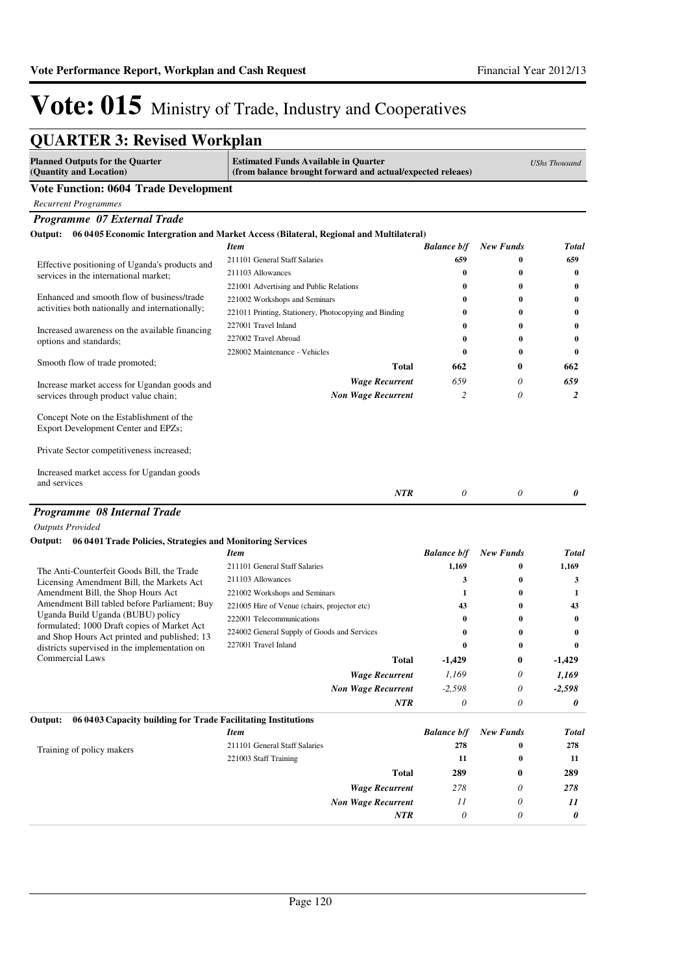Commercial Laws

Training of policy makers

**Output: 06 0403 Capacity building for Trade Facilitating Institutions**

*1,169 -2,598 0*

> *278 11 0*

**289**

*0 0 0*

*0 0 0*

**0**

**0**

**-1,429**

# Vote: 015 Ministry of Trade, Industry and Cooperatives

| <b>QUARTER 3: Revised Workplan</b>                                               |                                                                                                           |                    |                  |                      |
|----------------------------------------------------------------------------------|-----------------------------------------------------------------------------------------------------------|--------------------|------------------|----------------------|
| <b>Planned Outputs for the Quarter</b><br>(Quantity and Location)                | <b>Estimated Funds Available in Quarter</b><br>(from balance brought forward and actual/expected releaes) |                    |                  | <b>UShs Thousand</b> |
| <b>Vote Function: 0604 Trade Development</b>                                     |                                                                                                           |                    |                  |                      |
| <b>Recurrent Programmes</b>                                                      |                                                                                                           |                    |                  |                      |
| Programme 07 External Trade                                                      |                                                                                                           |                    |                  |                      |
|                                                                                  | Output: 06 0405 Economic Intergration and Market Access (Bilateral, Regional and Multilateral)            |                    |                  |                      |
|                                                                                  | Item                                                                                                      | <b>Balance b/f</b> | <b>New Funds</b> | Total                |
| Effective positioning of Uganda's products and                                   | 211101 General Staff Salaries                                                                             | 659                | $\bf{0}$         | 659                  |
| services in the international market;                                            | 211103 Allowances                                                                                         | $\bf{0}$           | $\bf{0}$         | 0                    |
|                                                                                  | 221001 Advertising and Public Relations                                                                   | $\bf{0}$           | $\bf{0}$         | 0                    |
| Enhanced and smooth flow of business/trade                                       | 221002 Workshops and Seminars                                                                             | $\bf{0}$           | $\bf{0}$         | 0                    |
| activities both nationally and internationally;                                  | 221011 Printing, Stationery, Photocopying and Binding                                                     | $\bf{0}$           | $\bf{0}$         | 0                    |
| Increased awareness on the available financing                                   | 227001 Travel Inland                                                                                      | $\bf{0}$           | $\bf{0}$         | $\boldsymbol{0}$     |
| options and standards;                                                           | 227002 Travel Abroad                                                                                      | $\bf{0}$           | $\bf{0}$         | 0                    |
|                                                                                  | 228002 Maintenance - Vehicles                                                                             | $\bf{0}$           | 0                | $\bf{0}$             |
| Smooth flow of trade promoted;                                                   | <b>Total</b>                                                                                              | 662                | $\bf{0}$         | 662                  |
| Increase market access for Ugandan goods and                                     | <b>Wage Recurrent</b>                                                                                     | 659                | 0                | 659                  |
| services through product value chain;                                            | <b>Non Wage Recurrent</b>                                                                                 | $\overline{c}$     | 0                | $\overline{2}$       |
| Concept Note on the Establishment of the<br>Export Development Center and EPZs;  |                                                                                                           |                    |                  |                      |
| Private Sector competitiveness increased;                                        |                                                                                                           |                    |                  |                      |
| Increased market access for Ugandan goods<br>and services                        |                                                                                                           |                    |                  |                      |
|                                                                                  | <b>NTR</b>                                                                                                | $\theta$           | $\theta$         | 0                    |
| Programme 08 Internal Trade                                                      |                                                                                                           |                    |                  |                      |
| <b>Outputs Provided</b>                                                          |                                                                                                           |                    |                  |                      |
| Output: 06 0401 Trade Policies, Strategies and Monitoring Services               |                                                                                                           |                    |                  |                      |
|                                                                                  | <b>Item</b>                                                                                               | <b>Balance b/f</b> | <b>New Funds</b> | <b>Total</b>         |
| The Anti-Counterfeit Goods Bill, the Trade                                       | 211101 General Staff Salaries                                                                             | 1.169              | $\bf{0}$         | 1.169                |
| Licensing Amendment Bill, the Markets Act                                        | 211103 Allowances                                                                                         | 3                  | 0                | 3                    |
| Amendment Bill, the Shop Hours Act                                               | 221002 Workshops and Seminars                                                                             | $\mathbf{1}$       | $\bf{0}$         | 1                    |
| Amendment Bill tabled before Parliament; Buy                                     | 221005 Hire of Venue (chairs, projector etc)                                                              | 43                 | $\bf{0}$         | 43                   |
| Uganda Build Uganda (BUBU) policy<br>formulated; 1000 Draft copies of Market Act | 222001 Telecommunications                                                                                 | 0                  | $\bf{0}$         | $\bf{0}$             |
| and Shop Hours Act printed and published; 13                                     | 224002 General Supply of Goods and Services                                                               | $\bf{0}$           | $\bf{0}$         | 0                    |
| districts supervised in the implementation on                                    | 227001 Travel Inland                                                                                      | $\bf{0}$           | $\bf{0}$         | $\bf{0}$             |

*Wage Recurrent Non Wage Recurrent*

*Wage Recurrent Non Wage Recurrent*

**Total**

*1,169 -2,598 0*

> *278 11 0*

**289**

**-1,429**

*NTR*

*Item Balance b/f New Funds Total* 211101 General Staff Salaries **278 0 278** 221003 Staff Training **11 0 11**

**Total**

*NTR*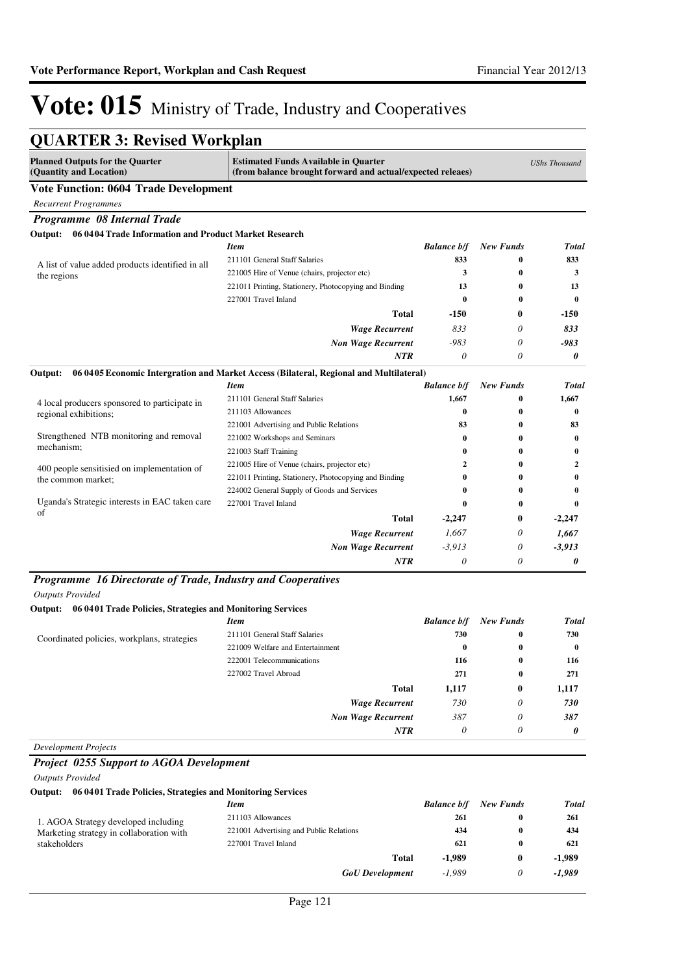| <b>Planned Outputs for the Quarter</b><br>(Quantity and Location) | <b>Estimated Funds Available in Quarter</b><br>(from balance brought forward and actual/expected releaes) |                    |                  | <b>UShs Thousand</b> |
|-------------------------------------------------------------------|-----------------------------------------------------------------------------------------------------------|--------------------|------------------|----------------------|
| <b>Vote Function: 0604 Trade Development</b>                      |                                                                                                           |                    |                  |                      |
| <b>Recurrent Programmes</b>                                       |                                                                                                           |                    |                  |                      |
| Programme 08 Internal Trade                                       |                                                                                                           |                    |                  |                      |
| Output: 06 0404 Trade Information and Product Market Research     |                                                                                                           |                    |                  |                      |
|                                                                   | <b>Item</b>                                                                                               | <b>Balance b/f</b> | <b>New Funds</b> | <b>Total</b>         |
| A list of value added products identified in all                  | 211101 General Staff Salaries                                                                             | 833                | 0                | 833                  |
| the regions                                                       | 221005 Hire of Venue (chairs, projector etc)                                                              | 3                  | 0                | 3                    |
|                                                                   | 221011 Printing, Stationery, Photocopying and Binding                                                     | 13                 | 0                | 13                   |
|                                                                   | 227001 Travel Inland                                                                                      | $\bf{0}$           | $\bf{0}$         | $\mathbf{0}$         |
|                                                                   | <b>Total</b>                                                                                              | $-150$             | 0                | -150                 |
|                                                                   | <b>Wage Recurrent</b>                                                                                     | 833                | 0                | 833                  |
|                                                                   | <b>Non Wage Recurrent</b>                                                                                 | $-983$             | 0                | $-983$               |
|                                                                   | <b>NTR</b>                                                                                                | 0                  | 0                | 0                    |
| Output:                                                           | 06 04 05 Economic Intergration and Market Access (Bilateral, Regional and Multilateral)                   |                    |                  |                      |
|                                                                   | <b>Item</b>                                                                                               | <b>Balance b/f</b> | <b>New Funds</b> | <b>Total</b>         |
| 4 local producers sponsored to participate in                     | 211101 General Staff Salaries                                                                             | 1,667              | 0                | 1,667                |
| regional exhibitions;                                             | 211103 Allowances                                                                                         | $\bf{0}$           | 0                | $\bf{0}$             |
|                                                                   | 221001 Advertising and Public Relations                                                                   | 83                 | 0                | 83                   |
| Strengthened NTB monitoring and removal                           | 221002 Workshops and Seminars                                                                             | 0                  | 0                | $\bf{0}$             |
| mechanism;                                                        | 221003 Staff Training                                                                                     | 0                  | 0                | 0                    |
| 400 people sensitisied on implementation of                       | 221005 Hire of Venue (chairs, projector etc)                                                              | 2                  | 0                | $\mathbf{2}$         |
| the common market;                                                | 221011 Printing, Stationery, Photocopying and Binding                                                     | 0                  | 0                | $\bf{0}$             |
|                                                                   | 224002 General Supply of Goods and Services                                                               | 0                  | 0                | 0                    |
| Uganda's Strategic interests in EAC taken care<br>of              | 227001 Travel Inland                                                                                      | $\bf{0}$           | 0                | 0                    |
|                                                                   | Total                                                                                                     | $-2,247$           | 0                | $-2,247$             |
|                                                                   | <b>Wage Recurrent</b>                                                                                     | 1.667              | 0                | 1.667                |
|                                                                   | <b>Non Wage Recurrent</b>                                                                                 | $-3,913$           | 0                | $-3,913$             |
|                                                                   | <b>NTR</b>                                                                                                | $\theta$           | 0                | 0                    |

#### *Outputs Provided*

#### **Output: 06 0401 Trade Policies, Strategies and Monitoring Services**

|                                             | <b>Item</b>                      | <b>Balance b/f</b> | <b>New Funds</b> | <b>Total</b> |
|---------------------------------------------|----------------------------------|--------------------|------------------|--------------|
| Coordinated policies, workplans, strategies | 211101 General Staff Salaries    | 730                | $\bf{0}$         | 730          |
|                                             | 221009 Welfare and Entertainment | $\bf{0}$           | $\bf{0}$         | $\bf{0}$     |
|                                             | 222001 Telecommunications        |                    | $\bf{0}$         | 116          |
|                                             | 227002 Travel Abroad             | 271                | $\bf{0}$         | 271          |
|                                             | <b>Total</b>                     | 1,117              | $\bf{0}$         | 1,117        |
|                                             | <b>Wage Recurrent</b>            | 730                | 0                | 730          |
|                                             | <b>Non Wage Recurrent</b>        | 387                | 0                | 387          |
|                                             | <b>NTR</b>                       | $\theta$           | 0                | 0            |

*Development Projects*

#### *Project 0255 Support to AGOA Development*

*Outputs Provided*

**Output: 06 0401 Trade Policies, Strategies and Monitoring Services**

|                                          | Item                                    | <b>Balance b/f</b> | <b>New Funds</b> | Total  |
|------------------------------------------|-----------------------------------------|--------------------|------------------|--------|
| 1. AGOA Strategy developed including     | 211103 Allowances                       | 261                | 0                | 261    |
| Marketing strategy in collaboration with | 221001 Advertising and Public Relations | 434                | 0                | 434    |
| stakeholders                             | 227001 Travel Inland                    | 621                | 0                | 621    |
|                                          | Total                                   | -1.989             | 0                | -1.989 |
|                                          | <b>GoU</b> Development                  | $-1.989$           |                  | -1.989 |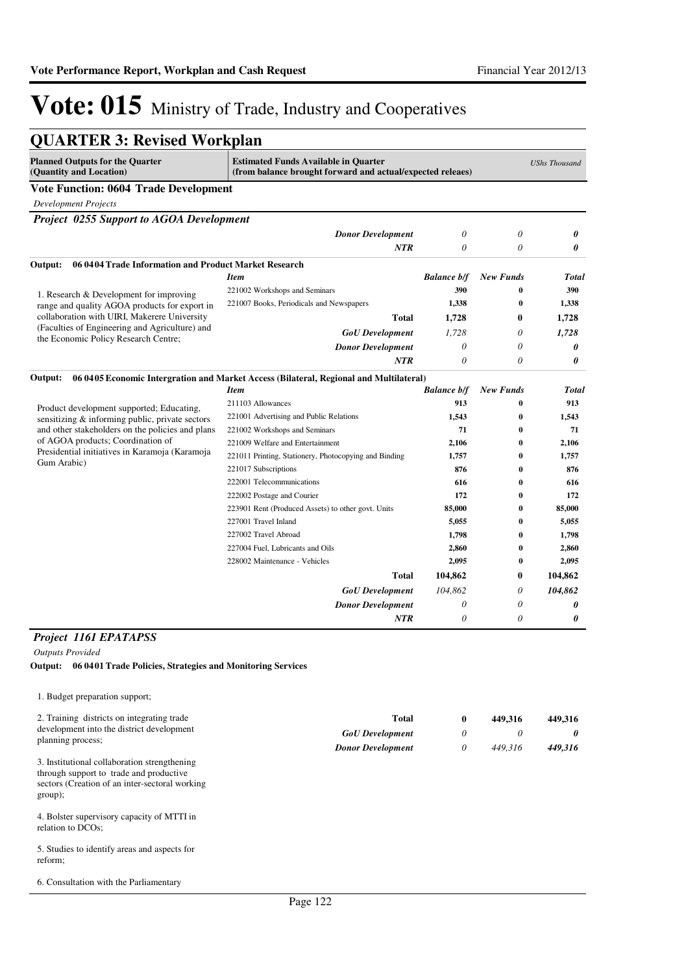| <b>QUARTER 3: Revised Workplan</b>                                                     |                                                                                                           |                    |                      |                      |
|----------------------------------------------------------------------------------------|-----------------------------------------------------------------------------------------------------------|--------------------|----------------------|----------------------|
| <b>Planned Outputs for the Quarter</b><br>(Quantity and Location)                      | <b>Estimated Funds Available in Quarter</b><br>(from balance brought forward and actual/expected releaes) |                    |                      | <b>UShs Thousand</b> |
| <b>Vote Function: 0604 Trade Development</b>                                           |                                                                                                           |                    |                      |                      |
| <b>Development Projects</b>                                                            |                                                                                                           |                    |                      |                      |
| <b>Project 0255 Support to AGOA Development</b>                                        |                                                                                                           |                    |                      |                      |
|                                                                                        | <b>Donor Development</b>                                                                                  | 0                  | 0                    | 0                    |
|                                                                                        | <b>NTR</b>                                                                                                | 0                  | 0                    | 0                    |
| 06 0404 Trade Information and Product Market Research<br>Output:                       |                                                                                                           |                    |                      |                      |
|                                                                                        | <b>Item</b>                                                                                               | <b>Balance b/f</b> | <b>New Funds</b>     | <b>Total</b>         |
| 1. Research & Development for improving                                                | 221002 Workshops and Seminars                                                                             | 390                | $\bf{0}$             | 390                  |
| range and quality AGOA products for export in                                          | 221007 Books, Periodicals and Newspapers                                                                  | 1,338              | $\bf{0}$             | 1,338                |
| collaboration with UIRI, Makerere University                                           | Total                                                                                                     | 1,728              | 0                    | 1,728                |
| (Faculties of Engineering and Agriculture) and<br>the Economic Policy Research Centre; | <b>GoU</b> Development                                                                                    | 1,728              | 0                    | 1,728                |
|                                                                                        | <b>Donor Development</b>                                                                                  | 0                  | 0                    | 0                    |
|                                                                                        | <b>NTR</b>                                                                                                | 0                  | $\theta$             | 0                    |
| Output:                                                                                | 06 0405 Economic Intergration and Market Access (Bilateral, Regional and Multilateral)                    |                    |                      |                      |
|                                                                                        | <b>Item</b>                                                                                               | <b>Balance b/f</b> | <b>New Funds</b>     | <b>Total</b>         |
| Product development supported; Educating,                                              | 211103 Allowances                                                                                         | 913                | $\bf{0}$             | 913                  |
| sensitizing & informing public, private sectors                                        | 221001 Advertising and Public Relations                                                                   | 1.543              | $\bf{0}$             | 1,543                |
| and other stakeholders on the policies and plans                                       | 221002 Workshops and Seminars                                                                             | 71                 | $\bf{0}$             | 71                   |
| of AGOA products; Coordination of<br>Presidential initiatives in Karamoja (Karamoja    | 221009 Welfare and Entertainment                                                                          | 2,106              | $\bf{0}$             | 2,106                |
| Gum Arabic)                                                                            | 221011 Printing, Stationery, Photocopying and Binding                                                     | 1,757              | $\mathbf{0}$         | 1,757                |
|                                                                                        | 221017 Subscriptions                                                                                      | 876                | 0                    | 876                  |
|                                                                                        | 222001 Telecommunications                                                                                 | 616<br>172         | $\bf{0}$<br>$\bf{0}$ | 616<br>172           |
|                                                                                        | 222002 Postage and Courier<br>223901 Rent (Produced Assets) to other govt. Units                          | 85,000             | $\bf{0}$             | 85,000               |
|                                                                                        | 227001 Travel Inland                                                                                      | 5,055              | $\bf{0}$             | 5,055                |
|                                                                                        | 227002 Travel Abroad                                                                                      | 1,798              | 0                    | 1,798                |
|                                                                                        | 227004 Fuel, Lubricants and Oils                                                                          | 2,860              | $\bf{0}$             | 2,860                |
|                                                                                        | 228002 Maintenance - Vehicles                                                                             | 2,095              | $\bf{0}$             | 2,095                |
|                                                                                        | Total                                                                                                     | 104,862            | 0                    | 104,862              |
|                                                                                        | <b>GoU</b> Development                                                                                    | 104,862            | 0                    | 104,862              |
|                                                                                        | <b>Donor Development</b>                                                                                  | 0                  | 0                    | 0                    |
|                                                                                        | <b>NTR</b>                                                                                                | 0                  | 0                    | 0                    |
|                                                                                        |                                                                                                           |                    |                      |                      |

#### *Project 1161 EPATAPSS*

*Outputs Provided*

**Output: 06 0401 Trade Policies, Strategies and Monitoring Services**

| 1. Budget preparation support;                                                                                                                        |                          |   |         |          |
|-------------------------------------------------------------------------------------------------------------------------------------------------------|--------------------------|---|---------|----------|
| 2. Training districts on integrating trade                                                                                                            | <b>Total</b>             | 0 | 449.316 | 449,316  |
| development into the district development                                                                                                             | <b>GoU</b> Development   | 0 | 0       | $\theta$ |
| planning process;                                                                                                                                     | <b>Donor Development</b> | 0 | 449.316 | 449,316  |
| 3. Institutional collaboration strengthening<br>through support to trade and productive<br>sectors (Creation of an inter-sectoral working)<br>group); |                          |   |         |          |
| 4. Bolster supervisory capacity of MTTI in<br>relation to DCOs;                                                                                       |                          |   |         |          |

5. Studies to identify areas and aspects for reform;

6. Consultation with the Parliamentary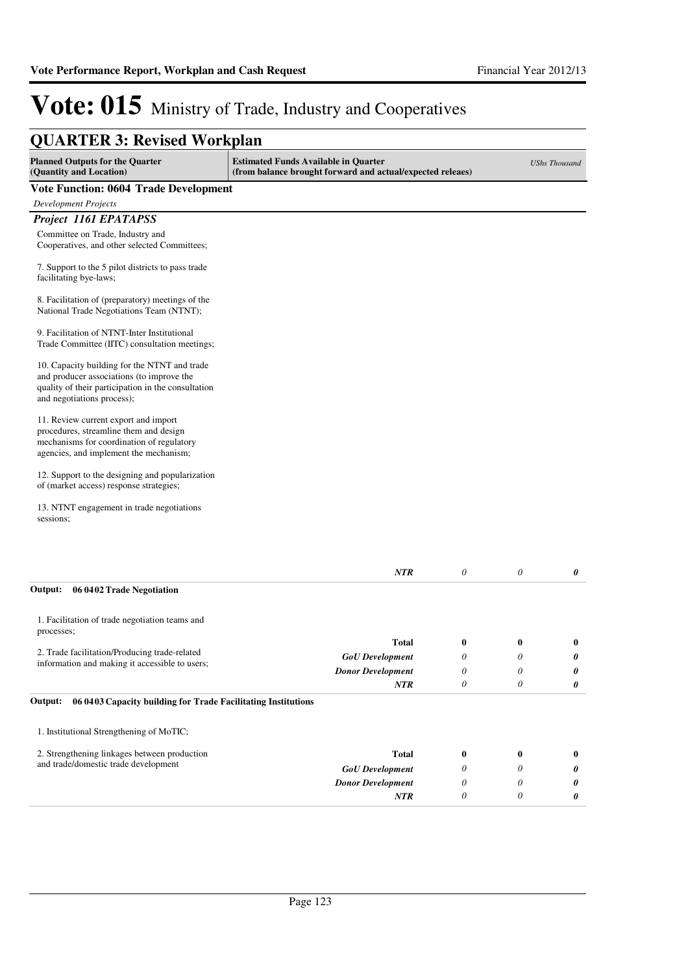*0 0 0*

*0 0 0*

*0 0 0*

# Vote: 015 Ministry of Trade, Industry and Cooperatives

| <b>QUARTER 3: Revised Workplan</b>                                                                                                                                            |                                                                                                           |                  |                  |                      |
|-------------------------------------------------------------------------------------------------------------------------------------------------------------------------------|-----------------------------------------------------------------------------------------------------------|------------------|------------------|----------------------|
| <b>Planned Outputs for the Quarter</b><br>(Quantity and Location)                                                                                                             | <b>Estimated Funds Available in Quarter</b><br>(from balance brought forward and actual/expected releaes) |                  |                  | <b>UShs Thousand</b> |
| <b>Vote Function: 0604 Trade Development</b>                                                                                                                                  |                                                                                                           |                  |                  |                      |
| <b>Development Projects</b>                                                                                                                                                   |                                                                                                           |                  |                  |                      |
| Project 1161 EPATAPSS                                                                                                                                                         |                                                                                                           |                  |                  |                      |
| Committee on Trade, Industry and<br>Cooperatives, and other selected Committees;                                                                                              |                                                                                                           |                  |                  |                      |
| 7. Support to the 5 pilot districts to pass trade<br>facilitating bye-laws;                                                                                                   |                                                                                                           |                  |                  |                      |
| 8. Facilitation of (preparatory) meetings of the<br>National Trade Negotiations Team (NTNT);                                                                                  |                                                                                                           |                  |                  |                      |
| 9. Facilitation of NTNT-Inter Institutional<br>Trade Committee (IITC) consultation meetings;                                                                                  |                                                                                                           |                  |                  |                      |
| 10. Capacity building for the NTNT and trade<br>and producer associations (to improve the<br>quality of their participation in the consultation<br>and negotiations process); |                                                                                                           |                  |                  |                      |
| 11. Review current export and import<br>procedures, streamline them and design<br>mechanisms for coordination of regulatory<br>agencies, and implement the mechanism;         |                                                                                                           |                  |                  |                      |
| 12. Support to the designing and popularization<br>of (market access) response strategies;                                                                                    |                                                                                                           |                  |                  |                      |
| 13. NTNT engagement in trade negotiations<br>sessions;                                                                                                                        |                                                                                                           |                  |                  |                      |
|                                                                                                                                                                               | <b>NTR</b>                                                                                                | $\theta$         | $\theta$         | 0                    |
| 06 0402 Trade Negotiation<br>Output:                                                                                                                                          |                                                                                                           |                  |                  |                      |
| 1. Facilitation of trade negotiation teams and<br>processes;                                                                                                                  |                                                                                                           |                  |                  |                      |
| 2. Trade facilitation/Producing trade-related                                                                                                                                 | Total                                                                                                     | $\bf{0}$         | $\bf{0}$         | $\bf{0}$             |
| information and making it accessible to users;                                                                                                                                | <b>GoU</b> Development                                                                                    | 0                | 0                | 0                    |
|                                                                                                                                                                               | <b>Donor Development</b>                                                                                  | $\theta$         | 0                | 0                    |
| Output:<br>06 04 03 Capacity building for Trade Facilitating Institutions                                                                                                     | NTR                                                                                                       | $\theta$         | 0                | 0                    |
| 1. Institutional Strengthening of MoTIC;                                                                                                                                      |                                                                                                           |                  |                  |                      |
|                                                                                                                                                                               |                                                                                                           |                  |                  |                      |
| 2. Strengthening linkages between production                                                                                                                                  | <b>Total</b>                                                                                              | $\boldsymbol{0}$ | $\boldsymbol{0}$ | $\bf{0}$             |

*Donor Development*

*NTR*

and trade/domestic trade development *GoU Development*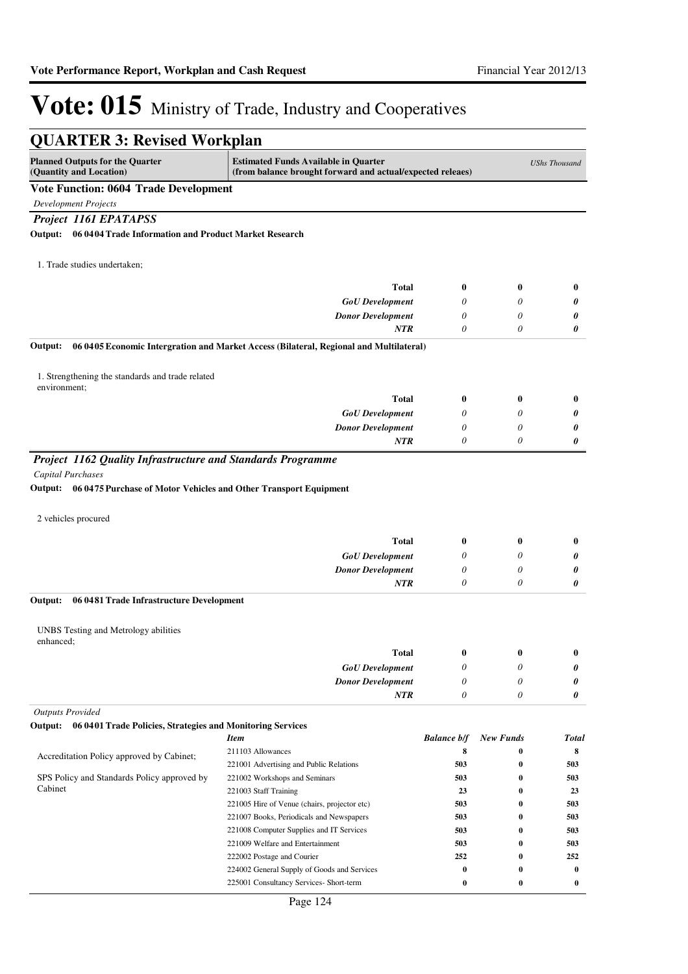| <b>QUARTER 3: Revised Workplan</b>                                                                   |                                                                                                           |                    |                  |                      |
|------------------------------------------------------------------------------------------------------|-----------------------------------------------------------------------------------------------------------|--------------------|------------------|----------------------|
| <b>Planned Outputs for the Quarter</b><br>(Quantity and Location)                                    | <b>Estimated Funds Available in Quarter</b><br>(from balance brought forward and actual/expected releaes) |                    |                  | <b>UShs Thousand</b> |
| <b>Vote Function: 0604 Trade Development</b>                                                         |                                                                                                           |                    |                  |                      |
| <b>Development Projects</b>                                                                          |                                                                                                           |                    |                  |                      |
| Project 1161 EPATAPSS                                                                                |                                                                                                           |                    |                  |                      |
| Output: 06 0404 Trade Information and Product Market Research                                        |                                                                                                           |                    |                  |                      |
|                                                                                                      |                                                                                                           |                    |                  |                      |
| 1. Trade studies undertaken;                                                                         |                                                                                                           |                    |                  |                      |
|                                                                                                      |                                                                                                           |                    |                  |                      |
|                                                                                                      | <b>Total</b>                                                                                              | $\bf{0}$           | $\bf{0}$         | $\bf{0}$             |
|                                                                                                      | <b>GoU</b> Development                                                                                    | 0                  | 0                | 0                    |
|                                                                                                      | <b>Donor Development</b>                                                                                  | 0                  | 0                | 0                    |
|                                                                                                      | NTR                                                                                                       | $\theta$           | 0                | 0                    |
| Output:                                                                                              | 06 0405 Economic Intergration and Market Access (Bilateral, Regional and Multilateral)                    |                    |                  |                      |
| 1. Strengthening the standards and trade related                                                     |                                                                                                           |                    |                  |                      |
| environment;                                                                                         | <b>Total</b>                                                                                              | $\boldsymbol{0}$   | $\bf{0}$         |                      |
|                                                                                                      |                                                                                                           |                    |                  | $\bf{0}$             |
|                                                                                                      | <b>GoU</b> Development                                                                                    | 0                  | 0                | 0                    |
|                                                                                                      | <b>Donor Development</b><br><b>NTR</b>                                                                    | 0<br>0             | 0<br>0           | 0<br>0               |
| Project 1162 Quality Infrastructure and Standards Programme                                          |                                                                                                           |                    |                  |                      |
| <b>Capital Purchases</b><br>Output: 06 0475 Purchase of Motor Vehicles and Other Transport Equipment |                                                                                                           |                    |                  |                      |
| 2 vehicles procured                                                                                  |                                                                                                           |                    |                  |                      |
|                                                                                                      | <b>Total</b>                                                                                              | $\bf{0}$           | $\bf{0}$         | $\bf{0}$             |
|                                                                                                      | <b>GoU</b> Development                                                                                    | 0                  | 0                | 0                    |
|                                                                                                      | <b>Donor Development</b>                                                                                  | 0                  | 0                | 0                    |
|                                                                                                      | <b>NTR</b>                                                                                                | 0                  | 0                | 0                    |
| 06 0481 Trade Infrastructure Development<br>Output:                                                  |                                                                                                           |                    |                  |                      |
| UNBS Testing and Metrology abilities                                                                 |                                                                                                           |                    |                  |                      |
| enhanced;                                                                                            |                                                                                                           |                    |                  |                      |
|                                                                                                      | <b>Total</b>                                                                                              | $\bf{0}$           | $\bf{0}$         | $\bf{0}$             |
|                                                                                                      | <b>GoU</b> Development                                                                                    | 0                  | 0                | 0                    |
|                                                                                                      | <b>Donor Development</b>                                                                                  | 0                  | 0                | 0                    |
|                                                                                                      | <b>NTR</b>                                                                                                | 0                  | $\theta$         | 0                    |
| <b>Outputs Provided</b>                                                                              |                                                                                                           |                    |                  |                      |
| 06 0401 Trade Policies, Strategies and Monitoring Services<br>Output:                                |                                                                                                           |                    |                  |                      |
|                                                                                                      | <b>Item</b>                                                                                               | <b>Balance b/f</b> | <b>New Funds</b> | Total                |
| Accreditation Policy approved by Cabinet;                                                            | 211103 Allowances                                                                                         | 8                  | $\bf{0}$         | 8                    |
|                                                                                                      | 221001 Advertising and Public Relations                                                                   | 503                | 0                | 503                  |
| SPS Policy and Standards Policy approved by<br>Cabinet                                               | 221002 Workshops and Seminars                                                                             | 503                | 0                | 503                  |
|                                                                                                      | 221003 Staff Training                                                                                     | 23                 | 0                | 23                   |
|                                                                                                      | 221005 Hire of Venue (chairs, projector etc)                                                              | 503                | $\bf{0}$         | 503                  |
|                                                                                                      | 221007 Books, Periodicals and Newspapers<br>221008 Computer Supplies and IT Services                      | 503<br>503         | 0<br>0           | 503<br>503           |
|                                                                                                      | 221009 Welfare and Entertainment                                                                          | 503                | $\bf{0}$         | 503                  |
|                                                                                                      | 222002 Postage and Courier                                                                                | 252                | 0                | 252                  |
|                                                                                                      | 224002 General Supply of Goods and Services                                                               | 0                  | $\bf{0}$         | $\bf{0}$             |
|                                                                                                      | 225001 Consultancy Services- Short-term                                                                   | $\boldsymbol{0}$   | 0                | $\bf{0}$             |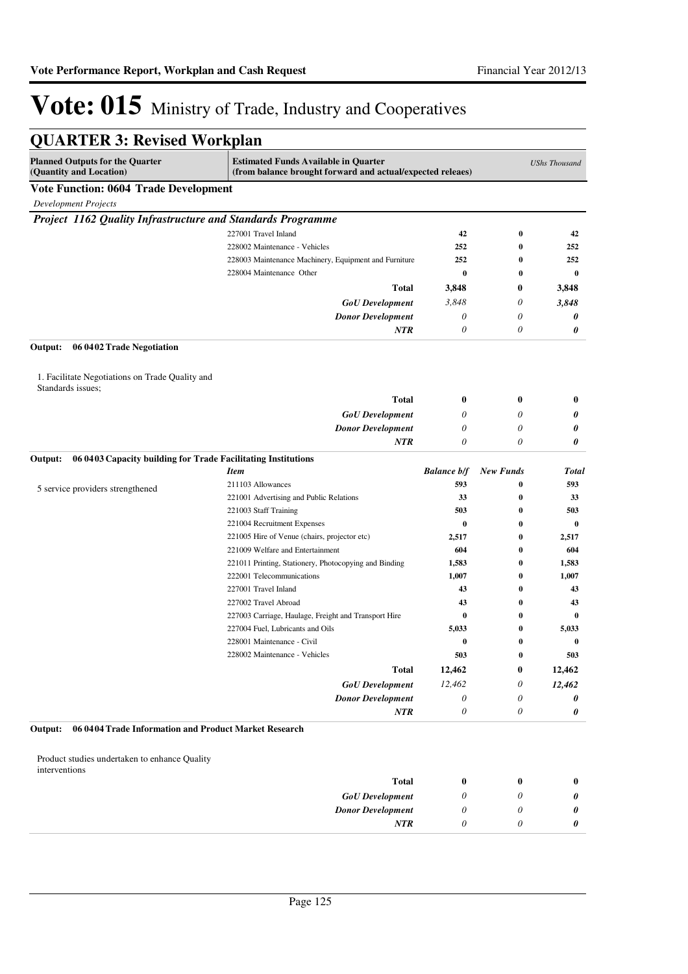| <b>QUARTER 3: Revised Workplan</b>                                |                                                                                                           |                           |                  |                      |
|-------------------------------------------------------------------|-----------------------------------------------------------------------------------------------------------|---------------------------|------------------|----------------------|
| <b>Planned Outputs for the Quarter</b><br>(Quantity and Location) | <b>Estimated Funds Available in Quarter</b><br>(from balance brought forward and actual/expected releaes) |                           |                  | <b>UShs Thousand</b> |
| <b>Vote Function: 0604 Trade Development</b>                      |                                                                                                           |                           |                  |                      |
| <b>Development Projects</b>                                       |                                                                                                           |                           |                  |                      |
| Project 1162 Quality Infrastructure and Standards Programme       |                                                                                                           |                           |                  |                      |
|                                                                   | 227001 Travel Inland                                                                                      | 42                        | $\bf{0}$         | 42                   |
|                                                                   | 228002 Maintenance - Vehicles                                                                             | 252                       | 0                | 252                  |
|                                                                   | 228003 Maintenance Machinery, Equipment and Furniture                                                     | 252                       | 0                | 252                  |
|                                                                   | 228004 Maintenance Other                                                                                  | $\bf{0}$                  | $\bf{0}$         | $\bf{0}$             |
|                                                                   | Total                                                                                                     | 3,848                     | 0                | 3,848                |
|                                                                   | <b>GoU</b> Development                                                                                    | 3,848                     | 0                | 3,848                |
|                                                                   | <b>Donor Development</b>                                                                                  | 0                         | 0                | 0                    |
|                                                                   | NTR                                                                                                       | 0                         | 0                | 0                    |
| Output:<br>06 0402 Trade Negotiation                              |                                                                                                           |                           |                  |                      |
| 1. Facilitate Negotiations on Trade Quality and                   |                                                                                                           |                           |                  |                      |
| Standards issues;                                                 | Total                                                                                                     | $\bf{0}$                  | $\bf{0}$         | $\bf{0}$             |
|                                                                   | <b>GoU</b> Development                                                                                    | 0                         | 0                | 0                    |
|                                                                   | <b>Donor Development</b>                                                                                  | 0                         | 0                | 0                    |
|                                                                   | <b>NTR</b>                                                                                                | $\theta$                  | 0                | 0                    |
| Output:                                                           | 06 04 03 Capacity building for Trade Facilitating Institutions                                            |                           |                  |                      |
|                                                                   | <b>Item</b>                                                                                               | <b>Balance b/f</b>        | <b>New Funds</b> | Total                |
| 5 service providers strengthened                                  | 211103 Allowances                                                                                         | 593                       | 0                | 593                  |
|                                                                   | 221001 Advertising and Public Relations                                                                   | 33                        | 0                | 33                   |
|                                                                   | 221003 Staff Training                                                                                     | 503                       | 0                | 503                  |
|                                                                   | 221004 Recruitment Expenses                                                                               | $\bf{0}$                  | 0                | $\bf{0}$             |
|                                                                   | 221005 Hire of Venue (chairs, projector etc)                                                              | 2,517                     | 0                | 2,517                |
|                                                                   | 221009 Welfare and Entertainment                                                                          | 604                       | $\bf{0}$         | 604                  |
|                                                                   | 221011 Printing, Stationery, Photocopying and Binding                                                     | 1,583                     | 0                | 1,583                |
|                                                                   | 222001 Telecommunications                                                                                 | 1,007                     | 0                | 1,007                |
|                                                                   | 227001 Travel Inland                                                                                      | 43                        | 0                | 43                   |
|                                                                   | 227002 Travel Abroad                                                                                      | 43                        | 0                | 43                   |
|                                                                   | 227003 Carriage, Haulage, Freight and Transport Hire                                                      | $\bf{0}$                  | $\bf{0}$         | 0                    |
|                                                                   | 227004 Fuel, Lubricants and Oils                                                                          | 5,033                     | 0                | 5,033                |
|                                                                   | 228001 Maintenance - Civil                                                                                | $\bf{0}$                  | 0                | $\bf{0}$             |
|                                                                   | 228002 Maintenance - Vehicles                                                                             | 503                       | $\boldsymbol{0}$ | 503                  |
|                                                                   | Total                                                                                                     | 12,462                    | 0                | 12,462               |
|                                                                   | <b>GoU</b> Development                                                                                    | 12,462                    | 0                | 12,462               |
|                                                                   | <b>Donor Development</b>                                                                                  | $\theta$                  | 0                | 0                    |
| 06 0404 Trade Information and Product Market Research<br>Output:  | <b>NTR</b>                                                                                                | $\boldsymbol{\mathit{0}}$ | 0                | 0                    |
|                                                                   |                                                                                                           |                           |                  |                      |
| Product studies undertaken to enhance Quality<br>interventions    |                                                                                                           |                           |                  |                      |
|                                                                   | <b>Total</b>                                                                                              | $\bf{0}$                  | $\bf{0}$         | $\bf{0}$             |
|                                                                   | <b>GoU</b> Development                                                                                    | 0                         | 0                | 0                    |
|                                                                   | <b>Donor Development</b>                                                                                  | $\theta$                  | 0                | 0                    |
|                                                                   | <b>NTR</b>                                                                                                | 0                         | 0                | 0                    |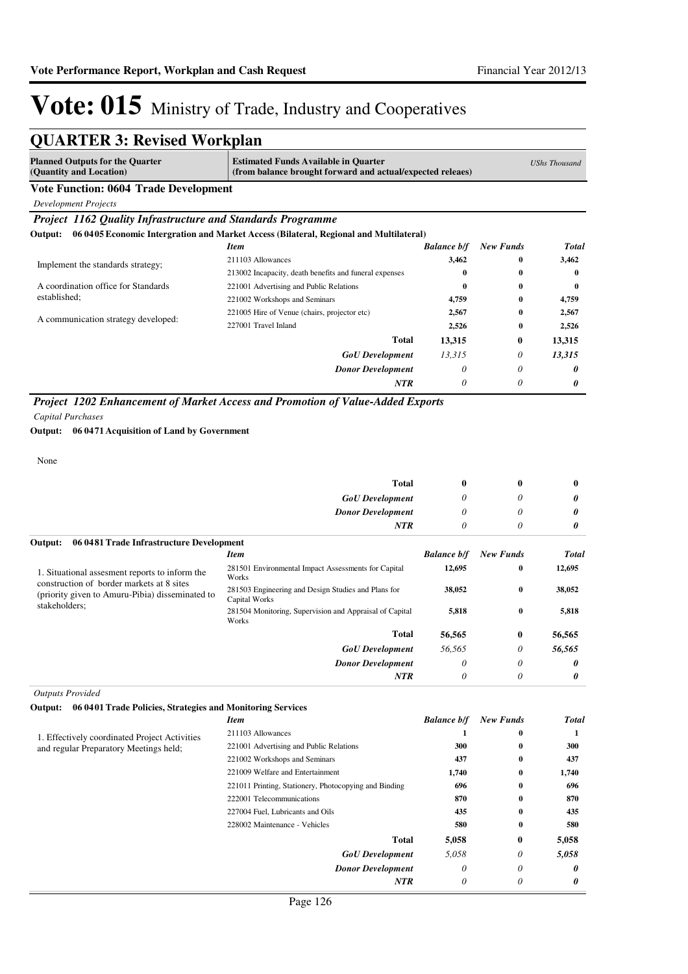*0*

*0*

*0*

# Vote: 015 Ministry of Trade, Industry and Cooperatives

| <b>QUARTER 3: Revised Workplan</b> |  |  |
|------------------------------------|--|--|
|------------------------------------|--|--|

| <b>Planned Outputs for the Quarter</b><br>(Quantity and Location) | <b>Estimated Funds Available in Quarter</b><br>(from balance brought forward and actual/expected releaes) |                    |                  | <b>UShs Thousand</b> |
|-------------------------------------------------------------------|-----------------------------------------------------------------------------------------------------------|--------------------|------------------|----------------------|
| <b>Vote Function: 0604 Trade Development</b>                      |                                                                                                           |                    |                  |                      |
| <b>Development Projects</b>                                       |                                                                                                           |                    |                  |                      |
| Project 1162 Quality Infrastructure and Standards Programme       |                                                                                                           |                    |                  |                      |
| Output:                                                           | 06 0405 Economic Intergration and Market Access (Bilateral, Regional and Multilateral)                    |                    |                  |                      |
|                                                                   | <b>Item</b>                                                                                               | <b>Balance b/f</b> | <b>New Funds</b> | Total                |
| Implement the standards strategy;                                 | 211103 Allowances                                                                                         | 3,462              | $\mathbf{0}$     | 3,462                |
|                                                                   | 213002 Incapacity, death benefits and funeral expenses                                                    | 0                  | $\mathbf{0}$     | $\mathbf{0}$         |
| A coordination office for Standards                               | 221001 Advertising and Public Relations                                                                   | 0                  | $\bf{0}$         | $\bf{0}$             |
| established;                                                      | 221002 Workshops and Seminars                                                                             | 4,759              | $\bf{0}$         | 4,759                |
|                                                                   | 221005 Hire of Venue (chairs, projector etc)                                                              | 2,567              | $\bf{0}$         | 2,567                |
| A communication strategy developed:                               | 227001 Travel Inland                                                                                      | 2,526              | $\bf{0}$         | 2,526                |
|                                                                   | <b>Total</b>                                                                                              | 13,315             | 0                | 13,315               |
|                                                                   | <b>GoU</b> Development                                                                                    | 13,315             | 0                | 13,315               |
|                                                                   | <b>Donor Development</b>                                                                                  | 0                  | 0                | 0                    |
|                                                                   | <b>NTR</b>                                                                                                | $\theta$           | 0                | 0                    |

*Project 1202 Enhancement of Market Access and Promotion of Value-Added Exports*

*Capital Purchases*

#### **Output: 06 0471 Acquisition of Land by Government**

None

|                                                                                              | Total                                                                | $\boldsymbol{0}$   | $\bf{0}$         | $\bf{0}$     |
|----------------------------------------------------------------------------------------------|----------------------------------------------------------------------|--------------------|------------------|--------------|
|                                                                                              | <b>GoU</b> Development                                               | $\theta$           | 0                | 0            |
|                                                                                              | <b>Donor Development</b>                                             | $\theta$           | 0                | 0            |
|                                                                                              | <b>NTR</b>                                                           | $\theta$           | 0                | 0            |
| 06 0481 Trade Infrastructure Development<br>Output:                                          |                                                                      |                    |                  |              |
|                                                                                              | <b>Item</b>                                                          | <b>Balance b/f</b> | <b>New Funds</b> | <b>Total</b> |
| 1. Situational assessment reports to inform the<br>construction of border markets at 8 sites | 281501 Environmental Impact Assessments for Capital<br>Works         | 12,695             | $\bf{0}$         | 12,695       |
| (priority given to Amuru-Pibia) disseminated to                                              | 281503 Engineering and Design Studies and Plans for<br>Capital Works | 38,052             | $\bf{0}$         | 38,052       |
| stakeholders;                                                                                | 281504 Monitoring, Supervision and Appraisal of Capital<br>Works     | 5,818              | $\bf{0}$         | 5,818        |
|                                                                                              | <b>Total</b>                                                         | 56,565             | $\bf{0}$         | 56,565       |
|                                                                                              | <b>GoU</b> Development                                               | 56,565             | 0                | 56,565       |
|                                                                                              | <b>Donor Development</b>                                             | $\theta$           | 0                | 0            |

*NTR*

#### *Outputs Provided*

#### **Output: 06 0401 Trade Policies, Strategies and Monitoring Services**

|                                               | <b>Item</b>                                           | <b>Balance b/f</b> | <b>New Funds</b> | <b>Total</b> |
|-----------------------------------------------|-------------------------------------------------------|--------------------|------------------|--------------|
| 1. Effectively coordinated Project Activities | 211103 Allowances                                     |                    | $\mathbf{0}$     |              |
| and regular Preparatory Meetings held;        | 221001 Advertising and Public Relations               | 300                | $\bf{0}$         | 300          |
|                                               | 221002 Workshops and Seminars                         | 437                | $\bf{0}$         | 437          |
|                                               | 221009 Welfare and Entertainment                      | 1,740              | $\bf{0}$         | 1,740        |
|                                               | 221011 Printing, Stationery, Photocopying and Binding | 696                | $\bf{0}$         | 696          |
|                                               | 222001 Telecommunications                             | 870                | $\mathbf{0}$     | 870          |
|                                               | 227004 Fuel, Lubricants and Oils                      | 435                | $\mathbf{0}$     | 435          |
|                                               | 228002 Maintenance - Vehicles                         | 580                | $\mathbf{0}$     | 580          |
|                                               | <b>Total</b>                                          | 5,058              | $\bf{0}$         | 5,058        |
|                                               | <b>GoU</b> Development                                | 5,058              | 0                | 5,058        |
|                                               | <b>Donor Development</b>                              | 0                  | 0                | 0            |
|                                               | <b>NTR</b>                                            | 0                  | $\theta$         | 0            |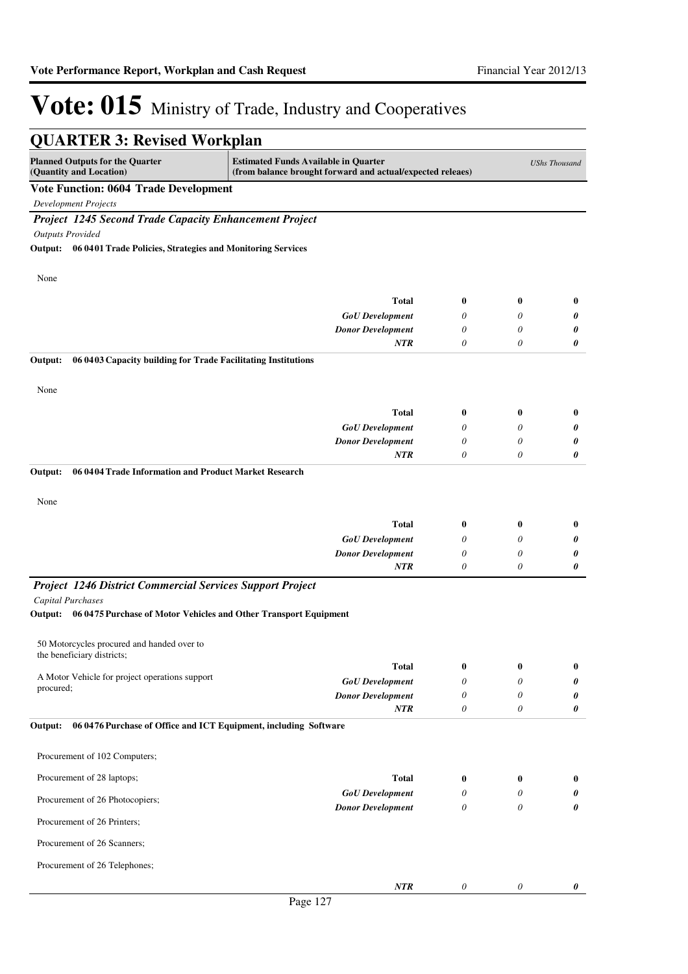| <b>QUARTER 3: Revised Workplan</b>                                                                                                                                                                     |                                        |                           |               |               |  |
|--------------------------------------------------------------------------------------------------------------------------------------------------------------------------------------------------------|----------------------------------------|---------------------------|---------------|---------------|--|
| <b>Planned Outputs for the Quarter</b><br><b>Estimated Funds Available in Quarter</b><br><b>UShs Thousand</b><br>(Quantity and Location)<br>(from balance brought forward and actual/expected releaes) |                                        |                           |               |               |  |
| <b>Vote Function: 0604 Trade Development</b>                                                                                                                                                           |                                        |                           |               |               |  |
| <b>Development Projects</b>                                                                                                                                                                            |                                        |                           |               |               |  |
| <b>Project 1245 Second Trade Capacity Enhancement Project</b>                                                                                                                                          |                                        |                           |               |               |  |
| <b>Outputs Provided</b>                                                                                                                                                                                |                                        |                           |               |               |  |
| Output: 06 0401 Trade Policies, Strategies and Monitoring Services                                                                                                                                     |                                        |                           |               |               |  |
|                                                                                                                                                                                                        |                                        |                           |               |               |  |
| None                                                                                                                                                                                                   |                                        |                           |               |               |  |
|                                                                                                                                                                                                        | <b>Total</b>                           | $\bf{0}$                  | $\bf{0}$      | $\bf{0}$      |  |
|                                                                                                                                                                                                        | <b>GoU</b> Development                 | 0                         | 0             | 0             |  |
|                                                                                                                                                                                                        | <b>Donor Development</b>               | 0                         | 0             | 0             |  |
|                                                                                                                                                                                                        | <b>NTR</b>                             | 0                         | 0             | 0             |  |
| Output:<br>06 04 03 Capacity building for Trade Facilitating Institutions                                                                                                                              |                                        |                           |               |               |  |
|                                                                                                                                                                                                        |                                        |                           |               |               |  |
| None                                                                                                                                                                                                   |                                        |                           |               |               |  |
|                                                                                                                                                                                                        | <b>Total</b>                           | $\bf{0}$                  | $\bf{0}$      | $\bf{0}$      |  |
|                                                                                                                                                                                                        | <b>GoU</b> Development                 | 0                         | 0             | 0             |  |
|                                                                                                                                                                                                        | <b>Donor Development</b>               | 0                         | 0             | 0             |  |
|                                                                                                                                                                                                        | <b>NTR</b>                             | 0                         | 0             | 0             |  |
| Output:<br>06 0404 Trade Information and Product Market Research                                                                                                                                       |                                        |                           |               |               |  |
|                                                                                                                                                                                                        |                                        |                           |               |               |  |
| None                                                                                                                                                                                                   |                                        |                           |               |               |  |
|                                                                                                                                                                                                        | <b>Total</b>                           | $\bf{0}$                  | 0             | $\bf{0}$      |  |
|                                                                                                                                                                                                        | <b>GoU</b> Development                 | 0                         | 0             | 0             |  |
|                                                                                                                                                                                                        | <b>Donor Development</b>               | 0                         | 0             | 0             |  |
|                                                                                                                                                                                                        | NTR                                    | 0                         | 0             | 0             |  |
| <b>Project 1246 District Commercial Services Support Project</b>                                                                                                                                       |                                        |                           |               |               |  |
| <b>Capital Purchases</b>                                                                                                                                                                               |                                        |                           |               |               |  |
| 06 0475 Purchase of Motor Vehicles and Other Transport Equipment<br>Output:                                                                                                                            |                                        |                           |               |               |  |
|                                                                                                                                                                                                        |                                        |                           |               |               |  |
| 50 Motorcycles procured and handed over to<br>the beneficiary districts;                                                                                                                               |                                        |                           |               |               |  |
|                                                                                                                                                                                                        | <b>Total</b>                           | 0                         | 0             | $\bf{0}$      |  |
| A Motor Vehicle for project operations support<br>procured;                                                                                                                                            | <b>GoU</b> Development                 | 0                         | 0             | 0             |  |
|                                                                                                                                                                                                        | <b>Donor Development</b>               | 0                         | 0             | 0             |  |
|                                                                                                                                                                                                        | NTR                                    | $\theta$                  | 0             | 0             |  |
| 06 0476 Purchase of Office and ICT Equipment, including Software<br>Output:                                                                                                                            |                                        |                           |               |               |  |
| Procurement of 102 Computers;                                                                                                                                                                          |                                        |                           |               |               |  |
|                                                                                                                                                                                                        |                                        |                           |               |               |  |
| Procurement of 28 laptops;                                                                                                                                                                             | <b>Total</b><br><b>GoU</b> Development | $\bf{0}$<br>0             | $\bf{0}$<br>0 | $\bf{0}$<br>0 |  |
| Procurement of 26 Photocopiers;                                                                                                                                                                        | <b>Donor Development</b>               | $\theta$                  | $\theta$      | 0             |  |
| Procurement of 26 Printers;                                                                                                                                                                            |                                        |                           |               |               |  |
| Procurement of 26 Scanners;                                                                                                                                                                            |                                        |                           |               |               |  |
| Procurement of 26 Telephones;                                                                                                                                                                          |                                        |                           |               |               |  |
|                                                                                                                                                                                                        | NTR                                    | $\boldsymbol{\mathit{0}}$ | 0             | 0             |  |
|                                                                                                                                                                                                        |                                        |                           |               |               |  |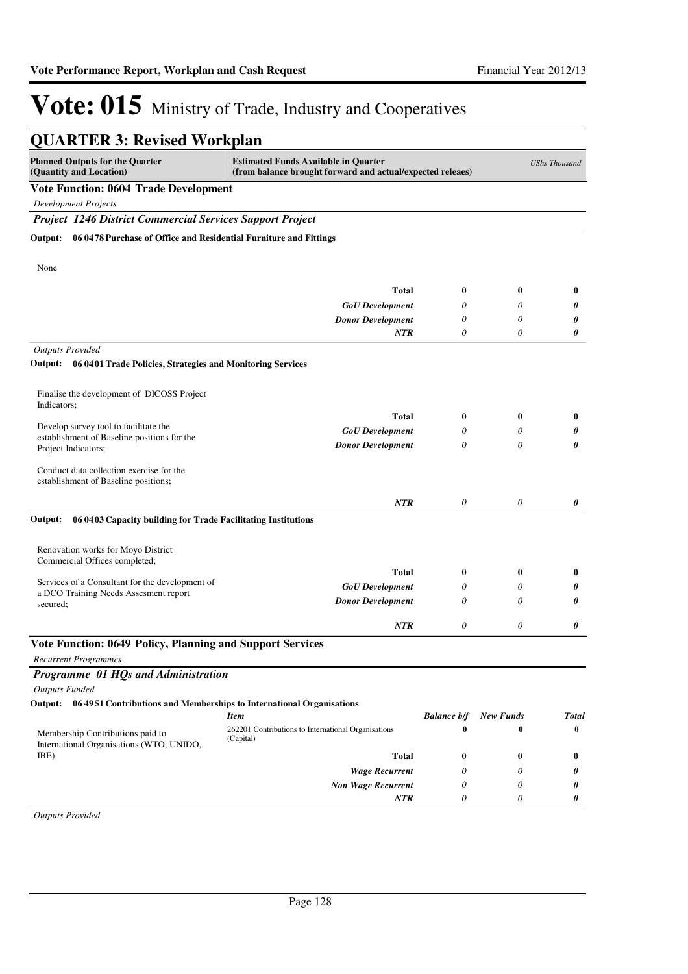| <b>QUARTER 3: Revised Workplan</b>                                                                                                                                                                     |                                                                  |                    |                  |              |
|--------------------------------------------------------------------------------------------------------------------------------------------------------------------------------------------------------|------------------------------------------------------------------|--------------------|------------------|--------------|
| <b>Planned Outputs for the Quarter</b><br><b>Estimated Funds Available in Quarter</b><br><b>UShs Thousand</b><br>(Quantity and Location)<br>(from balance brought forward and actual/expected releaes) |                                                                  |                    |                  |              |
| <b>Vote Function: 0604 Trade Development</b>                                                                                                                                                           |                                                                  |                    |                  |              |
| <b>Development Projects</b>                                                                                                                                                                            |                                                                  |                    |                  |              |
| <b>Project 1246 District Commercial Services Support Project</b>                                                                                                                                       |                                                                  |                    |                  |              |
| 06 0478 Purchase of Office and Residential Furniture and Fittings<br>Output:<br>None                                                                                                                   |                                                                  |                    |                  |              |
|                                                                                                                                                                                                        |                                                                  |                    |                  |              |
|                                                                                                                                                                                                        | <b>Total</b>                                                     | $\boldsymbol{0}$   | 0                | $\bf{0}$     |
|                                                                                                                                                                                                        | <b>GoU</b> Development                                           | 0                  | $\theta$         | 0            |
|                                                                                                                                                                                                        | <b>Donor Development</b>                                         | 0                  | 0                | 0            |
|                                                                                                                                                                                                        | <b>NTR</b>                                                       | 0                  | 0                | 0            |
| <b>Outputs Provided</b>                                                                                                                                                                                |                                                                  |                    |                  |              |
| 06 0401 Trade Policies, Strategies and Monitoring Services<br>Output:                                                                                                                                  |                                                                  |                    |                  |              |
| Finalise the development of DICOSS Project<br>Indicators:                                                                                                                                              |                                                                  |                    |                  |              |
|                                                                                                                                                                                                        | <b>Total</b>                                                     | $\boldsymbol{0}$   | $\bf{0}$         | $\bf{0}$     |
| Develop survey tool to facilitate the<br>establishment of Baseline positions for the                                                                                                                   | <b>GoU</b> Development                                           | 0                  | 0                | 0            |
| Project Indicators;                                                                                                                                                                                    | <b>Donor Development</b>                                         | 0                  | 0                | 0            |
| Conduct data collection exercise for the<br>establishment of Baseline positions;                                                                                                                       |                                                                  |                    |                  |              |
|                                                                                                                                                                                                        | <b>NTR</b>                                                       | $\theta$           | $\theta$         | 0            |
| 06 04 03 Capacity building for Trade Facilitating Institutions<br>Output:                                                                                                                              |                                                                  |                    |                  |              |
| Renovation works for Moyo District                                                                                                                                                                     |                                                                  |                    |                  |              |
| Commercial Offices completed;                                                                                                                                                                          |                                                                  |                    |                  |              |
|                                                                                                                                                                                                        | <b>Total</b>                                                     | $\boldsymbol{0}$   | $\bf{0}$         | $\bf{0}$     |
| Services of a Consultant for the development of<br>a DCO Training Needs Assesment report                                                                                                               | <b>GoU</b> Development                                           | 0                  | 0                | 0            |
| secured;                                                                                                                                                                                               | <b>Donor Development</b>                                         | 0                  | 0                | 0            |
|                                                                                                                                                                                                        | <b>NTR</b>                                                       | 0                  | 0                | 0            |
| Vote Function: 0649 Policy, Planning and Support Services                                                                                                                                              |                                                                  |                    |                  |              |
| <b>Recurrent Programmes</b>                                                                                                                                                                            |                                                                  |                    |                  |              |
| Programme 01 HQs and Administration                                                                                                                                                                    |                                                                  |                    |                  |              |
| <b>Outputs Funded</b>                                                                                                                                                                                  |                                                                  |                    |                  |              |
| Output: 06 4951 Contributions and Memberships to International Organisations                                                                                                                           |                                                                  |                    |                  |              |
|                                                                                                                                                                                                        | <b>Item</b>                                                      | <b>Balance b/f</b> | <b>New Funds</b> | <b>Total</b> |
| Membership Contributions paid to<br>International Organisations (WTO, UNIDO,                                                                                                                           | 262201 Contributions to International Organisations<br>(Capital) | $\bf{0}$           | $\bf{0}$         | $\bf{0}$     |
| IBE)                                                                                                                                                                                                   | <b>Total</b>                                                     | 0                  | $\bf{0}$         | $\bf{0}$     |
|                                                                                                                                                                                                        | <b>Wage Recurrent</b>                                            | 0                  | 0                | 0            |
|                                                                                                                                                                                                        | <b>Non Wage Recurrent</b>                                        | 0                  | 0                | 0            |
|                                                                                                                                                                                                        | NTR                                                              | 0                  | 0                | 0            |
| <b>Outputs Provided</b>                                                                                                                                                                                |                                                                  |                    |                  |              |

*Outputs Provided*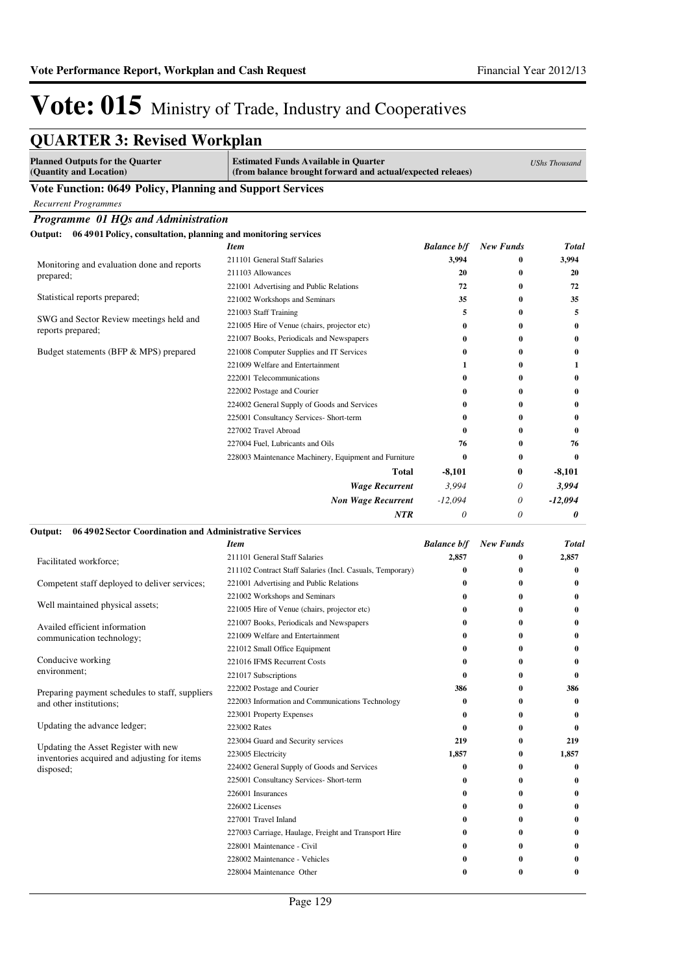### **QUARTER 3: Revised Workplan**

| <b>Planned Outputs for the Quarter</b><br>(Quantity and Location)         | <b>Estimated Funds Available in Quarter</b><br>(from balance brought forward and actual/expected releaes) |                    | <b>UShs Thousand</b> |              |
|---------------------------------------------------------------------------|-----------------------------------------------------------------------------------------------------------|--------------------|----------------------|--------------|
| Vote Function: 0649 Policy, Planning and Support Services                 |                                                                                                           |                    |                      |              |
| <b>Recurrent Programmes</b>                                               |                                                                                                           |                    |                      |              |
| Programme 01 HQs and Administration                                       |                                                                                                           |                    |                      |              |
| Output:<br>06 4901 Policy, consultation, planning and monitoring services |                                                                                                           |                    |                      |              |
|                                                                           | <b>Item</b>                                                                                               | <b>Balance b/f</b> | <b>New Funds</b>     | <b>Total</b> |
| Monitoring and evaluation done and reports                                | 211101 General Staff Salaries                                                                             | 3,994              | $\boldsymbol{0}$     | 3,994        |
| prepared;                                                                 | 211103 Allowances                                                                                         | 20                 | $\bf{0}$             | 20           |
|                                                                           | 221001 Advertising and Public Relations                                                                   | 72                 | $\bf{0}$             | 72           |
| Statistical reports prepared;                                             | 221002 Workshops and Seminars                                                                             | 35                 | $\bf{0}$             | 35           |
|                                                                           | 221003 Staff Training                                                                                     | 5                  | $\bf{0}$             | 5            |
| SWG and Sector Review meetings held and<br>reports prepared;              | 221005 Hire of Venue (chairs, projector etc)                                                              | 0                  | $\bf{0}$             | 0            |
|                                                                           | 221007 Books, Periodicals and Newspapers                                                                  | 0                  | 0                    | 0            |
| Budget statements (BFP & MPS) prepared                                    | 221008 Computer Supplies and IT Services                                                                  | 0                  | 0                    | $\bf{0}$     |
|                                                                           | 221009 Welfare and Entertainment                                                                          | 1                  | 0                    | 1            |
|                                                                           | 222001 Telecommunications                                                                                 | 0                  | $\bf{0}$             | 0            |
|                                                                           | 222002 Postage and Courier                                                                                | 0                  | 0                    | 0            |
|                                                                           | 224002 General Supply of Goods and Services                                                               | 0                  | $\bf{0}$             | 0            |
|                                                                           | 225001 Consultancy Services- Short-term                                                                   | 0                  | $\bf{0}$             | 0            |
|                                                                           | 227002 Travel Abroad                                                                                      | 0                  | $\bf{0}$             | 0            |
|                                                                           | 227004 Fuel, Lubricants and Oils                                                                          | 76                 | $\bf{0}$             | 76           |
|                                                                           | 228003 Maintenance Machinery, Equipment and Furniture                                                     | $\bf{0}$           | $\bf{0}$             | $\bf{0}$     |
|                                                                           | Total                                                                                                     | -8,101             | $\bf{0}$             | -8,101       |
|                                                                           | <b>Wage Recurrent</b>                                                                                     | 3,994              | 0                    | 3,994        |
|                                                                           | <b>Non Wage Recurrent</b>                                                                                 | $-12,094$          | 0                    | $-12,094$    |
|                                                                           | NTR                                                                                                       | 0                  | 0                    | 0            |
| 06 4902 Sector Coordination and Administrative Services<br>Output:        |                                                                                                           |                    |                      |              |
|                                                                           | <b>Item</b>                                                                                               | <b>Balance b/f</b> | <b>New Funds</b>     | <b>Total</b> |
| Facilitated workforce;                                                    | 211101 General Staff Salaries                                                                             | 2,857              | 0                    | 2,857        |
|                                                                           | 211102 Contract Staff Salaries (Incl. Casuals, Temporary)                                                 | $\bf{0}$           | $\bf{0}$             | 0            |
| Competent staff deployed to deliver services;                             | 221001 Advertising and Public Relations                                                                   | 0                  | $\bf{0}$             | 0            |
|                                                                           | 221002 Workshops and Seminars                                                                             | 0                  | $\bf{0}$             | 0            |
| Well maintained physical assets;                                          | 221005 Hire of Venue (chairs, projector etc)                                                              | 0                  | $\bf{0}$             | 0            |
| Availed efficient information                                             | 221007 Books, Periodicals and Newspapers                                                                  | 0                  | $\bf{0}$             | 0            |
| communication technology;                                                 | 221009 Welfare and Entertainment                                                                          | 0                  | 0                    | 0            |
|                                                                           | 221012 Small Office Equipment                                                                             | 0                  | 0                    | 0            |
| Conducive working                                                         | 221016 IFMS Recurrent Costs                                                                               | 0                  | $\bf{0}$             | $\bf{0}$     |
| environment;                                                              | 221017 Subscriptions                                                                                      | $\bf{0}$           | 0                    | 0            |
| Preparing payment schedules to staff, suppliers                           | 222002 Postage and Courier                                                                                | 386                | 0                    | 386          |
| and other institutions;                                                   | 222003 Information and Communications Technology                                                          | 0                  | 0                    | 0            |
|                                                                           | 223001 Property Expenses                                                                                  | 0                  | $\bf{0}$             | 0            |
| Updating the advance ledger;                                              | 223002 Rates                                                                                              | $\bf{0}$           | $\bf{0}$             | $\bf{0}$     |
| Updating the Asset Register with new                                      | 223004 Guard and Security services                                                                        | 219                | $\bf{0}$             | 219          |
| inventories acquired and adjusting for items                              | 223005 Electricity                                                                                        | 1,857              | 0                    | 1,857        |
| disposed;                                                                 | 224002 General Supply of Goods and Services                                                               | 0                  | 0                    | 0            |
|                                                                           | 225001 Consultancy Services- Short-term                                                                   | 0                  | 0                    | 0            |
|                                                                           | 226001 Insurances                                                                                         | 0                  | 0                    | 0            |
|                                                                           | 226002 Licenses                                                                                           | 0                  | 0                    | 0            |
|                                                                           | 227001 Travel Inland                                                                                      | 0                  | 0                    | 0            |
|                                                                           | 227003 Carriage, Haulage, Freight and Transport Hire                                                      | 0                  | 0                    | 0            |
|                                                                           | 228001 Maintenance - Civil                                                                                | 0                  | 0                    | 0            |
|                                                                           | 228002 Maintenance - Vehicles                                                                             | 0                  | 0                    | 0            |
|                                                                           | 228004 Maintenance Other                                                                                  | 0                  | 0                    | 0            |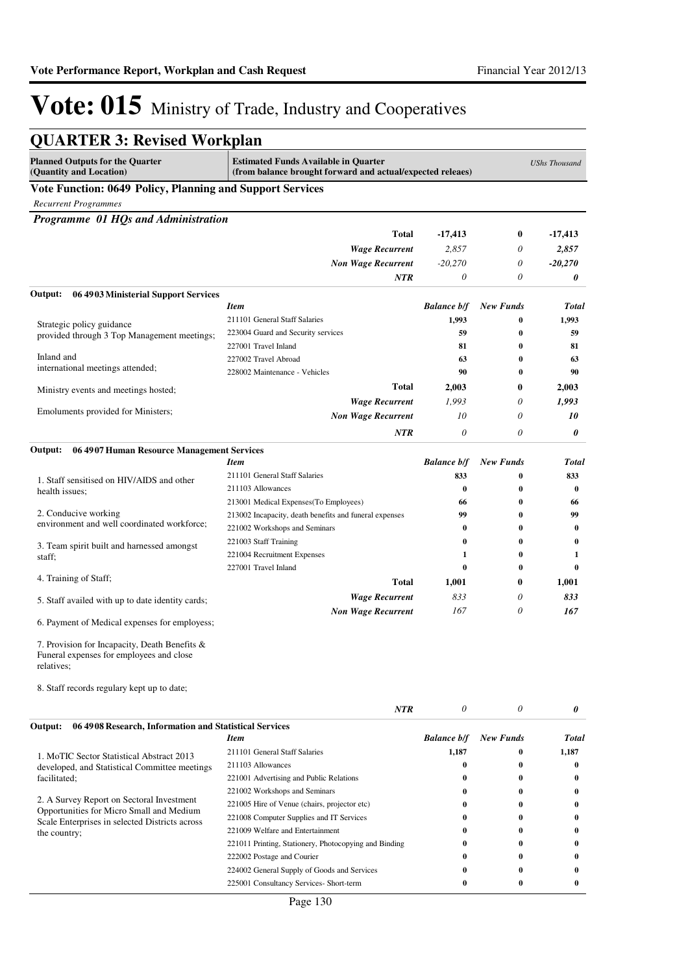| <b>QUARTER 3: Revised Workplan</b>                                                                      |                                                                                                           |                    |                  |                      |
|---------------------------------------------------------------------------------------------------------|-----------------------------------------------------------------------------------------------------------|--------------------|------------------|----------------------|
| <b>Planned Outputs for the Quarter</b><br>(Quantity and Location)                                       | <b>Estimated Funds Available in Quarter</b><br>(from balance brought forward and actual/expected releaes) |                    |                  | <b>UShs Thousand</b> |
| Vote Function: 0649 Policy, Planning and Support Services                                               |                                                                                                           |                    |                  |                      |
| <b>Recurrent Programmes</b>                                                                             |                                                                                                           |                    |                  |                      |
| Programme 01 HQs and Administration                                                                     |                                                                                                           |                    |                  |                      |
|                                                                                                         | Total                                                                                                     | $-17,413$          | $\bf{0}$         | $-17,413$            |
|                                                                                                         | <b>Wage Recurrent</b>                                                                                     | 2,857              | 0                | 2,857                |
|                                                                                                         | <b>Non Wage Recurrent</b>                                                                                 | $-20,270$          | 0                | $-20,270$            |
|                                                                                                         | NTR                                                                                                       | $\theta$           | 0                | 0                    |
| 06 4903 Ministerial Support Services<br>Output:                                                         |                                                                                                           |                    |                  |                      |
|                                                                                                         | <b>Item</b>                                                                                               | <b>Balance b/f</b> | <b>New Funds</b> | <b>Total</b>         |
| Strategic policy guidance                                                                               | 211101 General Staff Salaries                                                                             | 1,993              | 0                | 1,993                |
| provided through 3 Top Management meetings;                                                             | 223004 Guard and Security services                                                                        | 59                 | $\bf{0}$         | 59                   |
|                                                                                                         | 227001 Travel Inland                                                                                      | 81                 | 0                | 81                   |
| Inland and<br>international meetings attended;                                                          | 227002 Travel Abroad                                                                                      | 63                 | $\bf{0}$         | 63                   |
|                                                                                                         | 228002 Maintenance - Vehicles                                                                             | 90                 | $\bf{0}$         | 90                   |
| Ministry events and meetings hosted;                                                                    | Total                                                                                                     | 2,003              | 0                | 2,003                |
|                                                                                                         | <b>Wage Recurrent</b>                                                                                     | 1,993              | 0                | 1,993                |
| Emoluments provided for Ministers;                                                                      | <b>Non Wage Recurrent</b>                                                                                 | 10                 | 0                | 10                   |
|                                                                                                         | NTR                                                                                                       | 0                  | 0                | 0                    |
| 06 4907 Human Resource Management Services<br>Output:                                                   |                                                                                                           |                    |                  |                      |
|                                                                                                         | <b>Item</b>                                                                                               | <b>Balance b/f</b> | <b>New Funds</b> | Total                |
| 1. Staff sensitised on HIV/AIDS and other                                                               | 211101 General Staff Salaries                                                                             | 833                | 0                | 833                  |
| health issues;                                                                                          | 211103 Allowances                                                                                         | $\bf{0}$           | $\bf{0}$         | $\bf{0}$             |
|                                                                                                         | 213001 Medical Expenses(To Employees)                                                                     | 66                 | $\bf{0}$         | 66                   |
| 2. Conducive working                                                                                    | 213002 Incapacity, death benefits and funeral expenses                                                    | 99                 | $\bf{0}$         | 99                   |
| environment and well coordinated workforce;                                                             | 221002 Workshops and Seminars                                                                             | $\bf{0}$           | $\bf{0}$         | $\bf{0}$             |
| 3. Team spirit built and harnessed amongst                                                              | 221003 Staff Training                                                                                     | $\bf{0}$           | $\bf{0}$         | $\bf{0}$             |
| staff;                                                                                                  | 221004 Recruitment Expenses                                                                               | 1                  | $\bf{0}$         | 1                    |
|                                                                                                         | 227001 Travel Inland                                                                                      | $\bf{0}$           | $\bf{0}$         | 0                    |
| 4. Training of Staff;                                                                                   | Total                                                                                                     | 1,001              | $\bf{0}$         | 1,001                |
| 5. Staff availed with up to date identity cards;                                                        | <b>Wage Recurrent</b>                                                                                     | 833                | 0                | 833                  |
|                                                                                                         | <b>Non Wage Recurrent</b>                                                                                 | 167                | 0                | 167                  |
| 6. Payment of Medical expenses for employess;                                                           |                                                                                                           |                    |                  |                      |
| 7. Provision for Incapacity, Death Benefits &<br>Funeral expenses for employees and close<br>relatives; |                                                                                                           |                    |                  |                      |
| 8. Staff records regulary kept up to date;                                                              |                                                                                                           |                    |                  |                      |
|                                                                                                         | <b>NTR</b>                                                                                                | 0                  | 0                | 0                    |
| 06 4908 Research, Information and Statistical Services<br>Output:                                       |                                                                                                           |                    |                  |                      |
|                                                                                                         | <b>Item</b>                                                                                               | <b>Balance b/f</b> | <b>New Funds</b> | <b>Total</b>         |
| 1. MoTIC Sector Statistical Abstract 2013                                                               | 211101 General Staff Salaries                                                                             | 1,187              | 0                | 1,187                |
| developed, and Statistical Committee meetings                                                           | 211103 Allowances                                                                                         | $\bf{0}$           | $\bf{0}$         | 0                    |
| facilitated;                                                                                            | 221001 Advertising and Public Relations                                                                   | 0                  | $\bf{0}$         | $\bf{0}$             |
| 2. A Survey Report on Sectoral Investment                                                               | 221002 Workshops and Seminars                                                                             | 0                  | 0                | $\bf{0}$             |
| Opportunities for Micro Small and Medium                                                                | 221005 Hire of Venue (chairs, projector etc)                                                              | 0                  | 0                | 0                    |
| Scale Enterprises in selected Districts across                                                          | 221008 Computer Supplies and IT Services                                                                  | 0                  | 0                | $\bf{0}$             |
| the country;                                                                                            | 221009 Welfare and Entertainment                                                                          | 0                  | 0                | 0                    |
|                                                                                                         | 221011 Printing, Stationery, Photocopying and Binding                                                     | 0<br>0             | 0<br>$\bf{0}$    | $\bf{0}$<br>0        |
|                                                                                                         | 222002 Postage and Courier<br>224002 General Supply of Goods and Services                                 | $\bf{0}$           | $\bf{0}$         | 0                    |
|                                                                                                         | 225001 Consultancy Services- Short-term                                                                   | $\bf{0}$           | $\bf{0}$         | 0                    |
|                                                                                                         |                                                                                                           |                    |                  |                      |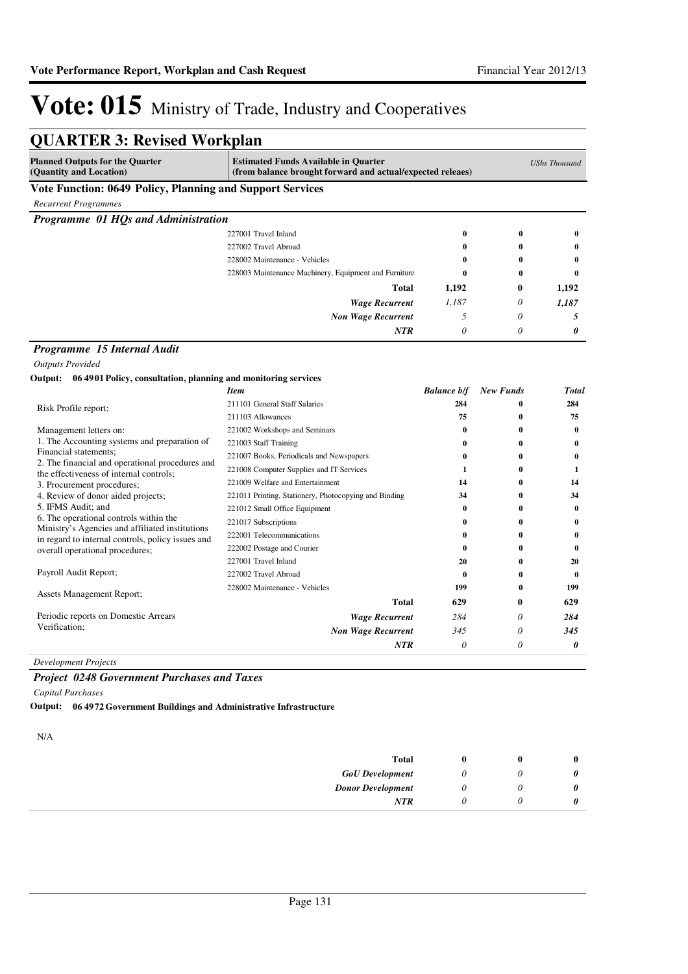| <b>QUARTER 3: Revised Workplan</b>                                                        |                                                                                                           |                    |                      |          |
|-------------------------------------------------------------------------------------------|-----------------------------------------------------------------------------------------------------------|--------------------|----------------------|----------|
| <b>Planned Outputs for the Quarter</b><br>(Quantity and Location)                         | <b>Estimated Funds Available in Quarter</b><br>(from balance brought forward and actual/expected releaes) |                    | <b>UShs Thousand</b> |          |
| Vote Function: 0649 Policy, Planning and Support Services                                 |                                                                                                           |                    |                      |          |
| <b>Recurrent Programmes</b>                                                               |                                                                                                           |                    |                      |          |
| Programme 01 HQs and Administration                                                       |                                                                                                           |                    |                      |          |
|                                                                                           | 227001 Travel Inland                                                                                      | $\bf{0}$           | $\bf{0}$             | $\bf{0}$ |
|                                                                                           | 227002 Travel Abroad                                                                                      | $\bf{0}$           | $\bf{0}$             | 0        |
|                                                                                           | 228002 Maintenance - Vehicles                                                                             | 0                  | 0                    | 0        |
|                                                                                           | 228003 Maintenance Machinery, Equipment and Furniture                                                     | $\bf{0}$           | 0                    | $\bf{0}$ |
|                                                                                           | <b>Total</b>                                                                                              | 1,192              | 0                    | 1,192    |
|                                                                                           | <b>Wage Recurrent</b>                                                                                     | 1,187              | 0                    | 1,187    |
|                                                                                           | <b>Non Wage Recurrent</b>                                                                                 | 5                  | $\theta$             | 5        |
|                                                                                           | <b>NTR</b>                                                                                                | $\theta$           | 0                    | 0        |
|                                                                                           |                                                                                                           |                    |                      |          |
| Programme 15 Internal Audit                                                               |                                                                                                           |                    |                      |          |
| <b>Outputs Provided</b>                                                                   |                                                                                                           |                    |                      |          |
| Output: 06 4901 Policy, consultation, planning and monitoring services                    |                                                                                                           |                    |                      |          |
|                                                                                           | <b>Item</b>                                                                                               | <b>Balance b/f</b> | <b>New Funds</b>     | Total    |
| Risk Profile report;                                                                      | 211101 General Staff Salaries                                                                             | 284                | 0                    | 284      |
|                                                                                           | 211103 Allowances                                                                                         | 75                 | $\bf{0}$             | 75       |
| Management letters on:                                                                    | 221002 Workshops and Seminars                                                                             | $\bf{0}$           | 0                    | $\bf{0}$ |
| 1. The Accounting systems and preparation of<br>Financial statements;                     | 221003 Staff Training                                                                                     | 0                  | 0                    | $\bf{0}$ |
| 2. The financial and operational procedures and                                           | 221007 Books, Periodicals and Newspapers                                                                  | $\bf{0}$           | $\bf{0}$             | $\bf{0}$ |
| the effectiveness of internal controls;                                                   | 221008 Computer Supplies and IT Services                                                                  | 1                  | 0                    | 1        |
| 3. Procurement procedures;                                                                | 221009 Welfare and Entertainment                                                                          | 14                 | 0                    | 14       |
| 4. Review of donor aided projects;                                                        | 221011 Printing, Stationery, Photocopying and Binding                                                     | 34                 | $\bf{0}$             | 34       |
| 5. IFMS Audit; and                                                                        | 221012 Small Office Equipment                                                                             | $\bf{0}$           | 0                    | $\bf{0}$ |
| 6. The operational controls within the<br>Ministry's Agencies and affiliated institutions | 221017 Subscriptions                                                                                      | $\bf{0}$           | 0                    | $\bf{0}$ |
| in regard to internal controls, policy issues and                                         | 222001 Telecommunications                                                                                 | 0                  | 0                    | 0        |
| overall operational procedures;                                                           | 222002 Postage and Courier                                                                                | $\bf{0}$           | 0                    | $\bf{0}$ |
|                                                                                           | 227001 Travel Inland                                                                                      | 20                 | $\bf{0}$             | 20       |
| Payroll Audit Report;                                                                     | 227002 Travel Abroad                                                                                      | $\bf{0}$           | 0                    | $\bf{0}$ |
| Assets Management Report;                                                                 | 228002 Maintenance - Vehicles                                                                             | 199                | $\bf{0}$             | 199      |
|                                                                                           | <b>Total</b>                                                                                              | 629                | $\mathbf{0}$         | 629      |
| Periodic reports on Domestic Arrears                                                      | <b>Wage Recurrent</b>                                                                                     | 284                | 0                    | 284      |
| Verification;                                                                             | <b>Non Wage Recurrent</b>                                                                                 | 345                | $\theta$             | 345      |
|                                                                                           | <b>NTR</b>                                                                                                | 0                  | 0                    | 0        |

*Development Projects*

*Project 0248 Government Purchases and Taxes*

*Capital Purchases*

**Output: 06 4972 Government Buildings and Administrative Infrastructure**

N/A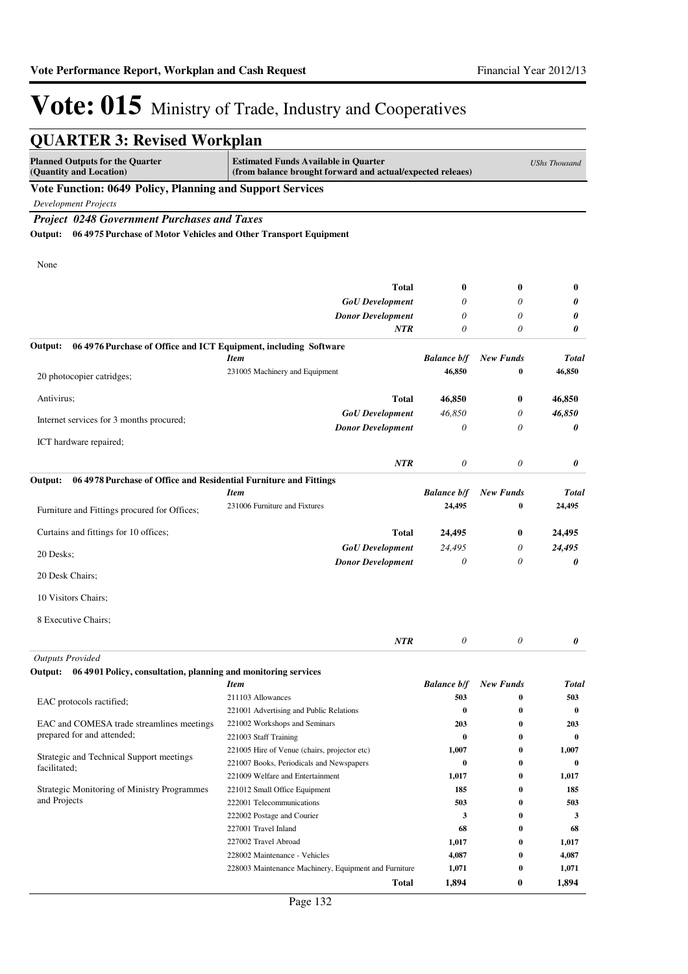| <b>QUARTER 3: Revised Workplan</b>                                           |                                                                                                           |                    |                  |                      |
|------------------------------------------------------------------------------|-----------------------------------------------------------------------------------------------------------|--------------------|------------------|----------------------|
| <b>Planned Outputs for the Quarter</b><br>(Quantity and Location)            | <b>Estimated Funds Available in Quarter</b><br>(from balance brought forward and actual/expected releaes) |                    |                  | <b>UShs Thousand</b> |
| Vote Function: 0649 Policy, Planning and Support Services                    |                                                                                                           |                    |                  |                      |
| <b>Development Projects</b>                                                  |                                                                                                           |                    |                  |                      |
| <b>Project 0248 Government Purchases and Taxes</b>                           |                                                                                                           |                    |                  |                      |
| 06 4975 Purchase of Motor Vehicles and Other Transport Equipment<br>Output:  |                                                                                                           |                    |                  |                      |
|                                                                              |                                                                                                           |                    |                  |                      |
| None                                                                         |                                                                                                           |                    |                  |                      |
|                                                                              |                                                                                                           |                    |                  |                      |
|                                                                              | Total                                                                                                     | $\bf{0}$           | $\bf{0}$         | $\bf{0}$             |
|                                                                              | <b>GoU</b> Development                                                                                    | 0                  | 0                | 0                    |
|                                                                              | <b>Donor Development</b>                                                                                  | 0                  | $\theta$         | 0                    |
|                                                                              | NTR                                                                                                       | $\theta$           | 0                | 0                    |
| Output:<br>06 4976 Purchase of Office and ICT Equipment, including Software  |                                                                                                           |                    |                  |                      |
|                                                                              | <b>Item</b>                                                                                               | <b>Balance b/f</b> | <b>New Funds</b> | <b>Total</b>         |
| 20 photocopier catridges;                                                    | 231005 Machinery and Equipment                                                                            | 46,850             | 0                | 46,850               |
| Antivirus;                                                                   | Total                                                                                                     | 46,850             | $\bf{0}$         | 46,850               |
|                                                                              | <b>GoU</b> Development                                                                                    | 46,850             | $\theta$         | 46,850               |
| Internet services for 3 months procured;                                     | <b>Donor Development</b>                                                                                  | $\theta$           | $\theta$         | 0                    |
| ICT hardware repaired;                                                       |                                                                                                           |                    |                  |                      |
|                                                                              |                                                                                                           |                    |                  |                      |
|                                                                              | <b>NTR</b>                                                                                                | 0                  | 0                | 0                    |
| 06 4978 Purchase of Office and Residential Furniture and Fittings<br>Output: |                                                                                                           |                    |                  |                      |
|                                                                              | <b>Item</b>                                                                                               | <b>Balance b/f</b> | <b>New Funds</b> | <b>Total</b>         |
| Furniture and Fittings procured for Offices;                                 | 231006 Furniture and Fixtures                                                                             | 24,495             | 0                | 24,495               |
|                                                                              |                                                                                                           |                    |                  |                      |
| Curtains and fittings for 10 offices;                                        | Total                                                                                                     | 24,495             | $\bf{0}$         | 24,495               |
| 20 Desks;                                                                    | <b>GoU</b> Development                                                                                    | 24,495             | 0                | 24,495               |
|                                                                              | <b>Donor Development</b>                                                                                  | 0                  | 0                | 0                    |
| 20 Desk Chairs;                                                              |                                                                                                           |                    |                  |                      |
| 10 Visitors Chairs;                                                          |                                                                                                           |                    |                  |                      |
|                                                                              |                                                                                                           |                    |                  |                      |
| 8 Executive Chairs;                                                          |                                                                                                           |                    |                  |                      |
|                                                                              | <b>NTR</b>                                                                                                | $\theta$           | $\theta$         | 0                    |
| <b>Outputs Provided</b>                                                      |                                                                                                           |                    |                  |                      |
| Output:<br>06 4901 Policy, consultation, planning and monitoring services    |                                                                                                           |                    |                  |                      |
|                                                                              | <b>Item</b>                                                                                               | <b>Balance b/f</b> | <b>New Funds</b> | <b>Total</b>         |
| EAC protocols ractified;                                                     | 211103 Allowances                                                                                         | 503                | 0                | 503                  |
|                                                                              | 221001 Advertising and Public Relations                                                                   | $\bf{0}$           | $\bf{0}$         | $\bf{0}$             |
| EAC and COMESA trade streamlines meetings<br>prepared for and attended;      | 221002 Workshops and Seminars                                                                             | 203                | $\bf{0}$         | 203                  |
|                                                                              | 221003 Staff Training                                                                                     | $\bf{0}$           | 0                | $\bf{0}$             |
| Strategic and Technical Support meetings                                     | 221005 Hire of Venue (chairs, projector etc)<br>221007 Books, Periodicals and Newspapers                  | 1,007<br>$\bf{0}$  | 0<br>0           | 1,007<br>0           |
| facilitated;                                                                 | 221009 Welfare and Entertainment                                                                          | 1,017              | 0                | 1,017                |
| Strategic Monitoring of Ministry Programmes                                  | 221012 Small Office Equipment                                                                             | 185                | 0                | 185                  |
| and Projects                                                                 | 222001 Telecommunications                                                                                 | 503                | 0                | 503                  |
|                                                                              | 222002 Postage and Courier                                                                                | 3                  | 0                | 3                    |
|                                                                              | 227001 Travel Inland                                                                                      | 68                 | 0                | 68                   |
|                                                                              | 227002 Travel Abroad                                                                                      | 1,017              | 0                | 1,017                |
|                                                                              | 228002 Maintenance - Vehicles                                                                             | 4,087              | $\bf{0}$         | 4,087                |
|                                                                              | 228003 Maintenance Machinery, Equipment and Furniture                                                     | 1,071              | 0                | 1,071                |
|                                                                              | <b>Total</b>                                                                                              | 1,894              | $\bf{0}$         | 1,894                |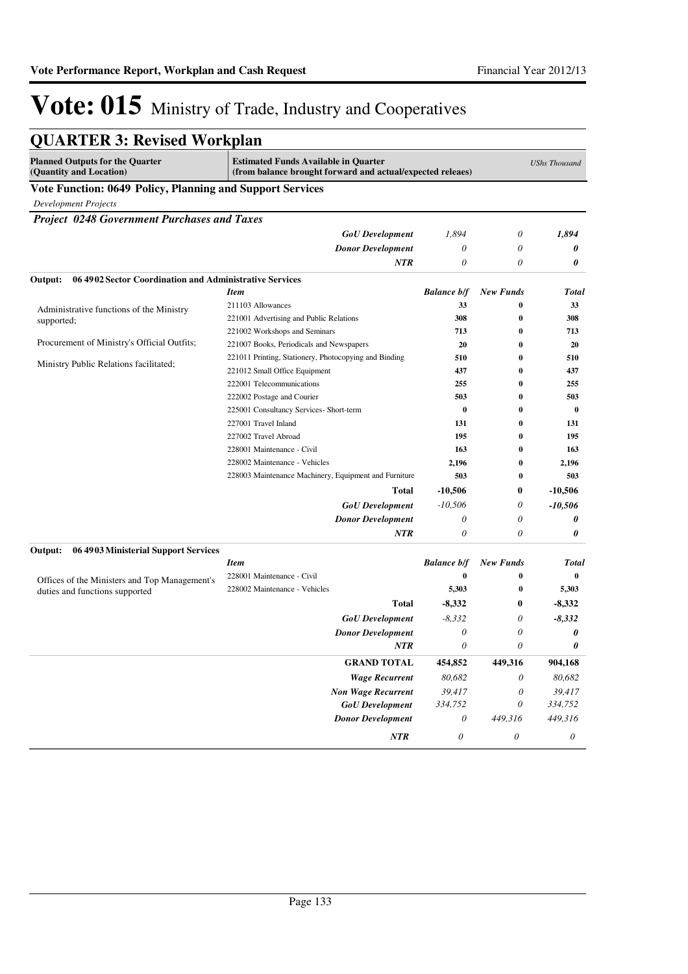| <b>QUARTER 3: Revised Workplan</b>                                |                                                                                                                                   |                           |                       |                           |  |
|-------------------------------------------------------------------|-----------------------------------------------------------------------------------------------------------------------------------|---------------------------|-----------------------|---------------------------|--|
| <b>Planned Outputs for the Quarter</b><br>(Quantity and Location) | <b>Estimated Funds Available in Quarter</b><br><b>UShs Thousand</b><br>(from balance brought forward and actual/expected releaes) |                           |                       |                           |  |
| Vote Function: 0649 Policy, Planning and Support Services         |                                                                                                                                   |                           |                       |                           |  |
| <b>Development Projects</b>                                       |                                                                                                                                   |                           |                       |                           |  |
| <b>Project 0248 Government Purchases and Taxes</b>                |                                                                                                                                   |                           |                       |                           |  |
|                                                                   | <b>GoU</b> Development                                                                                                            | 1,894                     | 0                     | 1,894                     |  |
|                                                                   | <b>Donor Development</b>                                                                                                          | 0                         | 0                     | 0                         |  |
|                                                                   | NTR                                                                                                                               | 0                         | 0                     | 0                         |  |
| 064902 Sector Coordination and Administrative Services<br>Output: |                                                                                                                                   |                           |                       |                           |  |
|                                                                   | <b>Item</b>                                                                                                                       | <b>Balance b/f</b>        | <b>New Funds</b>      | <b>Total</b>              |  |
| Administrative functions of the Ministry                          | 211103 Allowances                                                                                                                 | 33                        | $\bf{0}$              | 33                        |  |
| supported;                                                        | 221001 Advertising and Public Relations                                                                                           | 308                       | 0                     | 308                       |  |
|                                                                   | 221002 Workshops and Seminars                                                                                                     | 713                       | $\bf{0}$              | 713                       |  |
| Procurement of Ministry's Official Outfits;                       | 221007 Books, Periodicals and Newspapers                                                                                          | 20                        | $\bf{0}$              | 20                        |  |
|                                                                   | 221011 Printing, Stationery, Photocopying and Binding                                                                             | 510                       | $\bf{0}$              | 510                       |  |
| Ministry Public Relations facilitated;                            | 221012 Small Office Equipment                                                                                                     | 437                       | $\bf{0}$              | 437                       |  |
|                                                                   | 222001 Telecommunications                                                                                                         | 255                       | 0                     | 255                       |  |
|                                                                   | 222002 Postage and Courier                                                                                                        | 503                       | $\bf{0}$              | 503                       |  |
|                                                                   | 225001 Consultancy Services- Short-term                                                                                           | $\bf{0}$                  | $\bf{0}$              | $\bf{0}$                  |  |
|                                                                   | 227001 Travel Inland                                                                                                              | 131                       | 0                     | 131                       |  |
|                                                                   | 227002 Travel Abroad                                                                                                              | 195                       | $\bf{0}$              | 195                       |  |
|                                                                   | 228001 Maintenance - Civil                                                                                                        | 163                       | $\bf{0}$              | 163                       |  |
|                                                                   | 228002 Maintenance - Vehicles                                                                                                     | 2,196                     | $\bf{0}$              | 2,196                     |  |
|                                                                   | 228003 Maintenance Machinery, Equipment and Furniture                                                                             | 503                       | $\bf{0}$              | 503                       |  |
|                                                                   | Total                                                                                                                             | $-10,506$                 | 0                     | $-10,506$                 |  |
|                                                                   | <b>GoU</b> Development                                                                                                            | $-10,506$                 | 0                     | $-10,506$                 |  |
|                                                                   | <b>Donor Development</b>                                                                                                          | 0                         | 0                     | 0                         |  |
|                                                                   | NTR                                                                                                                               | 0                         | 0                     | 0                         |  |
| Output:<br>06 4903 Ministerial Support Services                   |                                                                                                                                   |                           |                       |                           |  |
|                                                                   | <b>Item</b>                                                                                                                       | <b>Balance b/f</b>        | <b>New Funds</b>      | <b>Total</b>              |  |
| Offices of the Ministers and Top Management's                     | 228001 Maintenance - Civil                                                                                                        | $\bf{0}$                  | $\bf{0}$              | $\bf{0}$                  |  |
| duties and functions supported                                    | 228002 Maintenance - Vehicles                                                                                                     | 5,303                     | $\bf{0}$              | 5,303                     |  |
|                                                                   | Total                                                                                                                             | $-8,332$                  | 0                     | $-8,332$                  |  |
|                                                                   | <b>GoU</b> Development                                                                                                            | $-8,332$                  | 0                     | $-8,332$                  |  |
|                                                                   | <b>Donor Development</b>                                                                                                          | 0                         | 0                     | 0                         |  |
|                                                                   | NTR                                                                                                                               | 0                         | 0                     | 0                         |  |
|                                                                   | <b>GRAND TOTAL</b>                                                                                                                | 454,852                   | 449,316               | 904,168                   |  |
|                                                                   | <b>Wage Recurrent</b>                                                                                                             | 80,682                    | 0                     | 80,682                    |  |
|                                                                   | <b>Non Wage Recurrent</b>                                                                                                         | 39,417                    | 0                     | 39,417                    |  |
|                                                                   | <b>GoU</b> Development                                                                                                            | 334,752                   | 0                     | 334,752                   |  |
|                                                                   | <b>Donor Development</b>                                                                                                          | $\boldsymbol{\mathit{0}}$ | 449,316               | 449,316                   |  |
|                                                                   | $\it NTR$                                                                                                                         | $\boldsymbol{\theta}$     | $\boldsymbol{\theta}$ | $\boldsymbol{\mathit{0}}$ |  |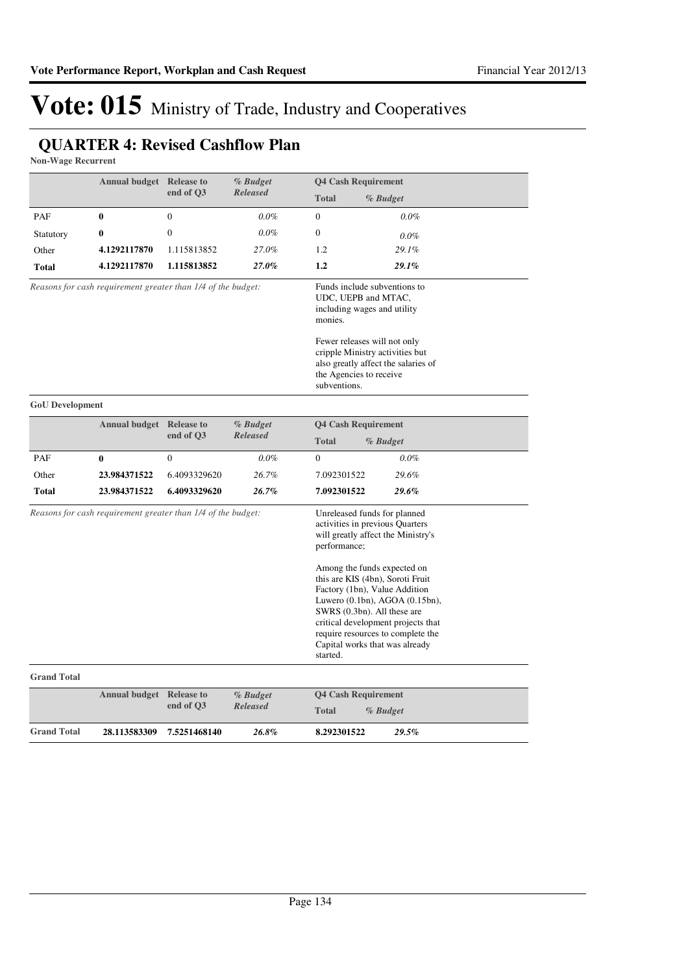### **QUARTER 4: Revised Cashflow Plan**

**Non-Wage Recurrent**

|                                                              | <b>Annual budget</b>                                         | <b>Release to</b>                                                                                                                                                                                                                                  | % Budget                    |                                                        | <b>Q4 Cash Requirement</b>                                                                                                                                                                                        |
|--------------------------------------------------------------|--------------------------------------------------------------|----------------------------------------------------------------------------------------------------------------------------------------------------------------------------------------------------------------------------------------------------|-----------------------------|--------------------------------------------------------|-------------------------------------------------------------------------------------------------------------------------------------------------------------------------------------------------------------------|
|                                                              |                                                              | end of Q3                                                                                                                                                                                                                                          | <b>Released</b>             | <b>Total</b>                                           | % Budget                                                                                                                                                                                                          |
| PAF                                                          | $\bf{0}$                                                     | $\boldsymbol{0}$                                                                                                                                                                                                                                   | $0.0\%$                     | $\mathbf{0}$                                           | $0.0\%$                                                                                                                                                                                                           |
| Statutory                                                    | 0                                                            | $\boldsymbol{0}$                                                                                                                                                                                                                                   | $0.0\%$                     | $\boldsymbol{0}$                                       | $0.0\%$                                                                                                                                                                                                           |
| Other                                                        | 4.1292117870                                                 | 1.115813852                                                                                                                                                                                                                                        | 27.0%                       | 1.2                                                    | 29.1%                                                                                                                                                                                                             |
| Total                                                        | 4.1292117870                                                 | 1.115813852                                                                                                                                                                                                                                        | 27.0%                       | 1.2                                                    | 29.1%                                                                                                                                                                                                             |
| Reasons for cash requirement greater than 1/4 of the budget: |                                                              | Funds include subventions to<br>UDC, UEPB and MTAC,<br>including wages and utility<br>monies.<br>Fewer releases will not only<br>cripple Ministry activities but<br>also greatly affect the salaries of<br>the Agencies to receive<br>subventions. |                             |                                                        |                                                                                                                                                                                                                   |
| <b>GoU</b> Development                                       |                                                              |                                                                                                                                                                                                                                                    |                             |                                                        |                                                                                                                                                                                                                   |
|                                                              | <b>Annual budget</b>                                         | <b>Release to</b>                                                                                                                                                                                                                                  | % Budget                    | <b>Q4 Cash Requirement</b><br><b>Total</b><br>% Budget |                                                                                                                                                                                                                   |
|                                                              |                                                              | end of Q3                                                                                                                                                                                                                                          | <b>Released</b>             |                                                        |                                                                                                                                                                                                                   |
| PAF                                                          | 0                                                            | $\mathbf{0}$                                                                                                                                                                                                                                       | $0.0\%$                     | $\mathbf{0}$                                           | $0.0\%$                                                                                                                                                                                                           |
| Other                                                        | 23.984371522                                                 | 6.4093329620                                                                                                                                                                                                                                       | 26.7%                       | 7.092301522                                            | 29.6%                                                                                                                                                                                                             |
| <b>Total</b>                                                 | 23.984371522                                                 | 6.4093329620                                                                                                                                                                                                                                       | 26.7%                       | 7.092301522                                            | 29.6%                                                                                                                                                                                                             |
|                                                              | Reasons for cash requirement greater than 1/4 of the budget: |                                                                                                                                                                                                                                                    |                             | performance;                                           | Unreleased funds for planned<br>activities in previous Quarters<br>will greatly affect the Ministry's<br>Among the funds expected on<br>this are KIS (4bn), Soroti Fruit                                          |
|                                                              |                                                              |                                                                                                                                                                                                                                                    |                             | started.                                               | Factory (1bn), Value Addition<br>Luwero $(0.1bn)$ , AGOA $(0.15bn)$ ,<br>SWRS (0.3bn). All these are<br>critical development projects that<br>require resources to complete the<br>Capital works that was already |
| <b>Grand Total</b>                                           |                                                              |                                                                                                                                                                                                                                                    |                             |                                                        |                                                                                                                                                                                                                   |
|                                                              | <b>Annual budget</b>                                         | <b>Release to</b><br>end of Q3                                                                                                                                                                                                                     | % Budget<br><b>Released</b> | <b>Total</b>                                           | <b>Q4 Cash Requirement</b><br>% Budget                                                                                                                                                                            |
| <b>Grand Total</b>                                           | 28.113583309                                                 | 7.5251468140                                                                                                                                                                                                                                       | 26.8%                       | 8.292301522                                            | 29.5%                                                                                                                                                                                                             |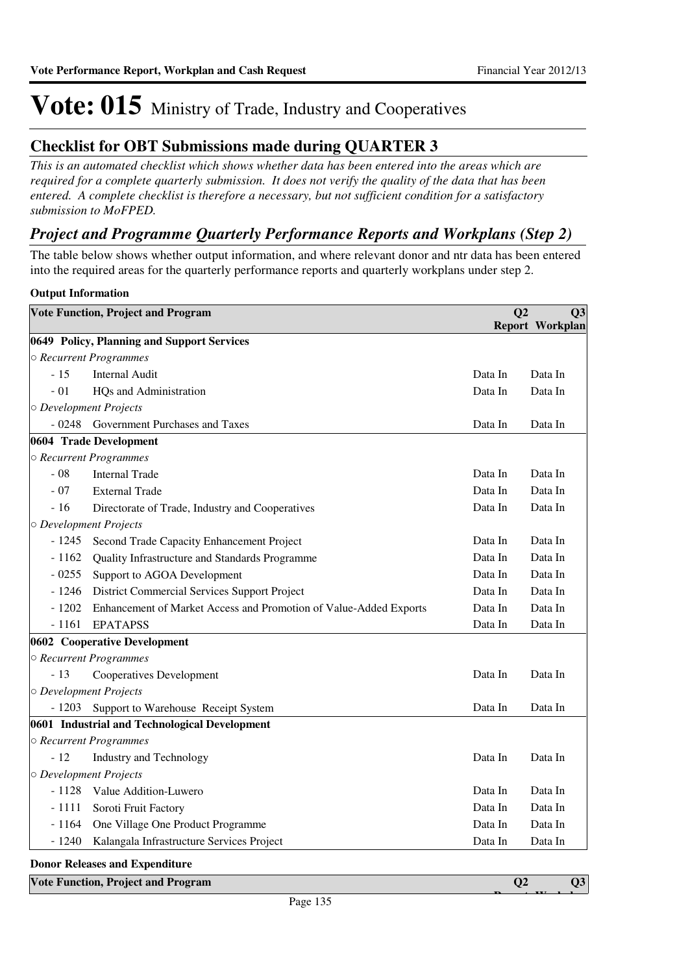### **Checklist for OBT Submissions made during QUARTER 3**

*This is an automated checklist which shows whether data has been entered into the areas which are required for a complete quarterly submission. It does not verify the quality of the data that has been entered. A complete checklist is therefore a necessary, but not sufficient condition for a satisfactory submission to MoFPED.*

### *Project and Programme Quarterly Performance Reports and Workplans (Step 2)*

The table below shows whether output information, and where relevant donor and ntr data has been entered into the required areas for the quarterly performance reports and quarterly workplans under step 2.

#### **Output Information**

|         | <b>Vote Function, Project and Program</b>                         | Q <sub>2</sub> | Q3                     |
|---------|-------------------------------------------------------------------|----------------|------------------------|
|         |                                                                   |                | <b>Report Workplan</b> |
|         | 0649 Policy, Planning and Support Services                        |                |                        |
|         | ○ Recurrent Programmes                                            |                |                        |
| $-15$   | <b>Internal Audit</b>                                             | Data In        | Data In                |
| $-01$   | HQs and Administration                                            | Data In        | Data In                |
|         | O Development Projects                                            |                |                        |
| $-0248$ | Government Purchases and Taxes                                    | Data In        | Data In                |
|         | 0604 Trade Development                                            |                |                        |
|         | ○ Recurrent Programmes                                            |                |                        |
| $-08$   | <b>Internal Trade</b>                                             | Data In        | Data In                |
| $-07$   | <b>External Trade</b>                                             | Data In        | Data In                |
| $-16$   | Directorate of Trade, Industry and Cooperatives                   | Data In        | Data In                |
|         | O Development Projects                                            |                |                        |
| $-1245$ | Second Trade Capacity Enhancement Project                         | Data In        | Data In                |
| $-1162$ | Quality Infrastructure and Standards Programme                    | Data In        | Data In                |
| $-0255$ | Support to AGOA Development                                       | Data In        | Data In                |
| $-1246$ | District Commercial Services Support Project                      | Data In        | Data In                |
| $-1202$ | Enhancement of Market Access and Promotion of Value-Added Exports | Data In        | Data In                |
| $-1161$ | <b>EPATAPSS</b>                                                   | Data In        | Data In                |
|         | 0602 Cooperative Development                                      |                |                        |
|         | ○ Recurrent Programmes                                            |                |                        |
| $-13$   | Cooperatives Development                                          | Data In        | Data In                |
|         | O Development Projects                                            |                |                        |
| $-1203$ | Support to Warehouse Receipt System                               | Data In        | Data In                |
|         | 0601 Industrial and Technological Development                     |                |                        |
|         | ○ Recurrent Programmes                                            |                |                        |
| $-12$   | <b>Industry and Technology</b>                                    | Data In        | Data In                |
|         | O Development Projects                                            |                |                        |
| $-1128$ | Value Addition-Luwero                                             | Data In        | Data In                |
| $-1111$ | Soroti Fruit Factory                                              | Data In        | Data In                |
| $-1164$ | One Village One Product Programme                                 | Data In        | Data In                |
| $-1240$ | Kalangala Infrastructure Services Project                         | Data In        | Data In                |
|         |                                                                   |                |                        |

#### **Donor Releases and Expenditure**

| <b>Vote Function, Project and Program</b> |          | Q3<br>$- - -$ |
|-------------------------------------------|----------|---------------|
|                                           | Page 135 |               |